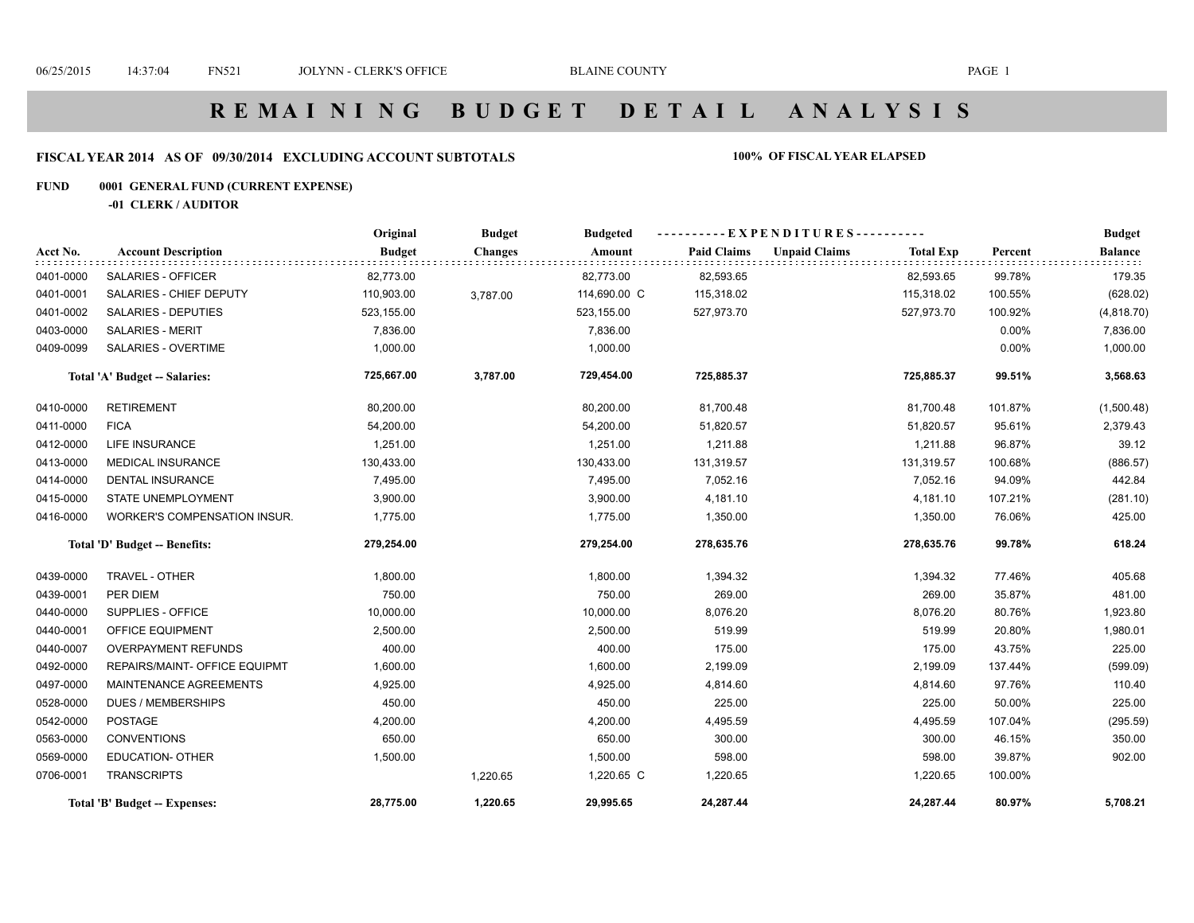# **R E M A I N I N G B U D G E T D E T A I L A N A L Y S I S**

#### **FISCAL YEAR 2014 AS OF 09/30/2014 EXCLUDING ACCOUNT SUBTOTALS 100% OF FISCAL YEAR ELAPSED**

#### **FUND 0001 GENERAL FUND (CURRENT EXPENSE)**

**-01 CLERK / AUDITOR**

|           |                               | Original      | <b>Budget</b>  | <b>Budgeted</b> | --EXPENDITURES---------- |                      |                  |         | <b>Budget</b>  |
|-----------|-------------------------------|---------------|----------------|-----------------|--------------------------|----------------------|------------------|---------|----------------|
| Acct No.  | <b>Account Description</b>    | <b>Budget</b> | <b>Changes</b> | Amount          | <b>Paid Claims</b>       | <b>Unpaid Claims</b> | <b>Total Exp</b> | Percent | <b>Balance</b> |
| 0401-0000 | SALARIES - OFFICER            | 82,773.00     |                | 82,773.00       | 82,593.65                |                      | 82,593.65        | 99.78%  | 179.35         |
| 0401-0001 | SALARIES - CHIEF DEPUTY       | 110,903.00    | 3,787.00       | 114,690.00 C    | 115,318.02               |                      | 115,318.02       | 100.55% | (628.02)       |
| 0401-0002 | SALARIES - DEPUTIES           | 523,155.00    |                | 523,155.00      | 527,973.70               |                      | 527,973.70       | 100.92% | (4,818.70)     |
| 0403-0000 | <b>SALARIES - MERIT</b>       | 7,836.00      |                | 7,836.00        |                          |                      |                  | 0.00%   | 7,836.00       |
| 0409-0099 | <b>SALARIES - OVERTIME</b>    | 1,000.00      |                | 1,000.00        |                          |                      |                  | 0.00%   | 1,000.00       |
|           | Total 'A' Budget -- Salaries: | 725,667.00    | 3,787.00       | 729,454.00      | 725,885.37               |                      | 725,885.37       | 99.51%  | 3,568.63       |
| 0410-0000 | <b>RETIREMENT</b>             | 80,200.00     |                | 80,200.00       | 81,700.48                |                      | 81,700.48        | 101.87% | (1,500.48)     |
| 0411-0000 | <b>FICA</b>                   | 54,200.00     |                | 54,200.00       | 51,820.57                |                      | 51,820.57        | 95.61%  | 2,379.43       |
| 0412-0000 | LIFE INSURANCE                | 1,251.00      |                | 1,251.00        | 1,211.88                 |                      | 1,211.88         | 96.87%  | 39.12          |
| 0413-0000 | <b>MEDICAL INSURANCE</b>      | 130,433.00    |                | 130,433.00      | 131,319.57               |                      | 131,319.57       | 100.68% | (886.57)       |
| 0414-0000 | <b>DENTAL INSURANCE</b>       | 7,495.00      |                | 7,495.00        | 7,052.16                 |                      | 7,052.16         | 94.09%  | 442.84         |
| 0415-0000 | <b>STATE UNEMPLOYMENT</b>     | 3,900.00      |                | 3,900.00        | 4,181.10                 |                      | 4,181.10         | 107.21% | (281.10)       |
| 0416-0000 | WORKER'S COMPENSATION INSUR.  | 1,775.00      |                | 1,775.00        | 1,350.00                 |                      | 1,350.00         | 76.06%  | 425.00         |
|           | Total 'D' Budget -- Benefits: | 279,254.00    |                | 279,254.00      | 278,635.76               |                      | 278,635.76       | 99.78%  | 618.24         |
| 0439-0000 | TRAVEL - OTHER                | 1,800.00      |                | 1,800.00        | 1,394.32                 |                      | 1,394.32         | 77.46%  | 405.68         |
| 0439-0001 | PER DIEM                      | 750.00        |                | 750.00          | 269.00                   |                      | 269.00           | 35.87%  | 481.00         |
| 0440-0000 | SUPPLIES - OFFICE             | 10,000.00     |                | 10,000.00       | 8,076.20                 |                      | 8,076.20         | 80.76%  | 1,923.80       |
| 0440-0001 | OFFICE EQUIPMENT              | 2,500.00      |                | 2,500.00        | 519.99                   |                      | 519.99           | 20.80%  | 1,980.01       |
| 0440-0007 | <b>OVERPAYMENT REFUNDS</b>    | 400.00        |                | 400.00          | 175.00                   |                      | 175.00           | 43.75%  | 225.00         |
| 0492-0000 | REPAIRS/MAINT- OFFICE EQUIPMT | 1,600.00      |                | 1,600.00        | 2,199.09                 |                      | 2,199.09         | 137.44% | (599.09)       |
| 0497-0000 | MAINTENANCE AGREEMENTS        | 4,925.00      |                | 4,925.00        | 4,814.60                 |                      | 4,814.60         | 97.76%  | 110.40         |
| 0528-0000 | DUES / MEMBERSHIPS            | 450.00        |                | 450.00          | 225.00                   |                      | 225.00           | 50.00%  | 225.00         |
| 0542-0000 | <b>POSTAGE</b>                | 4,200.00      |                | 4,200.00        | 4,495.59                 |                      | 4,495.59         | 107.04% | (295.59)       |
| 0563-0000 | <b>CONVENTIONS</b>            | 650.00        |                | 650.00          | 300.00                   |                      | 300.00           | 46.15%  | 350.00         |
| 0569-0000 | <b>EDUCATION- OTHER</b>       | 1,500.00      |                | 1,500.00        | 598.00                   |                      | 598.00           | 39.87%  | 902.00         |
| 0706-0001 | <b>TRANSCRIPTS</b>            |               | 1,220.65       | 1,220.65 C      | 1,220.65                 |                      | 1,220.65         | 100.00% |                |
|           | Total 'B' Budget -- Expenses: | 28,775.00     | 1,220.65       | 29,995.65       | 24,287.44                |                      | 24,287.44        | 80.97%  | 5,708.21       |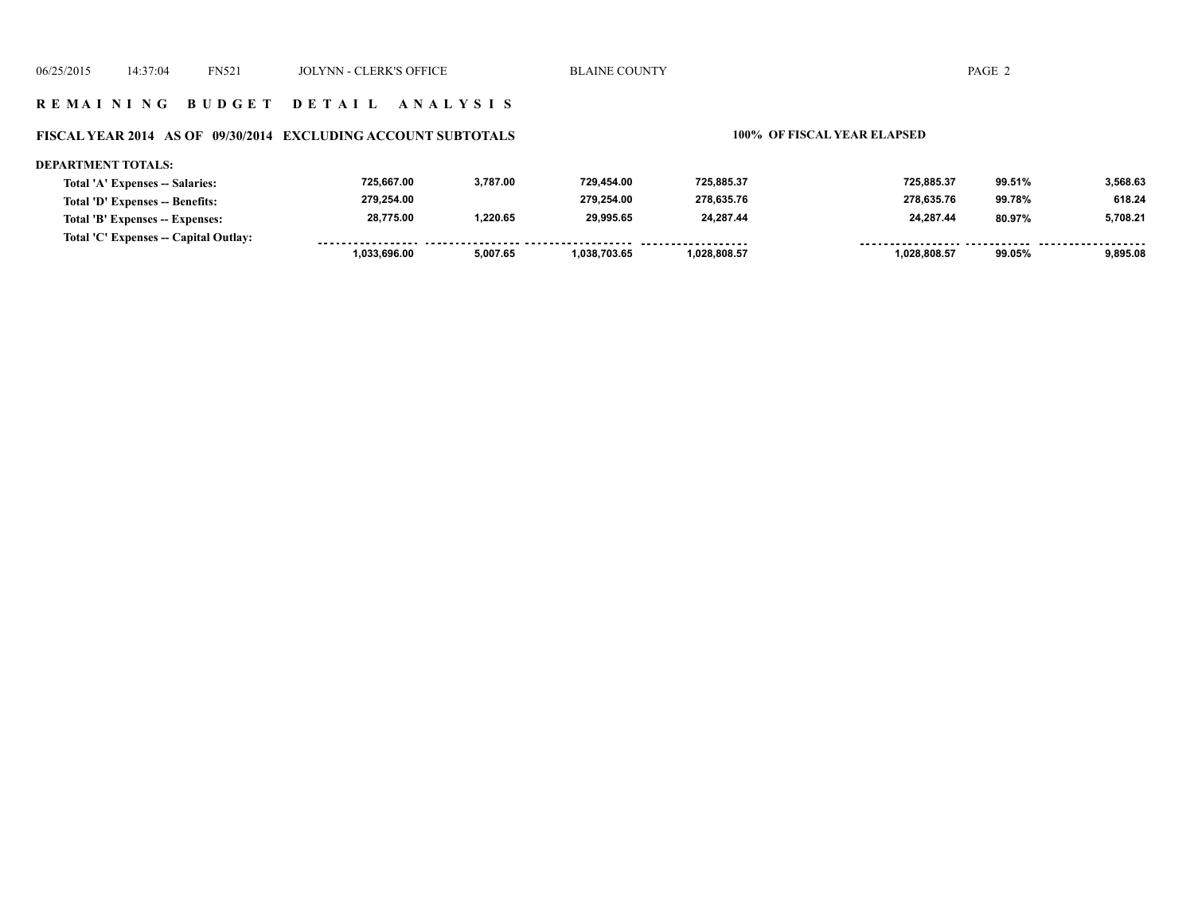#### **R E M A I N I N G B U D G E T D E T A I L A N A L Y S I S**

#### **FISCAL YEAR 2014 AS OF 09/30/2014 EXCLUDING ACCOUNT SUBTOTALS 100% OF FISCAL YEAR ELAPSED**

#### **DEPARTMENT TOTALS: 725,667.00 3,787.00 729,454.00 725,885.37 725,885.37 99.51% 3,568.63 Total 'A' Expenses -- Salaries: 279,254.00 279,254.00 278,635.76 278,635.76 618.24 Total 'D' Expenses -- Benefits: 99.78% 28,775.00 1,220.65 29,995.65 24,287.44 24,287.44 80.97% 5,708.21 Total 'B' Expenses -- Expenses: Total 'C' Expenses -- Capital Outlay:** ------------------. . . . . . . . <u>......... ......</u> <u>....... .........</u>  **1,033,696.00 5,007.65 1,038,703.65 1,028,808.57 1,028,808.57 99.05% 9,895.08**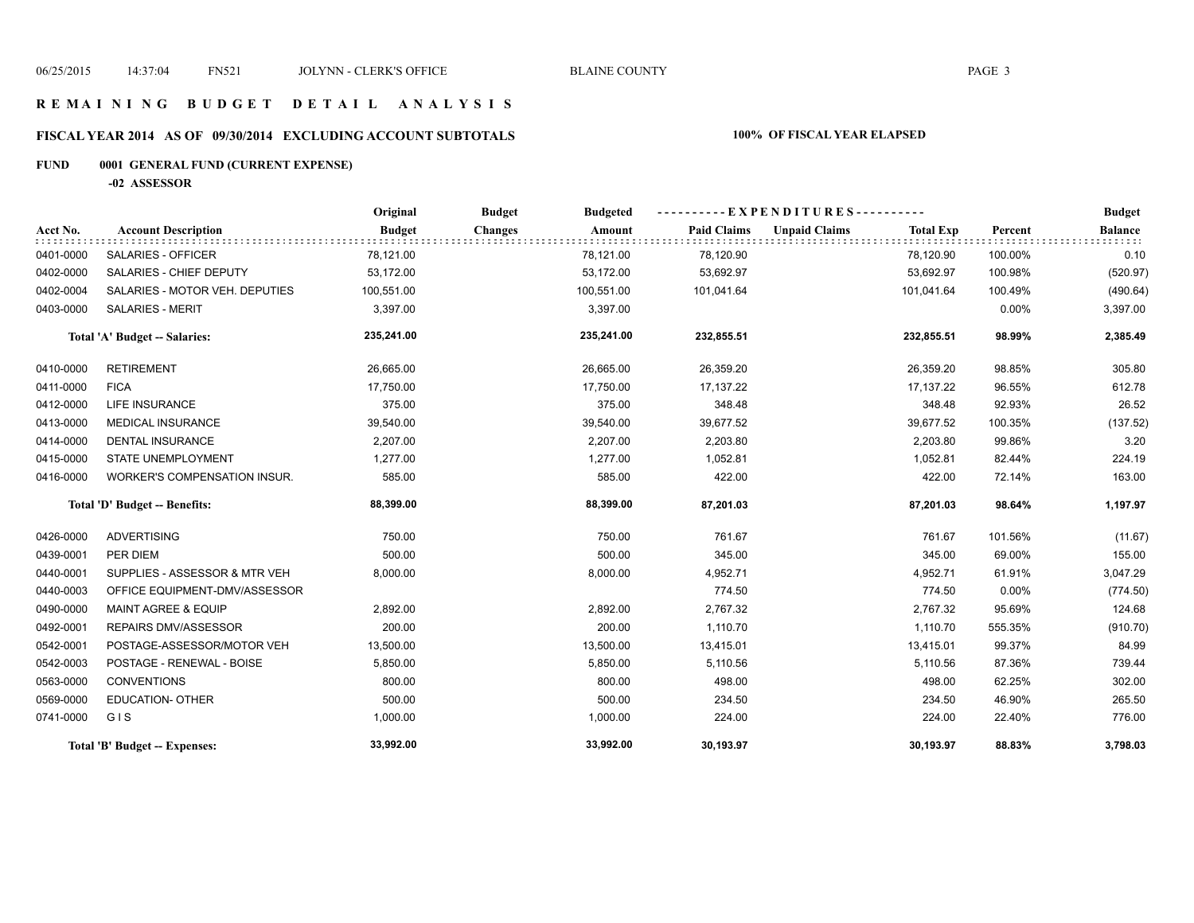#### **R E M A I N I N G B U D G E T D E T A I L A N A L Y S I S**

# **FISCAL YEAR 2014 AS OF 09/30/2014 EXCLUDING ACCOUNT SUBTOTALS 100% OF FISCAL YEAR ELAPSED**

# **FUND 0001 GENERAL FUND (CURRENT EXPENSE)**

**-02 ASSESSOR**

|           |                                     | Original      | <b>Budget</b><br><b>Budgeted</b> |                    | EXPENDITURES----------                   |          | <b>Budget</b>  |
|-----------|-------------------------------------|---------------|----------------------------------|--------------------|------------------------------------------|----------|----------------|
| Acct No.  | <b>Account Description</b>          | <b>Budget</b> | <b>Changes</b><br>Amount         | <b>Paid Claims</b> | <b>Unpaid Claims</b><br><b>Total Exp</b> | Percent  | <b>Balance</b> |
| 0401-0000 | SALARIES - OFFICER                  | 78,121.00     | 78,121.00                        | 78,120.90          | 78,120.90                                | 100.00%  | 0.10           |
| 0402-0000 | SALARIES - CHIEF DEPUTY             | 53,172.00     | 53,172.00                        | 53,692.97          | 53,692.97                                | 100.98%  | (520.97)       |
| 0402-0004 | SALARIES - MOTOR VEH. DEPUTIES      | 100,551.00    | 100,551.00                       | 101,041.64         | 101,041.64                               | 100.49%  | (490.64)       |
| 0403-0000 | <b>SALARIES - MERIT</b>             | 3,397.00      | 3,397.00                         |                    |                                          | $0.00\%$ | 3,397.00       |
|           | Total 'A' Budget -- Salaries:       | 235,241.00    | 235,241.00                       | 232,855.51         | 232,855.51                               | 98.99%   | 2,385.49       |
| 0410-0000 | <b>RETIREMENT</b>                   | 26,665.00     | 26,665.00                        | 26,359.20          | 26,359.20                                | 98.85%   | 305.80         |
| 0411-0000 | <b>FICA</b>                         | 17,750.00     | 17,750.00                        | 17,137.22          | 17,137.22                                | 96.55%   | 612.78         |
| 0412-0000 | <b>LIFE INSURANCE</b>               | 375.00        | 375.00                           | 348.48             | 348.48                                   | 92.93%   | 26.52          |
| 0413-0000 | <b>MEDICAL INSURANCE</b>            | 39,540.00     | 39,540.00                        | 39,677.52          | 39,677.52                                | 100.35%  | (137.52)       |
| 0414-0000 | DENTAL INSURANCE                    | 2,207.00      | 2,207.00                         | 2,203.80           | 2,203.80                                 | 99.86%   | 3.20           |
| 0415-0000 | <b>STATE UNEMPLOYMENT</b>           | 1,277.00      | 1,277.00                         | 1,052.81           | 1,052.81                                 | 82.44%   | 224.19         |
| 0416-0000 | <b>WORKER'S COMPENSATION INSUR.</b> | 585.00        | 585.00                           | 422.00             | 422.00                                   | 72.14%   | 163.00         |
|           | Total 'D' Budget -- Benefits:       | 88,399.00     | 88,399.00                        | 87,201.03          | 87,201.03                                | 98.64%   | 1,197.97       |
| 0426-0000 | <b>ADVERTISING</b>                  | 750.00        | 750.00                           | 761.67             | 761.67                                   | 101.56%  | (11.67)        |
| 0439-0001 | PER DIEM                            | 500.00        | 500.00                           | 345.00             | 345.00                                   | 69.00%   | 155.00         |
| 0440-0001 | SUPPLIES - ASSESSOR & MTR VEH       | 8,000.00      | 8,000.00                         | 4,952.71           | 4,952.71                                 | 61.91%   | 3,047.29       |
| 0440-0003 | OFFICE EQUIPMENT-DMV/ASSESSOR       |               |                                  | 774.50             | 774.50                                   | 0.00%    | (774.50)       |
| 0490-0000 | <b>MAINT AGREE &amp; EQUIP</b>      | 2,892.00      | 2,892.00                         | 2,767.32           | 2,767.32                                 | 95.69%   | 124.68         |
| 0492-0001 | REPAIRS DMV/ASSESSOR                | 200.00        | 200.00                           | 1,110.70           | 1,110.70                                 | 555.35%  | (910.70)       |
| 0542-0001 | POSTAGE-ASSESSOR/MOTOR VEH          | 13,500.00     | 13,500.00                        | 13,415.01          | 13,415.01                                | 99.37%   | 84.99          |
| 0542-0003 | POSTAGE - RENEWAL - BOISE           | 5,850.00      | 5,850.00                         | 5,110.56           | 5,110.56                                 | 87.36%   | 739.44         |
| 0563-0000 | <b>CONVENTIONS</b>                  | 800.00        | 800.00                           | 498.00             | 498.00                                   | 62.25%   | 302.00         |
| 0569-0000 | <b>EDUCATION- OTHER</b>             | 500.00        | 500.00                           | 234.50             | 234.50                                   | 46.90%   | 265.50         |
| 0741-0000 | GIS                                 | 1,000.00      | 1,000.00                         | 224.00             | 224.00                                   | 22.40%   | 776.00         |
|           | Total 'B' Budget -- Expenses:       | 33,992.00     | 33,992.00                        | 30,193.97          | 30,193.97                                | 88.83%   | 3,798.03       |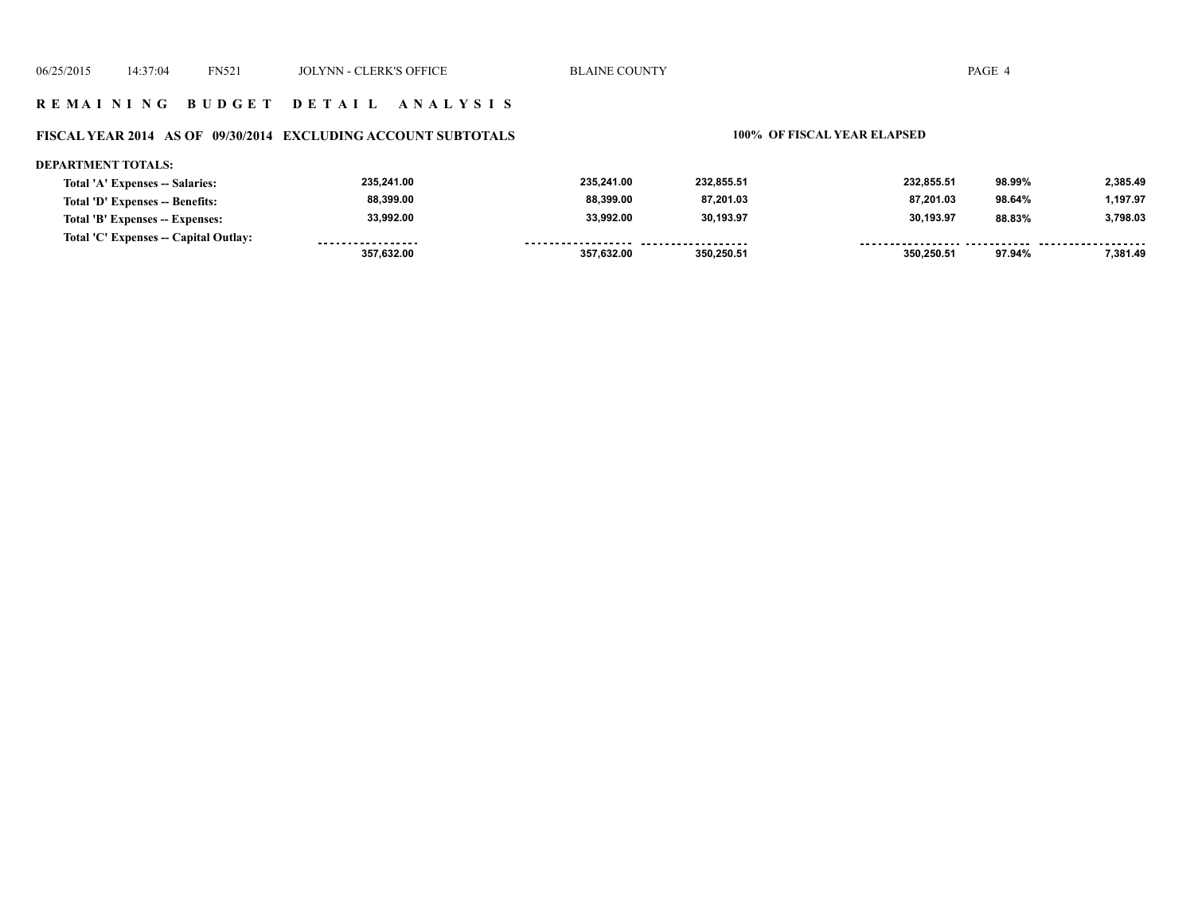#### **R E M A I N I N G B U D G E T D E T A I L A N A L Y S I S**

#### **FISCAL YEAR 2014 AS OF 09/30/2014 EXCLUDING ACCOUNT SUBTOTALS 100% OF FISCAL YEAR ELAPSED**

#### **DEPARTMENT TOTALS:**

| Total 'A' Expenses -- Salaries:       | 235,241.00        | 235.241.00         | 232.855.51          | 232,855.51 | 98.99% | 2,385.49 |
|---------------------------------------|-------------------|--------------------|---------------------|------------|--------|----------|
| Total 'D' Expenses -- Benefits:       | 88,399.00         | 88.399.00          | 87.201.03           | 87.201.03  | 98.64% | 1.197.97 |
| Total 'B' Expenses -- Expenses:       | 33,992.00         | 33.992.00          | 30.193.97           | 30,193.97  | 88.83% | 3,798.03 |
| Total 'C' Expenses -- Capital Outlay: | ----------------- | ------------------ | ------------------- |            |        |          |
|                                       | 357,632.00        | 357.632.00         | 350.250.51          | 350.250.51 | 97.94% | 7.381.49 |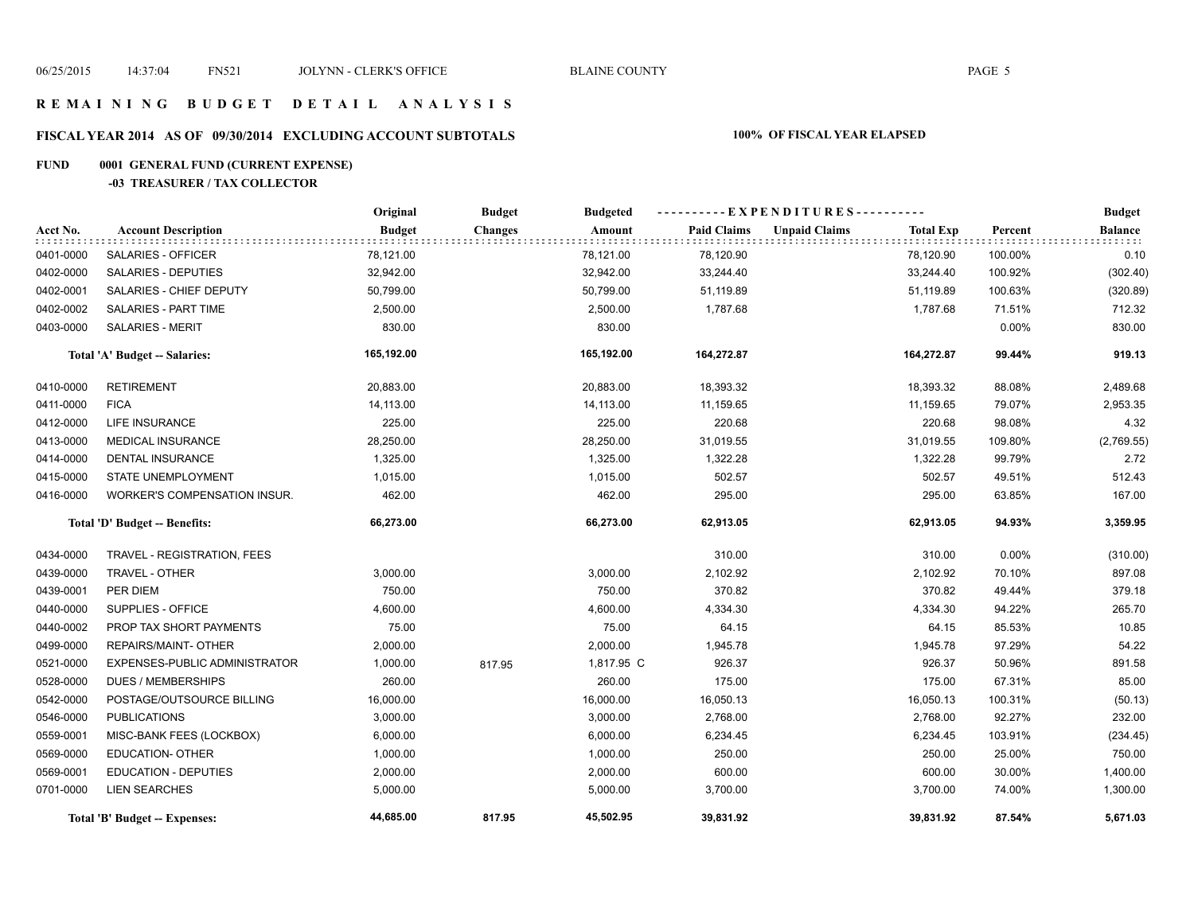#### **R E M A I N I N G B U D G E T D E T A I L A N A L Y S I S**

# **FISCAL YEAR 2014 AS OF 09/30/2014 EXCLUDING ACCOUNT SUBTOTALS 100% OF FISCAL YEAR ELAPSED**

# **FUND 0001 GENERAL FUND (CURRENT EXPENSE)**

#### **-03 TREASURER / TAX COLLECTOR**

|           |                                     | Original      | <b>Budget</b>  | <b>Budgeted</b> | ----------EXPENDITURES---------- |                      |                  |         | <b>Budget</b>             |
|-----------|-------------------------------------|---------------|----------------|-----------------|----------------------------------|----------------------|------------------|---------|---------------------------|
| Acct No.  | <b>Account Description</b>          | <b>Budget</b> | <b>Changes</b> | Amount          | <b>Paid Claims</b>               | <b>Unpaid Claims</b> | <b>Total Exp</b> | Percent | <b>Balance</b><br>: : : : |
| 0401-0000 | SALARIES - OFFICER                  | 78,121.00     |                | 78,121.00       | 78,120.90                        |                      | 78,120.90        | 100.00% | 0.10                      |
| 0402-0000 | SALARIES - DEPUTIES                 | 32,942.00     |                | 32,942.00       | 33,244.40                        |                      | 33,244.40        | 100.92% | (302.40)                  |
| 0402-0001 | SALARIES - CHIEF DEPUTY             | 50,799.00     |                | 50,799.00       | 51,119.89                        |                      | 51,119.89        | 100.63% | (320.89)                  |
| 0402-0002 | <b>SALARIES - PART TIME</b>         | 2,500.00      |                | 2,500.00        | 1,787.68                         |                      | 1,787.68         | 71.51%  | 712.32                    |
| 0403-0000 | <b>SALARIES - MERIT</b>             | 830.00        |                | 830.00          |                                  |                      |                  | 0.00%   | 830.00                    |
|           | Total 'A' Budget -- Salaries:       | 165,192.00    |                | 165,192.00      | 164,272.87                       |                      | 164,272.87       | 99.44%  | 919.13                    |
| 0410-0000 | <b>RETIREMENT</b>                   | 20,883.00     |                | 20,883.00       | 18,393.32                        |                      | 18,393.32        | 88.08%  | 2,489.68                  |
| 0411-0000 | <b>FICA</b>                         | 14,113.00     |                | 14,113.00       | 11,159.65                        |                      | 11,159.65        | 79.07%  | 2,953.35                  |
| 0412-0000 | <b>LIFE INSURANCE</b>               | 225.00        |                | 225.00          | 220.68                           |                      | 220.68           | 98.08%  | 4.32                      |
| 0413-0000 | MEDICAL INSURANCE                   | 28,250.00     |                | 28,250.00       | 31,019.55                        |                      | 31,019.55        | 109.80% | (2,769.55)                |
| 0414-0000 | <b>DENTAL INSURANCE</b>             | 1,325.00      |                | 1,325.00        | 1,322.28                         |                      | 1,322.28         | 99.79%  | 2.72                      |
| 0415-0000 | STATE UNEMPLOYMENT                  | 1,015.00      |                | 1,015.00        | 502.57                           |                      | 502.57           | 49.51%  | 512.43                    |
| 0416-0000 | <b>WORKER'S COMPENSATION INSUR.</b> | 462.00        |                | 462.00          | 295.00                           |                      | 295.00           | 63.85%  | 167.00                    |
|           | Total 'D' Budget -- Benefits:       | 66,273.00     |                | 66,273.00       | 62,913.05                        |                      | 62,913.05        | 94.93%  | 3,359.95                  |
| 0434-0000 | TRAVEL - REGISTRATION, FEES         |               |                |                 | 310.00                           |                      | 310.00           | 0.00%   | (310.00)                  |
| 0439-0000 | TRAVEL - OTHER                      | 3,000.00      |                | 3,000.00        | 2,102.92                         |                      | 2,102.92         | 70.10%  | 897.08                    |
| 0439-0001 | PER DIEM                            | 750.00        |                | 750.00          | 370.82                           |                      | 370.82           | 49.44%  | 379.18                    |
| 0440-0000 | SUPPLIES - OFFICE                   | 4,600.00      |                | 4,600.00        | 4,334.30                         |                      | 4,334.30         | 94.22%  | 265.70                    |
| 0440-0002 | PROP TAX SHORT PAYMENTS             | 75.00         |                | 75.00           | 64.15                            |                      | 64.15            | 85.53%  | 10.85                     |
| 0499-0000 | REPAIRS/MAINT- OTHER                | 2,000.00      |                | 2,000.00        | 1,945.78                         |                      | 1,945.78         | 97.29%  | 54.22                     |
| 0521-0000 | EXPENSES-PUBLIC ADMINISTRATOR       | 1,000.00      | 817.95         | 1,817.95 C      | 926.37                           |                      | 926.37           | 50.96%  | 891.58                    |
| 0528-0000 | <b>DUES / MEMBERSHIPS</b>           | 260.00        |                | 260.00          | 175.00                           |                      | 175.00           | 67.31%  | 85.00                     |
| 0542-0000 | POSTAGE/OUTSOURCE BILLING           | 16,000.00     |                | 16,000.00       | 16,050.13                        |                      | 16,050.13        | 100.31% | (50.13)                   |
| 0546-0000 | <b>PUBLICATIONS</b>                 | 3,000.00      |                | 3,000.00        | 2,768.00                         |                      | 2,768.00         | 92.27%  | 232.00                    |
| 0559-0001 | MISC-BANK FEES (LOCKBOX)            | 6,000.00      |                | 6,000.00        | 6,234.45                         |                      | 6,234.45         | 103.91% | (234.45)                  |
| 0569-0000 | <b>EDUCATION- OTHER</b>             | 1,000.00      |                | 1,000.00        | 250.00                           |                      | 250.00           | 25.00%  | 750.00                    |
| 0569-0001 | <b>EDUCATION - DEPUTIES</b>         | 2,000.00      |                | 2,000.00        | 600.00                           |                      | 600.00           | 30.00%  | 1,400.00                  |
| 0701-0000 | <b>LIEN SEARCHES</b>                | 5,000.00      |                | 5,000.00        | 3,700.00                         |                      | 3,700.00         | 74.00%  | 1,300.00                  |
|           | Total 'B' Budget -- Expenses:       | 44,685.00     | 817.95         | 45,502.95       | 39.831.92                        |                      | 39,831.92        | 87.54%  | 5,671.03                  |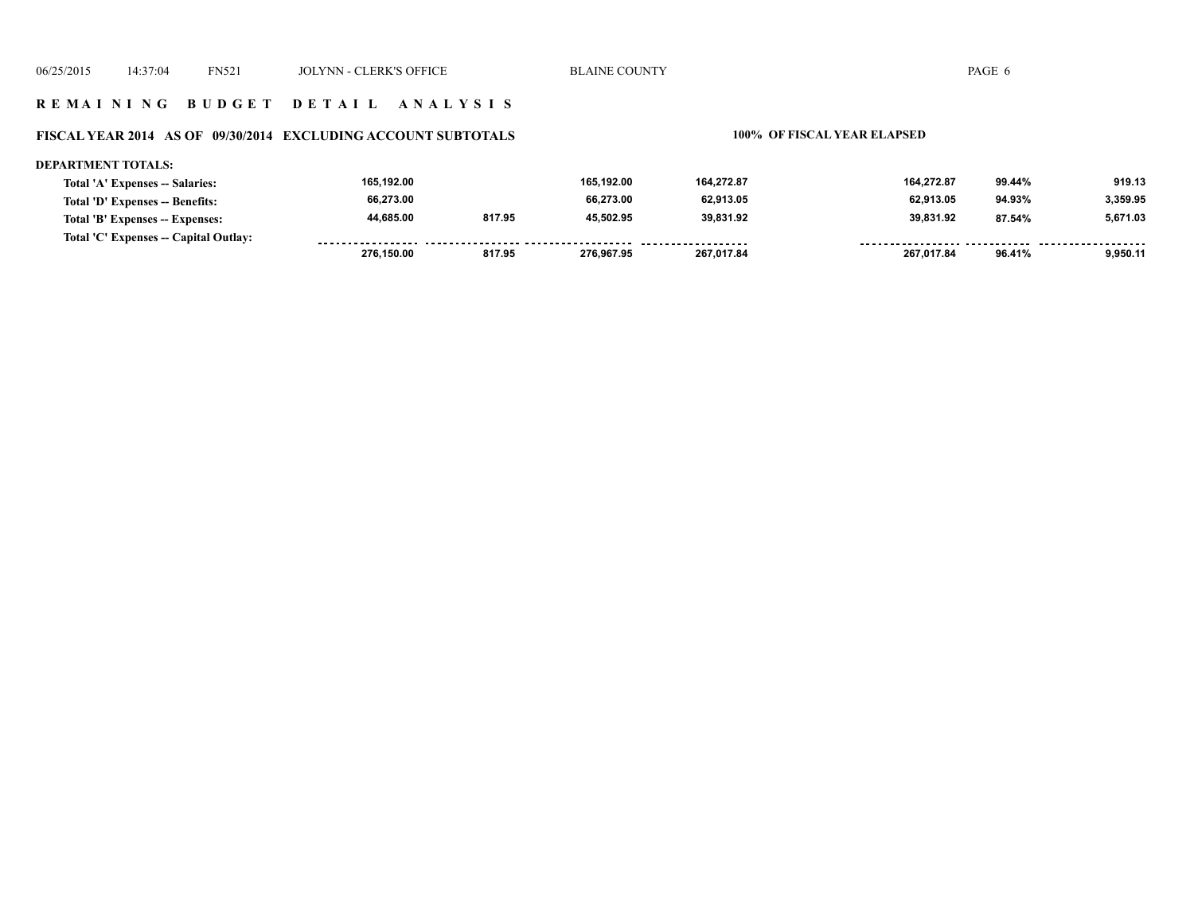#### **R E M A I N I N G B U D G E T D E T A I L A N A L Y S I S**

#### **FISCAL YEAR 2014 AS OF 09/30/2014 EXCLUDING ACCOUNT SUBTOTALS 100% OF FISCAL YEAR ELAPSED**

| <b>DEPARTMENT TOTALS:</b>             |            |        |            |            |            |        |          |
|---------------------------------------|------------|--------|------------|------------|------------|--------|----------|
| Total 'A' Expenses -- Salaries:       | 165,192.00 |        | 165.192.00 | 164,272.87 | 164.272.87 | 99.44% | 919.13   |
| Total 'D' Expenses -- Benefits:       | 66,273.00  |        | 66.273.00  | 62.913.05  | 62.913.05  | 94.93% | 3.359.95 |
| Total 'B' Expenses -- Expenses:       | 44.685.00  | 817.95 | 45.502.95  | 39.831.92  | 39.831.92  | 87.54% | 5.671.03 |
| Total 'C' Expenses -- Capital Outlay: |            |        |            |            |            |        |          |
|                                       | 276.150.00 | 817.95 | 276.967.95 | 267.017.84 | 267.017.84 | 96.41% | 9.950.11 |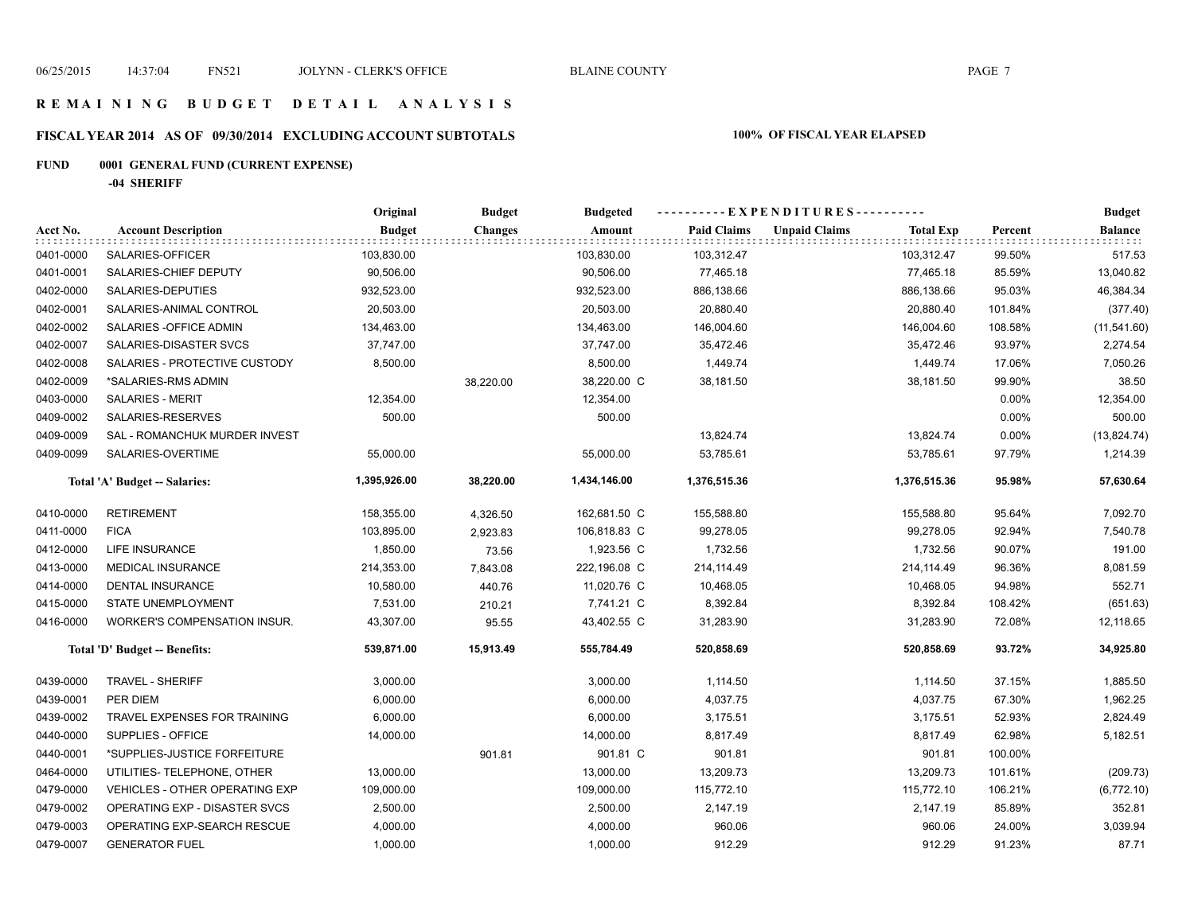#### **R E M A I N I N G B U D G E T D E T A I L A N A L Y S I S**

# **FISCAL YEAR 2014 AS OF 09/30/2014 EXCLUDING ACCOUNT SUBTOTALS 100% OF FISCAL YEAR ELAPSED**

# **FUND 0001 GENERAL FUND (CURRENT EXPENSE)**

**-04 SHERIFF**

|           |                                       | Original      | <b>Budget</b>  | <b>Budgeted</b> |                    | ----------EXPENDITURES----------         |         | <b>Budget</b>  |
|-----------|---------------------------------------|---------------|----------------|-----------------|--------------------|------------------------------------------|---------|----------------|
| Acct No.  | <b>Account Description</b>            | <b>Budget</b> | <b>Changes</b> | Amount          | <b>Paid Claims</b> | <b>Unpaid Claims</b><br><b>Total Exp</b> | Percent | <b>Balance</b> |
| 0401-0000 | SALARIES-OFFICER                      | 103,830.00    |                | 103,830.00      | 103,312.47         | 103,312.47                               | 99.50%  | 517.53         |
| 0401-0001 | SALARIES-CHIEF DEPUTY                 | 90,506.00     |                | 90,506.00       | 77,465.18          | 77,465.18                                | 85.59%  | 13,040.82      |
| 0402-0000 | SALARIES-DEPUTIES                     | 932,523.00    |                | 932,523.00      | 886,138.66         | 886,138.66                               | 95.03%  | 46,384.34      |
| 0402-0001 | SALARIES-ANIMAL CONTROL               | 20,503.00     |                | 20,503.00       | 20,880.40          | 20,880.40                                | 101.84% | (377.40)       |
| 0402-0002 | SALARIES - OFFICE ADMIN               | 134,463.00    |                | 134,463.00      | 146,004.60         | 146,004.60                               | 108.58% | (11, 541.60)   |
| 0402-0007 | SALARIES-DISASTER SVCS                | 37,747.00     |                | 37,747.00       | 35,472.46          | 35,472.46                                | 93.97%  | 2,274.54       |
| 0402-0008 | SALARIES - PROTECTIVE CUSTODY         | 8,500.00      |                | 8,500.00        | 1,449.74           | 1,449.74                                 | 17.06%  | 7,050.26       |
| 0402-0009 | *SALARIES-RMS ADMIN                   |               | 38,220.00      | 38,220.00 C     | 38,181.50          | 38,181.50                                | 99.90%  | 38.50          |
| 0403-0000 | <b>SALARIES - MERIT</b>               | 12,354.00     |                | 12,354.00       |                    |                                          | 0.00%   | 12,354.00      |
| 0409-0002 | SALARIES-RESERVES                     | 500.00        |                | 500.00          |                    |                                          | 0.00%   | 500.00         |
| 0409-0009 | SAL - ROMANCHUK MURDER INVEST         |               |                |                 | 13,824.74          | 13,824.74                                | 0.00%   | (13, 824.74)   |
| 0409-0099 | SALARIES-OVERTIME                     | 55,000.00     |                | 55,000.00       | 53,785.61          | 53,785.61                                | 97.79%  | 1,214.39       |
|           | Total 'A' Budget -- Salaries:         | 1,395,926.00  | 38,220.00      | 1,434,146.00    | 1,376,515.36       | 1,376,515.36                             | 95.98%  | 57,630.64      |
| 0410-0000 | <b>RETIREMENT</b>                     | 158,355.00    | 4,326.50       | 162,681.50 C    | 155,588.80         | 155,588.80                               | 95.64%  | 7,092.70       |
| 0411-0000 | <b>FICA</b>                           | 103,895.00    | 2,923.83       | 106,818.83 C    | 99,278.05          | 99,278.05                                | 92.94%  | 7,540.78       |
| 0412-0000 | LIFE INSURANCE                        | 1,850.00      | 73.56          | 1,923.56 C      | 1,732.56           | 1,732.56                                 | 90.07%  | 191.00         |
| 0413-0000 | <b>MEDICAL INSURANCE</b>              | 214,353.00    | 7,843.08       | 222,196.08 C    | 214,114.49         | 214,114.49                               | 96.36%  | 8,081.59       |
| 0414-0000 | DENTAL INSURANCE                      | 10,580.00     | 440.76         | 11,020.76 C     | 10,468.05          | 10,468.05                                | 94.98%  | 552.71         |
| 0415-0000 | STATE UNEMPLOYMENT                    | 7,531.00      | 210.21         | 7,741.21 C      | 8,392.84           | 8,392.84                                 | 108.42% | (651.63)       |
| 0416-0000 | <b>WORKER'S COMPENSATION INSUR.</b>   | 43,307.00     | 95.55          | 43,402.55 C     | 31,283.90          | 31,283.90                                | 72.08%  | 12,118.65      |
|           | Total 'D' Budget -- Benefits:         | 539,871.00    | 15,913.49      | 555,784.49      | 520,858.69         | 520,858.69                               | 93.72%  | 34,925.80      |
| 0439-0000 | TRAVEL - SHERIFF                      | 3,000.00      |                | 3,000.00        | 1,114.50           | 1,114.50                                 | 37.15%  | 1,885.50       |
| 0439-0001 | PER DIEM                              | 6,000.00      |                | 6,000.00        | 4,037.75           | 4,037.75                                 | 67.30%  | 1,962.25       |
| 0439-0002 | TRAVEL EXPENSES FOR TRAINING          | 6,000.00      |                | 6,000.00        | 3,175.51           | 3,175.51                                 | 52.93%  | 2,824.49       |
| 0440-0000 | SUPPLIES - OFFICE                     | 14,000.00     |                | 14,000.00       | 8,817.49           | 8,817.49                                 | 62.98%  | 5,182.51       |
| 0440-0001 | *SUPPLIES-JUSTICE FORFEITURE          |               | 901.81         | 901.81 C        | 901.81             | 901.81                                   | 100.00% |                |
| 0464-0000 | UTILITIES- TELEPHONE, OTHER           | 13,000.00     |                | 13,000.00       | 13,209.73          | 13,209.73                                | 101.61% | (209.73)       |
| 0479-0000 | <b>VEHICLES - OTHER OPERATING EXP</b> | 109,000.00    |                | 109,000.00      | 115,772.10         | 115,772.10                               | 106.21% | (6,772.10)     |
| 0479-0002 | OPERATING EXP - DISASTER SVCS         | 2,500.00      |                | 2,500.00        | 2,147.19           | 2,147.19                                 | 85.89%  | 352.81         |
| 0479-0003 | OPERATING EXP-SEARCH RESCUE           | 4,000.00      |                | 4,000.00        | 960.06             | 960.06                                   | 24.00%  | 3,039.94       |
| 0479-0007 | <b>GENERATOR FUEL</b>                 | 1,000.00      |                | 1,000.00        | 912.29             | 912.29                                   | 91.23%  | 87.71          |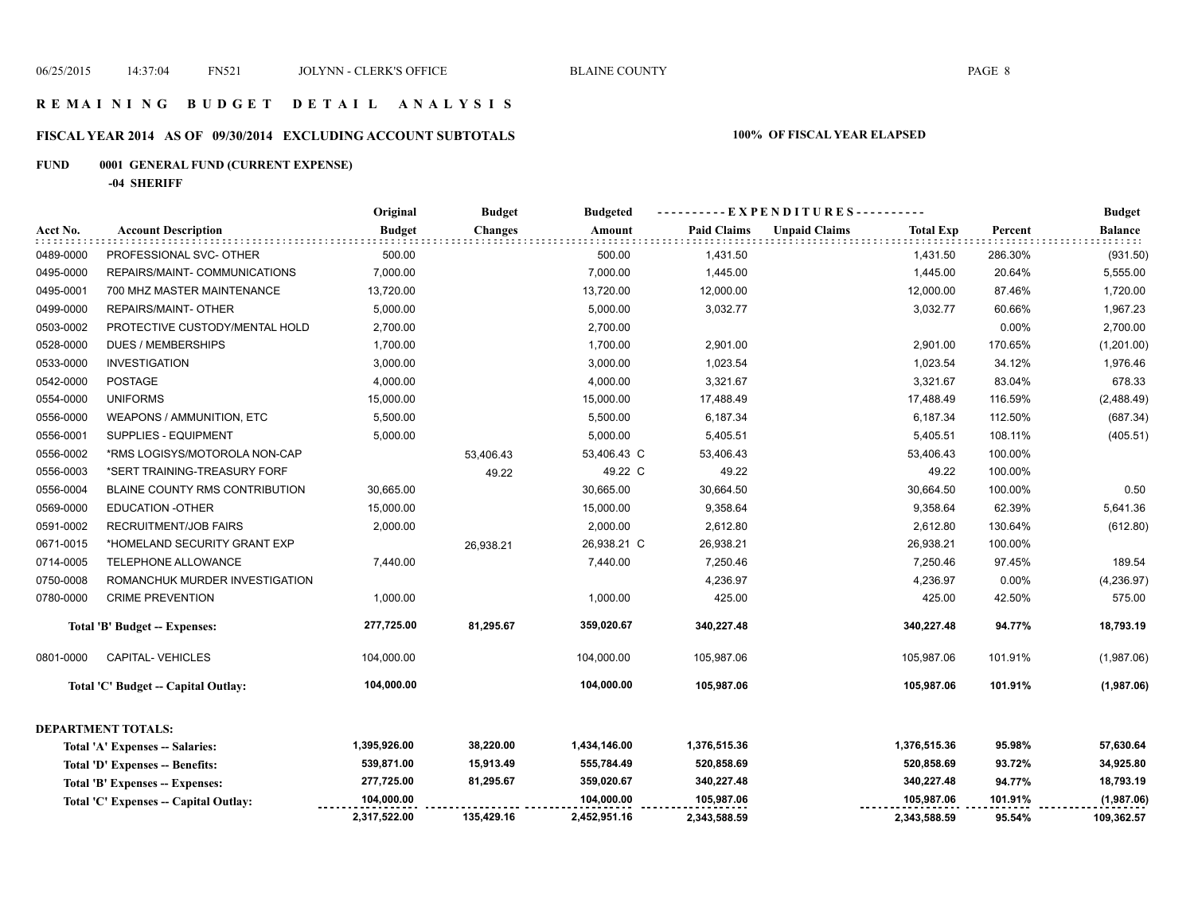#### **R E M A I N I N G B U D G E T D E T A I L A N A L Y S I S**

# **FISCAL YEAR 2014 AS OF 09/30/2014 EXCLUDING ACCOUNT SUBTOTALS 100% OF FISCAL YEAR ELAPSED**

# **FUND 0001 GENERAL FUND (CURRENT EXPENSE)**

**-04 SHERIFF**

|           |                                       | Original      | <b>Budget</b>  | <b>Budgeted</b> |                    | ----------EXPENDITURES---------- |                  |         | <b>Budget</b>  |
|-----------|---------------------------------------|---------------|----------------|-----------------|--------------------|----------------------------------|------------------|---------|----------------|
| Acct No.  | <b>Account Description</b>            | <b>Budget</b> | <b>Changes</b> | Amount          | <b>Paid Claims</b> | <b>Unpaid Claims</b>             | <b>Total Exp</b> | Percent | <b>Balance</b> |
| 0489-0000 | PROFESSIONAL SVC- OTHER               | 500.00        |                | 500.00          | 1,431.50           |                                  | 1,431.50         | 286.30% | (931.50)       |
| 0495-0000 | REPAIRS/MAINT- COMMUNICATIONS         | 7,000.00      |                | 7,000.00        | 1,445.00           |                                  | 1,445.00         | 20.64%  | 5,555.00       |
| 0495-0001 | 700 MHZ MASTER MAINTENANCE            | 13,720.00     |                | 13,720.00       | 12,000.00          |                                  | 12,000.00        | 87.46%  | 1,720.00       |
| 0499-0000 | REPAIRS/MAINT- OTHER                  | 5,000.00      |                | 5,000.00        | 3,032.77           |                                  | 3,032.77         | 60.66%  | 1,967.23       |
| 0503-0002 | PROTECTIVE CUSTODY/MENTAL HOLD        | 2,700.00      |                | 2,700.00        |                    |                                  |                  | 0.00%   | 2,700.00       |
| 0528-0000 | <b>DUES / MEMBERSHIPS</b>             | 1,700.00      |                | 1,700.00        | 2,901.00           |                                  | 2,901.00         | 170.65% | (1,201.00)     |
| 0533-0000 | <b>INVESTIGATION</b>                  | 3,000.00      |                | 3,000.00        | 1,023.54           |                                  | 1,023.54         | 34.12%  | 1,976.46       |
| 0542-0000 | <b>POSTAGE</b>                        | 4,000.00      |                | 4,000.00        | 3,321.67           |                                  | 3,321.67         | 83.04%  | 678.33         |
| 0554-0000 | <b>UNIFORMS</b>                       | 15,000.00     |                | 15,000.00       | 17,488.49          |                                  | 17,488.49        | 116.59% | (2,488.49)     |
| 0556-0000 | WEAPONS / AMMUNITION, ETC             | 5,500.00      |                | 5,500.00        | 6,187.34           |                                  | 6,187.34         | 112.50% | (687.34)       |
| 0556-0001 | SUPPLIES - EQUIPMENT                  | 5,000.00      |                | 5,000.00        | 5,405.51           |                                  | 5,405.51         | 108.11% | (405.51)       |
| 0556-0002 | *RMS LOGISYS/MOTOROLA NON-CAP         |               | 53,406.43      | 53,406.43 C     | 53,406.43          |                                  | 53,406.43        | 100.00% |                |
| 0556-0003 | *SERT TRAINING-TREASURY FORF          |               | 49.22          | 49.22 C         | 49.22              |                                  | 49.22            | 100.00% |                |
| 0556-0004 | BLAINE COUNTY RMS CONTRIBUTION        | 30,665.00     |                | 30,665.00       | 30,664.50          |                                  | 30,664.50        | 100.00% | 0.50           |
| 0569-0000 | <b>EDUCATION -OTHER</b>               | 15,000.00     |                | 15,000.00       | 9,358.64           |                                  | 9,358.64         | 62.39%  | 5,641.36       |
| 0591-0002 | <b>RECRUITMENT/JOB FAIRS</b>          | 2,000.00      |                | 2,000.00        | 2,612.80           |                                  | 2,612.80         | 130.64% | (612.80)       |
| 0671-0015 | *HOMELAND SECURITY GRANT EXP          |               | 26,938.21      | 26,938.21 C     | 26,938.21          |                                  | 26,938.21        | 100.00% |                |
| 0714-0005 | TELEPHONE ALLOWANCE                   | 7,440.00      |                | 7,440.00        | 7,250.46           |                                  | 7,250.46         | 97.45%  | 189.54         |
| 0750-0008 | ROMANCHUK MURDER INVESTIGATION        |               |                |                 | 4,236.97           |                                  | 4,236.97         | 0.00%   | (4, 236.97)    |
| 0780-0000 | <b>CRIME PREVENTION</b>               | 1,000.00      |                | 1,000.00        | 425.00             |                                  | 425.00           | 42.50%  | 575.00         |
|           | <b>Total 'B' Budget -- Expenses:</b>  | 277,725.00    | 81,295.67      | 359,020.67      | 340,227.48         |                                  | 340,227.48       | 94.77%  | 18,793.19      |
| 0801-0000 | <b>CAPITAL-VEHICLES</b>               | 104,000.00    |                | 104,000.00      | 105,987.06         |                                  | 105,987.06       | 101.91% | (1,987.06)     |
|           | Total 'C' Budget -- Capital Outlay:   | 104,000.00    |                | 104,000.00      | 105,987.06         |                                  | 105,987.06       | 101.91% | (1,987.06)     |
|           | <b>DEPARTMENT TOTALS:</b>             |               |                |                 |                    |                                  |                  |         |                |
|           | Total 'A' Expenses -- Salaries:       | 1,395,926.00  | 38,220.00      | 1,434,146.00    | 1,376,515.36       |                                  | 1,376,515.36     | 95.98%  | 57,630.64      |
|           | Total 'D' Expenses -- Benefits:       | 539,871.00    | 15,913.49      | 555,784.49      | 520,858.69         |                                  | 520,858.69       | 93.72%  | 34,925.80      |
|           | Total 'B' Expenses -- Expenses:       | 277,725.00    | 81,295.67      | 359,020.67      | 340,227.48         |                                  | 340,227.48       | 94.77%  | 18,793.19      |
|           | Total 'C' Expenses -- Capital Outlay: | 104,000.00    |                | 104,000.00      | 105,987.06         |                                  | 105,987.06       | 101.91% | (1,987.06)     |
|           |                                       | 2,317,522.00  | 135,429.16     | 2,452,951.16    | 2,343,588.59       |                                  | 2,343,588.59     | 95.54%  | 109,362.57     |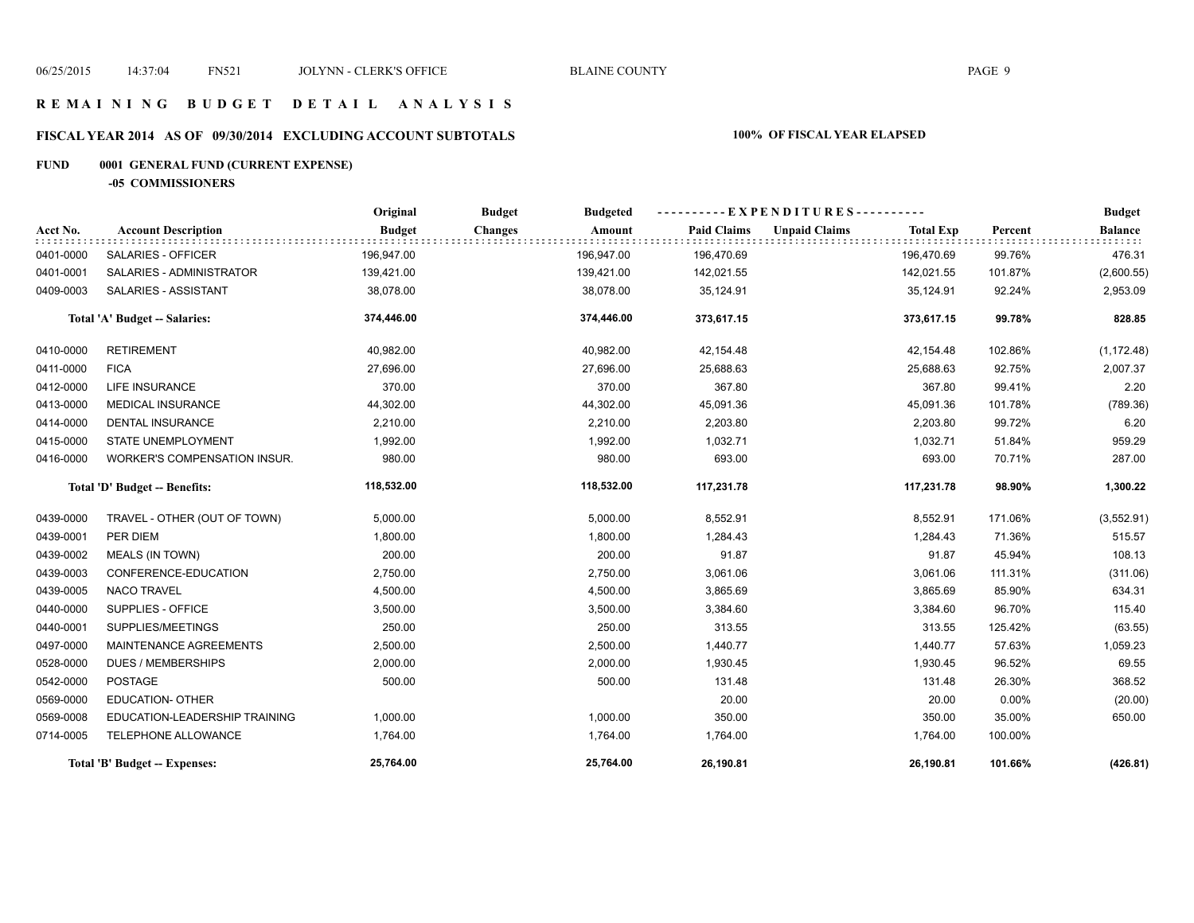#### **R E M A I N I N G B U D G E T D E T A I L A N A L Y S I S**

# **FISCAL YEAR 2014 AS OF 09/30/2014 EXCLUDING ACCOUNT SUBTOTALS 100% OF FISCAL YEAR ELAPSED**

# **FUND 0001 GENERAL FUND (CURRENT EXPENSE)**

**-05 COMMISSIONERS**

|           |                               | Original      | <b>Budget</b><br><b>Budgeted</b> |                    | ----------EXPENDITURES----------         |          | <b>Budget</b>  |
|-----------|-------------------------------|---------------|----------------------------------|--------------------|------------------------------------------|----------|----------------|
| Acct No.  | <b>Account Description</b>    | <b>Budget</b> | <b>Changes</b><br>Amount         | <b>Paid Claims</b> | <b>Unpaid Claims</b><br><b>Total Exp</b> | Percent  | <b>Balance</b> |
| 0401-0000 | SALARIES - OFFICER            | 196,947.00    | 196,947.00                       | 196,470.69         | 196,470.69                               | 99.76%   | 476.31         |
| 0401-0001 | SALARIES - ADMINISTRATOR      | 139,421.00    | 139,421.00                       | 142,021.55         | 142,021.55                               | 101.87%  | (2,600.55)     |
| 0409-0003 | SALARIES - ASSISTANT          | 38,078.00     | 38,078.00                        | 35,124.91          | 35,124.91                                | 92.24%   | 2,953.09       |
|           | Total 'A' Budget -- Salaries: | 374,446.00    | 374,446.00                       | 373,617.15         | 373,617.15                               | 99.78%   | 828.85         |
| 0410-0000 | <b>RETIREMENT</b>             | 40,982.00     | 40,982.00                        | 42,154.48          | 42,154.48                                | 102.86%  | (1, 172.48)    |
| 0411-0000 | <b>FICA</b>                   | 27,696.00     | 27,696.00                        | 25,688.63          | 25,688.63                                | 92.75%   | 2,007.37       |
| 0412-0000 | <b>LIFE INSURANCE</b>         | 370.00        | 370.00                           | 367.80             | 367.80                                   | 99.41%   | 2.20           |
| 0413-0000 | <b>MEDICAL INSURANCE</b>      | 44,302.00     | 44,302.00                        | 45,091.36          | 45,091.36                                | 101.78%  | (789.36)       |
| 0414-0000 | <b>DENTAL INSURANCE</b>       | 2,210.00      | 2,210.00                         | 2,203.80           | 2,203.80                                 | 99.72%   | 6.20           |
| 0415-0000 | <b>STATE UNEMPLOYMENT</b>     | 1,992.00      | 1,992.00                         | 1,032.71           | 1,032.71                                 | 51.84%   | 959.29         |
| 0416-0000 | WORKER'S COMPENSATION INSUR.  | 980.00        | 980.00                           | 693.00             | 693.00                                   | 70.71%   | 287.00         |
|           | Total 'D' Budget -- Benefits: | 118,532.00    | 118,532.00                       | 117,231.78         | 117,231.78                               | 98.90%   | 1,300.22       |
| 0439-0000 | TRAVEL - OTHER (OUT OF TOWN)  | 5,000.00      | 5,000.00                         | 8,552.91           | 8,552.91                                 | 171.06%  | (3,552.91)     |
| 0439-0001 | PER DIEM                      | 1,800.00      | 1,800.00                         | 1,284.43           | 1,284.43                                 | 71.36%   | 515.57         |
| 0439-0002 | <b>MEALS (IN TOWN)</b>        | 200.00        | 200.00                           | 91.87              | 91.87                                    | 45.94%   | 108.13         |
| 0439-0003 | CONFERENCE-EDUCATION          | 2,750.00      | 2,750.00                         | 3,061.06           | 3,061.06                                 | 111.31%  | (311.06)       |
| 0439-0005 | <b>NACO TRAVEL</b>            | 4,500.00      | 4,500.00                         | 3,865.69           | 3,865.69                                 | 85.90%   | 634.31         |
| 0440-0000 | SUPPLIES - OFFICE             | 3,500.00      | 3,500.00                         | 3,384.60           | 3,384.60                                 | 96.70%   | 115.40         |
| 0440-0001 | SUPPLIES/MEETINGS             | 250.00        | 250.00                           | 313.55             | 313.55                                   | 125.42%  | (63.55)        |
| 0497-0000 | MAINTENANCE AGREEMENTS        | 2,500.00      | 2,500.00                         | 1,440.77           | 1,440.77                                 | 57.63%   | 1,059.23       |
| 0528-0000 | <b>DUES / MEMBERSHIPS</b>     | 2,000.00      | 2,000.00                         | 1,930.45           | 1,930.45                                 | 96.52%   | 69.55          |
| 0542-0000 | <b>POSTAGE</b>                | 500.00        | 500.00                           | 131.48             | 131.48                                   | 26.30%   | 368.52         |
| 0569-0000 | <b>EDUCATION- OTHER</b>       |               |                                  | 20.00              | 20.00                                    | $0.00\%$ | (20.00)        |
| 0569-0008 | EDUCATION-LEADERSHIP TRAINING | 1,000.00      | 1,000.00                         | 350.00             | 350.00                                   | 35.00%   | 650.00         |
| 0714-0005 | TELEPHONE ALLOWANCE           | 1,764.00      | 1,764.00                         | 1,764.00           | 1,764.00                                 | 100.00%  |                |
|           | Total 'B' Budget -- Expenses: | 25,764.00     | 25,764.00                        | 26,190.81          | 26,190.81                                | 101.66%  | (426.81)       |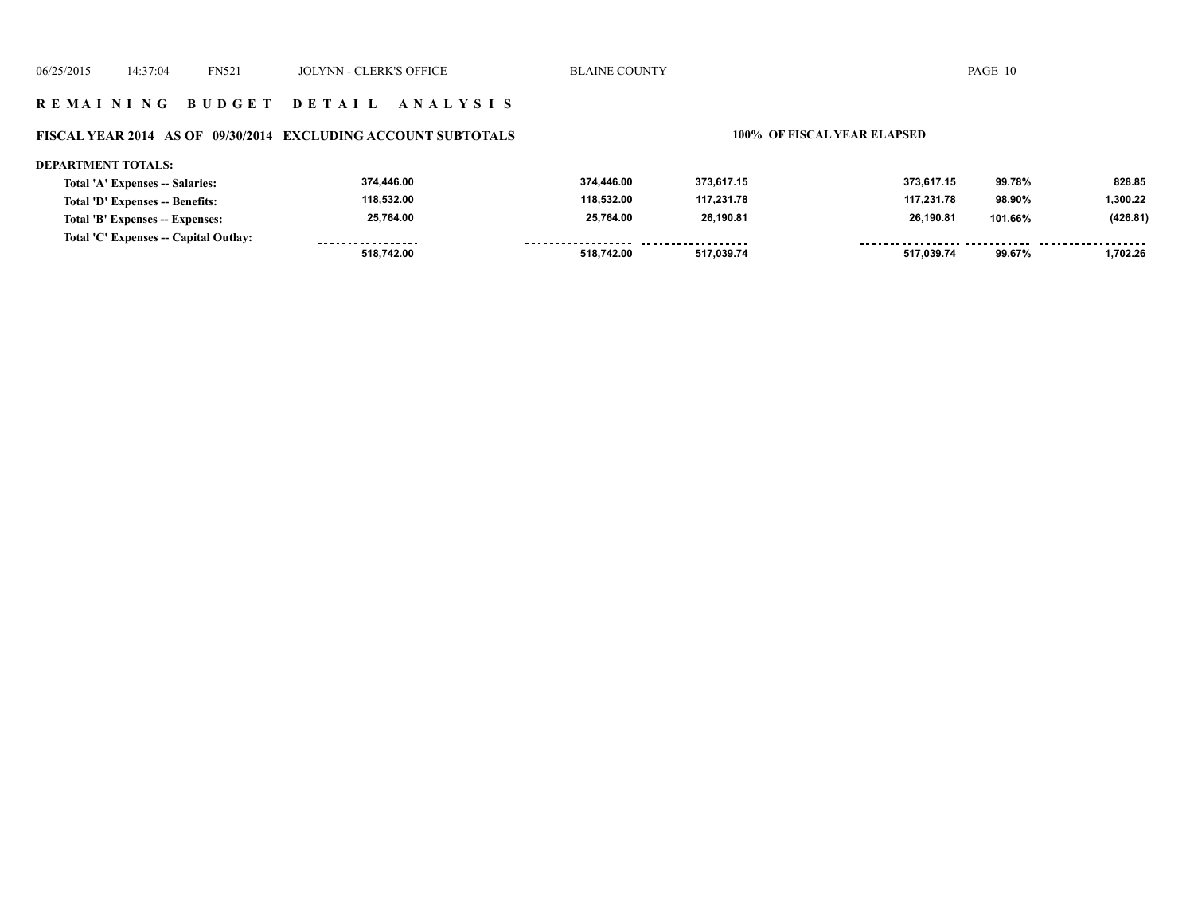#### **R E M A I N I N G B U D G E T D E T A I L A N A L Y S I S**

# **FISCAL YEAR 2014 AS OF 09/30/2014 EXCLUDING ACCOUNT SUBTOTALS 100% OF FISCAL YEAR ELAPSED**

#### **DEPARTMENT TOTALS:**

| Total 'A' Expenses -- Salaries:       | 374.446.00        | 374.446.00         | 373.617.15         | 373.617.15 | 99.78%  | 828.85   |
|---------------------------------------|-------------------|--------------------|--------------------|------------|---------|----------|
| Total 'D' Expenses -- Benefits:       | 118,532.00        | 118.532.00         | 117.231.78         | 117.231.78 | 98.90%  | 1,300.22 |
| Total 'B' Expenses -- Expenses:       | 25,764.00         | 25,764.00          | 26.190.81          | 26.190.81  | 101.66% | (426.81) |
| Total 'C' Expenses -- Capital Outlay: | ----------------- | ------------------ | ------------------ |            |         |          |
|                                       | 518,742.00        | 518.742.00         | 517.039.74         | 517.039.74 | 99.67%  | 1.702.26 |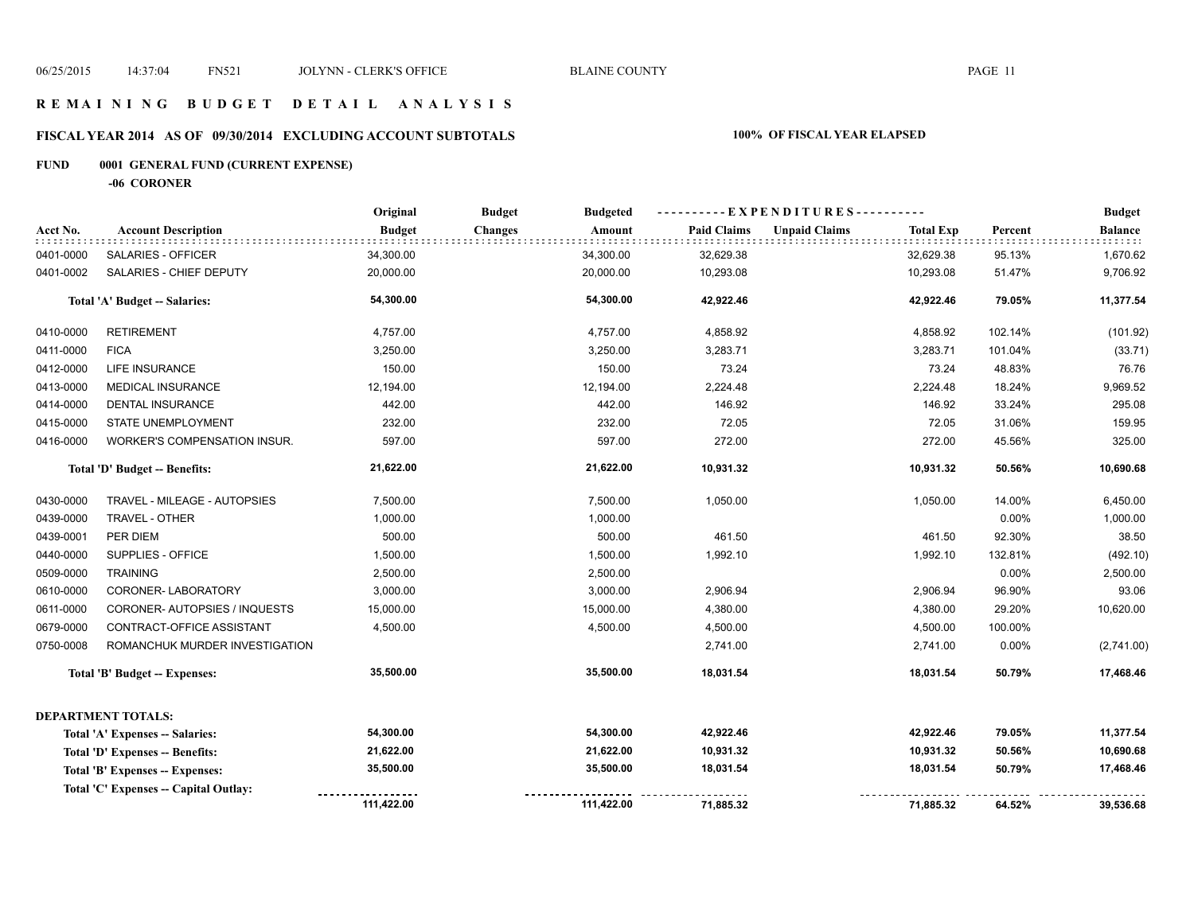#### **R E M A I N I N G B U D G E T D E T A I L A N A L Y S I S**

# **FISCAL YEAR 2014 AS OF 09/30/2014 EXCLUDING ACCOUNT SUBTOTALS 100% OF FISCAL YEAR ELAPSED**

# **FUND 0001 GENERAL FUND (CURRENT EXPENSE)**

**-06 CORONER**

|           |                                       | Original      | <b>Budget</b><br><b>Budgeted</b> |                    | ----------EXPENDITURES----------         |         | <b>Budget</b>  |
|-----------|---------------------------------------|---------------|----------------------------------|--------------------|------------------------------------------|---------|----------------|
| Acct No.  | <b>Account Description</b>            | <b>Budget</b> | <b>Changes</b><br>Amount         | <b>Paid Claims</b> | <b>Unpaid Claims</b><br><b>Total Exp</b> | Percent | <b>Balance</b> |
| 0401-0000 | SALARIES - OFFICER                    | 34,300.00     | 34,300.00                        | 32,629.38          | 32,629.38                                | 95.13%  | 1,670.62       |
| 0401-0002 | SALARIES - CHIEF DEPUTY               | 20,000.00     | 20,000.00                        | 10,293.08          | 10,293.08                                | 51.47%  | 9,706.92       |
|           | Total 'A' Budget -- Salaries:         | 54,300.00     | 54,300.00                        | 42,922.46          | 42,922.46                                | 79.05%  | 11,377.54      |
| 0410-0000 | <b>RETIREMENT</b>                     | 4,757.00      | 4,757.00                         | 4,858.92           | 4,858.92                                 | 102.14% | (101.92)       |
| 0411-0000 | <b>FICA</b>                           | 3,250.00      | 3,250.00                         | 3,283.71           | 3,283.71                                 | 101.04% | (33.71)        |
| 0412-0000 | <b>LIFE INSURANCE</b>                 | 150.00        | 150.00                           | 73.24              | 73.24                                    | 48.83%  | 76.76          |
| 0413-0000 | <b>MEDICAL INSURANCE</b>              | 12,194.00     | 12,194.00                        | 2,224.48           | 2,224.48                                 | 18.24%  | 9,969.52       |
| 0414-0000 | <b>DENTAL INSURANCE</b>               | 442.00        | 442.00                           | 146.92             | 146.92                                   | 33.24%  | 295.08         |
| 0415-0000 | STATE UNEMPLOYMENT                    | 232.00        | 232.00                           | 72.05              | 72.05                                    | 31.06%  | 159.95         |
| 0416-0000 | WORKER'S COMPENSATION INSUR.          | 597.00        | 597.00                           | 272.00             | 272.00                                   | 45.56%  | 325.00         |
|           | Total 'D' Budget -- Benefits:         | 21,622.00     | 21,622.00                        | 10,931.32          | 10,931.32                                | 50.56%  | 10,690.68      |
| 0430-0000 | TRAVEL - MILEAGE - AUTOPSIES          | 7,500.00      | 7,500.00                         | 1,050.00           | 1,050.00                                 | 14.00%  | 6,450.00       |
| 0439-0000 | TRAVEL - OTHER                        | 1,000.00      | 1,000.00                         |                    |                                          | 0.00%   | 1,000.00       |
| 0439-0001 | PER DIEM                              | 500.00        | 500.00                           | 461.50             | 461.50                                   | 92.30%  | 38.50          |
| 0440-0000 | SUPPLIES - OFFICE                     | 1,500.00      | 1,500.00                         | 1,992.10           | 1,992.10                                 | 132.81% | (492.10)       |
| 0509-0000 | <b>TRAINING</b>                       | 2,500.00      | 2,500.00                         |                    |                                          | 0.00%   | 2,500.00       |
| 0610-0000 | CORONER-LABORATORY                    | 3,000.00      | 3,000.00                         | 2,906.94           | 2,906.94                                 | 96.90%  | 93.06          |
| 0611-0000 | CORONER- AUTOPSIES / INQUESTS         | 15,000.00     | 15,000.00                        | 4,380.00           | 4,380.00                                 | 29.20%  | 10,620.00      |
| 0679-0000 | CONTRACT-OFFICE ASSISTANT             | 4,500.00      | 4,500.00                         | 4,500.00           | 4,500.00                                 | 100.00% |                |
| 0750-0008 | ROMANCHUK MURDER INVESTIGATION        |               |                                  | 2,741.00           | 2,741.00                                 | 0.00%   | (2,741.00)     |
|           | <b>Total 'B' Budget -- Expenses:</b>  | 35,500.00     | 35,500.00                        | 18,031.54          | 18,031.54                                | 50.79%  | 17,468.46      |
|           | <b>DEPARTMENT TOTALS:</b>             |               |                                  |                    |                                          |         |                |
|           | Total 'A' Expenses -- Salaries:       | 54,300.00     | 54,300.00                        | 42,922.46          | 42,922.46                                | 79.05%  | 11,377.54      |
|           | Total 'D' Expenses -- Benefits:       | 21,622.00     | 21,622.00                        | 10,931.32          | 10,931.32                                | 50.56%  | 10,690.68      |
|           | Total 'B' Expenses -- Expenses:       | 35,500.00     | 35,500.00                        | 18,031.54          | 18,031.54                                | 50.79%  | 17,468.46      |
|           | Total 'C' Expenses -- Capital Outlay: |               |                                  |                    |                                          |         |                |
|           |                                       | 111,422.00    | 111,422.00                       | 71,885.32          | 71,885.32                                | 64.52%  | 39,536.68      |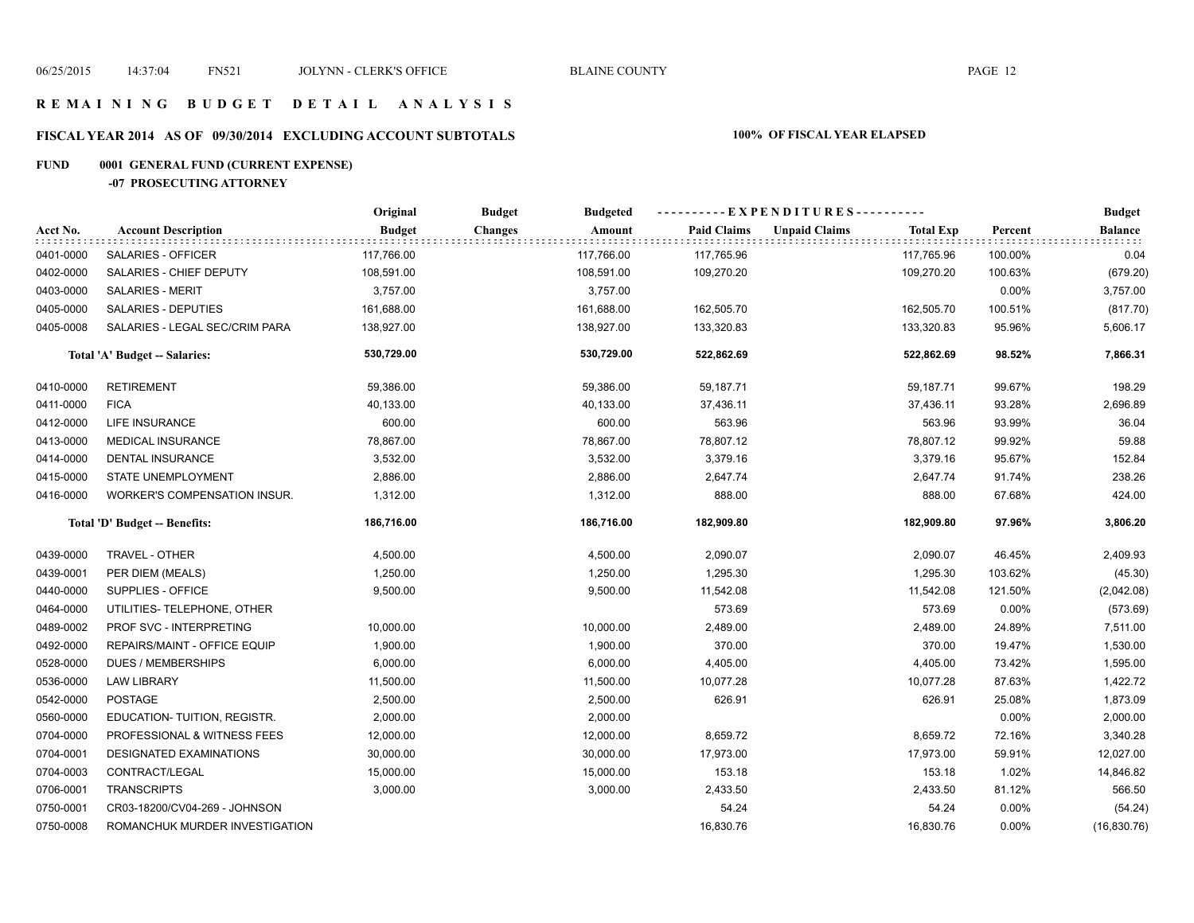#### **R E M A I N I N G B U D G E T D E T A I L A N A L Y S I S**

# **FISCAL YEAR 2014 AS OF 09/30/2014 EXCLUDING ACCOUNT SUBTOTALS 100% OF FISCAL YEAR ELAPSED**

# **FUND 0001 GENERAL FUND (CURRENT EXPENSE)**

#### **-07 PROSECUTING ATTORNEY**

|           |                                | Original      | <b>Budget</b><br><b>Budgeted</b> |                    | ----------EXPENDITURES----------         |          | <b>Budget</b>  |
|-----------|--------------------------------|---------------|----------------------------------|--------------------|------------------------------------------|----------|----------------|
| Acct No.  | <b>Account Description</b>     | <b>Budget</b> | <b>Changes</b><br>Amount         | <b>Paid Claims</b> | <b>Unpaid Claims</b><br><b>Total Exp</b> | Percent  | <b>Balance</b> |
| 0401-0000 | SALARIES - OFFICER             | 117,766.00    | 117,766.00                       | 117,765.96         | 117,765.96                               | 100.00%  | 0.04           |
| 0402-0000 | SALARIES - CHIEF DEPUTY        | 108,591.00    | 108,591.00                       | 109,270.20         | 109,270.20                               | 100.63%  | (679.20)       |
| 0403-0000 | <b>SALARIES - MERIT</b>        | 3,757.00      | 3,757.00                         |                    |                                          | 0.00%    | 3,757.00       |
| 0405-0000 | <b>SALARIES - DEPUTIES</b>     | 161,688.00    | 161,688.00                       | 162,505.70         | 162,505.70                               | 100.51%  | (817.70)       |
| 0405-0008 | SALARIES - LEGAL SEC/CRIM PARA | 138,927.00    | 138,927.00                       | 133,320.83         | 133,320.83                               | 95.96%   | 5,606.17       |
|           | Total 'A' Budget -- Salaries:  | 530,729.00    | 530,729.00                       | 522,862.69         | 522,862.69                               | 98.52%   | 7,866.31       |
| 0410-0000 | <b>RETIREMENT</b>              | 59,386.00     | 59,386.00                        | 59,187.71          | 59,187.71                                | 99.67%   | 198.29         |
| 0411-0000 | <b>FICA</b>                    | 40,133.00     | 40,133.00                        | 37,436.11          | 37,436.11                                | 93.28%   | 2,696.89       |
| 0412-0000 | <b>LIFE INSURANCE</b>          | 600.00        | 600.00                           | 563.96             | 563.96                                   | 93.99%   | 36.04          |
| 0413-0000 | <b>MEDICAL INSURANCE</b>       | 78,867.00     | 78,867.00                        | 78,807.12          | 78,807.12                                | 99.92%   | 59.88          |
| 0414-0000 | <b>DENTAL INSURANCE</b>        | 3,532.00      | 3,532.00                         | 3,379.16           | 3,379.16                                 | 95.67%   | 152.84         |
| 0415-0000 | STATE UNEMPLOYMENT             | 2,886.00      | 2,886.00                         | 2,647.74           | 2,647.74                                 | 91.74%   | 238.26         |
| 0416-0000 | WORKER'S COMPENSATION INSUR.   | 1,312.00      | 1,312.00                         | 888.00             | 888.00                                   | 67.68%   | 424.00         |
|           | Total 'D' Budget -- Benefits:  | 186,716.00    | 186,716.00                       | 182,909.80         | 182,909.80                               | 97.96%   | 3,806.20       |
| 0439-0000 | TRAVEL - OTHER                 | 4,500.00      | 4,500.00                         | 2,090.07           | 2,090.07                                 | 46.45%   | 2,409.93       |
| 0439-0001 | PER DIEM (MEALS)               | 1,250.00      | 1,250.00                         | 1,295.30           | 1,295.30                                 | 103.62%  | (45.30)        |
| 0440-0000 | SUPPLIES - OFFICE              | 9,500.00      | 9,500.00                         | 11,542.08          | 11,542.08                                | 121.50%  | (2,042.08)     |
| 0464-0000 | UTILITIES- TELEPHONE, OTHER    |               |                                  | 573.69             | 573.69                                   | 0.00%    | (573.69)       |
| 0489-0002 | PROF SVC - INTERPRETING        | 10,000.00     | 10,000.00                        | 2,489.00           | 2,489.00                                 | 24.89%   | 7,511.00       |
| 0492-0000 | REPAIRS/MAINT - OFFICE EQUIP   | 1,900.00      | 1,900.00                         | 370.00             | 370.00                                   | 19.47%   | 1,530.00       |
| 0528-0000 | <b>DUES / MEMBERSHIPS</b>      | 6,000.00      | 6,000.00                         | 4,405.00           | 4,405.00                                 | 73.42%   | 1,595.00       |
| 0536-0000 | <b>LAW LIBRARY</b>             | 11,500.00     | 11,500.00                        | 10,077.28          | 10,077.28                                | 87.63%   | 1,422.72       |
| 0542-0000 | <b>POSTAGE</b>                 | 2,500.00      | 2,500.00                         | 626.91             | 626.91                                   | 25.08%   | 1,873.09       |
| 0560-0000 | EDUCATION- TUITION, REGISTR.   | 2,000.00      | 2,000.00                         |                    |                                          | 0.00%    | 2,000.00       |
| 0704-0000 | PROFESSIONAL & WITNESS FEES    | 12,000.00     | 12,000.00                        | 8,659.72           | 8,659.72                                 | 72.16%   | 3,340.28       |
| 0704-0001 | DESIGNATED EXAMINATIONS        | 30,000.00     | 30,000.00                        | 17,973.00          | 17,973.00                                | 59.91%   | 12,027.00      |
| 0704-0003 | CONTRACT/LEGAL                 | 15,000.00     | 15,000.00                        | 153.18             | 153.18                                   | 1.02%    | 14,846.82      |
| 0706-0001 | <b>TRANSCRIPTS</b>             | 3,000.00      | 3,000.00                         | 2,433.50           | 2,433.50                                 | 81.12%   | 566.50         |
| 0750-0001 | CR03-18200/CV04-269 - JOHNSON  |               |                                  | 54.24              | 54.24                                    | 0.00%    | (54.24)        |
| 0750-0008 | ROMANCHUK MURDER INVESTIGATION |               |                                  | 16,830.76          | 16,830.76                                | $0.00\%$ | (16, 830.76)   |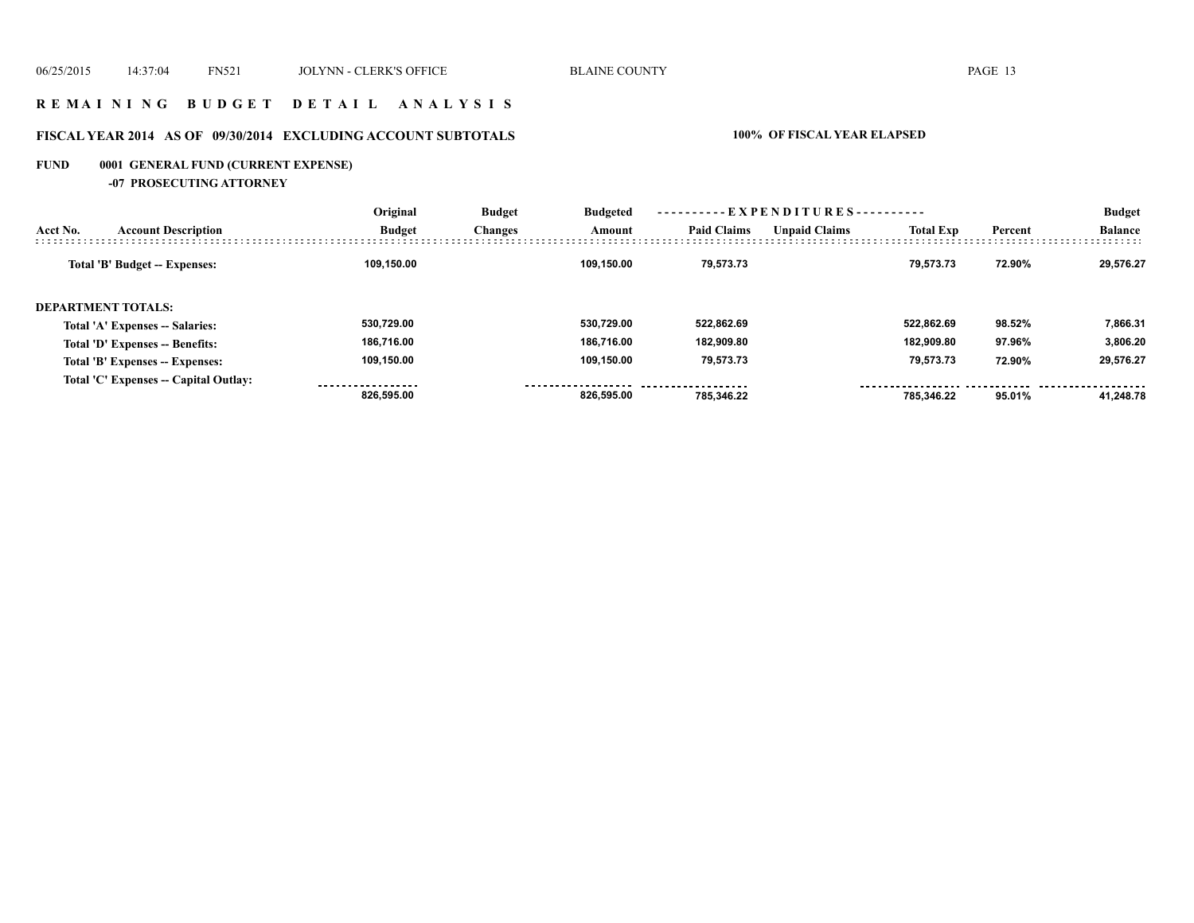#### **R E M A I N I N G B U D G E T D E T A I L A N A L Y S I S**

# **FISCAL YEAR 2014 AS OF 09/30/2014 EXCLUDING ACCOUNT SUBTOTALS 100% OF FISCAL YEAR ELAPSED**

# **FUND 0001 GENERAL FUND (CURRENT EXPENSE)**

**-07 PROSECUTING ATTORNEY**

|          |                                       | Original      | <b>Budget</b>  | <b>Budgeted</b><br>Amount | ----------EXPENDITURES---------- |                      |                  |         | <b>Budget</b>  |
|----------|---------------------------------------|---------------|----------------|---------------------------|----------------------------------|----------------------|------------------|---------|----------------|
| Acct No. | <b>Account Description</b>            | <b>Budget</b> | <b>Changes</b> |                           | <b>Paid Claims</b>               | <b>Unpaid Claims</b> | <b>Total Exp</b> | Percent | <b>Balance</b> |
|          | Total 'B' Budget -- Expenses:         | 109,150.00    |                | 109.150.00                | 79.573.73                        |                      | 79.573.73        | 72.90%  | 29.576.27      |
|          | <b>DEPARTMENT TOTALS:</b>             |               |                |                           |                                  |                      |                  |         |                |
|          | Total 'A' Expenses -- Salaries:       | 530.729.00    |                | 530.729.00                | 522,862.69                       |                      | 522.862.69       | 98.52%  | 7,866.31       |
|          | Total 'D' Expenses -- Benefits:       | 186,716.00    |                | 186.716.00                | 182,909.80                       |                      | 182.909.80       | 97.96%  | 3.806.20       |
|          | Total 'B' Expenses -- Expenses:       | 109,150.00    |                | 109.150.00                | 79,573.73                        |                      | 79,573.73        | 72.90%  | 29,576.27      |
|          | Total 'C' Expenses -- Capital Outlay: | 826.595.00    |                | 826.595.00                | 785.346.22                       |                      | 785.346.22       | 95.01%  | 41.248.78      |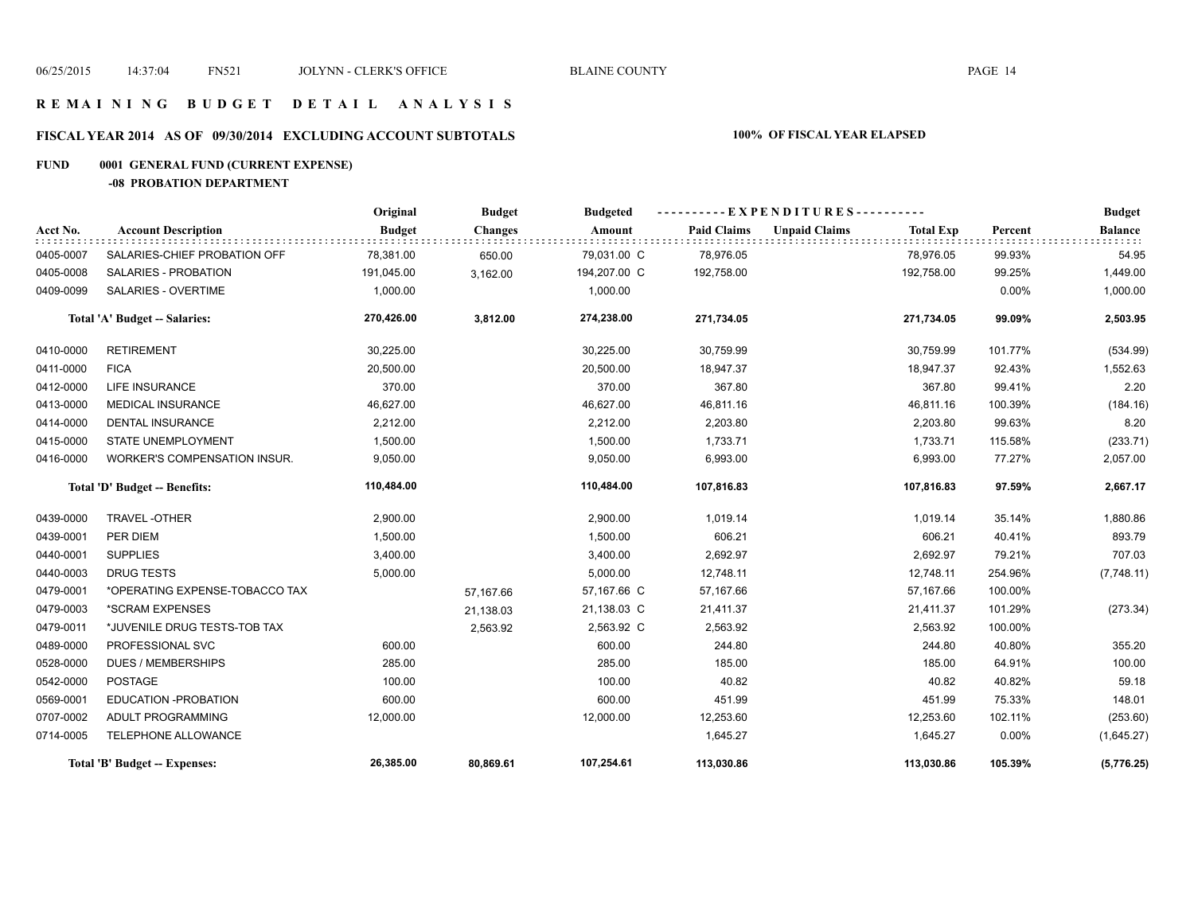#### **R E M A I N I N G B U D G E T D E T A I L A N A L Y S I S**

# **FISCAL YEAR 2014 AS OF 09/30/2014 EXCLUDING ACCOUNT SUBTOTALS 100% OF FISCAL YEAR ELAPSED**

# **FUND 0001 GENERAL FUND (CURRENT EXPENSE)**

**-08 PROBATION DEPARTMENT**

|           |                                | Original      | <b>Budget</b>  | <b>Budgeted</b> |                    | ----------EXPENDITURES---------- |                  |          | <b>Budget</b>  |
|-----------|--------------------------------|---------------|----------------|-----------------|--------------------|----------------------------------|------------------|----------|----------------|
| Acct No.  | <b>Account Description</b>     | <b>Budget</b> | <b>Changes</b> | Amount          | <b>Paid Claims</b> | <b>Unpaid Claims</b>             | <b>Total Exp</b> | Percent  | <b>Balance</b> |
| 0405-0007 | SALARIES-CHIEF PROBATION OFF   | 78,381.00     | 650.00         | 79,031.00 C     | 78,976.05          |                                  | 78,976.05        | 99.93%   | 54.95          |
| 0405-0008 | SALARIES - PROBATION           | 191,045.00    | 3,162.00       | 194,207.00 C    | 192,758.00         |                                  | 192,758.00       | 99.25%   | 1,449.00       |
| 0409-0099 | SALARIES - OVERTIME            | 1,000.00      |                | 1,000.00        |                    |                                  |                  | $0.00\%$ | 1,000.00       |
|           | Total 'A' Budget -- Salaries:  | 270,426.00    | 3,812.00       | 274,238.00      | 271,734.05         |                                  | 271,734.05       | 99.09%   | 2,503.95       |
| 0410-0000 | <b>RETIREMENT</b>              | 30,225.00     |                | 30,225.00       | 30,759.99          |                                  | 30,759.99        | 101.77%  | (534.99)       |
| 0411-0000 | <b>FICA</b>                    | 20,500.00     |                | 20,500.00       | 18,947.37          |                                  | 18,947.37        | 92.43%   | 1,552.63       |
| 0412-0000 | LIFE INSURANCE                 | 370.00        |                | 370.00          | 367.80             |                                  | 367.80           | 99.41%   | 2.20           |
| 0413-0000 | <b>MEDICAL INSURANCE</b>       | 46,627.00     |                | 46,627.00       | 46,811.16          |                                  | 46,811.16        | 100.39%  | (184.16)       |
| 0414-0000 | <b>DENTAL INSURANCE</b>        | 2,212.00      |                | 2,212.00        | 2,203.80           |                                  | 2,203.80         | 99.63%   | 8.20           |
| 0415-0000 | <b>STATE UNEMPLOYMENT</b>      | 1,500.00      |                | 1,500.00        | 1,733.71           |                                  | 1,733.71         | 115.58%  | (233.71)       |
| 0416-0000 | WORKER'S COMPENSATION INSUR.   | 9,050.00      |                | 9,050.00        | 6,993.00           |                                  | 6,993.00         | 77.27%   | 2,057.00       |
|           | Total 'D' Budget -- Benefits:  | 110,484.00    |                | 110,484.00      | 107,816.83         |                                  | 107,816.83       | 97.59%   | 2,667.17       |
| 0439-0000 | <b>TRAVEL-OTHER</b>            | 2,900.00      |                | 2,900.00        | 1,019.14           |                                  | 1,019.14         | 35.14%   | 1,880.86       |
| 0439-0001 | PER DIEM                       | 1,500.00      |                | 1,500.00        | 606.21             |                                  | 606.21           | 40.41%   | 893.79         |
| 0440-0001 | <b>SUPPLIES</b>                | 3,400.00      |                | 3,400.00        | 2,692.97           |                                  | 2,692.97         | 79.21%   | 707.03         |
| 0440-0003 | <b>DRUG TESTS</b>              | 5,000.00      |                | 5,000.00        | 12,748.11          |                                  | 12,748.11        | 254.96%  | (7,748.11)     |
| 0479-0001 | *OPERATING EXPENSE-TOBACCO TAX |               | 57,167.66      | 57,167.66 C     | 57,167.66          |                                  | 57,167.66        | 100.00%  |                |
| 0479-0003 | *SCRAM EXPENSES                |               | 21,138.03      | 21,138.03 C     | 21,411.37          |                                  | 21,411.37        | 101.29%  | (273.34)       |
| 0479-0011 | *JUVENILE DRUG TESTS-TOB TAX   |               | 2,563.92       | 2,563.92 C      | 2,563.92           |                                  | 2,563.92         | 100.00%  |                |
| 0489-0000 | PROFESSIONAL SVC               | 600.00        |                | 600.00          | 244.80             |                                  | 244.80           | 40.80%   | 355.20         |
| 0528-0000 | <b>DUES / MEMBERSHIPS</b>      | 285.00        |                | 285.00          | 185.00             |                                  | 185.00           | 64.91%   | 100.00         |
| 0542-0000 | <b>POSTAGE</b>                 | 100.00        |                | 100.00          | 40.82              |                                  | 40.82            | 40.82%   | 59.18          |
| 0569-0001 | EDUCATION - PROBATION          | 600.00        |                | 600.00          | 451.99             |                                  | 451.99           | 75.33%   | 148.01         |
| 0707-0002 | ADULT PROGRAMMING              | 12,000.00     |                | 12,000.00       | 12,253.60          |                                  | 12,253.60        | 102.11%  | (253.60)       |
| 0714-0005 | TELEPHONE ALLOWANCE            |               |                |                 | 1,645.27           |                                  | 1,645.27         | 0.00%    | (1,645.27)     |
|           | Total 'B' Budget -- Expenses:  | 26,385.00     | 80,869.61      | 107,254.61      | 113,030.86         |                                  | 113,030.86       | 105.39%  | (5,776.25)     |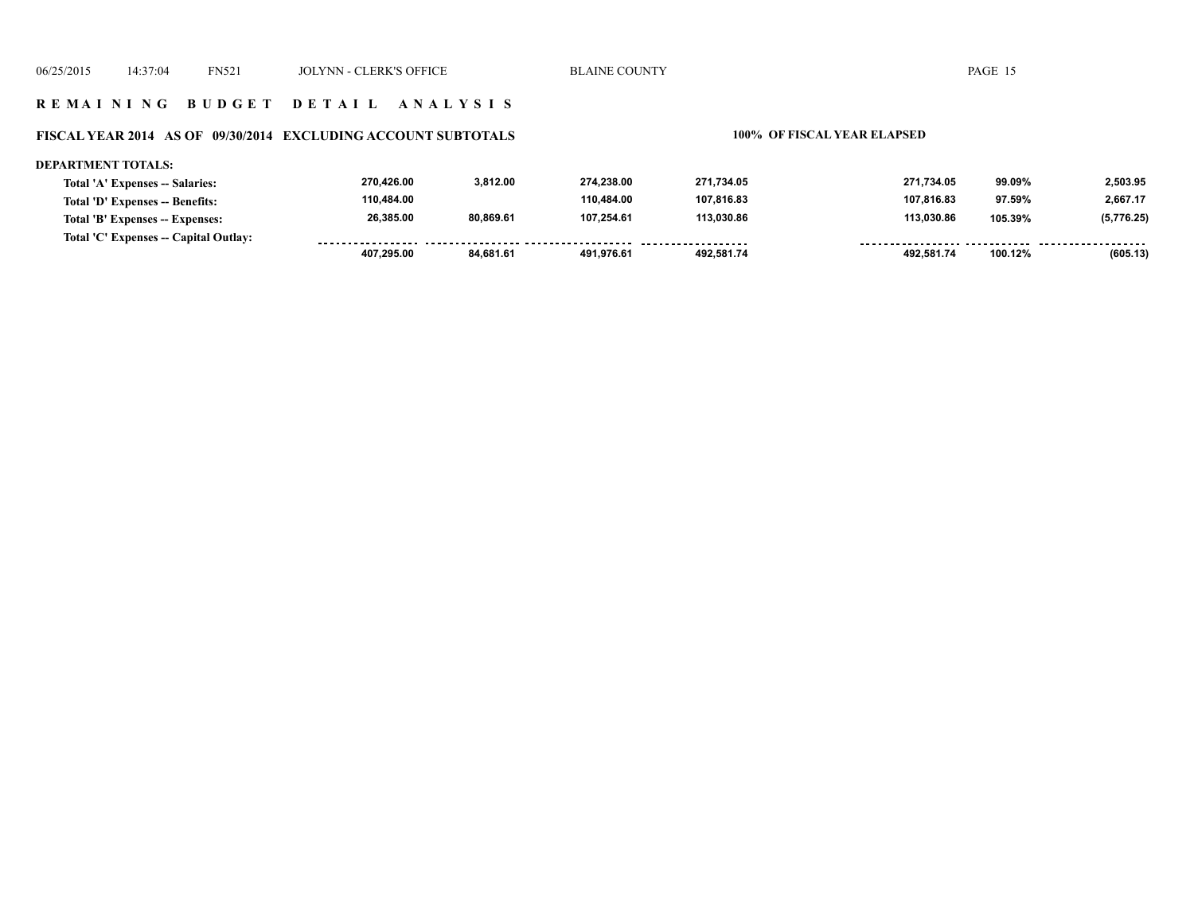#### **R E M A I N I N G B U D G E T D E T A I L A N A L Y S I S**

#### **FISCAL YEAR 2014 AS OF 09/30/2014 EXCLUDING ACCOUNT SUBTOTALS 100% OF FISCAL YEAR ELAPSED**

#### **DEPARTMENT TOTALS: 270,426.00 3,812.00 274,238.00 271,734.05 271,734.05 99.09% 2,503.95 Total 'A' Expenses -- Salaries: 110,484.00 110,484.00 107,816.83 107,816.83 2,667.17 Total 'D' Expenses -- Benefits: 97.59% 26,385.00 80,869.61 107,254.61 113,030.86 113,030.86 (5,776.25) Total 'B' Expenses -- Expenses: 105.39% Total 'C' Expenses -- Capital Outlay:** -----------------------------------*-*<u>.......</u> . . . . . . . . . . . . . . . . . . . . . . . . . . . . . .  **407,295.00 84,681.61 491,976.61 492,581.74 492,581.74 100.12% (605.13)**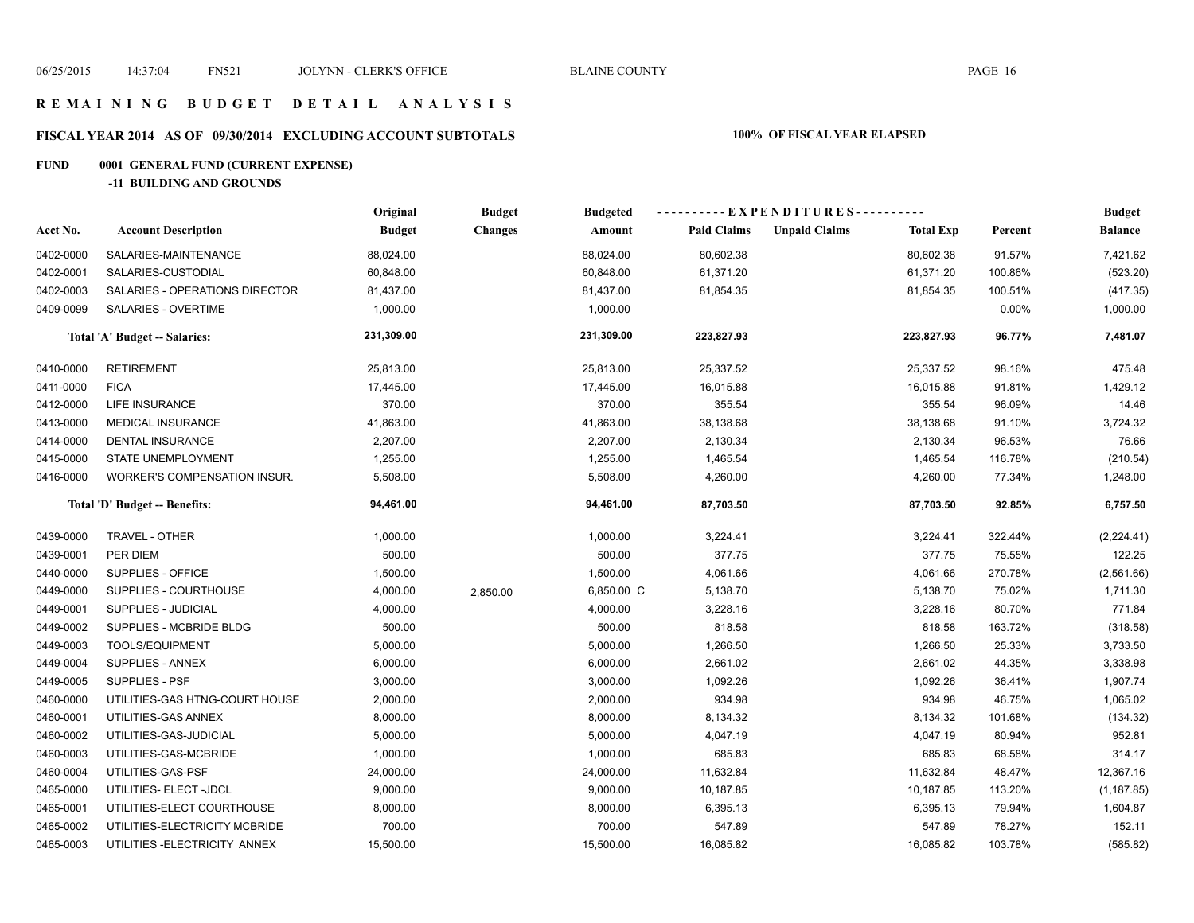#### **R E M A I N I N G B U D G E T D E T A I L A N A L Y S I S**

# **FISCAL YEAR 2014 AS OF 09/30/2014 EXCLUDING ACCOUNT SUBTOTALS 100% OF FISCAL YEAR ELAPSED**

# **FUND 0001 GENERAL FUND (CURRENT EXPENSE)**

**-11 BUILDING AND GROUNDS**

|           |                                     | Original      | <b>Budget</b>  | <b>Budgeted</b> |                    | ----------EXPENDITURES---------- |                  |         | <b>Budget</b>          |
|-----------|-------------------------------------|---------------|----------------|-----------------|--------------------|----------------------------------|------------------|---------|------------------------|
| Acct No.  | <b>Account Description</b>          | <b>Budget</b> | <b>Changes</b> | Amount          | <b>Paid Claims</b> | <b>Unpaid Claims</b>             | <b>Total Exp</b> | Percent | <b>Balance</b><br>1111 |
| 0402-0000 | SALARIES-MAINTENANCE                | 88,024.00     |                | 88,024.00       | 80,602.38          |                                  | 80,602.38        | 91.57%  | 7,421.62               |
| 0402-0001 | SALARIES-CUSTODIAL                  | 60,848.00     |                | 60,848.00       | 61,371.20          |                                  | 61,371.20        | 100.86% | (523.20)               |
| 0402-0003 | SALARIES - OPERATIONS DIRECTOR      | 81,437.00     |                | 81,437.00       | 81,854.35          |                                  | 81,854.35        | 100.51% | (417.35)               |
| 0409-0099 | SALARIES - OVERTIME                 | 1,000.00      |                | 1,000.00        |                    |                                  |                  | 0.00%   | 1,000.00               |
|           | Total 'A' Budget -- Salaries:       | 231,309.00    |                | 231,309.00      | 223,827.93         |                                  | 223,827.93       | 96.77%  | 7,481.07               |
| 0410-0000 | <b>RETIREMENT</b>                   | 25,813.00     |                | 25,813.00       | 25,337.52          |                                  | 25,337.52        | 98.16%  | 475.48                 |
| 0411-0000 | <b>FICA</b>                         | 17,445.00     |                | 17,445.00       | 16,015.88          |                                  | 16,015.88        | 91.81%  | 1,429.12               |
| 0412-0000 | <b>LIFE INSURANCE</b>               | 370.00        |                | 370.00          | 355.54             |                                  | 355.54           | 96.09%  | 14.46                  |
| 0413-0000 | MEDICAL INSURANCE                   | 41,863.00     |                | 41,863.00       | 38,138.68          |                                  | 38,138.68        | 91.10%  | 3,724.32               |
| 0414-0000 | <b>DENTAL INSURANCE</b>             | 2,207.00      |                | 2,207.00        | 2,130.34           |                                  | 2,130.34         | 96.53%  | 76.66                  |
| 0415-0000 | STATE UNEMPLOYMENT                  | 1,255.00      |                | 1,255.00        | 1,465.54           |                                  | 1,465.54         | 116.78% | (210.54)               |
| 0416-0000 | <b>WORKER'S COMPENSATION INSUR.</b> | 5,508.00      |                | 5,508.00        | 4,260.00           |                                  | 4,260.00         | 77.34%  | 1,248.00               |
|           | Total 'D' Budget -- Benefits:       | 94,461.00     |                | 94,461.00       | 87,703.50          |                                  | 87,703.50        | 92.85%  | 6,757.50               |
| 0439-0000 | TRAVEL - OTHER                      | 1,000.00      |                | 1,000.00        | 3,224.41           |                                  | 3,224.41         | 322.44% | (2,224.41)             |
| 0439-0001 | PER DIEM                            | 500.00        |                | 500.00          | 377.75             |                                  | 377.75           | 75.55%  | 122.25                 |
| 0440-0000 | SUPPLIES - OFFICE                   | 1,500.00      |                | 1,500.00        | 4,061.66           |                                  | 4,061.66         | 270.78% | (2,561.66)             |
| 0449-0000 | SUPPLIES - COURTHOUSE               | 4,000.00      | 2,850.00       | 6,850.00 C      | 5,138.70           |                                  | 5,138.70         | 75.02%  | 1,711.30               |
| 0449-0001 | SUPPLIES - JUDICIAL                 | 4,000.00      |                | 4,000.00        | 3,228.16           |                                  | 3,228.16         | 80.70%  | 771.84                 |
| 0449-0002 | SUPPLIES - MCBRIDE BLDG             | 500.00        |                | 500.00          | 818.58             |                                  | 818.58           | 163.72% | (318.58)               |
| 0449-0003 | <b>TOOLS/EQUIPMENT</b>              | 5,000.00      |                | 5,000.00        | 1,266.50           |                                  | 1,266.50         | 25.33%  | 3,733.50               |
| 0449-0004 | SUPPLIES - ANNEX                    | 6,000.00      |                | 6,000.00        | 2,661.02           |                                  | 2,661.02         | 44.35%  | 3,338.98               |
| 0449-0005 | SUPPLIES - PSF                      | 3,000.00      |                | 3,000.00        | 1,092.26           |                                  | 1,092.26         | 36.41%  | 1,907.74               |
| 0460-0000 | UTILITIES-GAS HTNG-COURT HOUSE      | 2,000.00      |                | 2,000.00        | 934.98             |                                  | 934.98           | 46.75%  | 1,065.02               |
| 0460-0001 | UTILITIES-GAS ANNEX                 | 8,000.00      |                | 8,000.00        | 8,134.32           |                                  | 8,134.32         | 101.68% | (134.32)               |
| 0460-0002 | UTILITIES-GAS-JUDICIAL              | 5,000.00      |                | 5,000.00        | 4,047.19           |                                  | 4,047.19         | 80.94%  | 952.81                 |
| 0460-0003 | UTILITIES-GAS-MCBRIDE               | 1,000.00      |                | 1,000.00        | 685.83             |                                  | 685.83           | 68.58%  | 314.17                 |
| 0460-0004 | UTILITIES-GAS-PSF                   | 24,000.00     |                | 24,000.00       | 11,632.84          |                                  | 11,632.84        | 48.47%  | 12,367.16              |
| 0465-0000 | UTILITIES- ELECT -JDCL              | 9,000.00      |                | 9,000.00        | 10,187.85          |                                  | 10,187.85        | 113.20% | (1, 187.85)            |
| 0465-0001 | UTILITIES-ELECT COURTHOUSE          | 8,000.00      |                | 8,000.00        | 6,395.13           |                                  | 6,395.13         | 79.94%  | 1,604.87               |
| 0465-0002 | UTILITIES-ELECTRICITY MCBRIDE       | 700.00        |                | 700.00          | 547.89             |                                  | 547.89           | 78.27%  | 152.11                 |
| 0465-0003 | UTILITIES - ELECTRICITY ANNEX       | 15,500.00     |                | 15,500.00       | 16,085.82          |                                  | 16,085.82        | 103.78% | (585.82)               |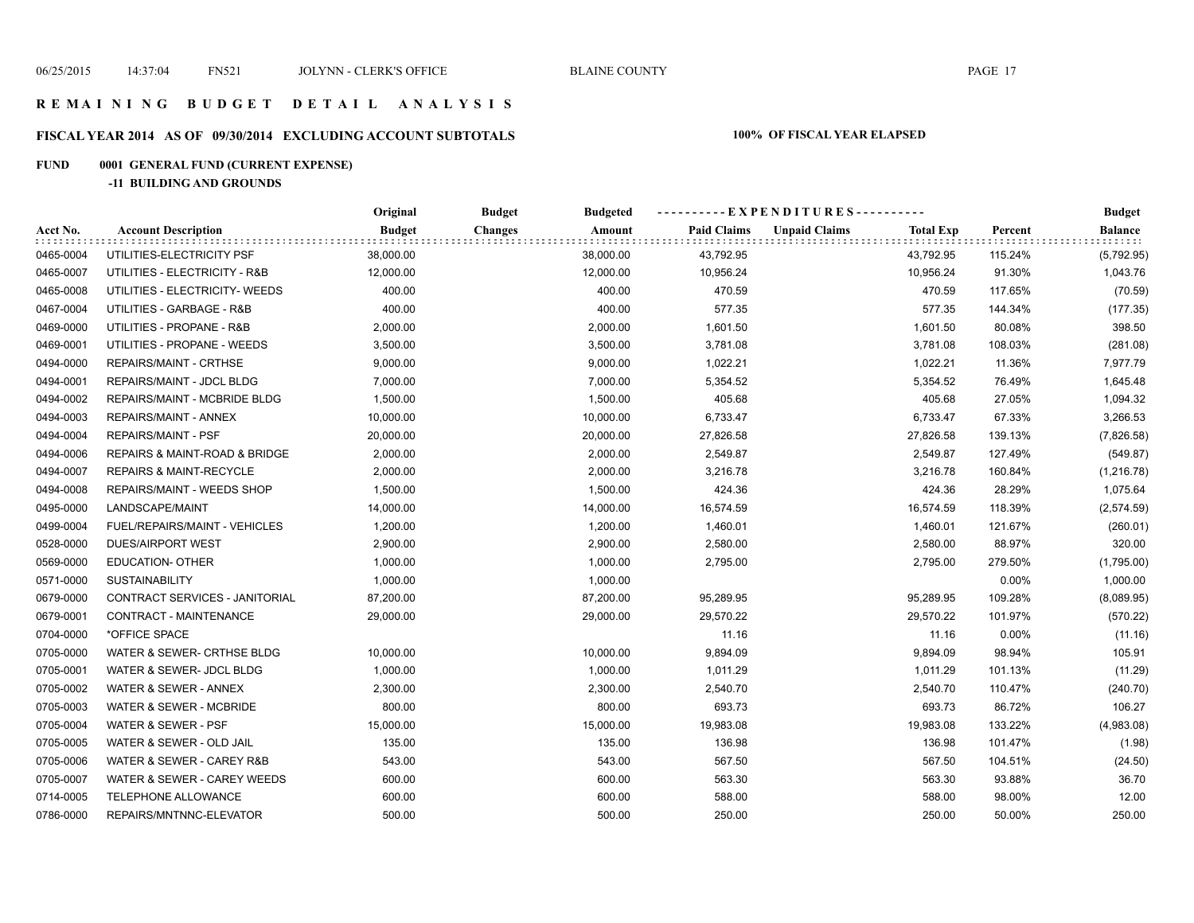#### **R E M A I N I N G B U D G E T D E T A I L A N A L Y S I S**

# **FISCAL YEAR 2014 AS OF 09/30/2014 EXCLUDING ACCOUNT SUBTOTALS 100% OF FISCAL YEAR ELAPSED**

# **FUND 0001 GENERAL FUND (CURRENT EXPENSE)**

**-11 BUILDING AND GROUNDS**

|           |                                | Original      | <b>Budget</b><br><b>Budgeted</b> |                    | ----------EXPENDITURES----------         |         | <b>Budget</b><br><b>Balance</b> |
|-----------|--------------------------------|---------------|----------------------------------|--------------------|------------------------------------------|---------|---------------------------------|
| Acct No.  | <b>Account Description</b>     | <b>Budget</b> | <b>Changes</b><br>Amount         | <b>Paid Claims</b> | <b>Unpaid Claims</b><br><b>Total Exp</b> | Percent |                                 |
| 0465-0004 | UTILITIES-ELECTRICITY PSF      | 38,000.00     | 38,000.00                        | 43,792.95          | 43,792.95                                | 115.24% | (5,792.95)                      |
| 0465-0007 | UTILITIES - ELECTRICITY - R&B  | 12,000.00     | 12,000.00                        | 10,956.24          | 10,956.24                                | 91.30%  | 1,043.76                        |
| 0465-0008 | UTILITIES - ELECTRICITY- WEEDS | 400.00        | 400.00                           | 470.59             | 470.59                                   | 117.65% | (70.59)                         |
| 0467-0004 | UTILITIES - GARBAGE - R&B      | 400.00        | 400.00                           | 577.35             | 577.35                                   | 144.34% | (177.35)                        |
| 0469-0000 | UTILITIES - PROPANE - R&B      | 2,000.00      | 2,000.00                         | 1,601.50           | 1,601.50                                 | 80.08%  | 398.50                          |
| 0469-0001 | UTILITIES - PROPANE - WEEDS    | 3,500.00      | 3,500.00                         | 3,781.08           | 3,781.08                                 | 108.03% | (281.08)                        |
| 0494-0000 | REPAIRS/MAINT - CRTHSE         | 9,000.00      | 9,000.00                         | 1,022.21           | 1,022.21                                 | 11.36%  | 7,977.79                        |
| 0494-0001 | REPAIRS/MAINT - JDCL BLDG      | 7,000.00      | 7,000.00                         | 5,354.52           | 5,354.52                                 | 76.49%  | 1,645.48                        |
| 0494-0002 | REPAIRS/MAINT - MCBRIDE BLDG   | 1,500.00      | 1,500.00                         | 405.68             | 405.68                                   | 27.05%  | 1,094.32                        |
| 0494-0003 | REPAIRS/MAINT - ANNEX          | 10,000.00     | 10,000.00                        | 6,733.47           | 6,733.47                                 | 67.33%  | 3,266.53                        |
| 0494-0004 | <b>REPAIRS/MAINT - PSF</b>     | 20,000.00     | 20,000.00                        | 27,826.58          | 27,826.58                                | 139.13% | (7,826.58)                      |
| 0494-0006 | REPAIRS & MAINT-ROAD & BRIDGE  | 2,000.00      | 2,000.00                         | 2,549.87           | 2,549.87                                 | 127.49% | (549.87)                        |
| 0494-0007 | REPAIRS & MAINT-RECYCLE        | 2,000.00      | 2,000.00                         | 3,216.78           | 3,216.78                                 | 160.84% | (1, 216.78)                     |
| 0494-0008 | REPAIRS/MAINT - WEEDS SHOP     | 1,500.00      | 1,500.00                         | 424.36             | 424.36                                   | 28.29%  | 1,075.64                        |
| 0495-0000 | LANDSCAPE/MAINT                | 14,000.00     | 14,000.00                        | 16,574.59          | 16,574.59                                | 118.39% | (2,574.59)                      |
| 0499-0004 | FUEL/REPAIRS/MAINT - VEHICLES  | 1,200.00      | 1,200.00                         | 1,460.01           | 1,460.01                                 | 121.67% | (260.01)                        |
| 0528-0000 | <b>DUES/AIRPORT WEST</b>       | 2,900.00      | 2,900.00                         | 2,580.00           | 2,580.00                                 | 88.97%  | 320.00                          |
| 0569-0000 | <b>EDUCATION- OTHER</b>        | 1,000.00      | 1,000.00                         | 2,795.00           | 2,795.00                                 | 279.50% | (1,795.00)                      |
| 0571-0000 | <b>SUSTAINABILITY</b>          | 1,000.00      | 1,000.00                         |                    |                                          | 0.00%   | 1,000.00                        |
| 0679-0000 | CONTRACT SERVICES - JANITORIAL | 87,200.00     | 87,200.00                        | 95,289.95          | 95,289.95                                | 109.28% | (8,089.95)                      |
| 0679-0001 | CONTRACT - MAINTENANCE         | 29,000.00     | 29,000.00                        | 29,570.22          | 29,570.22                                | 101.97% | (570.22)                        |
| 0704-0000 | *OFFICE SPACE                  |               |                                  | 11.16              | 11.16                                    | 0.00%   | (11.16)                         |
| 0705-0000 | WATER & SEWER- CRTHSE BLDG     | 10,000.00     | 10,000.00                        | 9,894.09           | 9,894.09                                 | 98.94%  | 105.91                          |
| 0705-0001 | WATER & SEWER- JDCL BLDG       | 1,000.00      | 1,000.00                         | 1,011.29           | 1,011.29                                 | 101.13% | (11.29)                         |
| 0705-0002 | WATER & SEWER - ANNEX          | 2,300.00      | 2,300.00                         | 2,540.70           | 2,540.70                                 | 110.47% | (240.70)                        |
| 0705-0003 | WATER & SEWER - MCBRIDE        | 800.00        | 800.00                           | 693.73             | 693.73                                   | 86.72%  | 106.27                          |
| 0705-0004 | WATER & SEWER - PSF            | 15,000.00     | 15,000.00                        | 19,983.08          | 19,983.08                                | 133.22% | (4,983.08)                      |
| 0705-0005 | WATER & SEWER - OLD JAIL       | 135.00        | 135.00                           | 136.98             | 136.98                                   | 101.47% | (1.98)                          |
| 0705-0006 | WATER & SEWER - CAREY R&B      | 543.00        | 543.00                           | 567.50             | 567.50                                   | 104.51% | (24.50)                         |
| 0705-0007 | WATER & SEWER - CAREY WEEDS    | 600.00        | 600.00                           | 563.30             | 563.30                                   | 93.88%  | 36.70                           |
| 0714-0005 | TELEPHONE ALLOWANCE            | 600.00        | 600.00                           | 588.00             | 588.00                                   | 98.00%  | 12.00                           |
| 0786-0000 | REPAIRS/MNTNNC-ELEVATOR        | 500.00        | 500.00                           | 250.00             | 250.00                                   | 50.00%  | 250.00                          |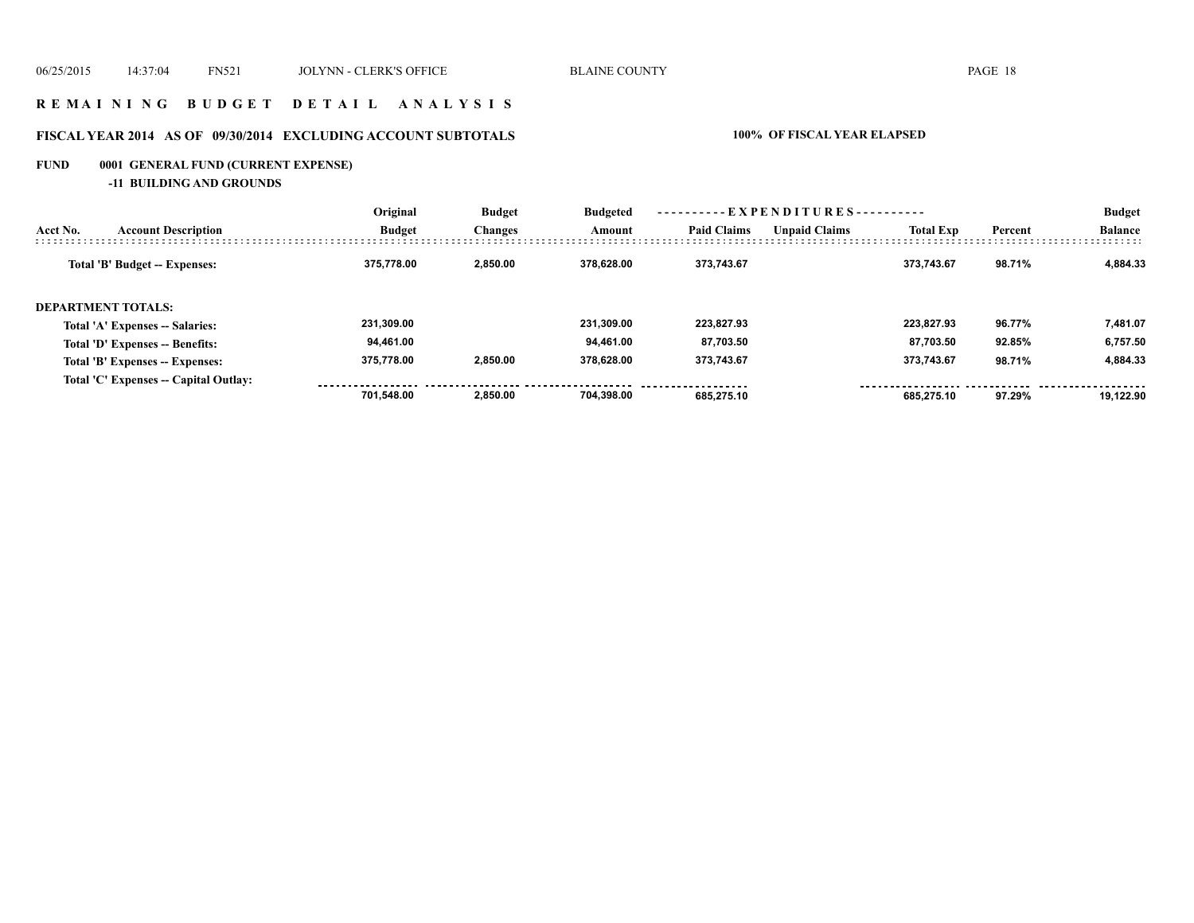#### **R E M A I N I N G B U D G E T D E T A I L A N A L Y S I S**

# **FISCAL YEAR 2014 AS OF 09/30/2014 EXCLUDING ACCOUNT SUBTOTALS 100% OF FISCAL YEAR ELAPSED**

# **FUND 0001 GENERAL FUND (CURRENT EXPENSE)**

**-11 BUILDING AND GROUNDS**

|          |                                       | Original      | ----------EXPENDITURES----------<br><b>Budget</b><br><b>Budgeted</b> |                      |                  |         |                |        | <b>Budget</b> |
|----------|---------------------------------------|---------------|----------------------------------------------------------------------|----------------------|------------------|---------|----------------|--------|---------------|
| Acct No. | <b>Account Description</b>            | <b>Budget</b> | <b>Paid Claims</b><br><b>Changes</b><br>Amount                       | <b>Unpaid Claims</b> | <b>Total Exp</b> | Percent | <b>Balance</b> |        |               |
|          | Total 'B' Budget -- Expenses:         | 375.778.00    | 2.850.00                                                             | 378.628.00           | 373.743.67       |         | 373.743.67     | 98.71% | 4.884.33      |
|          | <b>DEPARTMENT TOTALS:</b>             |               |                                                                      |                      |                  |         |                |        |               |
|          | Total 'A' Expenses -- Salaries:       | 231.309.00    |                                                                      | 231.309.00           | 223.827.93       |         | 223.827.93     | 96.77% | 7,481.07      |
|          | Total 'D' Expenses -- Benefits:       | 94,461.00     |                                                                      | 94.461.00            | 87,703.50        |         | 87,703.50      | 92.85% | 6,757.50      |
|          | Total 'B' Expenses -- Expenses:       | 375.778.00    | 2.850.00                                                             | 378.628.00           | 373.743.67       |         | 373.743.67     | 98.71% | 4.884.33      |
|          | Total 'C' Expenses -- Capital Outlay: |               |                                                                      |                      |                  |         |                |        |               |
|          |                                       | 701.548.00    | 2.850.00                                                             | 704.398.00           | 685.275.10       |         | 685.275.10     | 97.29% | 19.122.90     |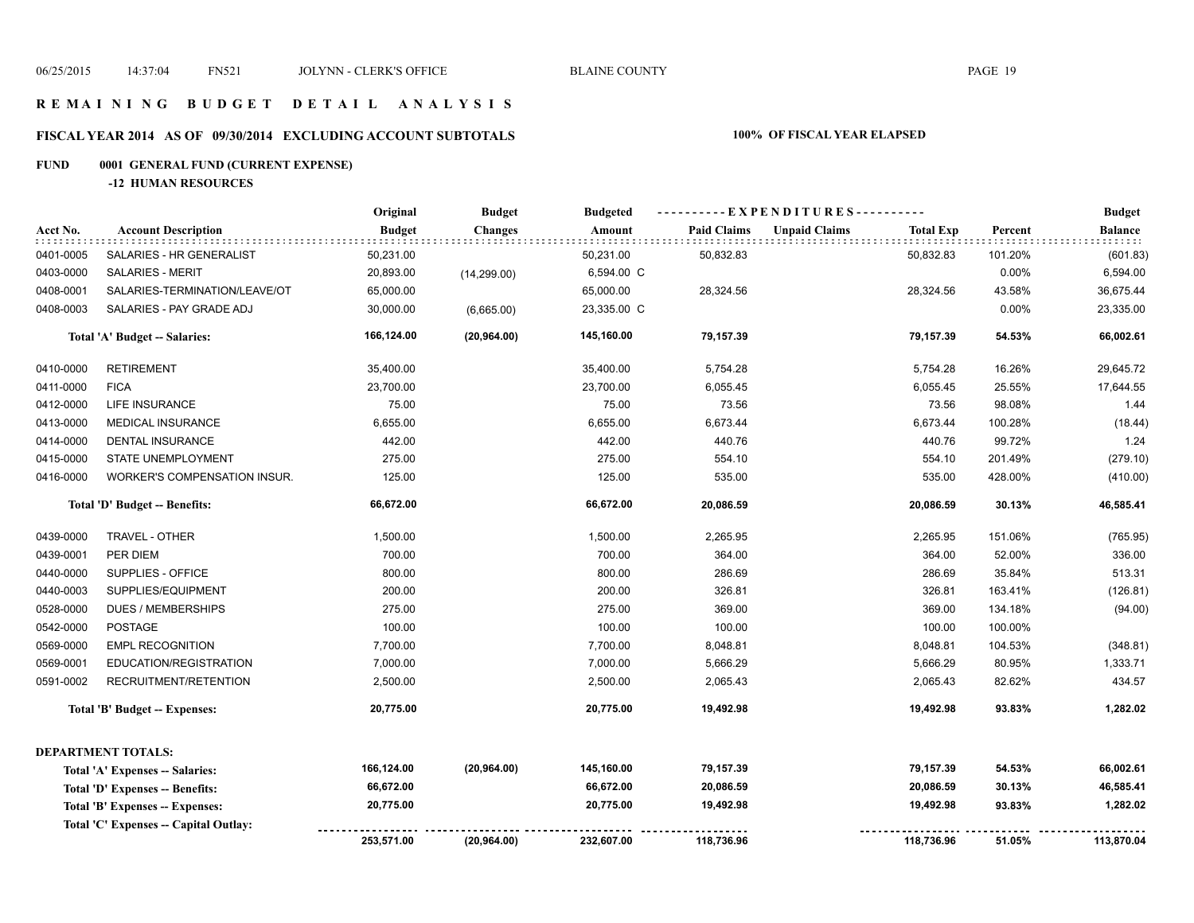#### **R E M A I N I N G B U D G E T D E T A I L A N A L Y S I S**

# **FISCAL YEAR 2014 AS OF 09/30/2014 EXCLUDING ACCOUNT SUBTOTALS 100% OF FISCAL YEAR ELAPSED**

# **FUND 0001 GENERAL FUND (CURRENT EXPENSE)**

**-12 HUMAN RESOURCES**

|           |                                      | Original      | <b>Budget</b>  | <b>Budgeted</b> |                    | ----------EXPENDITURES---------- |                  |         | <b>Budget</b>  |
|-----------|--------------------------------------|---------------|----------------|-----------------|--------------------|----------------------------------|------------------|---------|----------------|
| Acct No.  | <b>Account Description</b>           | <b>Budget</b> | <b>Changes</b> | Amount          | <b>Paid Claims</b> | <b>Unpaid Claims</b>             | <b>Total Exp</b> | Percent | <b>Balance</b> |
| 0401-0005 | SALARIES - HR GENERALIST             | 50,231.00     |                | 50,231.00       | 50,832.83          |                                  | 50,832.83        | 101.20% | (601.83)       |
| 0403-0000 | <b>SALARIES - MERIT</b>              | 20,893.00     | (14, 299.00)   | 6,594.00 C      |                    |                                  |                  | 0.00%   | 6,594.00       |
| 0408-0001 | SALARIES-TERMINATION/LEAVE/OT        | 65,000.00     |                | 65,000.00       | 28,324.56          |                                  | 28,324.56        | 43.58%  | 36,675.44      |
| 0408-0003 | SALARIES - PAY GRADE ADJ             | 30,000.00     | (6,665.00)     | 23,335.00 C     |                    |                                  |                  | 0.00%   | 23,335.00      |
|           | Total 'A' Budget -- Salaries:        | 166,124.00    | (20, 964.00)   | 145,160.00      | 79,157.39          |                                  | 79,157.39        | 54.53%  | 66,002.61      |
| 0410-0000 | <b>RETIREMENT</b>                    | 35,400.00     |                | 35,400.00       | 5,754.28           |                                  | 5,754.28         | 16.26%  | 29,645.72      |
| 0411-0000 | <b>FICA</b>                          | 23,700.00     |                | 23,700.00       | 6,055.45           |                                  | 6,055.45         | 25.55%  | 17,644.55      |
| 0412-0000 | <b>LIFE INSURANCE</b>                | 75.00         |                | 75.00           | 73.56              |                                  | 73.56            | 98.08%  | 1.44           |
| 0413-0000 | MEDICAL INSURANCE                    | 6,655.00      |                | 6,655.00        | 6,673.44           |                                  | 6,673.44         | 100.28% | (18.44)        |
| 0414-0000 | <b>DENTAL INSURANCE</b>              | 442.00        |                | 442.00          | 440.76             |                                  | 440.76           | 99.72%  | 1.24           |
| 0415-0000 | STATE UNEMPLOYMENT                   | 275.00        |                | 275.00          | 554.10             |                                  | 554.10           | 201.49% | (279.10)       |
| 0416-0000 | WORKER'S COMPENSATION INSUR.         | 125.00        |                | 125.00          | 535.00             |                                  | 535.00           | 428.00% | (410.00)       |
|           | Total 'D' Budget -- Benefits:        | 66,672.00     |                | 66,672.00       | 20,086.59          |                                  | 20,086.59        | 30.13%  | 46,585.41      |
| 0439-0000 | TRAVEL - OTHER                       | 1,500.00      |                | 1,500.00        | 2,265.95           |                                  | 2,265.95         | 151.06% | (765.95)       |
| 0439-0001 | PER DIEM                             | 700.00        |                | 700.00          | 364.00             |                                  | 364.00           | 52.00%  | 336.00         |
| 0440-0000 | SUPPLIES - OFFICE                    | 800.00        |                | 800.00          | 286.69             |                                  | 286.69           | 35.84%  | 513.31         |
| 0440-0003 | SUPPLIES/EQUIPMENT                   | 200.00        |                | 200.00          | 326.81             |                                  | 326.81           | 163.41% | (126.81)       |
| 0528-0000 | <b>DUES / MEMBERSHIPS</b>            | 275.00        |                | 275.00          | 369.00             |                                  | 369.00           | 134.18% | (94.00)        |
| 0542-0000 | POSTAGE                              | 100.00        |                | 100.00          | 100.00             |                                  | 100.00           | 100.00% |                |
| 0569-0000 | <b>EMPL RECOGNITION</b>              | 7,700.00      |                | 7,700.00        | 8,048.81           |                                  | 8,048.81         | 104.53% | (348.81)       |
| 0569-0001 | EDUCATION/REGISTRATION               | 7,000.00      |                | 7,000.00        | 5,666.29           |                                  | 5,666.29         | 80.95%  | 1,333.71       |
| 0591-0002 | RECRUITMENT/RETENTION                | 2,500.00      |                | 2,500.00        | 2,065.43           |                                  | 2,065.43         | 82.62%  | 434.57         |
|           | Total 'B' Budget -- Expenses:        | 20,775.00     |                | 20,775.00       | 19,492.98          |                                  | 19,492.98        | 93.83%  | 1,282.02       |
|           | <b>DEPARTMENT TOTALS:</b>            |               |                |                 |                    |                                  |                  |         |                |
|           | Total 'A' Expenses -- Salaries:      | 166,124.00    | (20, 964.00)   | 145,160.00      | 79,157.39          |                                  | 79,157.39        | 54.53%  | 66,002.61      |
|           | Total 'D' Expenses -- Benefits:      | 66,672.00     |                | 66,672.00       | 20,086.59          |                                  | 20,086.59        | 30.13%  | 46,585.41      |
|           | Total 'B' Expenses -- Expenses:      | 20,775.00     |                | 20,775.00       | 19,492.98          |                                  | 19,492.98        | 93.83%  | 1,282.02       |
|           | Total 'C' Expenses - Capital Outlay: |               |                |                 |                    |                                  |                  |         |                |
|           |                                      | 253,571.00    | (20, 964.00)   | 232,607.00      | 118,736.96         |                                  | 118,736.96       | 51.05%  | 113,870.04     |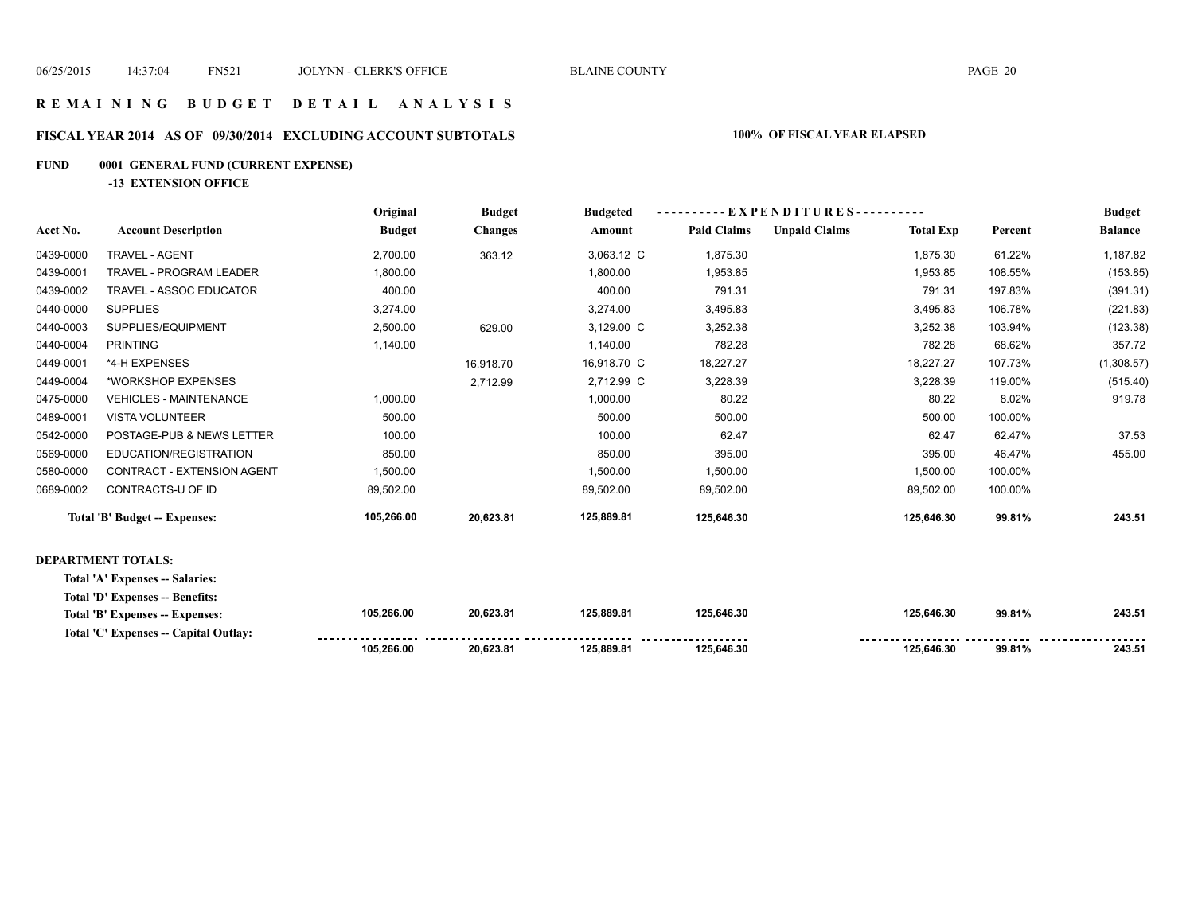#### **R E M A I N I N G B U D G E T D E T A I L A N A L Y S I S**

# **FISCAL YEAR 2014 AS OF 09/30/2014 EXCLUDING ACCOUNT SUBTOTALS 100% OF FISCAL YEAR ELAPSED**

# **FUND 0001 GENERAL FUND (CURRENT EXPENSE)**

**-13 EXTENSION OFFICE**

|           |                               | Original      | <b>Budget</b>  | <b>Budgeted</b> |                    |                      | --EXPENDITURES---------- |         |                |
|-----------|-------------------------------|---------------|----------------|-----------------|--------------------|----------------------|--------------------------|---------|----------------|
| Acct No.  | <b>Account Description</b>    | <b>Budget</b> | <b>Changes</b> | Amount          | <b>Paid Claims</b> | <b>Unpaid Claims</b> | <b>Total Exp</b>         | Percent | <b>Balance</b> |
| 0439-0000 | TRAVEL - AGENT                | 2,700.00      | 363.12         | 3,063.12 C      | 1,875.30           |                      | 1,875.30                 | 61.22%  | 1,187.82       |
| 0439-0001 | TRAVEL - PROGRAM LEADER       | 1,800.00      |                | 1,800.00        | 1,953.85           |                      | 1,953.85                 | 108.55% | (153.85)       |
| 0439-0002 | TRAVEL - ASSOC EDUCATOR       | 400.00        |                | 400.00          | 791.31             |                      | 791.31                   | 197.83% | (391.31)       |
| 0440-0000 | <b>SUPPLIES</b>               | 3,274.00      |                | 3,274.00        | 3,495.83           |                      | 3,495.83                 | 106.78% | (221.83)       |
| 0440-0003 | SUPPLIES/EQUIPMENT            | 2,500.00      | 629.00         | 3,129.00 C      | 3,252.38           |                      | 3,252.38                 | 103.94% | (123.38)       |
| 0440-0004 | <b>PRINTING</b>               | 1,140.00      |                | 1,140.00        | 782.28             |                      | 782.28                   | 68.62%  | 357.72         |
| 0449-0001 | *4-H EXPENSES                 |               | 16,918.70      | 16,918.70 C     | 18,227.27          |                      | 18,227.27                | 107.73% | (1,308.57)     |
| 0449-0004 | *WORKSHOP EXPENSES            |               | 2,712.99       | 2,712.99 C      | 3,228.39           |                      | 3,228.39                 | 119.00% | (515.40)       |
| 0475-0000 | <b>VEHICLES - MAINTENANCE</b> | 1,000.00      |                | 1,000.00        | 80.22              |                      | 80.22                    | 8.02%   | 919.78         |
| 0489-0001 | <b>VISTA VOLUNTEER</b>        | 500.00        |                | 500.00          | 500.00             |                      | 500.00                   | 100.00% |                |
| 0542-0000 | POSTAGE-PUB & NEWS LETTER     | 100.00        |                | 100.00          | 62.47              |                      | 62.47                    | 62.47%  | 37.53          |
| 0569-0000 | EDUCATION/REGISTRATION        | 850.00        |                | 850.00          | 395.00             |                      | 395.00                   | 46.47%  | 455.00         |
| 0580-0000 | CONTRACT - EXTENSION AGENT    | 1,500.00      |                | 1,500.00        | 1,500.00           |                      | 1,500.00                 | 100.00% |                |
| 0689-0002 | CONTRACTS-U OF ID             | 89,502.00     |                | 89,502.00       | 89,502.00          |                      | 89,502.00                | 100.00% |                |
|           | Total 'B' Budget -- Expenses: | 105,266.00    | 20,623.81      | 125,889.81      | 125,646.30         |                      | 125,646.30               | 99.81%  | 243.51         |
|           | DEPARTMENT TOTAL S.           |               |                |                 |                    |                      |                          |         |                |

#### **DEPARTMENT TOTALS:**

**Total 'A' Expenses -- Salaries:**

|  |  |  | Total 'D' Expenses -- Benefits: |
|--|--|--|---------------------------------|
|--|--|--|---------------------------------|

| Total 'B' Expenses -- Expenses:       | 105.266.00 | 20.623.81 | 125.889.81 | 125.646.30           | 125.646.30 | 99.81% | 243.51 |
|---------------------------------------|------------|-----------|------------|----------------------|------------|--------|--------|
| Total 'C' Expenses -- Capital Outlay: |            |           |            | -------------------- |            |        |        |
|                                       | 105.266.00 | 20.623.81 | 125.889.81 | 125.646.30           | 125.646.30 | 99.81% | 243.51 |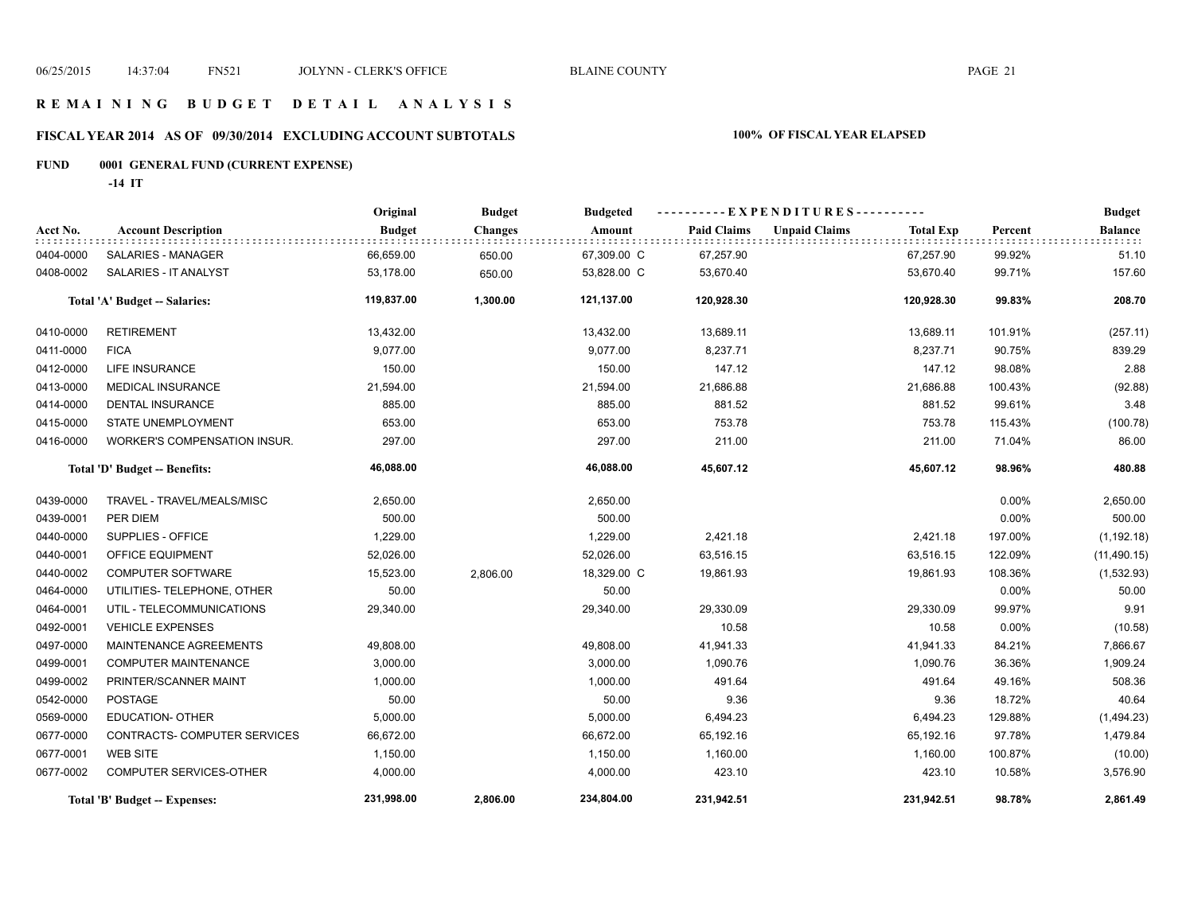#### **R E M A I N I N G B U D G E T D E T A I L A N A L Y S I S**

#### **FISCAL YEAR 2014 AS OF 09/30/2014 EXCLUDING ACCOUNT SUBTOTALS 100% OF FISCAL YEAR ELAPSED**

# **FUND 0001 GENERAL FUND (CURRENT EXPENSE)**

**-14 IT**

|           |                               | Original      | <b>Budget</b>  | <b>Budgeted</b> |                    | ----------EXPENDITURES---------- |                  |          | <b>Budget</b>  |
|-----------|-------------------------------|---------------|----------------|-----------------|--------------------|----------------------------------|------------------|----------|----------------|
| Acct No.  | <b>Account Description</b>    | <b>Budget</b> | <b>Changes</b> | Amount          | <b>Paid Claims</b> | <b>Unpaid Claims</b>             | <b>Total Exp</b> | Percent  | <b>Balance</b> |
| 0404-0000 | SALARIES - MANAGER            | 66,659.00     | 650.00         | 67,309.00 C     | 67,257.90          |                                  | 67,257.90        | 99.92%   | 51.10          |
| 0408-0002 | SALARIES - IT ANALYST         | 53,178.00     | 650.00         | 53,828.00 C     | 53,670.40          |                                  | 53,670.40        | 99.71%   | 157.60         |
|           | Total 'A' Budget -- Salaries: | 119,837.00    | 1,300.00       | 121,137.00      | 120,928.30         |                                  | 120,928.30       | 99.83%   | 208.70         |
| 0410-0000 | <b>RETIREMENT</b>             | 13,432.00     |                | 13,432.00       | 13,689.11          |                                  | 13,689.11        | 101.91%  | (257.11)       |
| 0411-0000 | <b>FICA</b>                   | 9,077.00      |                | 9,077.00        | 8,237.71           |                                  | 8,237.71         | 90.75%   | 839.29         |
| 0412-0000 | <b>LIFE INSURANCE</b>         | 150.00        |                | 150.00          | 147.12             |                                  | 147.12           | 98.08%   | 2.88           |
| 0413-0000 | <b>MEDICAL INSURANCE</b>      | 21,594.00     |                | 21,594.00       | 21,686.88          |                                  | 21,686.88        | 100.43%  | (92.88)        |
| 0414-0000 | <b>DENTAL INSURANCE</b>       | 885.00        |                | 885.00          | 881.52             |                                  | 881.52           | 99.61%   | 3.48           |
| 0415-0000 | STATE UNEMPLOYMENT            | 653.00        |                | 653.00          | 753.78             |                                  | 753.78           | 115.43%  | (100.78)       |
| 0416-0000 | WORKER'S COMPENSATION INSUR.  | 297.00        |                | 297.00          | 211.00             |                                  | 211.00           | 71.04%   | 86.00          |
|           | Total 'D' Budget -- Benefits: | 46,088.00     |                | 46,088.00       | 45,607.12          |                                  | 45,607.12        | 98.96%   | 480.88         |
| 0439-0000 | TRAVEL - TRAVEL/MEALS/MISC    | 2,650.00      |                | 2,650.00        |                    |                                  |                  | 0.00%    | 2,650.00       |
| 0439-0001 | PER DIEM                      | 500.00        |                | 500.00          |                    |                                  |                  | 0.00%    | 500.00         |
| 0440-0000 | SUPPLIES - OFFICE             | 1,229.00      |                | 1,229.00        | 2,421.18           |                                  | 2,421.18         | 197.00%  | (1, 192.18)    |
| 0440-0001 | OFFICE EQUIPMENT              | 52,026.00     |                | 52,026.00       | 63,516.15          |                                  | 63,516.15        | 122.09%  | (11, 490.15)   |
| 0440-0002 | <b>COMPUTER SOFTWARE</b>      | 15,523.00     | 2,806.00       | 18,329.00 C     | 19,861.93          |                                  | 19,861.93        | 108.36%  | (1,532.93)     |
| 0464-0000 | UTILITIES- TELEPHONE, OTHER   | 50.00         |                | 50.00           |                    |                                  |                  | 0.00%    | 50.00          |
| 0464-0001 | UTIL - TELECOMMUNICATIONS     | 29,340.00     |                | 29,340.00       | 29,330.09          |                                  | 29,330.09        | 99.97%   | 9.91           |
| 0492-0001 | <b>VEHICLE EXPENSES</b>       |               |                |                 | 10.58              |                                  | 10.58            | $0.00\%$ | (10.58)        |
| 0497-0000 | MAINTENANCE AGREEMENTS        | 49,808.00     |                | 49,808.00       | 41,941.33          |                                  | 41,941.33        | 84.21%   | 7,866.67       |
| 0499-0001 | <b>COMPUTER MAINTENANCE</b>   | 3,000.00      |                | 3,000.00        | 1,090.76           |                                  | 1,090.76         | 36.36%   | 1,909.24       |
| 0499-0002 | PRINTER/SCANNER MAINT         | 1,000.00      |                | 1,000.00        | 491.64             |                                  | 491.64           | 49.16%   | 508.36         |
| 0542-0000 | <b>POSTAGE</b>                | 50.00         |                | 50.00           | 9.36               |                                  | 9.36             | 18.72%   | 40.64          |
| 0569-0000 | <b>EDUCATION- OTHER</b>       | 5,000.00      |                | 5,000.00        | 6,494.23           |                                  | 6,494.23         | 129.88%  | (1,494.23)     |
| 0677-0000 | CONTRACTS- COMPUTER SERVICES  | 66,672.00     |                | 66,672.00       | 65,192.16          |                                  | 65,192.16        | 97.78%   | 1,479.84       |
| 0677-0001 | <b>WEB SITE</b>               | 1,150.00      |                | 1,150.00        | 1,160.00           |                                  | 1,160.00         | 100.87%  | (10.00)        |
| 0677-0002 | COMPUTER SERVICES-OTHER       | 4,000.00      |                | 4,000.00        | 423.10             |                                  | 423.10           | 10.58%   | 3,576.90       |
|           | Total 'B' Budget -- Expenses: | 231,998.00    | 2,806.00       | 234,804.00      | 231,942.51         |                                  | 231,942.51       | 98.78%   | 2,861.49       |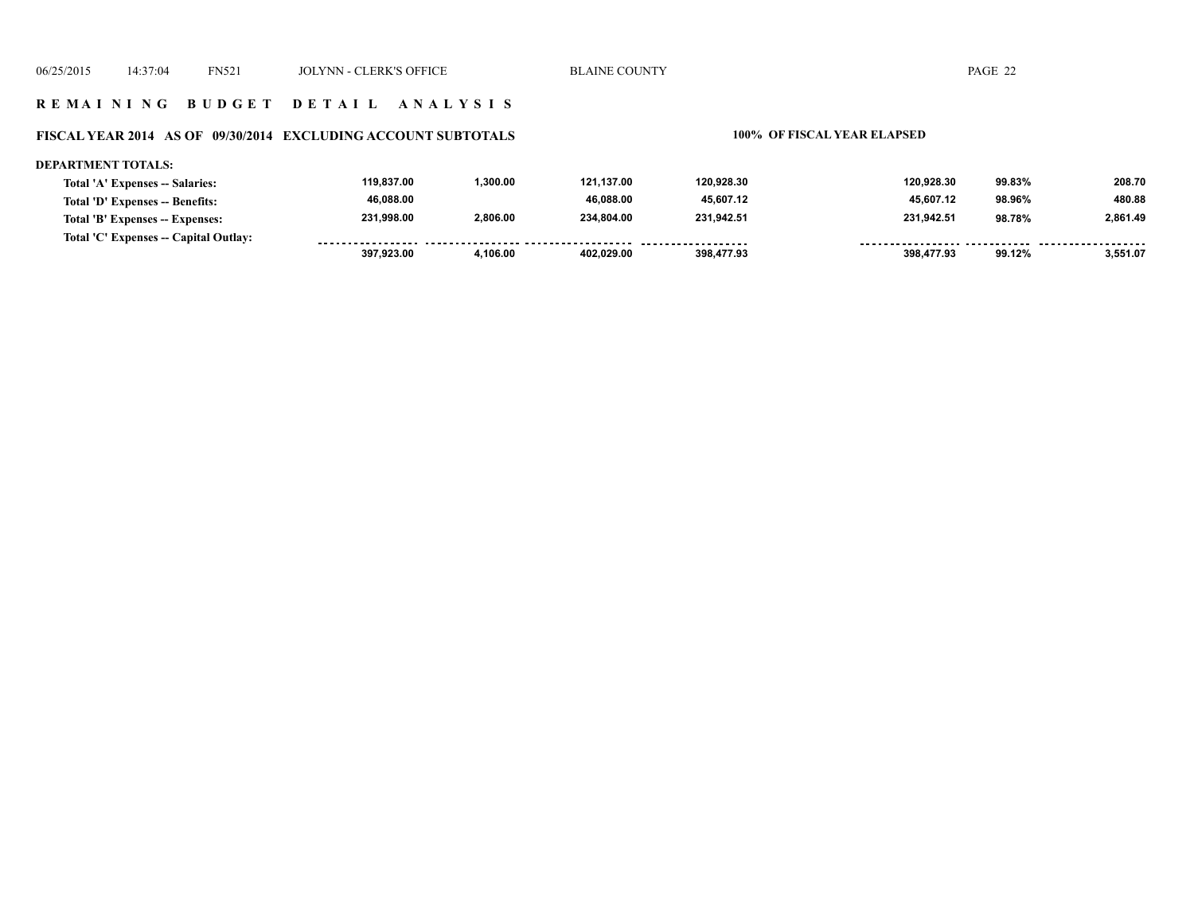#### **R E M A I N I N G B U D G E T D E T A I L A N A L Y S I S**

#### **FISCAL YEAR 2014 AS OF 09/30/2014 EXCLUDING ACCOUNT SUBTOTALS 100% OF FISCAL YEAR ELAPSED**

#### **DEPARTMENT TOTALS: 119,837.00 1,300.00 121,137.00 120,928.30 120,928.30 99.83% 208.70 Total 'A' Expenses -- Salaries: 46,088.00 46,088.00 45,607.12 45,607.12 480.88 Total 'D' Expenses -- Benefits: 98.96% 231,998.00 2,806.00 234,804.00 231,942.51 231,942.51 98.78% 2,861.49 Total 'B' Expenses -- Expenses: Total 'C' Expenses -- Capital Outlay:** ------------------.......... ................... . . . . . . . . <u>........ ......</u> ........ ........  **397,923.00 4,106.00 402,029.00 398,477.93 398,477.93 99.12% 3,551.07**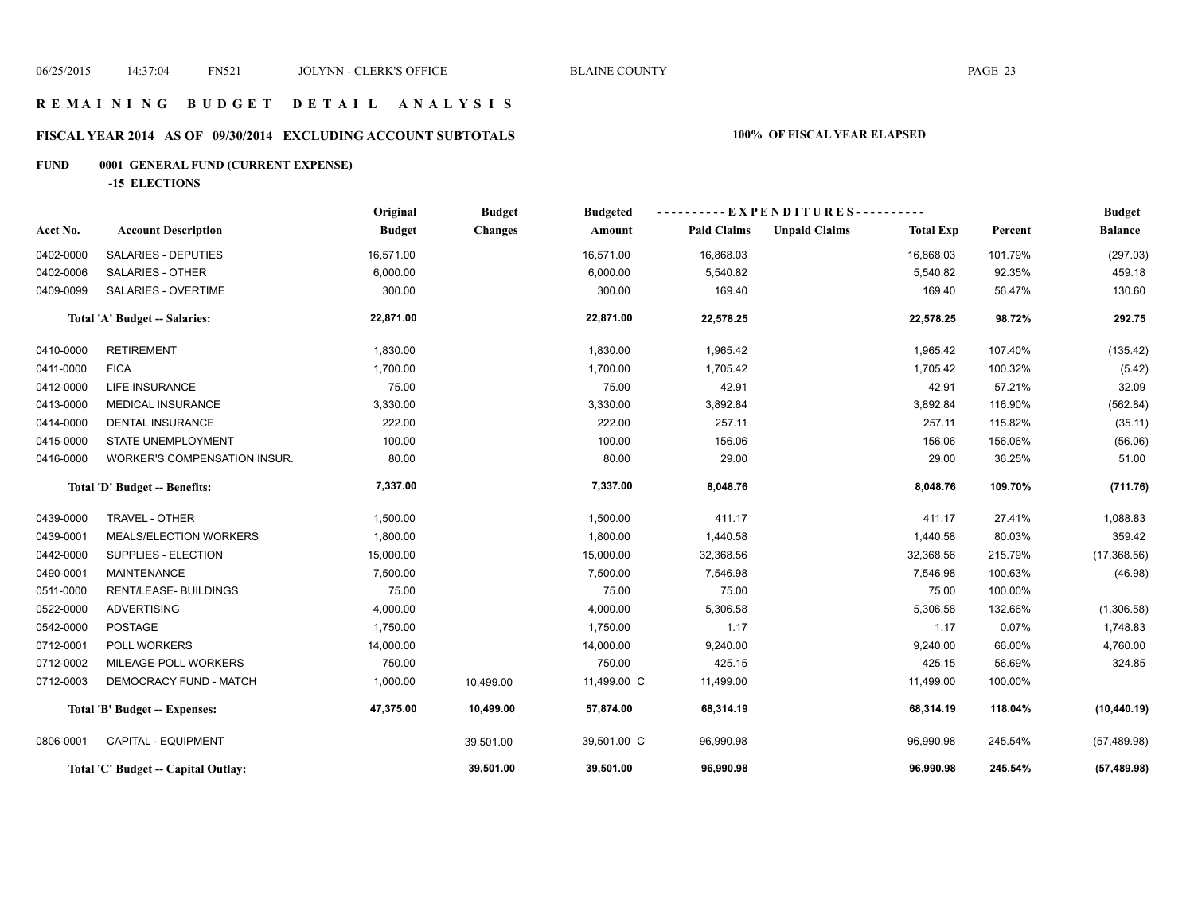#### **R E M A I N I N G B U D G E T D E T A I L A N A L Y S I S**

# **FISCAL YEAR 2014 AS OF 09/30/2014 EXCLUDING ACCOUNT SUBTOTALS 100% OF FISCAL YEAR ELAPSED**

# **FUND 0001 GENERAL FUND (CURRENT EXPENSE)**

**-15 ELECTIONS**

|                               |                                     | Original      | <b>Budget</b>  | <b>Budgeted</b> |                    | $-EXPENDITURES---$   |                  |         | <b>Budget</b>  |
|-------------------------------|-------------------------------------|---------------|----------------|-----------------|--------------------|----------------------|------------------|---------|----------------|
| Acct No.                      | <b>Account Description</b>          | <b>Budget</b> | <b>Changes</b> | Amount          | <b>Paid Claims</b> | <b>Unpaid Claims</b> | <b>Total Exp</b> | Percent | <b>Balance</b> |
| 0402-0000                     | SALARIES - DEPUTIES                 | 16,571.00     |                | 16,571.00       | 16,868.03          |                      | 16,868.03        | 101.79% | (297.03)       |
| 0402-0006                     | <b>SALARIES - OTHER</b>             | 6,000.00      |                | 6,000.00        | 5,540.82           |                      | 5,540.82         | 92.35%  | 459.18         |
| 0409-0099                     | <b>SALARIES - OVERTIME</b>          | 300.00        |                | 300.00          | 169.40             |                      | 169.40           | 56.47%  | 130.60         |
|                               | Total 'A' Budget -- Salaries:       | 22,871.00     |                | 22,871.00       | 22,578.25          |                      | 22,578.25        | 98.72%  | 292.75         |
| 0410-0000                     | <b>RETIREMENT</b>                   | 1,830.00      |                | 1,830.00        | 1,965.42           |                      | 1,965.42         | 107.40% | (135.42)       |
| 0411-0000                     | <b>FICA</b>                         | 1,700.00      |                | 1,700.00        | 1,705.42           |                      | 1,705.42         | 100.32% | (5.42)         |
| 0412-0000                     | LIFE INSURANCE                      | 75.00         |                | 75.00           | 42.91              |                      | 42.91            | 57.21%  | 32.09          |
| 0413-0000                     | <b>MEDICAL INSURANCE</b>            | 3,330.00      |                | 3,330.00        | 3,892.84           |                      | 3,892.84         | 116.90% | (562.84)       |
| 0414-0000                     | DENTAL INSURANCE                    | 222.00        |                | 222.00          | 257.11             |                      | 257.11           | 115.82% | (35.11)        |
| 0415-0000                     | STATE UNEMPLOYMENT                  | 100.00        |                | 100.00          | 156.06             |                      | 156.06           | 156.06% | (56.06)        |
| 0416-0000                     | WORKER'S COMPENSATION INSUR.        | 80.00         |                | 80.00           | 29.00              |                      | 29.00            | 36.25%  | 51.00          |
| Total 'D' Budget -- Benefits: |                                     | 7,337.00      |                | 7,337.00        | 8,048.76           |                      | 8,048.76         | 109.70% | (711.76)       |
| 0439-0000                     | TRAVEL - OTHER                      | 1,500.00      |                | 1,500.00        | 411.17             |                      | 411.17           | 27.41%  | 1,088.83       |
| 0439-0001                     | MEALS/ELECTION WORKERS              | 1,800.00      |                | 1,800.00        | 1,440.58           |                      | 1,440.58         | 80.03%  | 359.42         |
| 0442-0000                     | SUPPLIES - ELECTION                 | 15,000.00     |                | 15,000.00       | 32,368.56          |                      | 32,368.56        | 215.79% | (17,368.56)    |
| 0490-0001                     | <b>MAINTENANCE</b>                  | 7,500.00      |                | 7,500.00        | 7,546.98           |                      | 7,546.98         | 100.63% | (46.98)        |
| 0511-0000                     | <b>RENT/LEASE- BUILDINGS</b>        | 75.00         |                | 75.00           | 75.00              |                      | 75.00            | 100.00% |                |
| 0522-0000                     | <b>ADVERTISING</b>                  | 4,000.00      |                | 4,000.00        | 5,306.58           |                      | 5,306.58         | 132.66% | (1,306.58)     |
| 0542-0000                     | <b>POSTAGE</b>                      | 1,750.00      |                | 1,750.00        | 1.17               |                      | 1.17             | 0.07%   | 1,748.83       |
| 0712-0001                     | POLL WORKERS                        | 14,000.00     |                | 14,000.00       | 9,240.00           |                      | 9,240.00         | 66.00%  | 4,760.00       |
| 0712-0002                     | MILEAGE-POLL WORKERS                | 750.00        |                | 750.00          | 425.15             |                      | 425.15           | 56.69%  | 324.85         |
| 0712-0003                     | DEMOCRACY FUND - MATCH              | 1,000.00      | 10,499.00      | 11,499.00 C     | 11,499.00          |                      | 11,499.00        | 100.00% |                |
|                               | Total 'B' Budget -- Expenses:       | 47,375.00     | 10,499.00      | 57,874.00       | 68,314.19          |                      | 68,314.19        | 118.04% | (10, 440.19)   |
| 0806-0001                     | CAPITAL - EQUIPMENT                 |               | 39,501.00      | 39,501.00 C     | 96,990.98          |                      | 96,990.98        | 245.54% | (57, 489.98)   |
|                               | Total 'C' Budget -- Capital Outlay: |               | 39,501.00      | 39,501.00       | 96,990.98          |                      | 96,990.98        | 245.54% | (57, 489.98)   |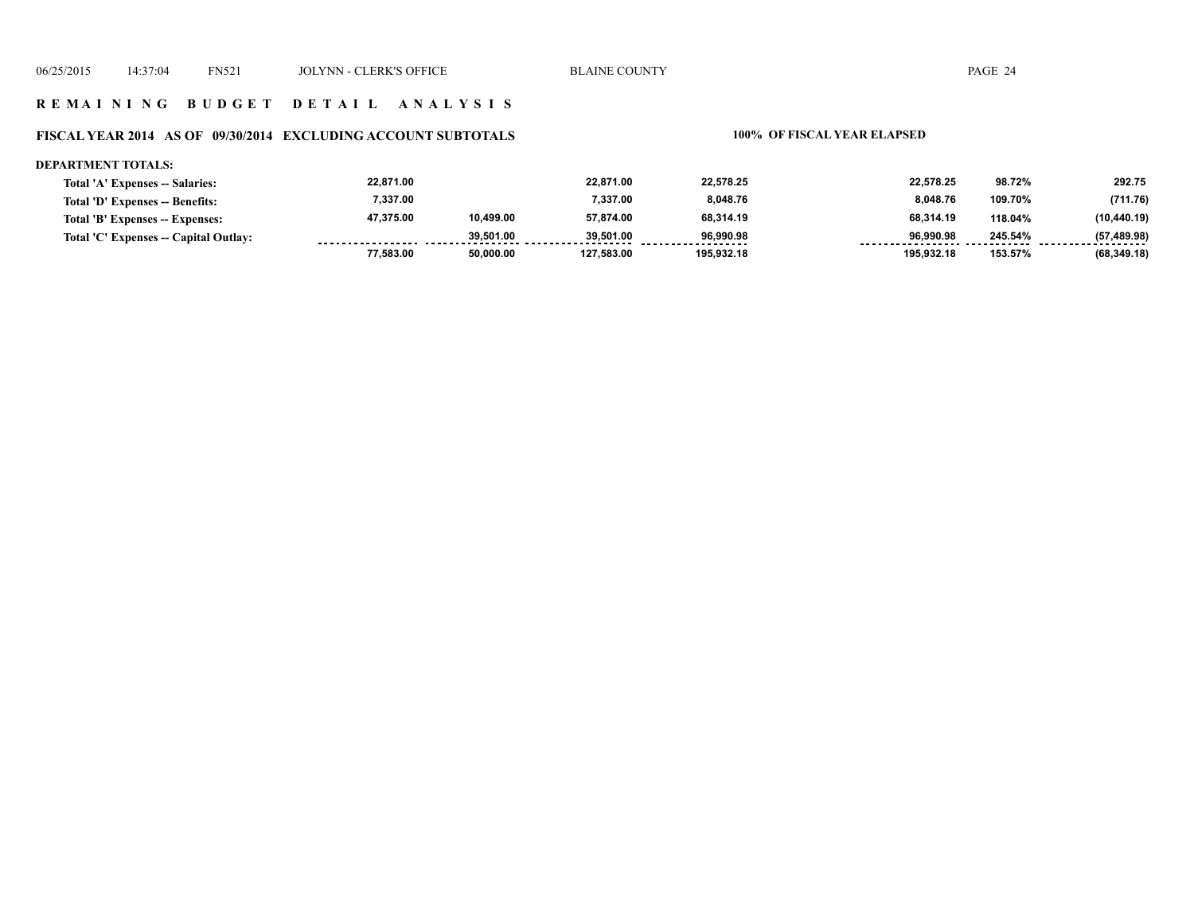#### **R E M A I N I N G B U D G E T D E T A I L A N A L Y S I S**

#### **FISCAL YEAR 2014 AS OF 09/30/2014 EXCLUDING ACCOUNT SUBTOTALS 100% OF FISCAL YEAR ELAPSED**

#### **DEPARTMENT TOTALS:**

| Total 'A' Expenses -- Salaries:       | 22,871.00 |           | 22.871.00  | 22,578.25  | 22.578.25  | 98.72%  | 292.75       |
|---------------------------------------|-----------|-----------|------------|------------|------------|---------|--------------|
| Total 'D' Expenses -- Benefits:       | 7.337.00  |           | 7.337.00   | 8.048.76   | 8.048.76   | 109.70% | (711.76)     |
| Total 'B' Expenses -- Expenses:       | 47.375.00 | 10.499.00 | 57.874.00  | 68,314.19  | 68.314.19  | 118.04% | (10, 440.19) |
| Total 'C' Expenses -- Capital Outlay: |           | 39.501.00 | 39.501.00  | 96.990.98  | 96.990.98  | 245.54% | (57, 489.98) |
|                                       | 77.583.00 | 50.000.00 | 127.583.00 | 195.932.18 | 195.932.18 | 153.57% | (68, 349.18) |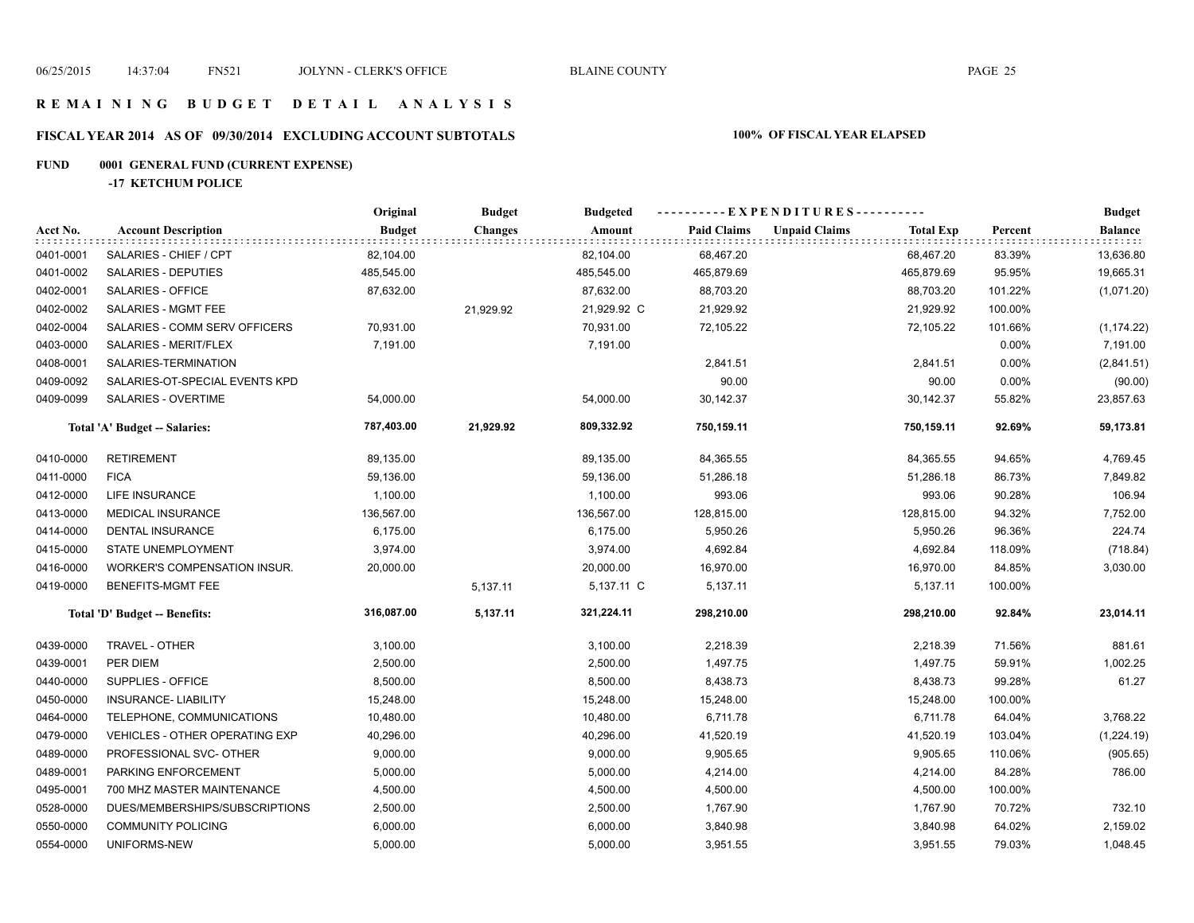#### **R E M A I N I N G B U D G E T D E T A I L A N A L Y S I S**

# **FISCAL YEAR 2014 AS OF 09/30/2014 EXCLUDING ACCOUNT SUBTOTALS 100% OF FISCAL YEAR ELAPSED**

# **FUND 0001 GENERAL FUND (CURRENT EXPENSE)**

**-17 KETCHUM POLICE**

|           |                                       | Original      | <b>Budget</b>  | <b>Budgeted</b> |                    | ----------EXPENDITURES---------- |                  |         | <b>Budget</b>  |
|-----------|---------------------------------------|---------------|----------------|-----------------|--------------------|----------------------------------|------------------|---------|----------------|
| Acct No.  | <b>Account Description</b>            | <b>Budget</b> | <b>Changes</b> | Amount          | <b>Paid Claims</b> | <b>Unpaid Claims</b>             | <b>Total Exp</b> | Percent | <b>Balance</b> |
| 0401-0001 | SALARIES - CHIEF / CPT                | 82,104.00     |                | 82,104.00       | 68,467.20          |                                  | 68,467.20        | 83.39%  | 13,636.80      |
| 0401-0002 | SALARIES - DEPUTIES                   | 485,545.00    |                | 485,545.00      | 465,879.69         |                                  | 465,879.69       | 95.95%  | 19,665.31      |
| 0402-0001 | SALARIES - OFFICE                     | 87,632.00     |                | 87,632.00       | 88,703.20          |                                  | 88,703.20        | 101.22% | (1,071.20)     |
| 0402-0002 | SALARIES - MGMT FEE                   |               | 21,929.92      | 21,929.92 C     | 21,929.92          |                                  | 21,929.92        | 100.00% |                |
| 0402-0004 | SALARIES - COMM SERV OFFICERS         | 70,931.00     |                | 70,931.00       | 72,105.22          |                                  | 72,105.22        | 101.66% | (1, 174.22)    |
| 0403-0000 | SALARIES - MERIT/FLEX                 | 7,191.00      |                | 7,191.00        |                    |                                  |                  | 0.00%   | 7,191.00       |
| 0408-0001 | SALARIES-TERMINATION                  |               |                |                 | 2,841.51           |                                  | 2,841.51         | 0.00%   | (2,841.51)     |
| 0409-0092 | SALARIES-OT-SPECIAL EVENTS KPD        |               |                |                 | 90.00              |                                  | 90.00            | 0.00%   | (90.00)        |
| 0409-0099 | SALARIES - OVERTIME                   | 54,000.00     |                | 54,000.00       | 30,142.37          |                                  | 30,142.37        | 55.82%  | 23,857.63      |
|           | Total 'A' Budget -- Salaries:         | 787,403.00    | 21,929.92      | 809,332.92      | 750,159.11         |                                  | 750,159.11       | 92.69%  | 59,173.81      |
| 0410-0000 | <b>RETIREMENT</b>                     | 89,135.00     |                | 89,135.00       | 84,365.55          |                                  | 84,365.55        | 94.65%  | 4,769.45       |
| 0411-0000 | <b>FICA</b>                           | 59,136.00     |                | 59,136.00       | 51,286.18          |                                  | 51,286.18        | 86.73%  | 7,849.82       |
| 0412-0000 | LIFE INSURANCE                        | 1,100.00      |                | 1,100.00        | 993.06             |                                  | 993.06           | 90.28%  | 106.94         |
| 0413-0000 | <b>MEDICAL INSURANCE</b>              | 136,567.00    |                | 136,567.00      | 128,815.00         |                                  | 128,815.00       | 94.32%  | 7,752.00       |
| 0414-0000 | DENTAL INSURANCE                      | 6,175.00      |                | 6,175.00        | 5,950.26           |                                  | 5,950.26         | 96.36%  | 224.74         |
| 0415-0000 | <b>STATE UNEMPLOYMENT</b>             | 3,974.00      |                | 3,974.00        | 4,692.84           |                                  | 4,692.84         | 118.09% | (718.84)       |
| 0416-0000 | <b>WORKER'S COMPENSATION INSUR.</b>   | 20,000.00     |                | 20,000.00       | 16,970.00          |                                  | 16,970.00        | 84.85%  | 3,030.00       |
| 0419-0000 | BENEFITS-MGMT FEE                     |               | 5,137.11       | 5,137.11 C      | 5,137.11           |                                  | 5,137.11         | 100.00% |                |
|           | Total 'D' Budget -- Benefits:         | 316,087.00    | 5,137.11       | 321,224.11      | 298,210.00         |                                  | 298,210.00       | 92.84%  | 23,014.11      |
| 0439-0000 | TRAVEL - OTHER                        | 3,100.00      |                | 3,100.00        | 2,218.39           |                                  | 2,218.39         | 71.56%  | 881.61         |
| 0439-0001 | PER DIEM                              | 2,500.00      |                | 2,500.00        | 1,497.75           |                                  | 1,497.75         | 59.91%  | 1,002.25       |
| 0440-0000 | SUPPLIES - OFFICE                     | 8,500.00      |                | 8,500.00        | 8,438.73           |                                  | 8,438.73         | 99.28%  | 61.27          |
| 0450-0000 | <b>INSURANCE- LIABILITY</b>           | 15,248.00     |                | 15,248.00       | 15,248.00          |                                  | 15,248.00        | 100.00% |                |
| 0464-0000 | TELEPHONE, COMMUNICATIONS             | 10,480.00     |                | 10,480.00       | 6,711.78           |                                  | 6,711.78         | 64.04%  | 3,768.22       |
| 0479-0000 | <b>VEHICLES - OTHER OPERATING EXP</b> | 40,296.00     |                | 40,296.00       | 41,520.19          |                                  | 41,520.19        | 103.04% | (1,224.19)     |
| 0489-0000 | PROFESSIONAL SVC- OTHER               | 9,000.00      |                | 9,000.00        | 9,905.65           |                                  | 9,905.65         | 110.06% | (905.65)       |
| 0489-0001 | PARKING ENFORCEMENT                   | 5,000.00      |                | 5,000.00        | 4,214.00           |                                  | 4,214.00         | 84.28%  | 786.00         |
| 0495-0001 | 700 MHZ MASTER MAINTENANCE            | 4,500.00      |                | 4,500.00        | 4,500.00           |                                  | 4,500.00         | 100.00% |                |
| 0528-0000 | DUES/MEMBERSHIPS/SUBSCRIPTIONS        | 2,500.00      |                | 2,500.00        | 1,767.90           |                                  | 1,767.90         | 70.72%  | 732.10         |
| 0550-0000 | <b>COMMUNITY POLICING</b>             | 6,000.00      |                | 6,000.00        | 3,840.98           |                                  | 3,840.98         | 64.02%  | 2,159.02       |
| 0554-0000 | UNIFORMS-NEW                          | 5,000.00      |                | 5,000.00        | 3,951.55           |                                  | 3,951.55         | 79.03%  | 1,048.45       |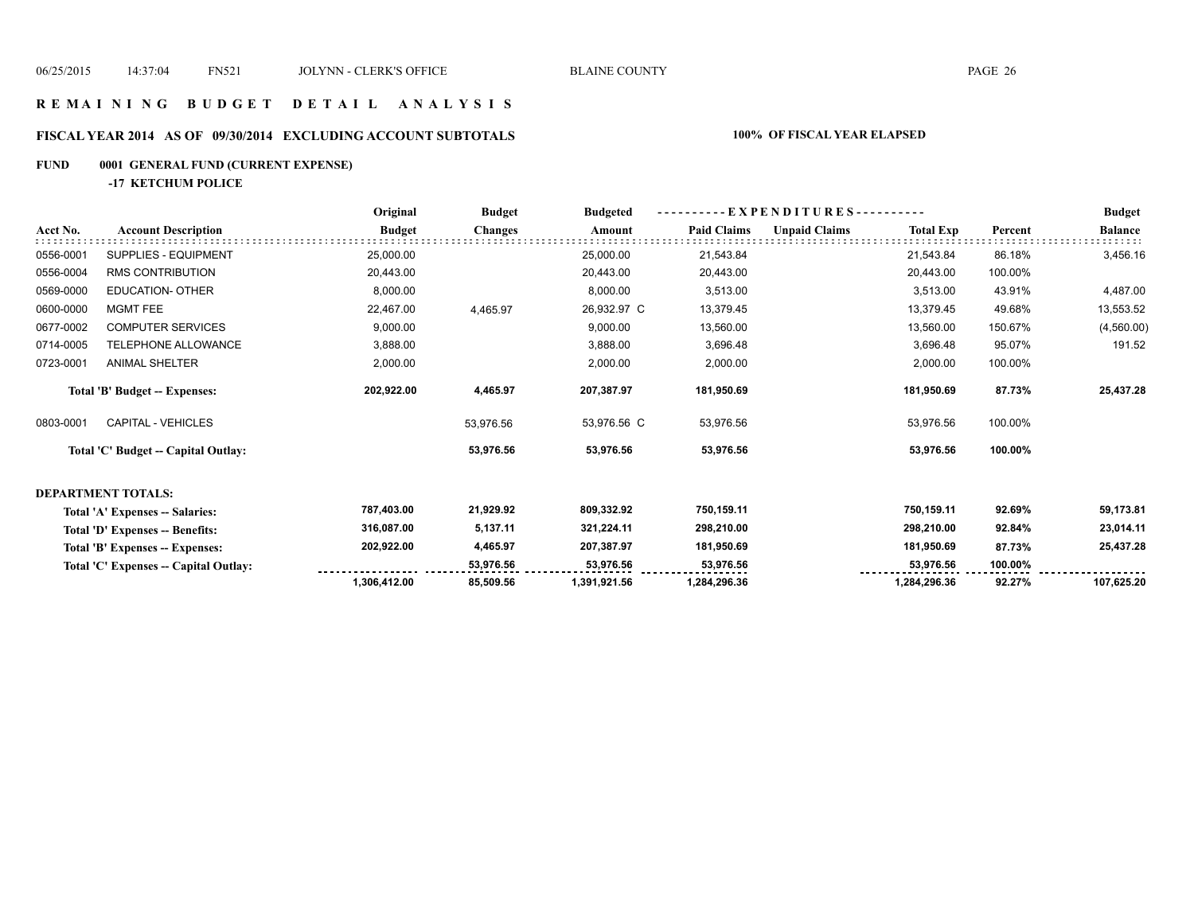#### **R E M A I N I N G B U D G E T D E T A I L A N A L Y S I S**

# **FISCAL YEAR 2014 AS OF 09/30/2014 EXCLUDING ACCOUNT SUBTOTALS 100% OF FISCAL YEAR ELAPSED**

# **FUND 0001 GENERAL FUND (CURRENT EXPENSE)**

**-17 KETCHUM POLICE**

|           |                                       | Original      | <b>Budget</b>  | <b>Budgeted</b> | - EXPENDITURES---------- |                      |                  | <b>Budget</b> |                |
|-----------|---------------------------------------|---------------|----------------|-----------------|--------------------------|----------------------|------------------|---------------|----------------|
| Acct No.  | <b>Account Description</b>            | <b>Budget</b> | <b>Changes</b> | Amount          | <b>Paid Claims</b>       | <b>Unpaid Claims</b> | <b>Total Exp</b> | Percent       | <b>Balance</b> |
| 0556-0001 | SUPPLIES - EQUIPMENT                  | 25,000.00     |                | 25,000.00       | 21,543.84                |                      | 21,543.84        | 86.18%        | 3,456.16       |
| 0556-0004 | RMS CONTRIBUTION                      | 20,443.00     |                | 20,443.00       | 20,443.00                |                      | 20,443.00        | 100.00%       |                |
| 0569-0000 | <b>EDUCATION- OTHER</b>               | 8,000.00      |                | 8,000.00        | 3,513.00                 |                      | 3,513.00         | 43.91%        | 4,487.00       |
| 0600-0000 | <b>MGMT FEE</b>                       | 22,467.00     | 4,465.97       | 26,932.97 C     | 13,379.45                |                      | 13,379.45        | 49.68%        | 13,553.52      |
| 0677-0002 | <b>COMPUTER SERVICES</b>              | 9,000.00      |                | 9,000.00        | 13,560.00                |                      | 13,560.00        | 150.67%       | (4,560.00)     |
| 0714-0005 | TELEPHONE ALLOWANCE                   | 3,888.00      |                | 3,888.00        | 3,696.48                 |                      | 3,696.48         | 95.07%        | 191.52         |
| 0723-0001 | <b>ANIMAL SHELTER</b>                 | 2,000.00      |                | 2,000.00        | 2,000.00                 |                      | 2,000.00         | 100.00%       |                |
|           | Total 'B' Budget -- Expenses:         | 202,922.00    | 4,465.97       | 207,387.97      | 181,950.69               |                      | 181,950.69       | 87.73%        | 25,437.28      |
| 0803-0001 | <b>CAPITAL - VEHICLES</b>             |               | 53,976.56      | 53,976.56 C     | 53,976.56                |                      | 53,976.56        | 100.00%       |                |
|           | Total 'C' Budget -- Capital Outlay:   |               | 53,976.56      | 53,976.56       | 53,976.56                |                      | 53,976.56        | 100.00%       |                |
|           | <b>DEPARTMENT TOTALS:</b>             |               |                |                 |                          |                      |                  |               |                |
|           | Total 'A' Expenses -- Salaries:       | 787,403.00    | 21,929.92      | 809,332.92      | 750,159.11               |                      | 750,159.11       | 92.69%        | 59,173.81      |
|           | Total 'D' Expenses -- Benefits:       | 316,087.00    | 5,137.11       | 321,224.11      | 298,210.00               |                      | 298,210.00       | 92.84%        | 23,014.11      |
|           | Total 'B' Expenses -- Expenses:       | 202,922.00    | 4,465.97       | 207,387.97      | 181,950.69               |                      | 181,950.69       | 87.73%        | 25,437.28      |
|           | Total 'C' Expenses -- Capital Outlay: |               | 53,976.56      | 53,976.56       | 53,976.56                |                      | 53,976.56        | 100.00%       |                |
|           |                                       | 1,306,412.00  | 85,509.56      | 1,391,921.56    | 1,284,296.36             |                      | 1,284,296.36     | 92.27%        | 107,625.20     |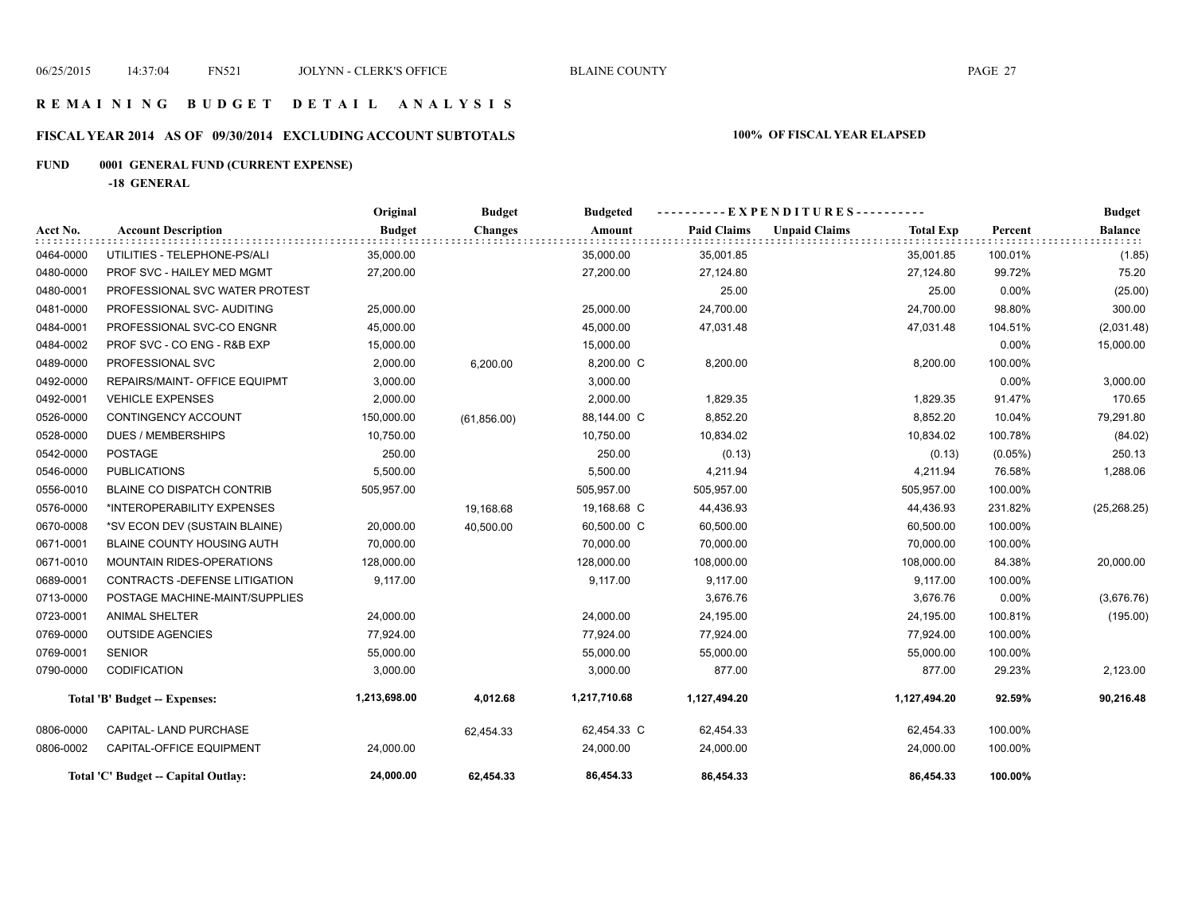#### **R E M A I N I N G B U D G E T D E T A I L A N A L Y S I S**

# **FISCAL YEAR 2014 AS OF 09/30/2014 EXCLUDING ACCOUNT SUBTOTALS 100% OF FISCAL YEAR ELAPSED**

# **FUND 0001 GENERAL FUND (CURRENT EXPENSE)**

**-18 GENERAL**

|           |                                      | Original      | <b>Budget</b>  | <b>Budgeted</b> | . - - - - - - - E X P E N D I T U R E S - - - - - - - - - - |                      |                  |            | <b>Budget</b>  |
|-----------|--------------------------------------|---------------|----------------|-----------------|-------------------------------------------------------------|----------------------|------------------|------------|----------------|
| Acct No.  | <b>Account Description</b>           | <b>Budget</b> | <b>Changes</b> | Amount          | <b>Paid Claims</b>                                          | <b>Unpaid Claims</b> | <b>Total Exp</b> | Percent    | <b>Balance</b> |
| 0464-0000 | UTILITIES - TELEPHONE-PS/ALI         | 35,000.00     |                | 35,000.00       | 35,001.85                                                   |                      | 35,001.85        | 100.01%    | (1.85)         |
| 0480-0000 | PROF SVC - HAILEY MED MGMT           | 27,200.00     |                | 27,200.00       | 27,124.80                                                   |                      | 27,124.80        | 99.72%     | 75.20          |
| 0480-0001 | PROFESSIONAL SVC WATER PROTEST       |               |                |                 | 25.00                                                       |                      | 25.00            | 0.00%      | (25.00)        |
| 0481-0000 | PROFESSIONAL SVC- AUDITING           | 25,000.00     |                | 25,000.00       | 24,700.00                                                   |                      | 24,700.00        | 98.80%     | 300.00         |
| 0484-0001 | PROFESSIONAL SVC-CO ENGNR            | 45,000.00     |                | 45,000.00       | 47,031.48                                                   |                      | 47,031.48        | 104.51%    | (2,031.48)     |
| 0484-0002 | PROF SVC - CO ENG - R&B EXP          | 15,000.00     |                | 15,000.00       |                                                             |                      |                  | 0.00%      | 15,000.00      |
| 0489-0000 | PROFESSIONAL SVC                     | 2,000.00      | 6,200.00       | 8,200.00 C      | 8,200.00                                                    |                      | 8,200.00         | 100.00%    |                |
| 0492-0000 | <b>REPAIRS/MAINT- OFFICE EQUIPMT</b> | 3,000.00      |                | 3,000.00        |                                                             |                      |                  | 0.00%      | 3,000.00       |
| 0492-0001 | <b>VEHICLE EXPENSES</b>              | 2,000.00      |                | 2,000.00        | 1,829.35                                                    |                      | 1,829.35         | 91.47%     | 170.65         |
| 0526-0000 | CONTINGENCY ACCOUNT                  | 150,000.00    | (61, 856.00)   | 88,144.00 C     | 8,852.20                                                    |                      | 8,852.20         | 10.04%     | 79,291.80      |
| 0528-0000 | <b>DUES / MEMBERSHIPS</b>            | 10,750.00     |                | 10,750.00       | 10,834.02                                                   |                      | 10,834.02        | 100.78%    | (84.02)        |
| 0542-0000 | <b>POSTAGE</b>                       | 250.00        |                | 250.00          | (0.13)                                                      |                      | (0.13)           | $(0.05\%)$ | 250.13         |
| 0546-0000 | <b>PUBLICATIONS</b>                  | 5,500.00      |                | 5,500.00        | 4,211.94                                                    |                      | 4,211.94         | 76.58%     | 1,288.06       |
| 0556-0010 | <b>BLAINE CO DISPATCH CONTRIB</b>    | 505,957.00    |                | 505,957.00      | 505,957.00                                                  |                      | 505,957.00       | 100.00%    |                |
| 0576-0000 | *INTEROPERABILITY EXPENSES           |               | 19,168.68      | 19,168.68 C     | 44,436.93                                                   |                      | 44,436.93        | 231.82%    | (25, 268.25)   |
| 0670-0008 | *SV ECON DEV (SUSTAIN BLAINE)        | 20,000.00     | 40,500.00      | 60,500.00 C     | 60,500.00                                                   |                      | 60,500.00        | 100.00%    |                |
| 0671-0001 | BLAINE COUNTY HOUSING AUTH           | 70,000.00     |                | 70,000.00       | 70,000.00                                                   |                      | 70,000.00        | 100.00%    |                |
| 0671-0010 | MOUNTAIN RIDES-OPERATIONS            | 128,000.00    |                | 128,000.00      | 108,000.00                                                  |                      | 108,000.00       | 84.38%     | 20,000.00      |
| 0689-0001 | CONTRACTS - DEFENSE LITIGATION       | 9,117.00      |                | 9,117.00        | 9,117.00                                                    |                      | 9,117.00         | 100.00%    |                |
| 0713-0000 | POSTAGE MACHINE-MAINT/SUPPLIES       |               |                |                 | 3,676.76                                                    |                      | 3,676.76         | $0.00\%$   | (3,676.76)     |
| 0723-0001 | <b>ANIMAL SHELTER</b>                | 24,000.00     |                | 24,000.00       | 24,195.00                                                   |                      | 24,195.00        | 100.81%    | (195.00)       |
| 0769-0000 | <b>OUTSIDE AGENCIES</b>              | 77,924.00     |                | 77,924.00       | 77,924.00                                                   |                      | 77,924.00        | 100.00%    |                |
| 0769-0001 | <b>SENIOR</b>                        | 55,000.00     |                | 55,000.00       | 55,000.00                                                   |                      | 55,000.00        | 100.00%    |                |
| 0790-0000 | CODIFICATION                         | 3,000.00      |                | 3,000.00        | 877.00                                                      |                      | 877.00           | 29.23%     | 2,123.00       |
|           | <b>Total 'B' Budget -- Expenses:</b> | 1,213,698.00  | 4,012.68       | 1,217,710.68    | 1,127,494.20                                                |                      | 1,127,494.20     | 92.59%     | 90,216.48      |
| 0806-0000 | CAPITAL- LAND PURCHASE               |               | 62,454.33      | 62,454.33 C     | 62,454.33                                                   |                      | 62,454.33        | 100.00%    |                |
| 0806-0002 | CAPITAL-OFFICE EQUIPMENT             | 24,000.00     |                | 24,000.00       | 24,000.00                                                   |                      | 24,000.00        | 100.00%    |                |
|           | Total 'C' Budget -- Capital Outlay:  | 24,000.00     | 62,454.33      | 86,454.33       | 86,454.33                                                   |                      | 86,454.33        | 100.00%    |                |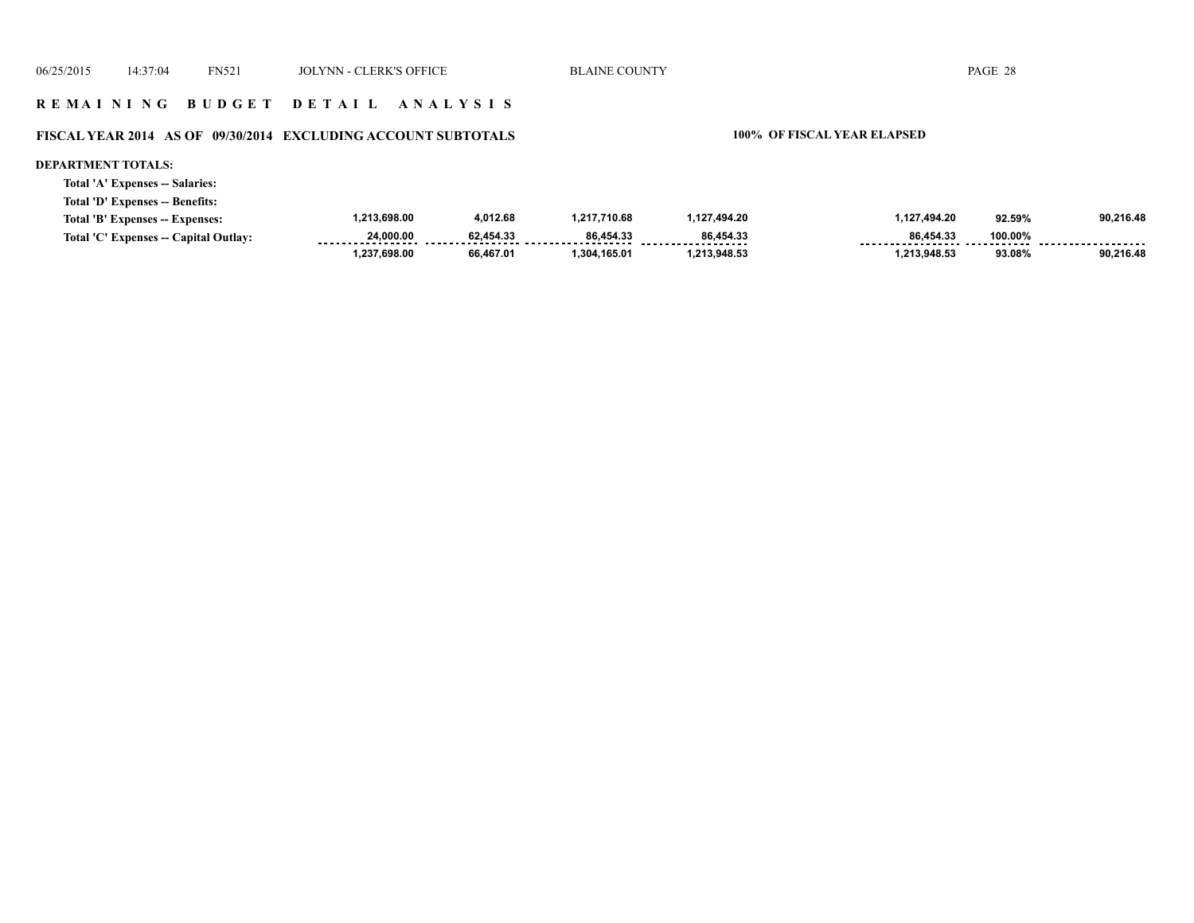#### **R E M A I N I N G B U D G E T D E T A I L A N A L Y S I S**

#### **FISCAL YEAR 2014 AS OF 09/30/2014 EXCLUDING ACCOUNT SUBTOTALS 100% OF FISCAL YEAR ELAPSED**

#### **DEPARTMENT TOTALS:**

**Total 'A' Expenses -- Salaries:**

**Total 'D' Expenses -- Benefits:**

| Total 'B' Expenses -- Expenses:       | 1.213.698.00 | 4.012.68  | 1,217,710.68 | 1.127.494.20 | .127.494.20 | 92.59%  | 90.216.48 |
|---------------------------------------|--------------|-----------|--------------|--------------|-------------|---------|-----------|
| Total 'C' Expenses -- Capital Outlay: | 24.000.00    | 62.454.33 | 86.454.33    | 86.454.33    | 86.454.33   | 100.00% | .         |
|                                       | 1.237.698.00 | 66.467.01 | .304.165.01  | 1.213.948.53 | 213,948.53, | 93.08%  | 90,216.48 |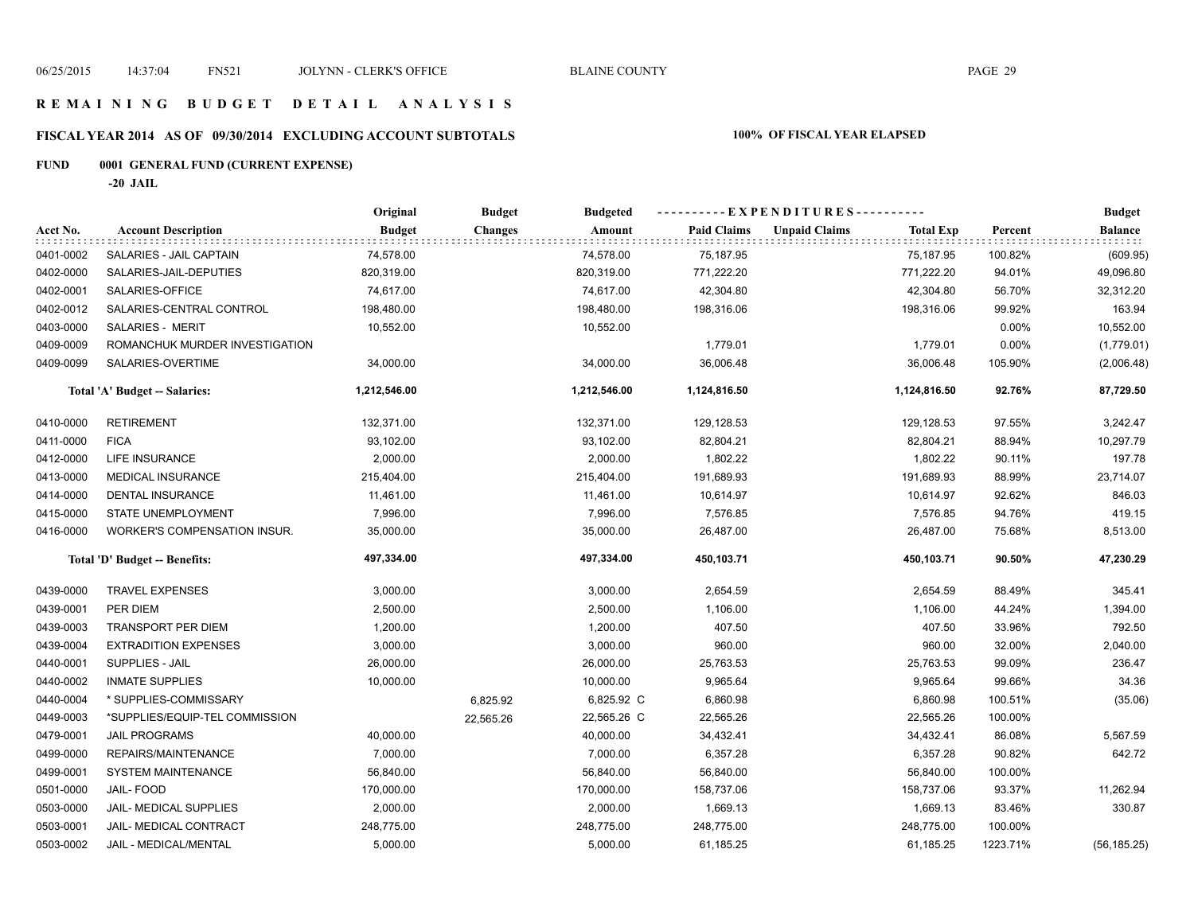#### **R E M A I N I N G B U D G E T D E T A I L A N A L Y S I S**

# **FISCAL YEAR 2014 AS OF 09/30/2014 EXCLUDING ACCOUNT SUBTOTALS 100% OF FISCAL YEAR ELAPSED**

# **FUND 0001 GENERAL FUND (CURRENT EXPENSE)**

**-20 JAIL**

|           |                                     | Original      | <b>Budget</b>  | <b>Budgeted</b> | ----------EXPENDITURES---------- |                      |                  |          | <b>Budget</b>  |
|-----------|-------------------------------------|---------------|----------------|-----------------|----------------------------------|----------------------|------------------|----------|----------------|
| Acct No.  | <b>Account Description</b>          | <b>Budget</b> | <b>Changes</b> | Amount          | <b>Paid Claims</b>               | <b>Unpaid Claims</b> | <b>Total Exp</b> | Percent  | <b>Balance</b> |
| 0401-0002 | SALARIES - JAIL CAPTAIN             | 74,578.00     |                | 74,578.00       | 75,187.95                        |                      | 75,187.95        | 100.82%  | (609.95)       |
| 0402-0000 | SALARIES-JAIL-DEPUTIES              | 820,319.00    |                | 820,319.00      | 771,222.20                       |                      | 771,222.20       | 94.01%   | 49,096.80      |
| 0402-0001 | SALARIES-OFFICE                     | 74,617.00     |                | 74,617.00       | 42,304.80                        |                      | 42,304.80        | 56.70%   | 32,312.20      |
| 0402-0012 | SALARIES-CENTRAL CONTROL            | 198,480.00    |                | 198,480.00      | 198,316.06                       |                      | 198,316.06       | 99.92%   | 163.94         |
| 0403-0000 | SALARIES - MERIT                    | 10,552.00     |                | 10,552.00       |                                  |                      |                  | 0.00%    | 10,552.00      |
| 0409-0009 | ROMANCHUK MURDER INVESTIGATION      |               |                |                 | 1,779.01                         |                      | 1,779.01         | 0.00%    | (1,779.01)     |
| 0409-0099 | SALARIES-OVERTIME                   | 34,000.00     |                | 34,000.00       | 36,006.48                        |                      | 36,006.48        | 105.90%  | (2,006.48)     |
|           | Total 'A' Budget -- Salaries:       | 1,212,546.00  |                | 1,212,546.00    | 1,124,816.50                     |                      | 1,124,816.50     | 92.76%   | 87,729.50      |
| 0410-0000 | <b>RETIREMENT</b>                   | 132,371.00    |                | 132,371.00      | 129,128.53                       |                      | 129,128.53       | 97.55%   | 3,242.47       |
| 0411-0000 | <b>FICA</b>                         | 93,102.00     |                | 93,102.00       | 82,804.21                        |                      | 82,804.21        | 88.94%   | 10,297.79      |
| 0412-0000 | LIFE INSURANCE                      | 2,000.00      |                | 2,000.00        | 1,802.22                         |                      | 1,802.22         | 90.11%   | 197.78         |
| 0413-0000 | <b>MEDICAL INSURANCE</b>            | 215,404.00    |                | 215,404.00      | 191,689.93                       |                      | 191,689.93       | 88.99%   | 23,714.07      |
| 0414-0000 | DENTAL INSURANCE                    | 11,461.00     |                | 11,461.00       | 10,614.97                        |                      | 10,614.97        | 92.62%   | 846.03         |
| 0415-0000 | STATE UNEMPLOYMENT                  | 7,996.00      |                | 7,996.00        | 7,576.85                         |                      | 7,576.85         | 94.76%   | 419.15         |
| 0416-0000 | <b>WORKER'S COMPENSATION INSUR.</b> | 35,000.00     |                | 35,000.00       | 26,487.00                        |                      | 26,487.00        | 75.68%   | 8,513.00       |
|           | Total 'D' Budget -- Benefits:       | 497,334.00    |                | 497,334.00      | 450,103.71                       |                      | 450,103.71       | 90.50%   | 47,230.29      |
| 0439-0000 | <b>TRAVEL EXPENSES</b>              | 3,000.00      |                | 3,000.00        | 2,654.59                         |                      | 2,654.59         | 88.49%   | 345.41         |
| 0439-0001 | PER DIEM                            | 2,500.00      |                | 2,500.00        | 1,106.00                         |                      | 1,106.00         | 44.24%   | 1,394.00       |
| 0439-0003 | <b>TRANSPORT PER DIEM</b>           | 1,200.00      |                | 1,200.00        | 407.50                           |                      | 407.50           | 33.96%   | 792.50         |
| 0439-0004 | <b>EXTRADITION EXPENSES</b>         | 3,000.00      |                | 3,000.00        | 960.00                           |                      | 960.00           | 32.00%   | 2,040.00       |
| 0440-0001 | <b>SUPPLIES - JAIL</b>              | 26,000.00     |                | 26,000.00       | 25,763.53                        |                      | 25,763.53        | 99.09%   | 236.47         |
| 0440-0002 | <b>INMATE SUPPLIES</b>              | 10,000.00     |                | 10,000.00       | 9,965.64                         |                      | 9,965.64         | 99.66%   | 34.36          |
| 0440-0004 | * SUPPLIES-COMMISSARY               |               | 6,825.92       | 6,825.92 C      | 6,860.98                         |                      | 6,860.98         | 100.51%  | (35.06)        |
| 0449-0003 | *SUPPLIES/EQUIP-TEL COMMISSION      |               | 22,565.26      | 22,565.26 C     | 22,565.26                        |                      | 22,565.26        | 100.00%  |                |
| 0479-0001 | <b>JAIL PROGRAMS</b>                | 40,000.00     |                | 40,000.00       | 34,432.41                        |                      | 34,432.41        | 86.08%   | 5,567.59       |
| 0499-0000 | REPAIRS/MAINTENANCE                 | 7,000.00      |                | 7,000.00        | 6,357.28                         |                      | 6,357.28         | 90.82%   | 642.72         |
| 0499-0001 | <b>SYSTEM MAINTENANCE</b>           | 56,840.00     |                | 56,840.00       | 56,840.00                        |                      | 56,840.00        | 100.00%  |                |
| 0501-0000 | JAIL-FOOD                           | 170,000.00    |                | 170,000.00      | 158,737.06                       |                      | 158,737.06       | 93.37%   | 11,262.94      |
| 0503-0000 | JAIL- MEDICAL SUPPLIES              | 2,000.00      |                | 2,000.00        | 1,669.13                         |                      | 1,669.13         | 83.46%   | 330.87         |
| 0503-0001 | JAIL- MEDICAL CONTRACT              | 248,775.00    |                | 248,775.00      | 248,775.00                       |                      | 248,775.00       | 100.00%  |                |
| 0503-0002 | JAIL - MEDICAL/MENTAL               | 5,000.00      |                | 5,000.00        | 61,185.25                        |                      | 61,185.25        | 1223.71% | (56, 185.25)   |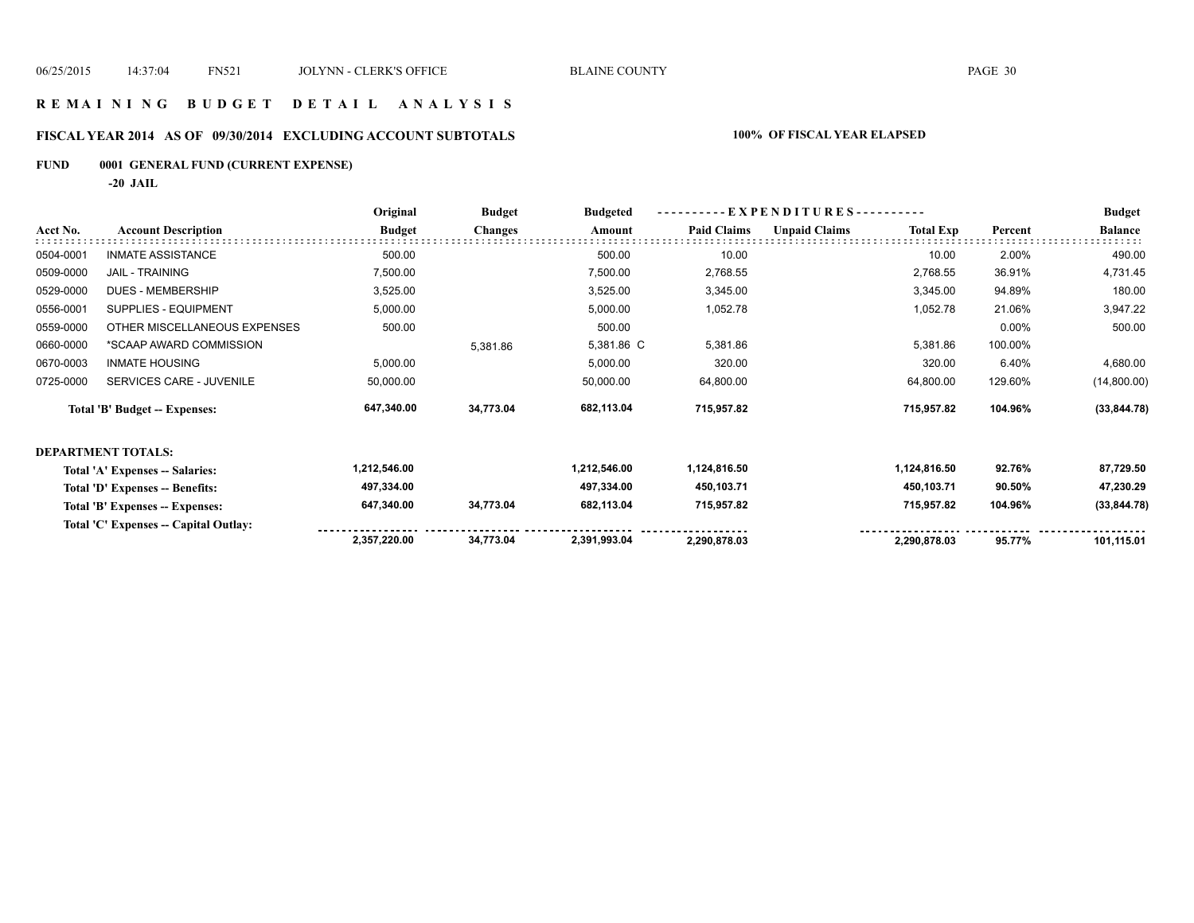#### **R E M A I N I N G B U D G E T D E T A I L A N A L Y S I S**

# **FISCAL YEAR 2014 AS OF 09/30/2014 EXCLUDING ACCOUNT SUBTOTALS 100% OF FISCAL YEAR ELAPSED**

# **FUND 0001 GENERAL FUND (CURRENT EXPENSE)**

**-20 JAIL**

|           |                                       | Original      | <b>Budget</b>  | <b>Budgeted</b> | EXPENDITURES---------- |                      |                  |         | <b>Budget</b>  |
|-----------|---------------------------------------|---------------|----------------|-----------------|------------------------|----------------------|------------------|---------|----------------|
| Acct No.  | <b>Account Description</b>            | <b>Budget</b> | <b>Changes</b> | Amount          | <b>Paid Claims</b>     | <b>Unpaid Claims</b> | <b>Total Exp</b> | Percent | <b>Balance</b> |
| 0504-0001 | <b>INMATE ASSISTANCE</b>              | 500.00        |                | 500.00          | 10.00                  |                      | 10.00            | 2.00%   | 490.00         |
| 0509-0000 | <b>JAIL - TRAINING</b>                | 7,500.00      |                | 7,500.00        | 2,768.55               |                      | 2,768.55         | 36.91%  | 4,731.45       |
| 0529-0000 | <b>DUES - MEMBERSHIP</b>              | 3,525.00      |                | 3,525.00        | 3,345.00               |                      | 3,345.00         | 94.89%  | 180.00         |
| 0556-0001 | SUPPLIES - EQUIPMENT                  | 5,000.00      |                | 5,000.00        | 1,052.78               |                      | 1,052.78         | 21.06%  | 3,947.22       |
| 0559-0000 | OTHER MISCELLANEOUS EXPENSES          | 500.00        |                | 500.00          |                        |                      |                  | 0.00%   | 500.00         |
| 0660-0000 | *SCAAP AWARD COMMISSION               |               | 5,381.86       | 5,381.86 C      | 5,381.86               |                      | 5,381.86         | 100.00% |                |
| 0670-0003 | <b>INMATE HOUSING</b>                 | 5,000.00      |                | 5,000.00        | 320.00                 |                      | 320.00           | 6.40%   | 4,680.00       |
| 0725-0000 | SERVICES CARE - JUVENILE              | 50,000.00     |                | 50,000.00       | 64,800.00              |                      | 64,800.00        | 129.60% | (14,800.00)    |
|           | Total 'B' Budget -- Expenses:         | 647,340.00    | 34,773.04      | 682,113.04      | 715,957.82             |                      | 715,957.82       | 104.96% | (33, 844.78)   |
|           | <b>DEPARTMENT TOTALS:</b>             |               |                |                 |                        |                      |                  |         |                |
|           | Total 'A' Expenses -- Salaries:       | 1,212,546.00  |                | 1,212,546.00    | 1,124,816.50           |                      | 1,124,816.50     | 92.76%  | 87,729.50      |
|           | Total 'D' Expenses -- Benefits:       | 497,334.00    |                | 497,334.00      | 450,103.71             |                      | 450,103.71       | 90.50%  | 47,230.29      |
|           | Total 'B' Expenses -- Expenses:       | 647,340.00    | 34,773.04      | 682,113.04      | 715,957.82             |                      | 715,957.82       | 104.96% | (33, 844.78)   |
|           | Total 'C' Expenses -- Capital Outlay: |               |                |                 |                        |                      |                  |         |                |
|           |                                       | 2,357,220.00  | 34,773.04      | 2,391,993.04    | 2,290,878.03           |                      | 2,290,878.03     | 95.77%  | 101,115.01     |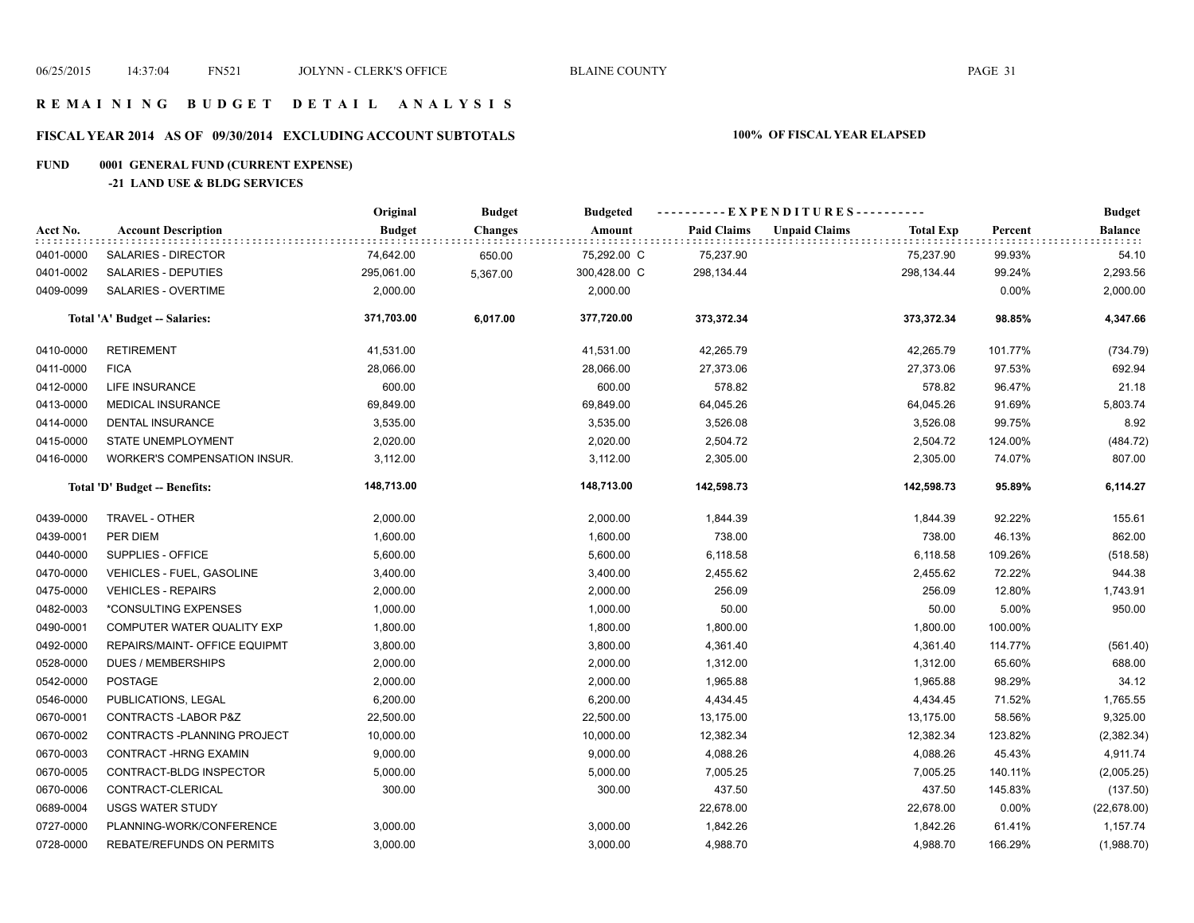#### **R E M A I N I N G B U D G E T D E T A I L A N A L Y S I S**

# **FISCAL YEAR 2014 AS OF 09/30/2014 EXCLUDING ACCOUNT SUBTOTALS 100% OF FISCAL YEAR ELAPSED**

# **FUND 0001 GENERAL FUND (CURRENT EXPENSE)**

#### **-21 LAND USE & BLDG SERVICES**

|           |                                     | Original      | <b>Budget</b>  | <b>Budgeted</b> | ----------EXPENDITURES---------- |                      |                  |         | <b>Budget</b>  |
|-----------|-------------------------------------|---------------|----------------|-----------------|----------------------------------|----------------------|------------------|---------|----------------|
| Acct No.  | <b>Account Description</b>          | <b>Budget</b> | <b>Changes</b> | Amount          | <b>Paid Claims</b>               | <b>Unpaid Claims</b> | <b>Total Exp</b> | Percent | <b>Balance</b> |
| 0401-0000 | SALARIES - DIRECTOR                 | 74,642.00     | 650.00         | 75,292.00 C     | 75,237.90                        |                      | 75,237.90        | 99.93%  | 54.10          |
| 0401-0002 | SALARIES - DEPUTIES                 | 295,061.00    | 5,367.00       | 300,428.00 C    | 298,134.44                       |                      | 298,134.44       | 99.24%  | 2,293.56       |
| 0409-0099 | <b>SALARIES - OVERTIME</b>          | 2,000.00      |                | 2,000.00        |                                  |                      |                  | 0.00%   | 2,000.00       |
|           | Total 'A' Budget -- Salaries:       | 371,703.00    | 6,017.00       | 377,720.00      | 373,372.34                       |                      | 373,372.34       | 98.85%  | 4,347.66       |
| 0410-0000 | <b>RETIREMENT</b>                   | 41,531.00     |                | 41,531.00       | 42,265.79                        |                      | 42,265.79        | 101.77% | (734.79)       |
| 0411-0000 | <b>FICA</b>                         | 28,066.00     |                | 28,066.00       | 27,373.06                        |                      | 27,373.06        | 97.53%  | 692.94         |
| 0412-0000 | <b>LIFE INSURANCE</b>               | 600.00        |                | 600.00          | 578.82                           |                      | 578.82           | 96.47%  | 21.18          |
| 0413-0000 | <b>MEDICAL INSURANCE</b>            | 69,849.00     |                | 69,849.00       | 64,045.26                        |                      | 64,045.26        | 91.69%  | 5,803.74       |
| 0414-0000 | DENTAL INSURANCE                    | 3,535.00      |                | 3,535.00        | 3,526.08                         |                      | 3,526.08         | 99.75%  | 8.92           |
| 0415-0000 | STATE UNEMPLOYMENT                  | 2,020.00      |                | 2,020.00        | 2,504.72                         |                      | 2,504.72         | 124.00% | (484.72)       |
| 0416-0000 | <b>WORKER'S COMPENSATION INSUR.</b> | 3,112.00      |                | 3,112.00        | 2,305.00                         |                      | 2,305.00         | 74.07%  | 807.00         |
|           | Total 'D' Budget -- Benefits:       | 148,713.00    |                | 148,713.00      | 142,598.73                       |                      | 142,598.73       | 95.89%  | 6,114.27       |
| 0439-0000 | TRAVEL - OTHER                      | 2,000.00      |                | 2,000.00        | 1,844.39                         |                      | 1,844.39         | 92.22%  | 155.61         |
| 0439-0001 | PER DIEM                            | 1,600.00      |                | 1,600.00        | 738.00                           |                      | 738.00           | 46.13%  | 862.00         |
| 0440-0000 | SUPPLIES - OFFICE                   | 5,600.00      |                | 5,600.00        | 6,118.58                         |                      | 6,118.58         | 109.26% | (518.58)       |
| 0470-0000 | VEHICLES - FUEL, GASOLINE           | 3,400.00      |                | 3,400.00        | 2,455.62                         |                      | 2,455.62         | 72.22%  | 944.38         |
| 0475-0000 | <b>VEHICLES - REPAIRS</b>           | 2,000.00      |                | 2,000.00        | 256.09                           |                      | 256.09           | 12.80%  | 1,743.91       |
| 0482-0003 | *CONSULTING EXPENSES                | 1,000.00      |                | 1,000.00        | 50.00                            |                      | 50.00            | 5.00%   | 950.00         |
| 0490-0001 | COMPUTER WATER QUALITY EXP          | 1,800.00      |                | 1,800.00        | 1,800.00                         |                      | 1,800.00         | 100.00% |                |
| 0492-0000 | REPAIRS/MAINT- OFFICE EQUIPMT       | 3,800.00      |                | 3,800.00        | 4,361.40                         |                      | 4,361.40         | 114.77% | (561.40)       |
| 0528-0000 | <b>DUES / MEMBERSHIPS</b>           | 2,000.00      |                | 2,000.00        | 1,312.00                         |                      | 1,312.00         | 65.60%  | 688.00         |
| 0542-0000 | <b>POSTAGE</b>                      | 2,000.00      |                | 2,000.00        | 1,965.88                         |                      | 1,965.88         | 98.29%  | 34.12          |
| 0546-0000 | PUBLICATIONS, LEGAL                 | 6,200.00      |                | 6,200.00        | 4,434.45                         |                      | 4,434.45         | 71.52%  | 1,765.55       |
| 0670-0001 | CONTRACTS-LABOR P&Z                 | 22,500.00     |                | 22,500.00       | 13,175.00                        |                      | 13,175.00        | 58.56%  | 9,325.00       |
| 0670-0002 | CONTRACTS - PLANNING PROJECT        | 10,000.00     |                | 10,000.00       | 12,382.34                        |                      | 12,382.34        | 123.82% | (2, 382.34)    |
| 0670-0003 | CONTRACT-HRNG EXAMIN                | 9,000.00      |                | 9,000.00        | 4,088.26                         |                      | 4,088.26         | 45.43%  | 4,911.74       |
| 0670-0005 | CONTRACT-BLDG INSPECTOR             | 5,000.00      |                | 5,000.00        | 7,005.25                         |                      | 7,005.25         | 140.11% | (2,005.25)     |
| 0670-0006 | CONTRACT-CLERICAL                   | 300.00        |                | 300.00          | 437.50                           |                      | 437.50           | 145.83% | (137.50)       |
| 0689-0004 | <b>USGS WATER STUDY</b>             |               |                |                 | 22,678.00                        |                      | 22,678.00        | 0.00%   | (22, 678.00)   |
| 0727-0000 | PLANNING-WORK/CONFERENCE            | 3,000.00      |                | 3,000.00        | 1,842.26                         |                      | 1,842.26         | 61.41%  | 1,157.74       |
| 0728-0000 | REBATE/REFUNDS ON PERMITS           | 3,000.00      |                | 3,000.00        | 4,988.70                         |                      | 4,988.70         | 166.29% | (1,988.70)     |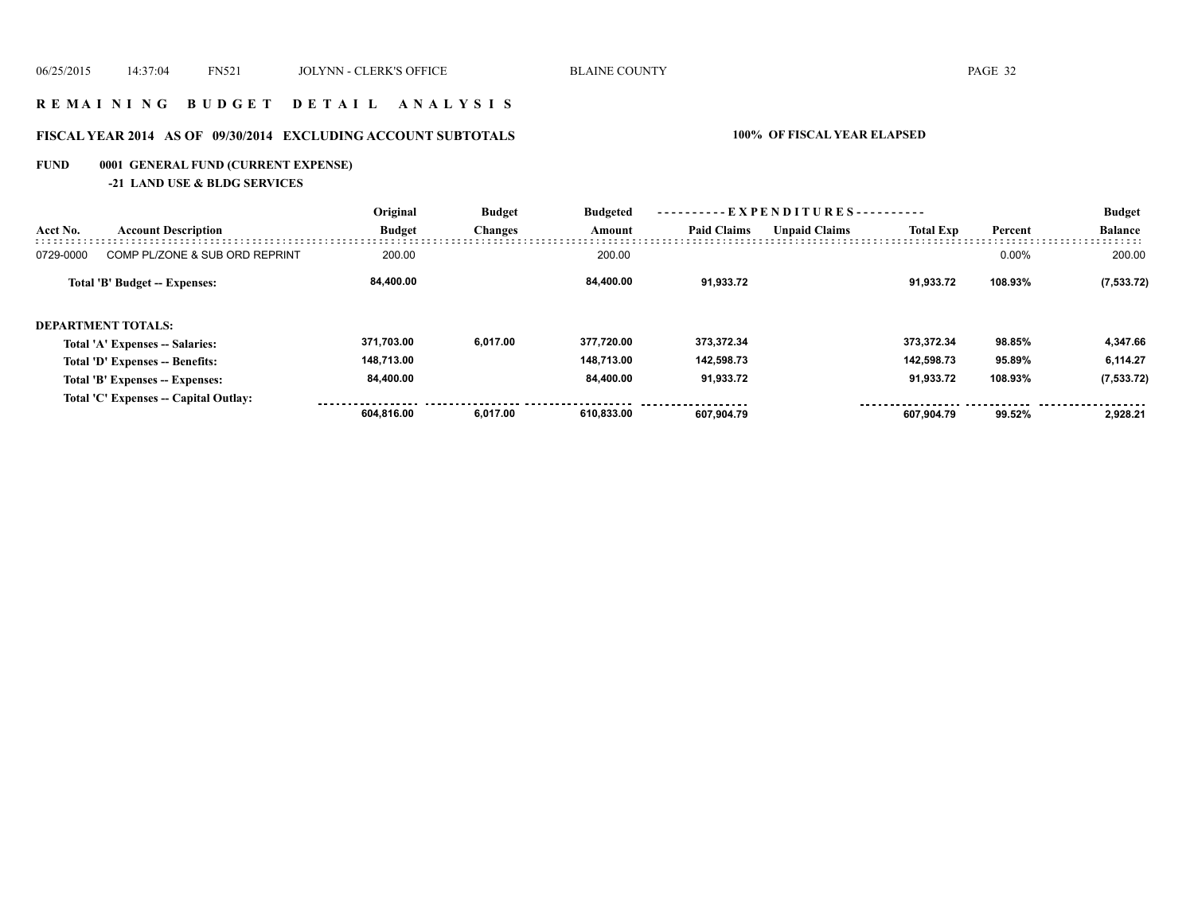#### **R E M A I N I N G B U D G E T D E T A I L A N A L Y S I S**

# **FISCAL YEAR 2014 AS OF 09/30/2014 EXCLUDING ACCOUNT SUBTOTALS 100% OF FISCAL YEAR ELAPSED**

# **FUND 0001 GENERAL FUND (CURRENT EXPENSE)**

**-21 LAND USE & BLDG SERVICES**

|           |                                       | Original      | <b>Budget</b>  | <b>Budgeted</b> | ----------EXPENDITURES---------- |                      |                  |          | <b>Budget</b>  |
|-----------|---------------------------------------|---------------|----------------|-----------------|----------------------------------|----------------------|------------------|----------|----------------|
| Acct No.  | <b>Account Description</b>            | <b>Budget</b> | <b>Changes</b> | Amount          | <b>Paid Claims</b>               | <b>Unpaid Claims</b> | <b>Total Exp</b> | Percent  | <b>Balance</b> |
| 0729-0000 | COMP PL/ZONE & SUB ORD REPRINT        | 200.00        |                | 200.00          |                                  |                      |                  | $0.00\%$ | 200.00         |
|           | Total 'B' Budget -- Expenses:         | 84.400.00     |                | 84.400.00       | 91.933.72                        |                      | 91.933.72        | 108.93%  | (7, 533.72)    |
|           | <b>DEPARTMENT TOTALS:</b>             |               |                |                 |                                  |                      |                  |          |                |
|           | Total 'A' Expenses -- Salaries:       | 371,703.00    | 6,017.00       | 377.720.00      | 373.372.34                       |                      | 373.372.34       | 98.85%   | 4,347.66       |
|           | Total 'D' Expenses -- Benefits:       | 148,713.00    |                | 148.713.00      | 142,598.73                       |                      | 142.598.73       | 95.89%   | 6,114.27       |
|           | Total 'B' Expenses -- Expenses:       | 84,400.00     |                | 84,400.00       | 91,933.72                        |                      | 91,933.72        | 108.93%  | (7, 533.72)    |
|           | Total 'C' Expenses -- Capital Outlay: |               |                |                 |                                  |                      |                  |          |                |
|           |                                       | 604.816.00    | 6.017.00       | 610.833.00      | 607.904.79                       |                      | 607.904.79       | 99.52%   | 2.928.21       |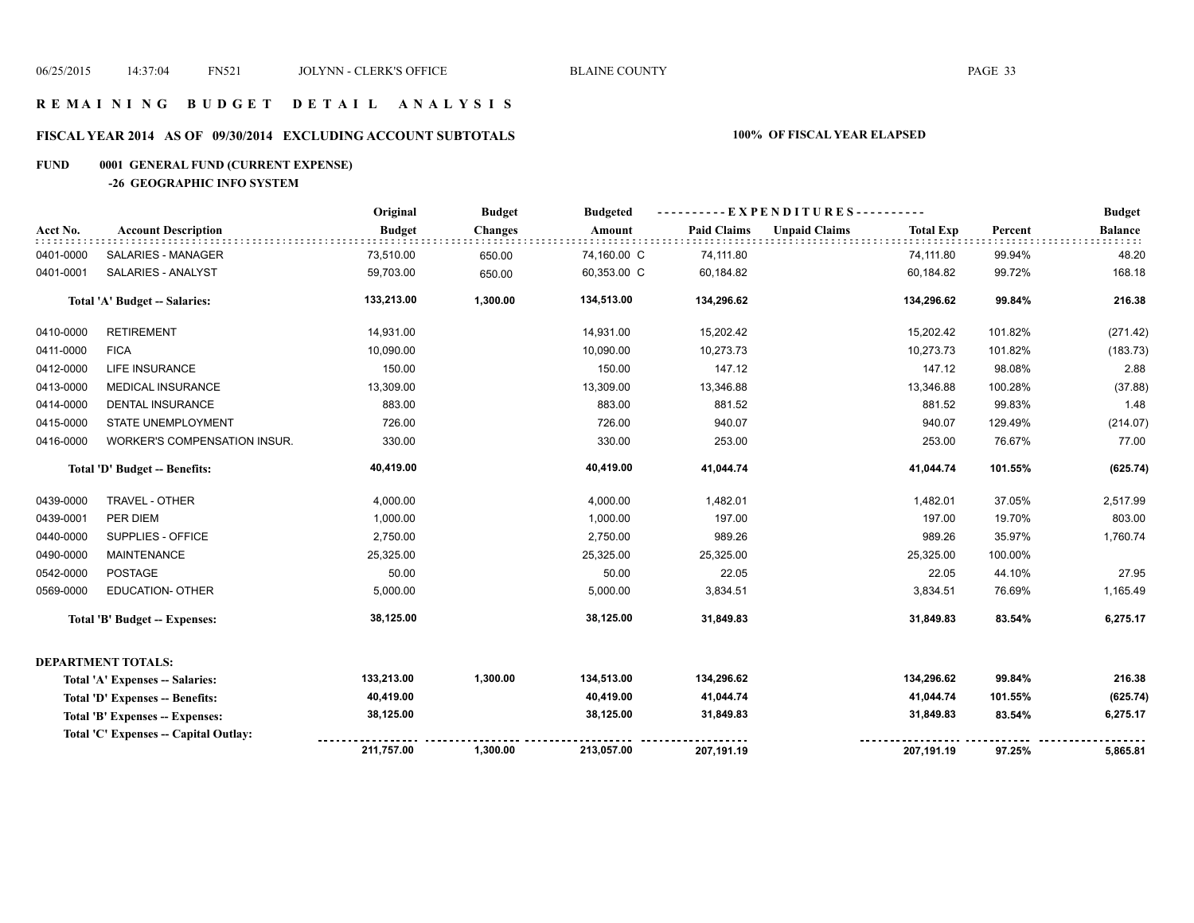# **R E M A I N I N G B U D G E T D E T A I L A N A L Y S I S**

# **FISCAL YEAR 2014 AS OF 09/30/2014 EXCLUDING ACCOUNT SUBTOTALS 100% OF FISCAL YEAR ELAPSED**

#### **FUND 0001 GENERAL FUND (CURRENT EXPENSE)**

**-26 GEOGRAPHIC INFO SYSTEM**

|           |                                       | Original      | <b>Budget</b>  | <b>Budgeted</b> |                    | ----------EXPENDITURES---------- |                  |         | <b>Budget</b>  |
|-----------|---------------------------------------|---------------|----------------|-----------------|--------------------|----------------------------------|------------------|---------|----------------|
| Acct No.  | <b>Account Description</b>            | <b>Budget</b> | <b>Changes</b> | Amount          | <b>Paid Claims</b> | <b>Unpaid Claims</b>             | <b>Total Exp</b> | Percent | <b>Balance</b> |
| 0401-0000 | SALARIES - MANAGER                    | 73,510.00     | 650.00         | 74,160.00 C     | 74,111.80          |                                  | 74,111.80        | 99.94%  | 48.20          |
| 0401-0001 | SALARIES - ANALYST                    | 59,703.00     | 650.00         | 60,353.00 C     | 60,184.82          |                                  | 60,184.82        | 99.72%  | 168.18         |
|           | <b>Total 'A' Budget -- Salaries:</b>  | 133,213.00    | 1,300.00       | 134,513.00      | 134,296.62         |                                  | 134,296.62       | 99.84%  | 216.38         |
| 0410-0000 | <b>RETIREMENT</b>                     | 14,931.00     |                | 14,931.00       | 15,202.42          |                                  | 15,202.42        | 101.82% | (271.42)       |
| 0411-0000 | <b>FICA</b>                           | 10,090.00     |                | 10,090.00       | 10,273.73          |                                  | 10,273.73        | 101.82% | (183.73)       |
| 0412-0000 | LIFE INSURANCE                        | 150.00        |                | 150.00          | 147.12             |                                  | 147.12           | 98.08%  | 2.88           |
| 0413-0000 | <b>MEDICAL INSURANCE</b>              | 13,309.00     |                | 13,309.00       | 13,346.88          |                                  | 13,346.88        | 100.28% | (37.88)        |
| 0414-0000 | <b>DENTAL INSURANCE</b>               | 883.00        |                | 883.00          | 881.52             |                                  | 881.52           | 99.83%  | 1.48           |
| 0415-0000 | STATE UNEMPLOYMENT                    | 726.00        |                | 726.00          | 940.07             |                                  | 940.07           | 129.49% | (214.07)       |
| 0416-0000 | WORKER'S COMPENSATION INSUR.          | 330.00        |                | 330.00          | 253.00             |                                  | 253.00           | 76.67%  | 77.00          |
|           | Total 'D' Budget -- Benefits:         | 40,419.00     |                | 40,419.00       | 41,044.74          |                                  | 41,044.74        | 101.55% | (625.74)       |
| 0439-0000 | TRAVEL - OTHER                        | 4,000.00      |                | 4,000.00        | 1,482.01           |                                  | 1,482.01         | 37.05%  | 2,517.99       |
| 0439-0001 | PER DIEM                              | 1,000.00      |                | 1,000.00        | 197.00             |                                  | 197.00           | 19.70%  | 803.00         |
| 0440-0000 | SUPPLIES - OFFICE                     | 2,750.00      |                | 2,750.00        | 989.26             |                                  | 989.26           | 35.97%  | 1,760.74       |
| 0490-0000 | <b>MAINTENANCE</b>                    | 25,325.00     |                | 25,325.00       | 25,325.00          |                                  | 25,325.00        | 100.00% |                |
| 0542-0000 | <b>POSTAGE</b>                        | 50.00         |                | 50.00           | 22.05              |                                  | 22.05            | 44.10%  | 27.95          |
| 0569-0000 | <b>EDUCATION- OTHER</b>               | 5,000.00      |                | 5,000.00        | 3,834.51           |                                  | 3,834.51         | 76.69%  | 1,165.49       |
|           | <b>Total 'B' Budget -- Expenses:</b>  | 38,125.00     |                | 38,125.00       | 31,849.83          |                                  | 31,849.83        | 83.54%  | 6,275.17       |
|           | <b>DEPARTMENT TOTALS:</b>             |               |                |                 |                    |                                  |                  |         |                |
|           | Total 'A' Expenses -- Salaries:       | 133,213.00    | 1,300.00       | 134,513.00      | 134,296.62         |                                  | 134,296.62       | 99.84%  | 216.38         |
|           | Total 'D' Expenses -- Benefits:       | 40,419.00     |                | 40,419.00       | 41,044.74          |                                  | 41,044.74        | 101.55% | (625.74)       |
|           | Total 'B' Expenses -- Expenses:       | 38,125.00     |                | 38,125.00       | 31,849.83          |                                  | 31,849.83        | 83.54%  | 6,275.17       |
|           | Total 'C' Expenses -- Capital Outlay: |               |                |                 |                    |                                  |                  |         |                |
|           |                                       | 211,757.00    | 1,300.00       | 213,057.00      | 207,191.19         |                                  | 207,191.19       | 97.25%  | 5,865.81       |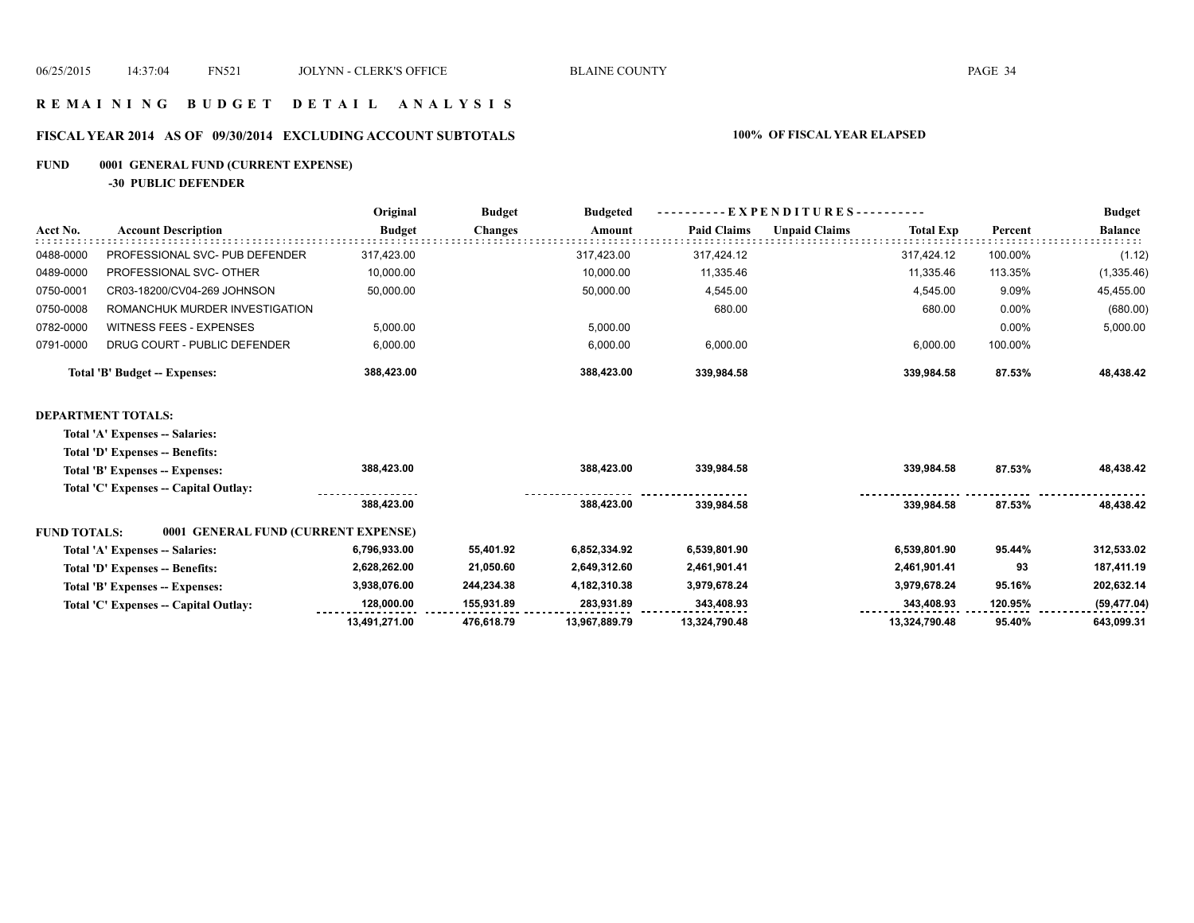#### **R E M A I N I N G B U D G E T D E T A I L A N A L Y S I S**

# **FISCAL YEAR 2014 AS OF 09/30/2014 EXCLUDING ACCOUNT SUBTOTALS 100% OF FISCAL YEAR ELAPSED**

# **FUND 0001 GENERAL FUND (CURRENT EXPENSE)**

**-30 PUBLIC DEFENDER**

|                     |                                       | Original      | <b>Budget</b>  | <b>Budgeted</b> | $-EXPENDITURES$ --------- |                      |                  |         | <b>Budget</b>  |
|---------------------|---------------------------------------|---------------|----------------|-----------------|---------------------------|----------------------|------------------|---------|----------------|
| Acct No.            | <b>Account Description</b>            | <b>Budget</b> | <b>Changes</b> | Amount          | <b>Paid Claims</b>        | <b>Unpaid Claims</b> | <b>Total Exp</b> | Percent | <b>Balance</b> |
| 0488-0000           | PROFESSIONAL SVC- PUB DEFENDER        | 317,423.00    |                | 317,423.00      | 317,424.12                |                      | 317,424.12       | 100.00% | (1.12)         |
| 0489-0000           | PROFESSIONAL SVC- OTHER               | 10,000.00     |                | 10,000.00       | 11,335.46                 |                      | 11,335.46        | 113.35% | (1, 335.46)    |
| 0750-0001           | CR03-18200/CV04-269 JOHNSON           | 50,000.00     |                | 50,000.00       | 4,545.00                  |                      | 4,545.00         | 9.09%   | 45,455.00      |
| 0750-0008           | ROMANCHUK MURDER INVESTIGATION        |               |                |                 | 680.00                    |                      | 680.00           | 0.00%   | (680.00)       |
| 0782-0000           | <b>WITNESS FEES - EXPENSES</b>        | 5,000.00      |                | 5,000.00        |                           |                      |                  | 0.00%   | 5,000.00       |
| 0791-0000           | DRUG COURT - PUBLIC DEFENDER          | 6,000.00      |                | 6,000.00        | 6,000.00                  |                      | 6,000.00         | 100.00% |                |
|                     | Total 'B' Budget -- Expenses:         | 388,423.00    |                | 388,423.00      | 339,984.58                |                      | 339,984.58       | 87.53%  | 48,438.42      |
|                     | <b>DEPARTMENT TOTALS:</b>             |               |                |                 |                           |                      |                  |         |                |
|                     | Total 'A' Expenses -- Salaries:       |               |                |                 |                           |                      |                  |         |                |
|                     | Total 'D' Expenses -- Benefits:       |               |                |                 |                           |                      |                  |         |                |
|                     | Total 'B' Expenses -- Expenses:       | 388,423.00    |                | 388,423.00      | 339,984.58                |                      | 339,984.58       | 87.53%  | 48,438.42      |
|                     | Total 'C' Expenses -- Capital Outlay: |               |                |                 |                           |                      |                  |         |                |
|                     |                                       | 388,423.00    |                | 388,423.00      | 339,984.58                |                      | 339,984.58       | 87.53%  | 48,438.42      |
| <b>FUND TOTALS:</b> | 0001 GENERAL FUND (CURRENT EXPENSE)   |               |                |                 |                           |                      |                  |         |                |
|                     | Total 'A' Expenses -- Salaries:       | 6,796,933.00  | 55,401.92      | 6,852,334.92    | 6,539,801.90              |                      | 6,539,801.90     | 95.44%  | 312,533.02     |
|                     | Total 'D' Expenses -- Benefits:       | 2,628,262.00  | 21,050.60      | 2,649,312.60    | 2,461,901.41              |                      | 2,461,901.41     | 93      | 187,411.19     |
|                     | Total 'B' Expenses -- Expenses:       | 3,938,076.00  | 244,234.38     | 4,182,310.38    | 3,979,678.24              |                      | 3,979,678.24     | 95.16%  | 202,632.14     |
|                     | Total 'C' Expenses -- Capital Outlay: | 128,000.00    | 155,931.89     | 283,931.89      | 343,408.93                |                      | 343,408.93       | 120.95% | (59, 477.04)   |
|                     |                                       | 13,491,271.00 | 476,618.79     | 13,967,889.79   | 13,324,790.48             |                      | 13,324,790.48    | 95.40%  | 643,099.31     |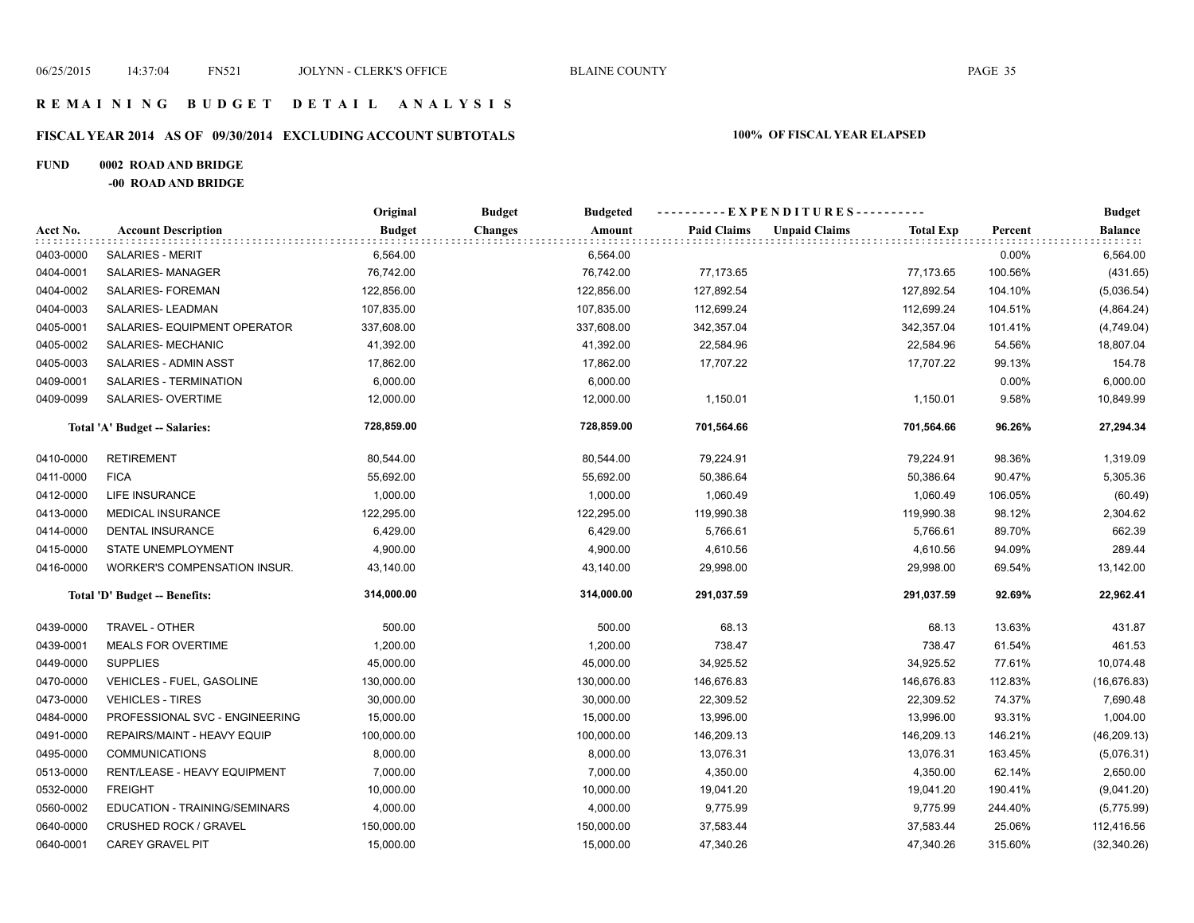#### **R E M A I N I N G B U D G E T D E T A I L A N A L Y S I S**

# **FISCAL YEAR 2014 AS OF 09/30/2014 EXCLUDING ACCOUNT SUBTOTALS 100% OF FISCAL YEAR ELAPSED**

#### **FUND 0002 ROAD AND BRIDGE**

**-00 ROAD AND BRIDGE**

|           |                                | Original      | <b>Budget</b><br><b>Budgeted</b> | ----------EXPENDITURES---------- |                      |                  |         | <b>Budget</b>               |
|-----------|--------------------------------|---------------|----------------------------------|----------------------------------|----------------------|------------------|---------|-----------------------------|
| Acct No.  | <b>Account Description</b>     | <b>Budget</b> | Amount<br><b>Changes</b>         | <b>Paid Claims</b>               | <b>Unpaid Claims</b> | <b>Total Exp</b> | Percent | <b>Balance</b><br>did did d |
| 0403-0000 | <b>SALARIES - MERIT</b>        | 6,564.00      | 6,564.00                         |                                  |                      |                  | 0.00%   | 6,564.00                    |
| 0404-0001 | SALARIES-MANAGER               | 76,742.00     | 76,742.00                        | 77,173.65                        |                      | 77,173.65        | 100.56% | (431.65)                    |
| 0404-0002 | SALARIES- FOREMAN              | 122,856.00    | 122,856.00                       | 127,892.54                       |                      | 127,892.54       | 104.10% | (5,036.54)                  |
| 0404-0003 | SALARIES-LEADMAN               | 107,835.00    | 107,835.00                       | 112,699.24                       |                      | 112,699.24       | 104.51% | (4,864.24)                  |
| 0405-0001 | SALARIES- EQUIPMENT OPERATOR   | 337,608.00    | 337,608.00                       | 342,357.04                       |                      | 342,357.04       | 101.41% | (4,749.04)                  |
| 0405-0002 | SALARIES- MECHANIC             | 41,392.00     | 41,392.00                        | 22,584.96                        |                      | 22,584.96        | 54.56%  | 18,807.04                   |
| 0405-0003 | SALARIES - ADMIN ASST          | 17,862.00     | 17,862.00                        | 17,707.22                        |                      | 17,707.22        | 99.13%  | 154.78                      |
| 0409-0001 | SALARIES - TERMINATION         | 6,000.00      | 6,000.00                         |                                  |                      |                  | 0.00%   | 6,000.00                    |
| 0409-0099 | SALARIES- OVERTIME             | 12,000.00     | 12,000.00                        | 1,150.01                         |                      | 1,150.01         | 9.58%   | 10,849.99                   |
|           | Total 'A' Budget -- Salaries:  | 728,859.00    | 728,859.00                       | 701,564.66                       |                      | 701,564.66       | 96.26%  | 27,294.34                   |
| 0410-0000 | <b>RETIREMENT</b>              | 80,544.00     | 80,544.00                        | 79,224.91                        |                      | 79,224.91        | 98.36%  | 1,319.09                    |
| 0411-0000 | <b>FICA</b>                    | 55,692.00     | 55,692.00                        | 50,386.64                        |                      | 50,386.64        | 90.47%  | 5,305.36                    |
| 0412-0000 | <b>LIFE INSURANCE</b>          | 1,000.00      | 1,000.00                         | 1,060.49                         |                      | 1,060.49         | 106.05% | (60.49)                     |
| 0413-0000 | <b>MEDICAL INSURANCE</b>       | 122,295.00    | 122,295.00                       | 119,990.38                       |                      | 119,990.38       | 98.12%  | 2,304.62                    |
| 0414-0000 | <b>DENTAL INSURANCE</b>        | 6,429.00      | 6,429.00                         | 5,766.61                         |                      | 5,766.61         | 89.70%  | 662.39                      |
| 0415-0000 | STATE UNEMPLOYMENT             | 4,900.00      | 4,900.00                         | 4,610.56                         |                      | 4,610.56         | 94.09%  | 289.44                      |
| 0416-0000 | WORKER'S COMPENSATION INSUR.   | 43,140.00     | 43,140.00                        | 29,998.00                        |                      | 29,998.00        | 69.54%  | 13,142.00                   |
|           | Total 'D' Budget -- Benefits:  | 314,000.00    | 314,000.00                       | 291.037.59                       |                      | 291,037.59       | 92.69%  | 22,962.41                   |
| 0439-0000 | TRAVEL - OTHER                 | 500.00        | 500.00                           | 68.13                            |                      | 68.13            | 13.63%  | 431.87                      |
| 0439-0001 | <b>MEALS FOR OVERTIME</b>      | 1,200.00      | 1,200.00                         | 738.47                           |                      | 738.47           | 61.54%  | 461.53                      |
| 0449-0000 | <b>SUPPLIES</b>                | 45,000.00     | 45,000.00                        | 34,925.52                        |                      | 34,925.52        | 77.61%  | 10,074.48                   |
| 0470-0000 | VEHICLES - FUEL, GASOLINE      | 130,000.00    | 130,000.00                       | 146,676.83                       |                      | 146,676.83       | 112.83% | (16, 676.83)                |
| 0473-0000 | <b>VEHICLES - TIRES</b>        | 30,000.00     | 30,000.00                        | 22,309.52                        |                      | 22,309.52        | 74.37%  | 7,690.48                    |
| 0484-0000 | PROFESSIONAL SVC - ENGINEERING | 15,000.00     | 15,000.00                        | 13,996.00                        |                      | 13,996.00        | 93.31%  | 1,004.00                    |
| 0491-0000 | REPAIRS/MAINT - HEAVY EQUIP    | 100,000.00    | 100,000.00                       | 146,209.13                       |                      | 146,209.13       | 146.21% | (46, 209.13)                |
| 0495-0000 | <b>COMMUNICATIONS</b>          | 8,000.00      | 8,000.00                         | 13,076.31                        |                      | 13,076.31        | 163.45% | (5,076.31)                  |
| 0513-0000 | RENT/LEASE - HEAVY EQUIPMENT   | 7,000.00      | 7,000.00                         | 4,350.00                         |                      | 4,350.00         | 62.14%  | 2,650.00                    |
| 0532-0000 | <b>FREIGHT</b>                 | 10,000.00     | 10,000.00                        | 19,041.20                        |                      | 19,041.20        | 190.41% | (9,041.20)                  |
| 0560-0002 | EDUCATION - TRAINING/SEMINARS  | 4,000.00      | 4,000.00                         | 9,775.99                         |                      | 9,775.99         | 244.40% | (5,775.99)                  |
| 0640-0000 | <b>CRUSHED ROCK / GRAVEL</b>   | 150,000.00    | 150,000.00                       | 37,583.44                        |                      | 37,583.44        | 25.06%  | 112,416.56                  |
| 0640-0001 | <b>CAREY GRAVEL PIT</b>        | 15,000.00     | 15,000.00                        | 47,340.26                        |                      | 47,340.26        | 315.60% | (32, 340.26)                |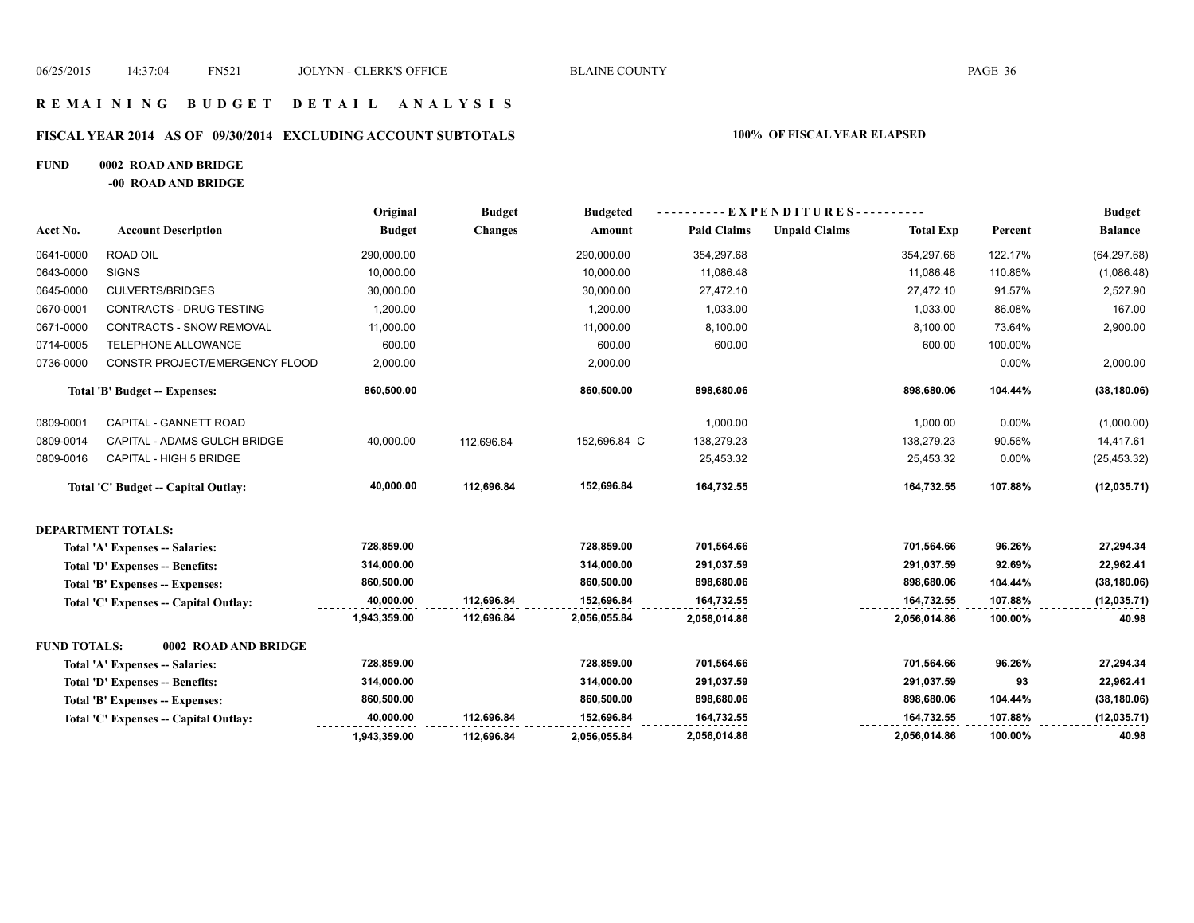# **R E M A I N I N G B U D G E T D E T A I L A N A L Y S I S**

#### **FISCAL YEAR 2014 AS OF 09/30/2014 EXCLUDING ACCOUNT SUBTOTALS 100% OF FISCAL YEAR ELAPSED**

#### **FUND 0002 ROAD AND BRIDGE**

**-00 ROAD AND BRIDGE**

|                     |                                       | Original      | <b>Budget</b>  | <b>Budgeted</b> |                    | ----------EXPENDITURES---------- |                  |         | <b>Budget</b>  |
|---------------------|---------------------------------------|---------------|----------------|-----------------|--------------------|----------------------------------|------------------|---------|----------------|
| Acct No.            | <b>Account Description</b>            | <b>Budget</b> | <b>Changes</b> | Amount          | <b>Paid Claims</b> | <b>Unpaid Claims</b>             | <b>Total Exp</b> | Percent | <b>Balance</b> |
| 0641-0000           | ROAD OIL                              | 290,000.00    |                | 290,000.00      | 354,297.68         |                                  | 354,297.68       | 122.17% | (64, 297.68)   |
| 0643-0000           | <b>SIGNS</b>                          | 10,000.00     |                | 10,000.00       | 11,086.48          |                                  | 11,086.48        | 110.86% | (1,086.48)     |
| 0645-0000           | <b>CULVERTS/BRIDGES</b>               | 30,000.00     |                | 30,000.00       | 27,472.10          |                                  | 27,472.10        | 91.57%  | 2,527.90       |
| 0670-0001           | CONTRACTS - DRUG TESTING              | 1,200.00      |                | 1,200.00        | 1,033.00           |                                  | 1,033.00         | 86.08%  | 167.00         |
| 0671-0000           | CONTRACTS - SNOW REMOVAL              | 11,000.00     |                | 11,000.00       | 8,100.00           |                                  | 8,100.00         | 73.64%  | 2,900.00       |
| 0714-0005           | TELEPHONE ALLOWANCE                   | 600.00        |                | 600.00          | 600.00             |                                  | 600.00           | 100.00% |                |
| 0736-0000           | CONSTR PROJECT/EMERGENCY FLOOD        | 2,000.00      |                | 2,000.00        |                    |                                  |                  | 0.00%   | 2,000.00       |
|                     | Total 'B' Budget -- Expenses:         | 860,500.00    |                | 860,500.00      | 898,680.06         |                                  | 898,680.06       | 104.44% | (38, 180.06)   |
| 0809-0001           | CAPITAL - GANNETT ROAD                |               |                |                 | 1,000.00           |                                  | 1,000.00         | 0.00%   | (1,000.00)     |
| 0809-0014           | CAPITAL - ADAMS GULCH BRIDGE          | 40,000.00     | 112.696.84     | 152,696.84 C    | 138,279.23         |                                  | 138,279.23       | 90.56%  | 14,417.61      |
| 0809-0016           | CAPITAL - HIGH 5 BRIDGE               |               |                |                 | 25,453.32          |                                  | 25,453.32        | 0.00%   | (25, 453.32)   |
|                     | Total 'C' Budget -- Capital Outlay:   | 40,000.00     | 112,696.84     | 152,696.84      | 164,732.55         |                                  | 164,732.55       | 107.88% | (12,035.71)    |
|                     | <b>DEPARTMENT TOTALS:</b>             |               |                |                 |                    |                                  |                  |         |                |
|                     | Total 'A' Expenses -- Salaries:       | 728,859.00    |                | 728,859.00      | 701,564.66         |                                  | 701,564.66       | 96.26%  | 27,294.34      |
|                     | Total 'D' Expenses -- Benefits:       | 314,000.00    |                | 314.000.00      | 291,037.59         |                                  | 291,037.59       | 92.69%  | 22,962.41      |
|                     | Total 'B' Expenses -- Expenses:       | 860,500.00    |                | 860,500.00      | 898,680.06         |                                  | 898,680.06       | 104.44% | (38, 180.06)   |
|                     | Total 'C' Expenses -- Capital Outlay: | 40,000.00     | 112,696.84     | 152,696.84      | 164,732.55         |                                  | 164,732.55       | 107.88% | (12,035.71)    |
|                     |                                       | 1,943,359.00  | 112,696.84     | 2,056,055.84    | 2,056,014.86       |                                  | 2,056,014.86     | 100.00% | 40.98          |
| <b>FUND TOTALS:</b> | 0002 ROAD AND BRIDGE                  |               |                |                 |                    |                                  |                  |         |                |
|                     | Total 'A' Expenses -- Salaries:       | 728,859.00    |                | 728,859.00      | 701,564.66         |                                  | 701,564.66       | 96.26%  | 27,294.34      |
|                     | Total 'D' Expenses -- Benefits:       | 314,000.00    |                | 314,000.00      | 291,037.59         |                                  | 291,037.59       | 93      | 22,962.41      |
|                     | Total 'B' Expenses -- Expenses:       | 860,500.00    |                | 860,500.00      | 898,680.06         |                                  | 898,680.06       | 104.44% | (38, 180.06)   |
|                     | Total 'C' Expenses -- Capital Outlay: | 40,000.00     | 112,696.84     | 152,696.84      | 164,732.55         |                                  | 164,732.55       | 107.88% | (12, 035.71)   |
|                     |                                       | 1,943,359.00  | 112,696.84     | 2,056,055.84    | 2,056,014.86       |                                  | 2,056,014.86     | 100.00% | 40.98          |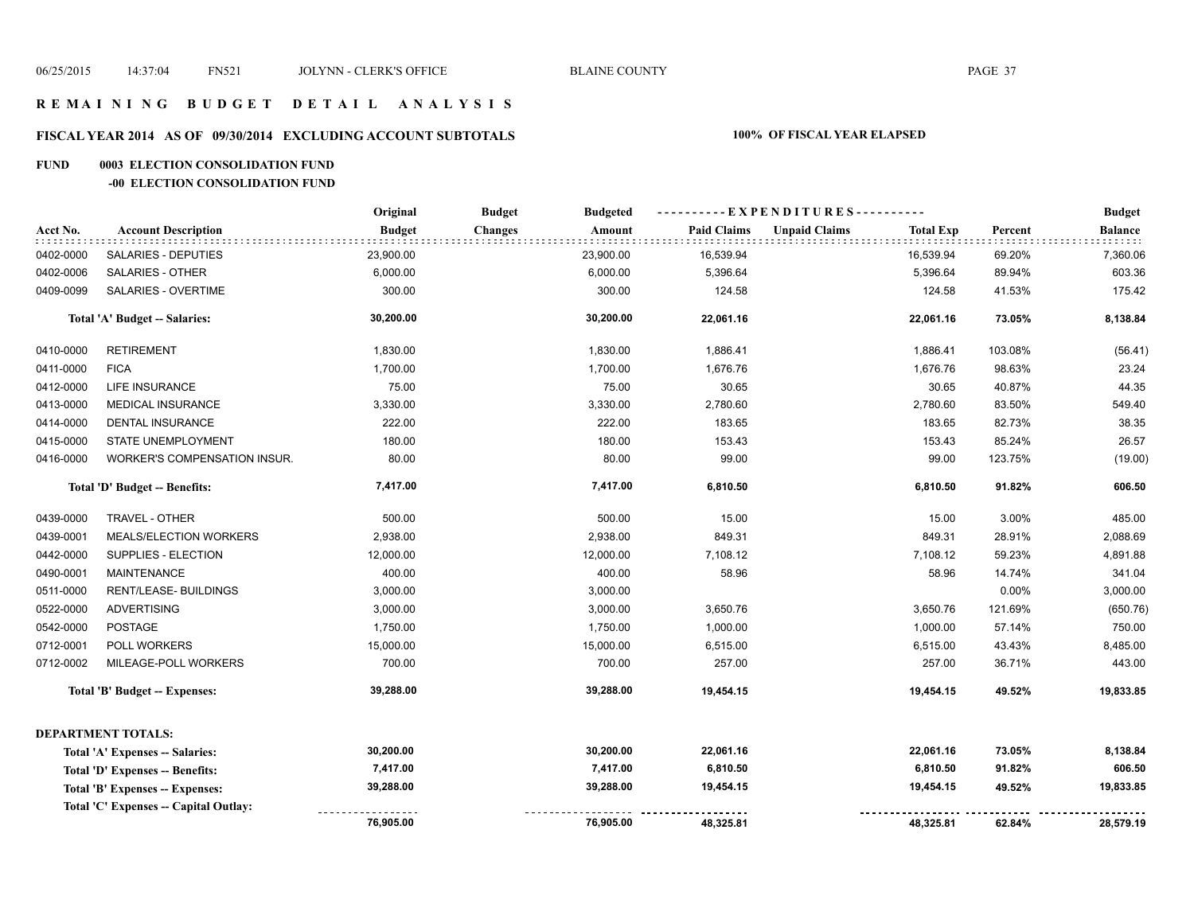#### **R E M A I N I N G B U D G E T D E T A I L A N A L Y S I S**

# **FISCAL YEAR 2014 AS OF 09/30/2014 EXCLUDING ACCOUNT SUBTOTALS 100% OF FISCAL YEAR ELAPSED**

#### **FUND 0003 ELECTION CONSOLIDATION FUND**

#### **-00 ELECTION CONSOLIDATION FUND**

|           |                                       | Original      | <b>Budget</b><br><b>Budgeted</b> | ----------EXPENDITURES---------- |                                          |         | <b>Budget</b>       |
|-----------|---------------------------------------|---------------|----------------------------------|----------------------------------|------------------------------------------|---------|---------------------|
| Acct No.  | <b>Account Description</b>            | <b>Budget</b> | <b>Changes</b><br>Amount         | <b>Paid Claims</b>               | <b>Unpaid Claims</b><br><b>Total Exp</b> | Percent | <b>Balance</b><br>. |
| 0402-0000 | SALARIES - DEPUTIES                   | 23,900.00     | 23,900.00                        | 16,539.94                        | 16,539.94                                | 69.20%  | 7,360.06            |
| 0402-0006 | <b>SALARIES - OTHER</b>               | 6,000.00      | 6,000.00                         | 5,396.64                         | 5,396.64                                 | 89.94%  | 603.36              |
| 0409-0099 | <b>SALARIES - OVERTIME</b>            | 300.00        | 300.00                           | 124.58                           | 124.58                                   | 41.53%  | 175.42              |
|           | Total 'A' Budget -- Salaries:         | 30,200.00     | 30,200.00                        | 22,061.16                        | 22,061.16                                | 73.05%  | 8,138.84            |
| 0410-0000 | <b>RETIREMENT</b>                     | 1,830.00      | 1,830.00                         | 1,886.41                         | 1,886.41                                 | 103.08% | (56.41)             |
| 0411-0000 | <b>FICA</b>                           | 1,700.00      | 1,700.00                         | 1,676.76                         | 1,676.76                                 | 98.63%  | 23.24               |
| 0412-0000 | <b>LIFE INSURANCE</b>                 | 75.00         | 75.00                            | 30.65                            | 30.65                                    | 40.87%  | 44.35               |
| 0413-0000 | <b>MEDICAL INSURANCE</b>              | 3,330.00      | 3,330.00                         | 2,780.60                         | 2,780.60                                 | 83.50%  | 549.40              |
| 0414-0000 | DENTAL INSURANCE                      | 222.00        | 222.00                           | 183.65                           | 183.65                                   | 82.73%  | 38.35               |
| 0415-0000 | STATE UNEMPLOYMENT                    | 180.00        | 180.00                           | 153.43                           | 153.43                                   | 85.24%  | 26.57               |
| 0416-0000 | WORKER'S COMPENSATION INSUR.          | 80.00         | 80.00                            | 99.00                            | 99.00                                    | 123.75% | (19.00)             |
|           | Total 'D' Budget -- Benefits:         | 7,417.00      | 7,417.00                         | 6,810.50                         | 6,810.50                                 | 91.82%  | 606.50              |
| 0439-0000 | TRAVEL - OTHER                        | 500.00        | 500.00                           | 15.00                            | 15.00                                    | 3.00%   | 485.00              |
| 0439-0001 | MEALS/ELECTION WORKERS                | 2,938.00      | 2,938.00                         | 849.31                           | 849.31                                   | 28.91%  | 2,088.69            |
| 0442-0000 | SUPPLIES - ELECTION                   | 12,000.00     | 12,000.00                        | 7,108.12                         | 7,108.12                                 | 59.23%  | 4,891.88            |
| 0490-0001 | <b>MAINTENANCE</b>                    | 400.00        | 400.00                           | 58.96                            | 58.96                                    | 14.74%  | 341.04              |
| 0511-0000 | RENT/LEASE- BUILDINGS                 | 3,000.00      | 3,000.00                         |                                  |                                          | 0.00%   | 3,000.00            |
| 0522-0000 | <b>ADVERTISING</b>                    | 3,000.00      | 3,000.00                         | 3,650.76                         | 3,650.76                                 | 121.69% | (650.76)            |
| 0542-0000 | <b>POSTAGE</b>                        | 1,750.00      | 1,750.00                         | 1,000.00                         | 1,000.00                                 | 57.14%  | 750.00              |
| 0712-0001 | POLL WORKERS                          | 15,000.00     | 15,000.00                        | 6,515.00                         | 6,515.00                                 | 43.43%  | 8,485.00            |
| 0712-0002 | MILEAGE-POLL WORKERS                  | 700.00        | 700.00                           | 257.00                           | 257.00                                   | 36.71%  | 443.00              |
|           | Total 'B' Budget -- Expenses:         | 39,288.00     | 39,288.00                        | 19,454.15                        | 19,454.15                                | 49.52%  | 19,833.85           |
|           | <b>DEPARTMENT TOTALS:</b>             |               |                                  |                                  |                                          |         |                     |
|           | Total 'A' Expenses -- Salaries:       | 30,200.00     | 30,200.00                        | 22,061.16                        | 22,061.16                                | 73.05%  | 8,138.84            |
|           | Total 'D' Expenses -- Benefits:       | 7,417.00      | 7,417.00                         | 6,810.50                         | 6,810.50                                 | 91.82%  | 606.50              |
|           | Total 'B' Expenses -- Expenses:       | 39,288.00     | 39,288.00                        | 19,454.15                        | 19,454.15                                | 49.52%  | 19,833.85           |
|           | Total 'C' Expenses -- Capital Outlay: |               |                                  |                                  |                                          |         |                     |
|           |                                       | 76,905.00     | 76,905.00                        | 48,325.81                        | 48,325.81                                | 62.84%  | 28,579.19           |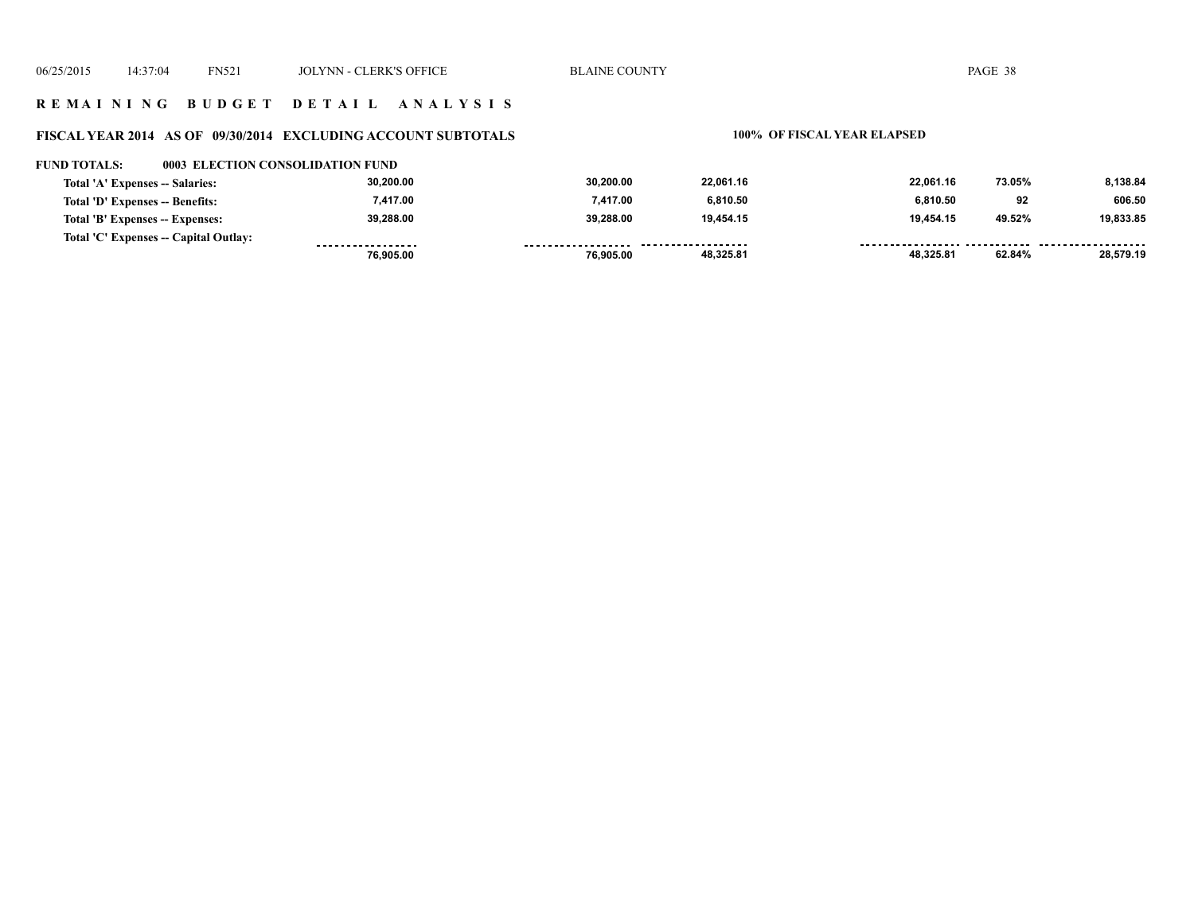#### **R E M A I N I N G B U D G E T D E T A I L A N A L Y S I S**

#### **FISCAL YEAR 2014 AS OF 09/30/2014 EXCLUDING ACCOUNT SUBTOTALS 100% OF FISCAL YEAR ELAPSED**

#### **FUND TOTALS: 0003 ELECTION CONSOLIDATION FUND**

| Total 'A' Expenses -- Salaries:       | 30,200.00         | 30.200.00 | 22,061.16           | 22.061.16 | 73.05% | 8,138.84  |
|---------------------------------------|-------------------|-----------|---------------------|-----------|--------|-----------|
| Total 'D' Expenses -- Benefits:       | 7.417.00          | 7.417.00  | 6.810.50            | 6.810.50  | 92     | 606.50    |
| Total 'B' Expenses -- Expenses:       | 39.288.00         | 39.288.00 | 19.454.15           | 19.454.15 | 49.52% | 19,833.85 |
| Total 'C' Expenses -- Capital Outlay: | ----------------- |           | ------------------- |           |        |           |
|                                       | 76.905.00         | 76.905.00 | 48,325.81           | 48,325.81 | 62.84% | 28,579.19 |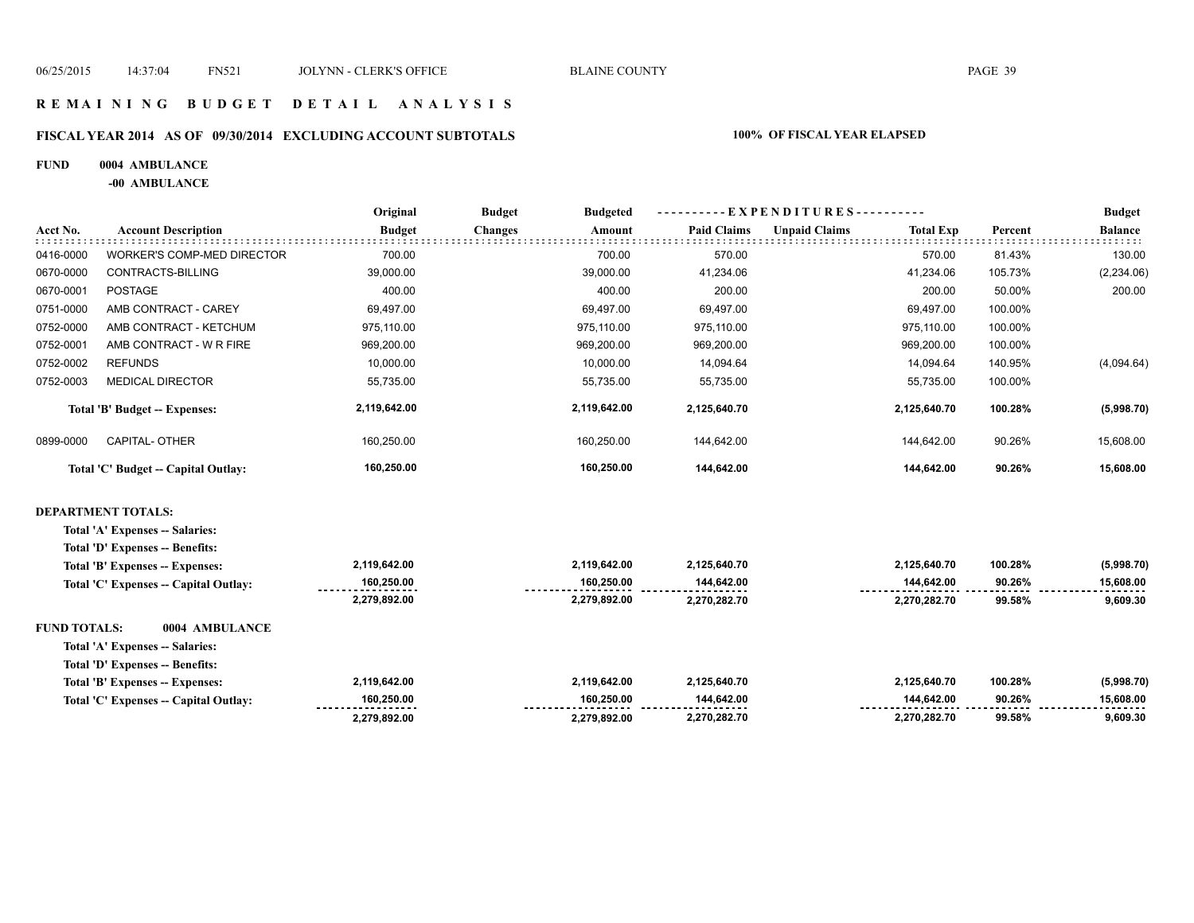#### **R E M A I N I N G B U D G E T D E T A I L A N A L Y S I S**

# **FISCAL YEAR 2014 AS OF 09/30/2014 EXCLUDING ACCOUNT SUBTOTALS 100% OF FISCAL YEAR ELAPSED**

#### **FUND 0004 AMBULANCE**

**-00 AMBULANCE**

|                     |                                       | Original      | <b>Budget</b><br><b>Budgeted</b> |                    | EXPENDITURES-        |                             | <b>Budget</b>  |
|---------------------|---------------------------------------|---------------|----------------------------------|--------------------|----------------------|-----------------------------|----------------|
| Acct No.            | <b>Account Description</b>            | <b>Budget</b> | <b>Changes</b><br>Amount         | <b>Paid Claims</b> | <b>Unpaid Claims</b> | <b>Total Exp</b><br>Percent | <b>Balance</b> |
| 0416-0000           | WORKER'S COMP-MED DIRECTOR            | 700.00        | 700.00                           | 570.00             |                      | 570.00<br>81.43%            | 130.00         |
| 0670-0000           | CONTRACTS-BILLING                     | 39,000.00     | 39,000.00                        | 41.234.06          |                      | 41,234.06<br>105.73%        | (2, 234.06)    |
| 0670-0001           | <b>POSTAGE</b>                        | 400.00        | 400.00                           | 200.00             |                      | 200.00<br>50.00%            | 200.00         |
| 0751-0000           | AMB CONTRACT - CAREY                  | 69,497.00     | 69,497.00                        | 69,497.00          | 69,497.00            | 100.00%                     |                |
| 0752-0000           | AMB CONTRACT - KETCHUM                | 975,110.00    | 975,110.00                       | 975,110.00         | 975,110.00           | 100.00%                     |                |
| 0752-0001           | AMB CONTRACT - W R FIRE               | 969,200.00    | 969,200.00                       | 969,200.00         | 969,200.00           | 100.00%                     |                |
| 0752-0002           | <b>REFUNDS</b>                        | 10,000.00     | 10,000.00                        | 14,094.64          | 14,094.64            | 140.95%                     | (4,094.64)     |
| 0752-0003           | <b>MEDICAL DIRECTOR</b>               | 55,735.00     | 55,735.00                        | 55,735.00          | 55,735.00            | 100.00%                     |                |
|                     | <b>Total 'B' Budget -- Expenses:</b>  | 2,119,642.00  | 2,119,642.00                     | 2,125,640.70       | 2,125,640.70         | 100.28%                     | (5,998.70)     |
| 0899-0000           | <b>CAPITAL- OTHER</b>                 | 160,250.00    | 160,250.00                       | 144,642.00         | 144,642.00           | 90.26%                      | 15,608.00      |
|                     | Total 'C' Budget -- Capital Outlay:   | 160,250.00    | 160,250.00                       | 144,642.00         | 144,642.00           | 90.26%                      | 15,608.00      |
|                     | <b>DEPARTMENT TOTALS:</b>             |               |                                  |                    |                      |                             |                |
|                     | Total 'A' Expenses -- Salaries:       |               |                                  |                    |                      |                             |                |
|                     | Total 'D' Expenses -- Benefits:       |               |                                  |                    |                      |                             |                |
|                     | Total 'B' Expenses -- Expenses:       | 2,119,642.00  | 2,119,642.00                     | 2,125,640.70       | 2,125,640.70         | 100.28%                     | (5,998.70)     |
|                     | Total 'C' Expenses - Capital Outlay:  | 160,250.00    | 160,250.00                       | 144,642.00         | 144,642.00           | 90.26%                      | 15,608.00      |
|                     |                                       | 2,279,892.00  | 2,279,892.00                     | 2,270,282.70       | 2,270,282.70         | 99.58%                      | 9,609.30       |
| <b>FUND TOTALS:</b> | 0004 AMBULANCE                        |               |                                  |                    |                      |                             |                |
|                     | Total 'A' Expenses -- Salaries:       |               |                                  |                    |                      |                             |                |
|                     | Total 'D' Expenses -- Benefits:       |               |                                  |                    |                      |                             |                |
|                     | Total 'B' Expenses -- Expenses:       | 2,119,642.00  | 2,119,642.00                     | 2,125,640.70       | 2,125,640.70         | 100.28%                     | (5,998.70)     |
|                     | Total 'C' Expenses -- Capital Outlay: | 160,250.00    | 160,250.00                       | 144,642.00         | 144,642.00           | 90.26%                      | 15,608.00      |
|                     |                                       | 2,279,892.00  | 2,279,892.00                     | 2,270,282.70       | 2,270,282.70         | 99.58%                      | 9,609.30       |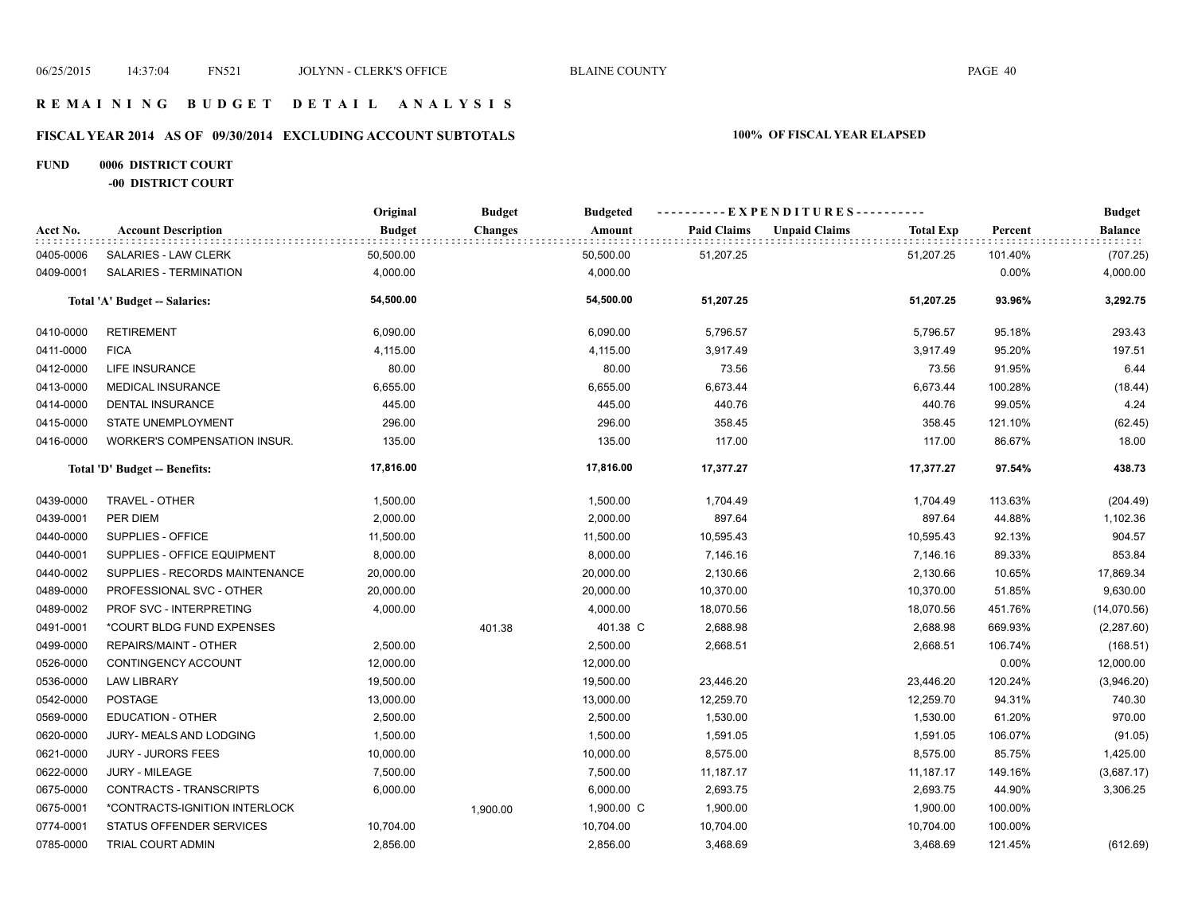#### **R E M A I N I N G B U D G E T D E T A I L A N A L Y S I S**

# **FISCAL YEAR 2014 AS OF 09/30/2014 EXCLUDING ACCOUNT SUBTOTALS 100% OF FISCAL YEAR ELAPSED**

#### **FUND 0006 DISTRICT COURT -00 DISTRICT COURT**

|           |                                     | Original      | <b>Budget</b>  | <b>Budgeted</b> | ---------- EXPENDITURES---------- |                      |                  |         | <b>Budget</b>  |
|-----------|-------------------------------------|---------------|----------------|-----------------|-----------------------------------|----------------------|------------------|---------|----------------|
| Acct No.  | <b>Account Description</b>          | <b>Budget</b> | <b>Changes</b> | Amount          | <b>Paid Claims</b>                | <b>Unpaid Claims</b> | <b>Total Exp</b> | Percent | <b>Balance</b> |
| 0405-0006 | SALARIES - LAW CLERK                | 50,500.00     |                | 50,500.00       | 51,207.25                         |                      | 51,207.25        | 101.40% | (707.25)       |
| 0409-0001 | SALARIES - TERMINATION              | 4,000.00      |                | 4,000.00        |                                   |                      |                  | 0.00%   | 4,000.00       |
|           | Total 'A' Budget -- Salaries:       | 54,500.00     |                | 54,500.00       | 51,207.25                         |                      | 51,207.25        | 93.96%  | 3,292.75       |
| 0410-0000 | <b>RETIREMENT</b>                   | 6,090.00      |                | 6,090.00        | 5,796.57                          |                      | 5,796.57         | 95.18%  | 293.43         |
| 0411-0000 | <b>FICA</b>                         | 4,115.00      |                | 4,115.00        | 3,917.49                          |                      | 3,917.49         | 95.20%  | 197.51         |
| 0412-0000 | LIFE INSURANCE                      | 80.00         |                | 80.00           | 73.56                             |                      | 73.56            | 91.95%  | 6.44           |
| 0413-0000 | <b>MEDICAL INSURANCE</b>            | 6,655.00      |                | 6,655.00        | 6,673.44                          |                      | 6,673.44         | 100.28% | (18.44)        |
| 0414-0000 | <b>DENTAL INSURANCE</b>             | 445.00        |                | 445.00          | 440.76                            |                      | 440.76           | 99.05%  | 4.24           |
| 0415-0000 | STATE UNEMPLOYMENT                  | 296.00        |                | 296.00          | 358.45                            |                      | 358.45           | 121.10% | (62.45)        |
| 0416-0000 | <b>WORKER'S COMPENSATION INSUR.</b> | 135.00        |                | 135.00          | 117.00                            |                      | 117.00           | 86.67%  | 18.00          |
|           | Total 'D' Budget -- Benefits:       | 17,816.00     |                | 17,816.00       | 17,377.27                         |                      | 17,377.27        | 97.54%  | 438.73         |
| 0439-0000 | TRAVEL - OTHER                      | 1,500.00      |                | 1,500.00        | 1,704.49                          |                      | 1,704.49         | 113.63% | (204.49)       |
| 0439-0001 | PER DIEM                            | 2,000.00      |                | 2,000.00        | 897.64                            |                      | 897.64           | 44.88%  | 1,102.36       |
| 0440-0000 | SUPPLIES - OFFICE                   | 11,500.00     |                | 11,500.00       | 10,595.43                         |                      | 10,595.43        | 92.13%  | 904.57         |
| 0440-0001 | SUPPLIES - OFFICE EQUIPMENT         | 8,000.00      |                | 8,000.00        | 7,146.16                          |                      | 7,146.16         | 89.33%  | 853.84         |
| 0440-0002 | SUPPLIES - RECORDS MAINTENANCE      | 20,000.00     |                | 20,000.00       | 2,130.66                          |                      | 2,130.66         | 10.65%  | 17,869.34      |
| 0489-0000 | PROFESSIONAL SVC - OTHER            | 20,000.00     |                | 20,000.00       | 10,370.00                         |                      | 10,370.00        | 51.85%  | 9,630.00       |
| 0489-0002 | PROF SVC - INTERPRETING             | 4,000.00      |                | 4,000.00        | 18,070.56                         |                      | 18,070.56        | 451.76% | (14,070.56)    |
| 0491-0001 | *COURT BLDG FUND EXPENSES           |               | 401.38         | 401.38 C        | 2,688.98                          |                      | 2,688.98         | 669.93% | (2, 287.60)    |
| 0499-0000 | REPAIRS/MAINT - OTHER               | 2,500.00      |                | 2,500.00        | 2,668.51                          |                      | 2,668.51         | 106.74% | (168.51)       |
| 0526-0000 | CONTINGENCY ACCOUNT                 | 12,000.00     |                | 12,000.00       |                                   |                      |                  | 0.00%   | 12,000.00      |
| 0536-0000 | <b>LAW LIBRARY</b>                  | 19,500.00     |                | 19,500.00       | 23,446.20                         |                      | 23,446.20        | 120.24% | (3,946.20)     |
| 0542-0000 | <b>POSTAGE</b>                      | 13,000.00     |                | 13,000.00       | 12,259.70                         |                      | 12,259.70        | 94.31%  | 740.30         |
| 0569-0000 | <b>EDUCATION - OTHER</b>            | 2,500.00      |                | 2,500.00        | 1,530.00                          |                      | 1,530.00         | 61.20%  | 970.00         |
| 0620-0000 | JURY- MEALS AND LODGING             | 1,500.00      |                | 1,500.00        | 1,591.05                          |                      | 1,591.05         | 106.07% | (91.05)        |
| 0621-0000 | <b>JURY - JURORS FEES</b>           | 10,000.00     |                | 10,000.00       | 8,575.00                          |                      | 8,575.00         | 85.75%  | 1,425.00       |
| 0622-0000 | JURY - MILEAGE                      | 7,500.00      |                | 7,500.00        | 11,187.17                         |                      | 11,187.17        | 149.16% | (3,687.17)     |
| 0675-0000 | CONTRACTS - TRANSCRIPTS             | 6,000.00      |                | 6,000.00        | 2,693.75                          |                      | 2,693.75         | 44.90%  | 3,306.25       |
| 0675-0001 | *CONTRACTS-IGNITION INTERLOCK       |               | 1,900.00       | 1,900.00 C      | 1,900.00                          |                      | 1,900.00         | 100.00% |                |
| 0774-0001 | STATUS OFFENDER SERVICES            | 10,704.00     |                | 10,704.00       | 10,704.00                         |                      | 10,704.00        | 100.00% |                |
| 0785-0000 | <b>TRIAL COURT ADMIN</b>            | 2,856.00      |                | 2,856.00        | 3,468.69                          |                      | 3,468.69         | 121.45% | (612.69)       |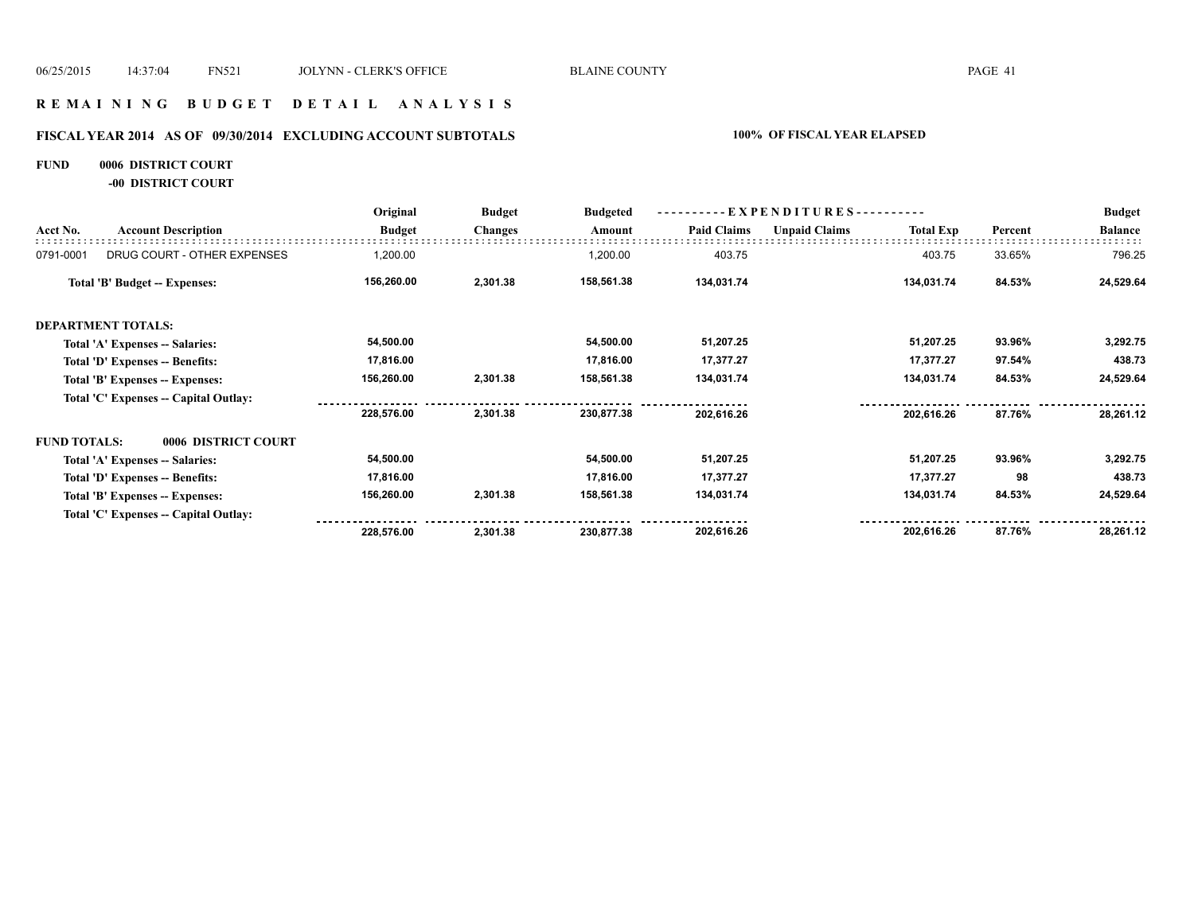#### **R E M A I N I N G B U D G E T D E T A I L A N A L Y S I S**

# **FISCAL YEAR 2014 AS OF 09/30/2014 EXCLUDING ACCOUNT SUBTOTALS 100% OF FISCAL YEAR ELAPSED**

#### **FUND 0006 DISTRICT COURT**

**-00 DISTRICT COURT**

|                             | Original                                                                                                                                                                                                                                                                                                                                                                              | <b>Budget</b>  | <b>Budgeted</b> | $-EXPENDITURES$ --------- |                      |                  |         | <b>Budget</b>  |
|-----------------------------|---------------------------------------------------------------------------------------------------------------------------------------------------------------------------------------------------------------------------------------------------------------------------------------------------------------------------------------------------------------------------------------|----------------|-----------------|---------------------------|----------------------|------------------|---------|----------------|
| <b>Account Description</b>  | <b>Budget</b>                                                                                                                                                                                                                                                                                                                                                                         | <b>Changes</b> | Amount          | <b>Paid Claims</b>        | <b>Unpaid Claims</b> | <b>Total Exp</b> | Percent | <b>Balance</b> |
| DRUG COURT - OTHER EXPENSES | 1,200.00                                                                                                                                                                                                                                                                                                                                                                              |                | 1,200.00        | 403.75                    |                      | 403.75           | 33.65%  | 796.25         |
|                             | 156,260.00                                                                                                                                                                                                                                                                                                                                                                            | 2,301.38       | 158,561.38      | 134,031.74                |                      | 134,031.74       | 84.53%  | 24,529.64      |
|                             |                                                                                                                                                                                                                                                                                                                                                                                       |                |                 |                           |                      |                  |         |                |
|                             | 54,500.00                                                                                                                                                                                                                                                                                                                                                                             |                | 54,500.00       | 51,207.25                 |                      | 51,207.25        | 93.96%  | 3,292.75       |
|                             | 17,816.00                                                                                                                                                                                                                                                                                                                                                                             |                | 17,816.00       | 17,377.27                 |                      | 17,377.27        | 97.54%  | 438.73         |
|                             | 156,260.00                                                                                                                                                                                                                                                                                                                                                                            | 2,301.38       | 158,561.38      | 134,031.74                |                      | 134,031.74       | 84.53%  | 24,529.64      |
|                             |                                                                                                                                                                                                                                                                                                                                                                                       |                |                 |                           |                      |                  |         |                |
|                             | 228,576.00                                                                                                                                                                                                                                                                                                                                                                            | 2,301.38       | 230,877.38      | 202,616.26                |                      | 202,616.26       | 87.76%  | 28,261.12      |
| 0006 DISTRICT COURT         |                                                                                                                                                                                                                                                                                                                                                                                       |                |                 |                           |                      |                  |         |                |
|                             | 54,500.00                                                                                                                                                                                                                                                                                                                                                                             |                | 54,500.00       | 51,207.25                 |                      | 51,207.25        | 93.96%  | 3,292.75       |
|                             | 17,816.00                                                                                                                                                                                                                                                                                                                                                                             |                | 17,816.00       | 17,377.27                 |                      | 17,377.27        | 98      | 438.73         |
|                             | 156,260.00                                                                                                                                                                                                                                                                                                                                                                            | 2,301.38       | 158,561.38      | 134,031.74                |                      | 134,031.74       | 84.53%  | 24,529.64      |
|                             |                                                                                                                                                                                                                                                                                                                                                                                       |                |                 |                           |                      |                  |         |                |
|                             | 228,576.00                                                                                                                                                                                                                                                                                                                                                                            | 2,301.38       | 230,877.38      | 202,616.26                |                      | 202,616.26       | 87.76%  | 28,261.12      |
|                             | Total 'B' Budget -- Expenses:<br><b>DEPARTMENT TOTALS:</b><br>Total 'A' Expenses -- Salaries:<br>Total 'D' Expenses -- Benefits:<br>Total 'B' Expenses -- Expenses:<br>Total 'C' Expenses -- Capital Outlay:<br><b>FUND TOTALS:</b><br>Total 'A' Expenses -- Salaries:<br>Total 'D' Expenses -- Benefits:<br>Total 'B' Expenses -- Expenses:<br>Total 'C' Expenses -- Capital Outlay: |                |                 |                           |                      |                  |         |                |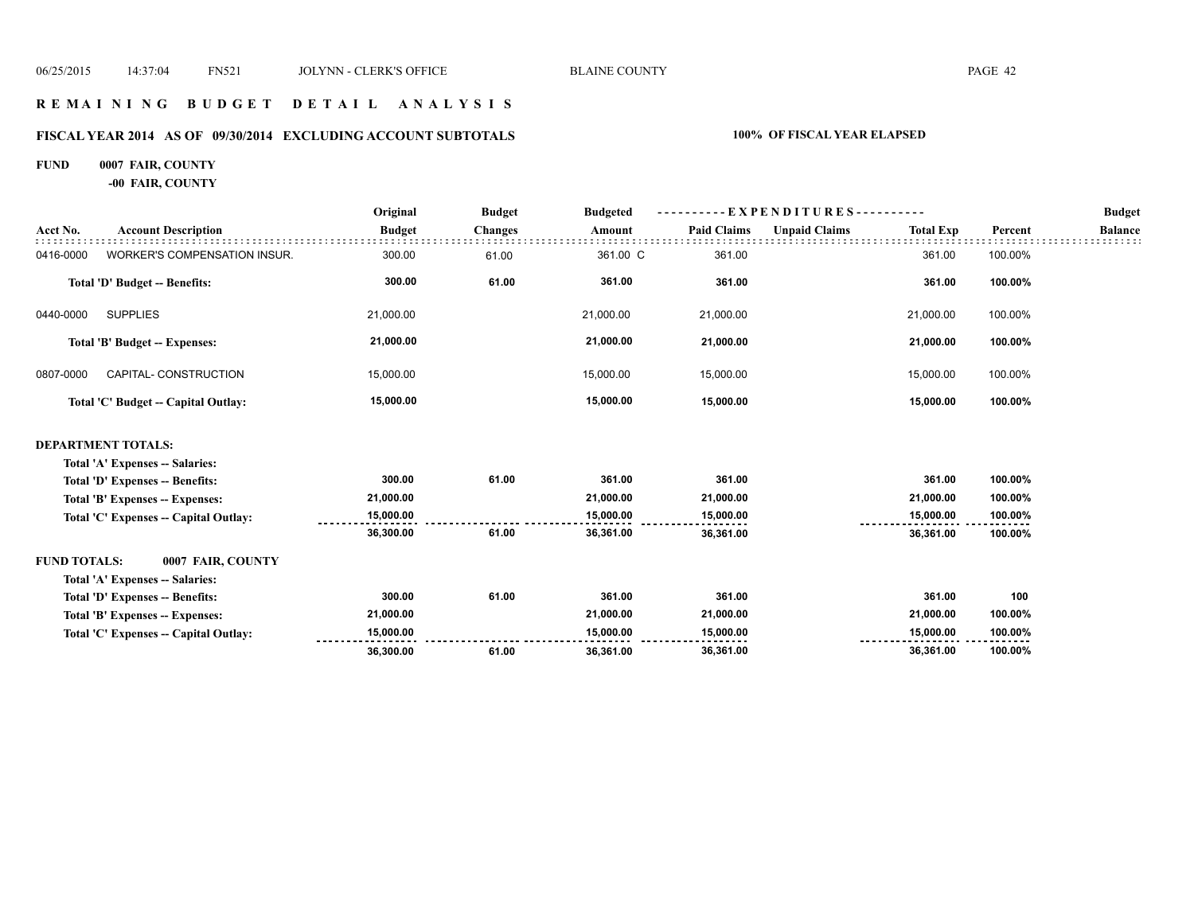#### **R E M A I N I N G B U D G E T D E T A I L A N A L Y S I S**

# **FISCAL YEAR 2014 AS OF 09/30/2014 EXCLUDING ACCOUNT SUBTOTALS 100% OF FISCAL YEAR ELAPSED**

#### **FUND 0007 FAIR, COUNTY**

**-00 FAIR, COUNTY**

|                     |                                       | Original      | <b>Budget</b>  | <b>Budgeted</b> | EXPENDITURES-      |                      |                  |         | <b>Budget</b>  |
|---------------------|---------------------------------------|---------------|----------------|-----------------|--------------------|----------------------|------------------|---------|----------------|
| Acct No.            | <b>Account Description</b>            | <b>Budget</b> | <b>Changes</b> | Amount          | <b>Paid Claims</b> | <b>Unpaid Claims</b> | <b>Total Exp</b> | Percent | <b>Balance</b> |
| 0416-0000           | WORKER'S COMPENSATION INSUR.          | 300.00        | 61.00          | 361.00 C        | 361.00             |                      | 361.00           | 100.00% |                |
|                     | Total 'D' Budget -- Benefits:         | 300.00        | 61.00          | 361.00          | 361.00             |                      | 361.00           | 100.00% |                |
| 0440-0000           | <b>SUPPLIES</b>                       | 21,000.00     |                | 21,000.00       | 21,000.00          |                      | 21,000.00        | 100.00% |                |
|                     | Total 'B' Budget -- Expenses:         | 21,000.00     |                | 21,000.00       | 21,000.00          |                      | 21,000.00        | 100.00% |                |
| 0807-0000           | CAPITAL- CONSTRUCTION                 | 15,000.00     |                | 15,000.00       | 15,000.00          |                      | 15,000.00        | 100.00% |                |
|                     | Total 'C' Budget -- Capital Outlay:   | 15,000.00     |                | 15,000.00       | 15,000.00          |                      | 15,000.00        | 100.00% |                |
|                     | <b>DEPARTMENT TOTALS:</b>             |               |                |                 |                    |                      |                  |         |                |
|                     | Total 'A' Expenses -- Salaries:       |               |                |                 |                    |                      |                  |         |                |
|                     | Total 'D' Expenses -- Benefits:       | 300.00        | 61.00          | 361.00          | 361.00             |                      | 361.00           | 100.00% |                |
|                     | Total 'B' Expenses -- Expenses:       | 21,000.00     |                | 21,000.00       | 21,000.00          |                      | 21,000.00        | 100.00% |                |
|                     | Total 'C' Expenses -- Capital Outlay: | 15,000.00     |                | 15,000.00       | 15,000.00          |                      | 15,000.00        | 100.00% |                |
|                     |                                       | 36,300.00     | 61.00          | 36,361.00       | 36,361.00          |                      | 36,361.00        | 100.00% |                |
| <b>FUND TOTALS:</b> | 0007 FAIR, COUNTY                     |               |                |                 |                    |                      |                  |         |                |
|                     | Total 'A' Expenses -- Salaries:       |               |                |                 |                    |                      |                  |         |                |
|                     | Total 'D' Expenses -- Benefits:       | 300.00        | 61.00          | 361.00          | 361.00             |                      | 361.00           | 100     |                |
|                     | Total 'B' Expenses -- Expenses:       | 21,000.00     |                | 21,000.00       | 21,000.00          |                      | 21,000.00        | 100.00% |                |
|                     | Total 'C' Expenses -- Capital Outlay: | 15,000.00     |                | 15,000.00       | 15,000.00          |                      | 15,000.00        | 100.00% |                |
|                     |                                       | 36,300.00     | 61.00          | 36,361.00       | 36,361.00          |                      | 36,361.00        | 100.00% |                |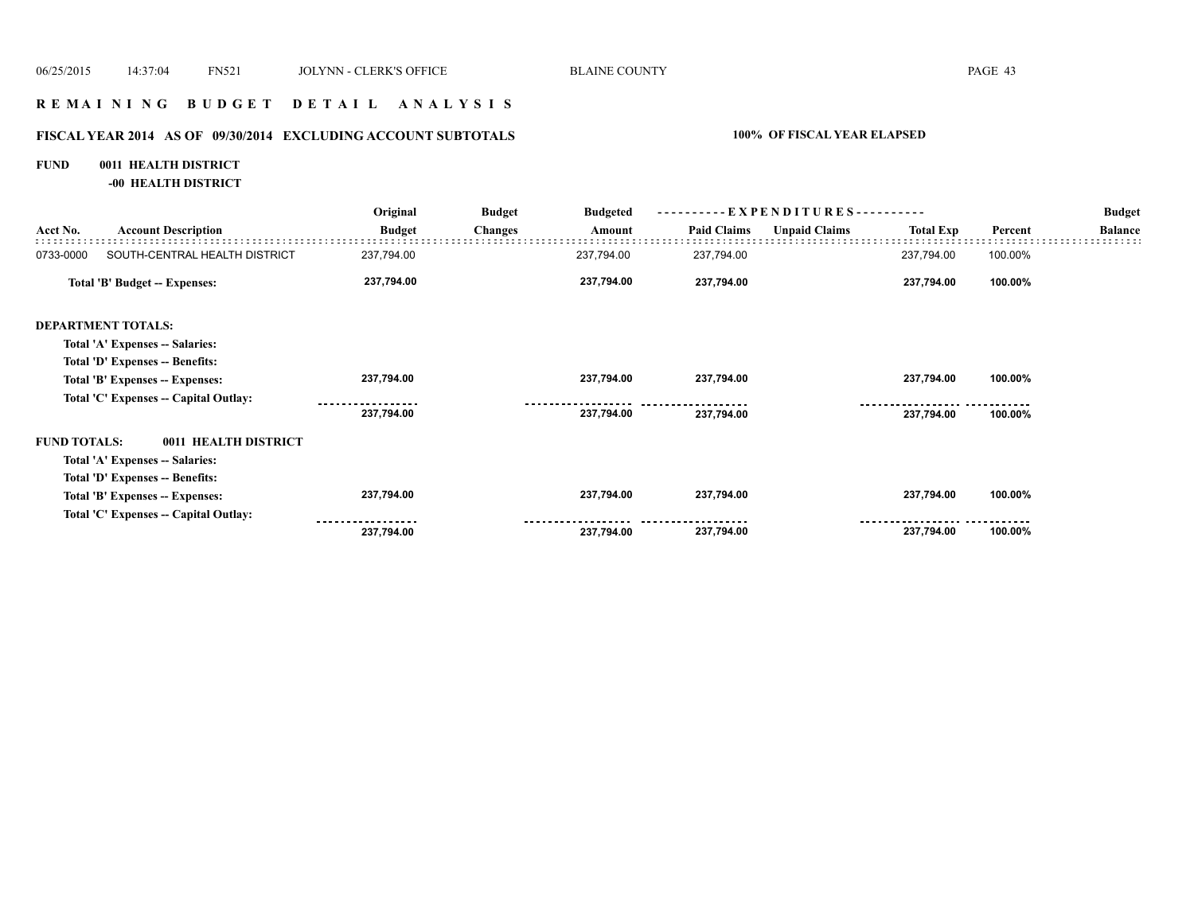#### **R E M A I N I N G B U D G E T D E T A I L A N A L Y S I S**

# **FISCAL YEAR 2014 AS OF 09/30/2014 EXCLUDING ACCOUNT SUBTOTALS 100% OF FISCAL YEAR ELAPSED**

#### **FUND 0011 HEALTH DISTRICT**

**-00 HEALTH DISTRICT**

|                     |                                       | Original      | <b>Budget</b>  | <b>Budgeted</b> |                    | $-EXPENDITURES---$   |                  |         | <b>Budget</b>  |
|---------------------|---------------------------------------|---------------|----------------|-----------------|--------------------|----------------------|------------------|---------|----------------|
| Acct No.            | <b>Account Description</b>            | <b>Budget</b> | <b>Changes</b> | Amount          | <b>Paid Claims</b> | <b>Unpaid Claims</b> | <b>Total Exp</b> | Percent | <b>Balance</b> |
| 0733-0000           | SOUTH-CENTRAL HEALTH DISTRICT         | 237,794.00    |                | 237,794.00      | 237,794.00         |                      | 237,794.00       | 100.00% |                |
|                     | Total 'B' Budget -- Expenses:         | 237,794.00    |                | 237,794.00      | 237,794.00         |                      | 237,794.00       | 100.00% |                |
|                     | <b>DEPARTMENT TOTALS:</b>             |               |                |                 |                    |                      |                  |         |                |
|                     | Total 'A' Expenses -- Salaries:       |               |                |                 |                    |                      |                  |         |                |
|                     | Total 'D' Expenses -- Benefits:       |               |                |                 |                    |                      |                  |         |                |
|                     | Total 'B' Expenses -- Expenses:       | 237,794.00    |                | 237,794.00      | 237,794.00         |                      | 237,794.00       | 100.00% |                |
|                     | Total 'C' Expenses -- Capital Outlay: |               |                |                 |                    |                      |                  |         |                |
|                     |                                       | 237,794.00    |                | 237,794.00      | 237,794.00         |                      | 237,794.00       | 100.00% |                |
| <b>FUND TOTALS:</b> | 0011 HEALTH DISTRICT                  |               |                |                 |                    |                      |                  |         |                |
|                     | Total 'A' Expenses -- Salaries:       |               |                |                 |                    |                      |                  |         |                |
|                     | Total 'D' Expenses -- Benefits:       |               |                |                 |                    |                      |                  |         |                |
|                     | Total 'B' Expenses -- Expenses:       | 237,794.00    |                | 237,794.00      | 237,794.00         |                      | 237,794.00       | 100.00% |                |
|                     | Total 'C' Expenses -- Capital Outlay: |               |                |                 |                    |                      |                  |         |                |
|                     |                                       | 237,794.00    |                | 237,794.00      | 237,794.00         |                      | 237,794.00       | 100.00% |                |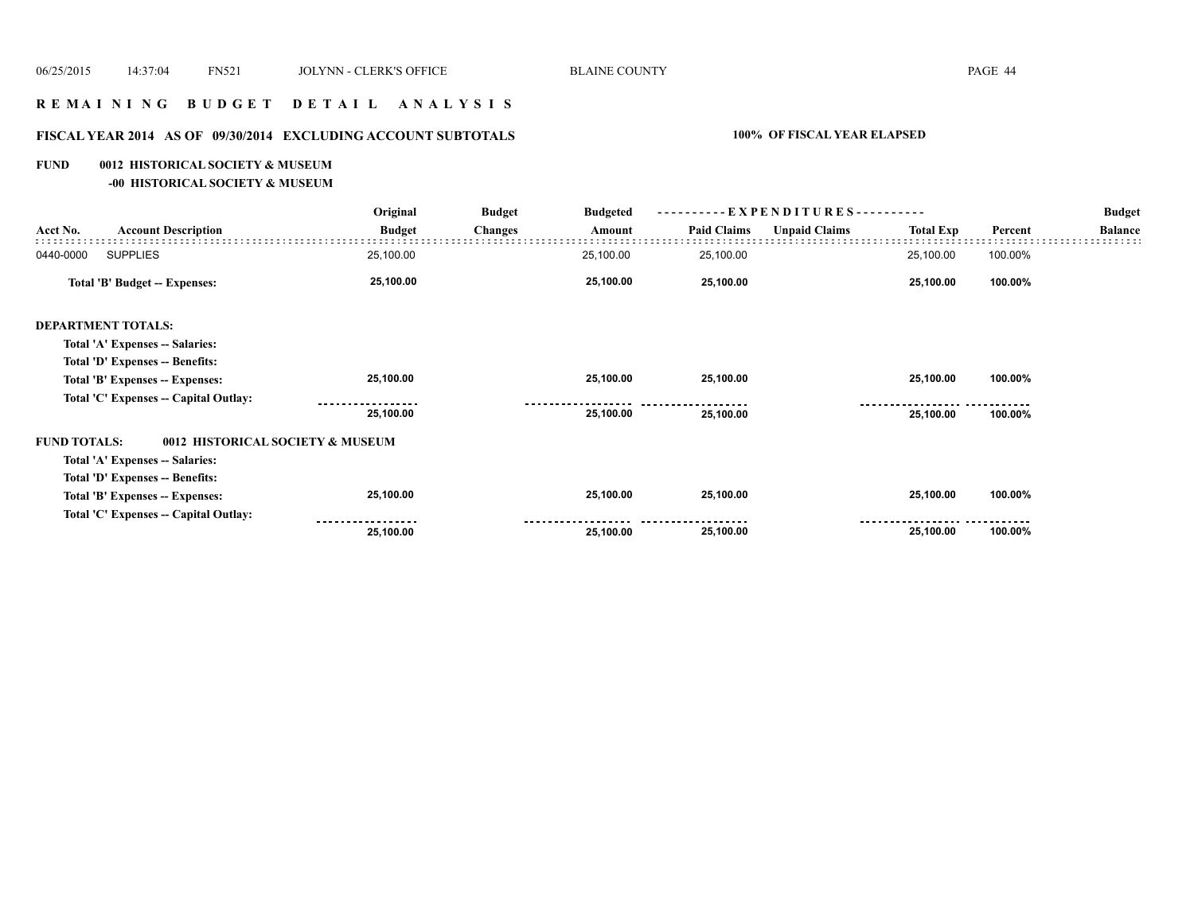# **R E M A I N I N G B U D G E T D E T A I L A N A L Y S I S**

# **FISCAL YEAR 2014 AS OF 09/30/2014 EXCLUDING ACCOUNT SUBTOTALS 100% OF FISCAL YEAR ELAPSED**

#### **FUND 0012 HISTORICAL SOCIETY & MUSEUM**

**-00 HISTORICAL SOCIETY & MUSEUM**

|                     |                                       | Original      | <b>Budget</b>  | <b>Budgeted</b> | $-EXPENDITURES$ --------- |                      |                  |         | <b>Budget</b>  |
|---------------------|---------------------------------------|---------------|----------------|-----------------|---------------------------|----------------------|------------------|---------|----------------|
| Acct No.            | <b>Account Description</b>            | <b>Budget</b> | <b>Changes</b> | Amount          | <b>Paid Claims</b>        | <b>Unpaid Claims</b> | <b>Total Exp</b> | Percent | <b>Balance</b> |
| 0440-0000           | <b>SUPPLIES</b>                       | 25,100.00     |                | 25,100.00       | 25,100.00                 |                      | 25,100.00        | 100.00% |                |
|                     | <b>Total 'B' Budget -- Expenses:</b>  | 25,100.00     |                | 25,100.00       | 25,100.00                 |                      | 25,100.00        | 100.00% |                |
|                     | <b>DEPARTMENT TOTALS:</b>             |               |                |                 |                           |                      |                  |         |                |
|                     | Total 'A' Expenses -- Salaries:       |               |                |                 |                           |                      |                  |         |                |
|                     | Total 'D' Expenses -- Benefits:       |               |                |                 |                           |                      |                  |         |                |
|                     | Total 'B' Expenses -- Expenses:       | 25,100.00     |                | 25,100.00       | 25,100.00                 |                      | 25,100.00        | 100.00% |                |
|                     | Total 'C' Expenses -- Capital Outlay: |               |                |                 |                           |                      |                  |         |                |
|                     |                                       | 25,100.00     |                | 25,100.00       | 25,100.00                 |                      | 25,100.00        | 100.00% |                |
| <b>FUND TOTALS:</b> | 0012 HISTORICAL SOCIETY & MUSEUM      |               |                |                 |                           |                      |                  |         |                |
|                     | Total 'A' Expenses -- Salaries:       |               |                |                 |                           |                      |                  |         |                |
|                     | Total 'D' Expenses -- Benefits:       |               |                |                 |                           |                      |                  |         |                |
|                     | Total 'B' Expenses -- Expenses:       | 25,100.00     |                | 25,100.00       | 25,100.00                 |                      | 25,100.00        | 100.00% |                |
|                     | Total 'C' Expenses -- Capital Outlay: |               |                |                 |                           |                      |                  |         |                |
|                     |                                       | 25,100.00     |                | 25,100.00       | 25,100.00                 |                      | 25,100.00        | 100.00% |                |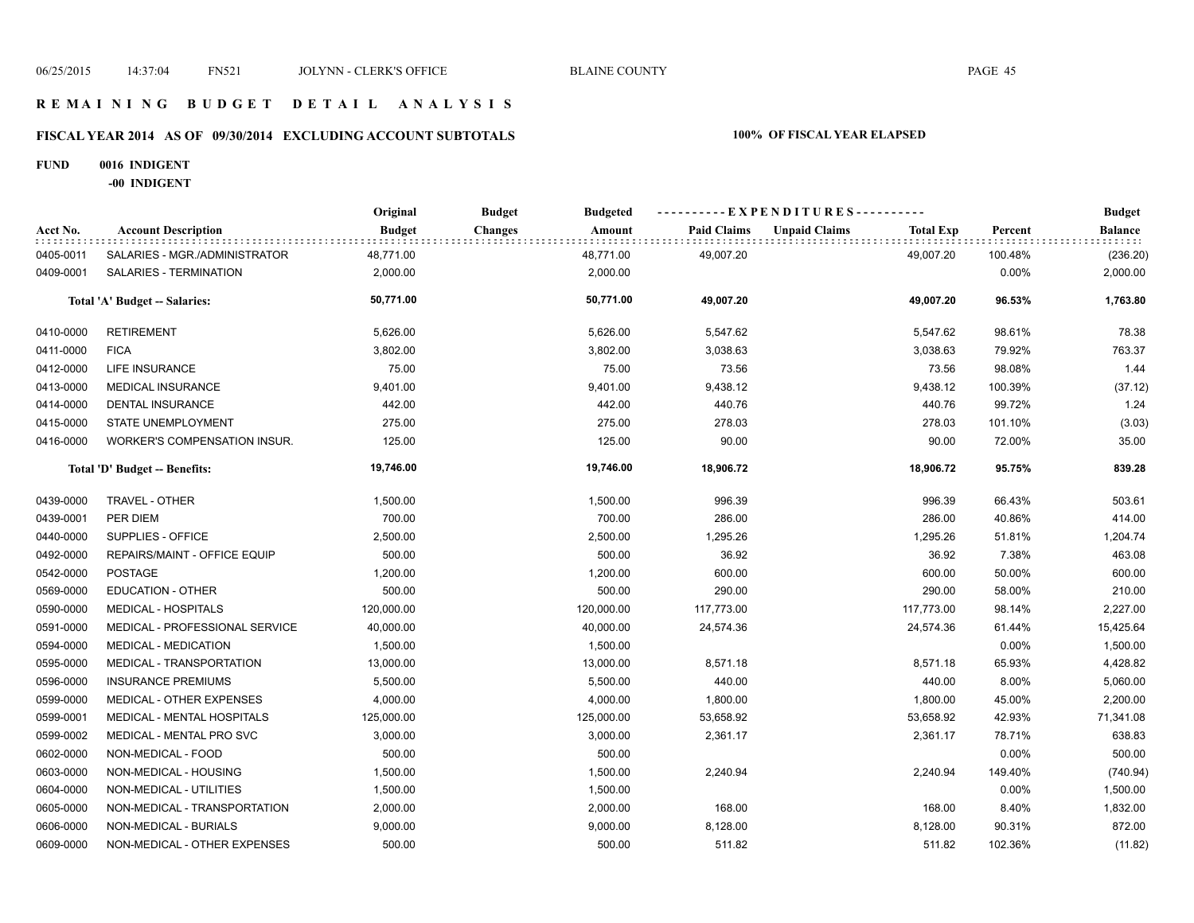#### **R E M A I N I N G B U D G E T D E T A I L A N A L Y S I S**

# **FISCAL YEAR 2014 AS OF 09/30/2014 EXCLUDING ACCOUNT SUBTOTALS 100% OF FISCAL YEAR ELAPSED**

#### **FUND 0016 INDIGENT**

**-00 INDIGENT**

|           |                                | Original      | <b>Budget</b>  | <b>Budgeted</b> | ---------- EXPENDITURES---------- |                      |                  |         | <b>Budget</b> |
|-----------|--------------------------------|---------------|----------------|-----------------|-----------------------------------|----------------------|------------------|---------|---------------|
| Acct No.  | <b>Account Description</b>     | <b>Budget</b> | <b>Changes</b> | Amount          | <b>Paid Claims</b>                | <b>Unpaid Claims</b> | <b>Total Exp</b> | Percent | Balance       |
| 0405-0011 | SALARIES - MGR./ADMINISTRATOR  | 48,771.00     | 48,771.00      |                 | 49,007.20                         |                      | 49,007.20        | 100.48% | (236.20)      |
| 0409-0001 | SALARIES - TERMINATION         | 2,000.00      |                | 2,000.00        |                                   |                      |                  | 0.00%   | 2,000.00      |
|           | Total 'A' Budget -- Salaries:  | 50,771.00     |                | 50,771.00       | 49,007.20                         |                      | 49.007.20        | 96.53%  | 1,763.80      |
| 0410-0000 | <b>RETIREMENT</b>              | 5,626.00      |                | 5,626.00        | 5,547.62                          |                      | 5,547.62         | 98.61%  | 78.38         |
| 0411-0000 | <b>FICA</b>                    | 3,802.00      |                | 3,802.00        | 3,038.63                          |                      | 3,038.63         | 79.92%  | 763.37        |
| 0412-0000 | LIFE INSURANCE                 | 75.00         |                | 75.00           | 73.56                             |                      | 73.56            | 98.08%  | 1.44          |
| 0413-0000 | <b>MEDICAL INSURANCE</b>       | 9,401.00      |                | 9,401.00        | 9,438.12                          |                      | 9,438.12         | 100.39% | (37.12)       |
| 0414-0000 | DENTAL INSURANCE               | 442.00        |                | 442.00          | 440.76                            |                      | 440.76           | 99.72%  | 1.24          |
| 0415-0000 | STATE UNEMPLOYMENT             | 275.00        |                | 275.00          | 278.03                            |                      | 278.03           | 101.10% | (3.03)        |
| 0416-0000 | WORKER'S COMPENSATION INSUR.   | 125.00        |                | 125.00          | 90.00                             |                      | 90.00            | 72.00%  | 35.00         |
|           | Total 'D' Budget -- Benefits:  | 19,746.00     |                | 19,746.00       | 18,906.72                         |                      | 18,906.72        | 95.75%  | 839.28        |
| 0439-0000 | TRAVEL - OTHER                 | 1,500.00      |                | 1,500.00        | 996.39                            |                      | 996.39           | 66.43%  | 503.61        |
| 0439-0001 | PER DIEM                       | 700.00        |                | 700.00          | 286.00                            |                      | 286.00           | 40.86%  | 414.00        |
| 0440-0000 | SUPPLIES - OFFICE              | 2,500.00      |                | 2,500.00        | 1,295.26                          |                      | 1,295.26         | 51.81%  | 1,204.74      |
| 0492-0000 | REPAIRS/MAINT - OFFICE EQUIP   | 500.00        |                | 500.00          | 36.92                             |                      | 36.92            | 7.38%   | 463.08        |
| 0542-0000 | <b>POSTAGE</b>                 | 1,200.00      |                | 1,200.00        | 600.00                            |                      | 600.00           | 50.00%  | 600.00        |
| 0569-0000 | <b>EDUCATION - OTHER</b>       | 500.00        |                | 500.00          | 290.00                            |                      | 290.00           | 58.00%  | 210.00        |
| 0590-0000 | <b>MEDICAL - HOSPITALS</b>     | 120,000.00    | 120,000.00     |                 | 117,773.00                        |                      | 117,773.00       | 98.14%  | 2,227.00      |
| 0591-0000 | MEDICAL - PROFESSIONAL SERVICE | 40,000.00     | 40,000.00      |                 | 24,574.36                         |                      | 24,574.36        | 61.44%  | 15,425.64     |
| 0594-0000 | <b>MEDICAL - MEDICATION</b>    | 1,500.00      |                | 1,500.00        |                                   |                      |                  | 0.00%   | 1,500.00      |
| 0595-0000 | MEDICAL - TRANSPORTATION       | 13,000.00     | 13,000.00      |                 | 8,571.18                          |                      | 8,571.18         | 65.93%  | 4,428.82      |
| 0596-0000 | <b>INSURANCE PREMIUMS</b>      | 5,500.00      |                | 5,500.00        | 440.00                            |                      | 440.00           | 8.00%   | 5,060.00      |
| 0599-0000 | MEDICAL - OTHER EXPENSES       | 4,000.00      |                | 4,000.00        | 1,800.00                          |                      | 1,800.00         | 45.00%  | 2,200.00      |
| 0599-0001 | MEDICAL - MENTAL HOSPITALS     | 125,000.00    | 125,000.00     |                 | 53,658.92                         |                      | 53,658.92        | 42.93%  | 71,341.08     |
| 0599-0002 | MEDICAL - MENTAL PRO SVC       | 3,000.00      |                | 3,000.00        | 2,361.17                          |                      | 2,361.17         | 78.71%  | 638.83        |
| 0602-0000 | NON-MEDICAL - FOOD             | 500.00        |                | 500.00          |                                   |                      |                  | 0.00%   | 500.00        |
| 0603-0000 | NON-MEDICAL - HOUSING          | 1,500.00      |                | 1,500.00        | 2,240.94                          |                      | 2,240.94         | 149.40% | (740.94)      |
| 0604-0000 | NON-MEDICAL - UTILITIES        | 1,500.00      |                | 1,500.00        |                                   |                      |                  | 0.00%   | 1,500.00      |
| 0605-0000 | NON-MEDICAL - TRANSPORTATION   | 2,000.00      |                | 2,000.00        | 168.00                            |                      | 168.00           | 8.40%   | 1,832.00      |
| 0606-0000 | NON-MEDICAL - BURIALS          | 9,000.00      |                | 9,000.00        | 8,128.00                          |                      | 8,128.00         | 90.31%  | 872.00        |
| 0609-0000 | NON-MEDICAL - OTHER EXPENSES   | 500.00        |                | 500.00          | 511.82                            |                      | 511.82           | 102.36% | (11.82)       |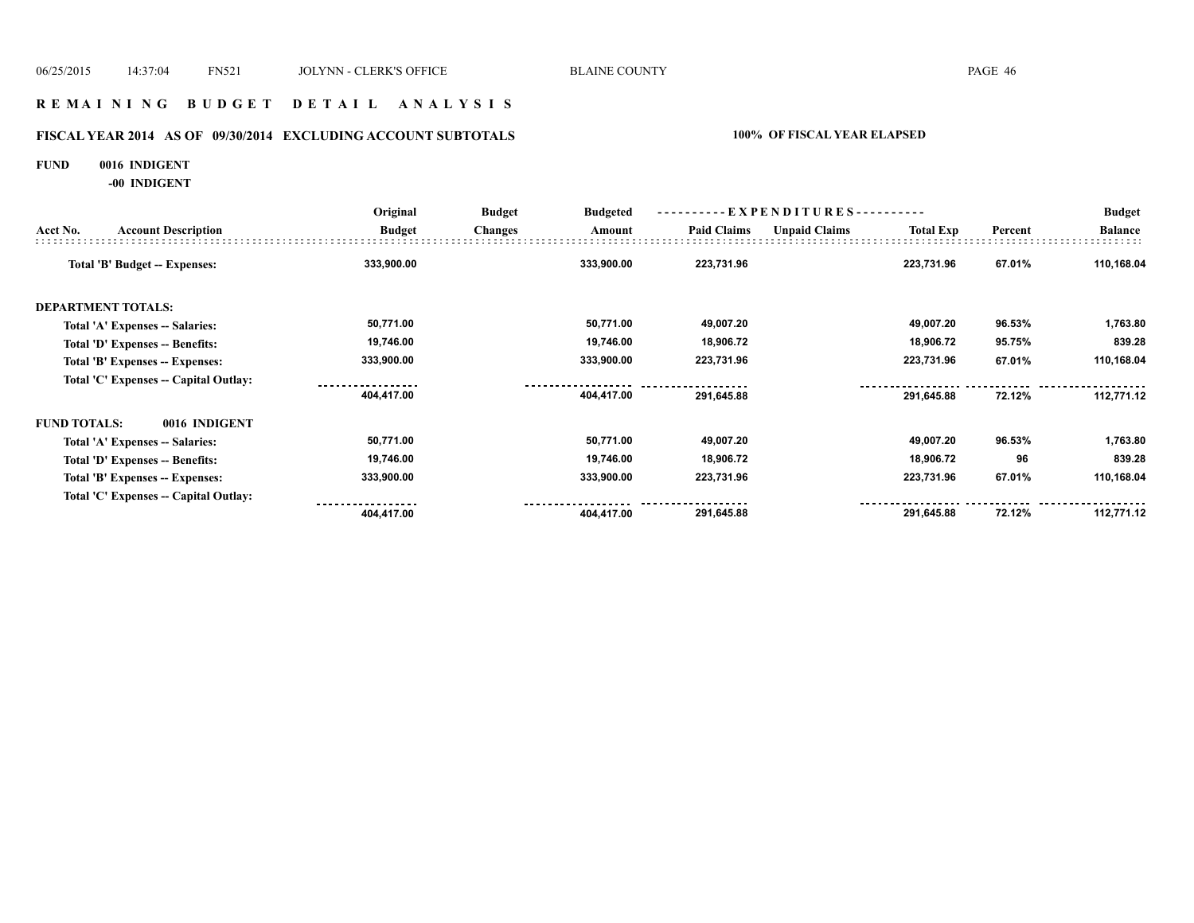#### **R E M A I N I N G B U D G E T D E T A I L A N A L Y S I S**

# **FISCAL YEAR 2014 AS OF 09/30/2014 EXCLUDING ACCOUNT SUBTOTALS 100% OF FISCAL YEAR ELAPSED**

#### **FUND 0016 INDIGENT**

**-00 INDIGENT**

|                     |                                       | Original<br><b>Budget</b> | <b>Budget</b>  | <b>Budgeted</b> | ----------EXPENDITURES---------- |                      |                  |         | <b>Budget</b>  |
|---------------------|---------------------------------------|---------------------------|----------------|-----------------|----------------------------------|----------------------|------------------|---------|----------------|
| Acct No.            | <b>Account Description</b>            |                           | <b>Changes</b> | Amount          | <b>Paid Claims</b>               | <b>Unpaid Claims</b> | <b>Total Exp</b> | Percent | <b>Balance</b> |
|                     | <b>Total 'B' Budget -- Expenses:</b>  | 333,900.00                |                | 333,900.00      | 223,731.96                       |                      | 223,731.96       | 67.01%  | 110,168.04     |
|                     | <b>DEPARTMENT TOTALS:</b>             |                           |                |                 |                                  |                      |                  |         |                |
|                     | Total 'A' Expenses -- Salaries:       | 50,771.00                 |                | 50,771.00       | 49,007.20                        |                      | 49,007.20        | 96.53%  | 1,763.80       |
|                     | Total 'D' Expenses -- Benefits:       | 19,746.00                 |                | 19,746.00       | 18,906.72                        |                      | 18,906.72        | 95.75%  | 839.28         |
|                     | Total 'B' Expenses -- Expenses:       | 333,900.00                |                | 333,900.00      | 223,731.96                       |                      | 223,731.96       | 67.01%  | 110,168.04     |
|                     | Total 'C' Expenses -- Capital Outlay: |                           |                |                 |                                  |                      |                  |         |                |
|                     |                                       | 404,417.00                |                | 404,417.00      | 291,645.88                       |                      | 291,645.88       | 72.12%  | 112,771.12     |
| <b>FUND TOTALS:</b> | 0016 INDIGENT                         |                           |                |                 |                                  |                      |                  |         |                |
|                     | Total 'A' Expenses -- Salaries:       | 50,771.00                 |                | 50,771.00       | 49,007.20                        |                      | 49,007.20        | 96.53%  | 1,763.80       |
|                     | Total 'D' Expenses -- Benefits:       | 19,746.00                 |                | 19,746.00       | 18,906.72                        |                      | 18,906.72        | 96      | 839.28         |
|                     | Total 'B' Expenses -- Expenses:       | 333,900.00                |                | 333,900.00      | 223,731.96                       |                      | 223,731.96       | 67.01%  | 110,168.04     |
|                     | Total 'C' Expenses -- Capital Outlay: |                           |                |                 |                                  |                      |                  |         |                |
|                     |                                       | 404,417.00                |                | 404,417.00      | 291,645.88                       |                      | 291,645.88       | 72.12%  | 112,771.12     |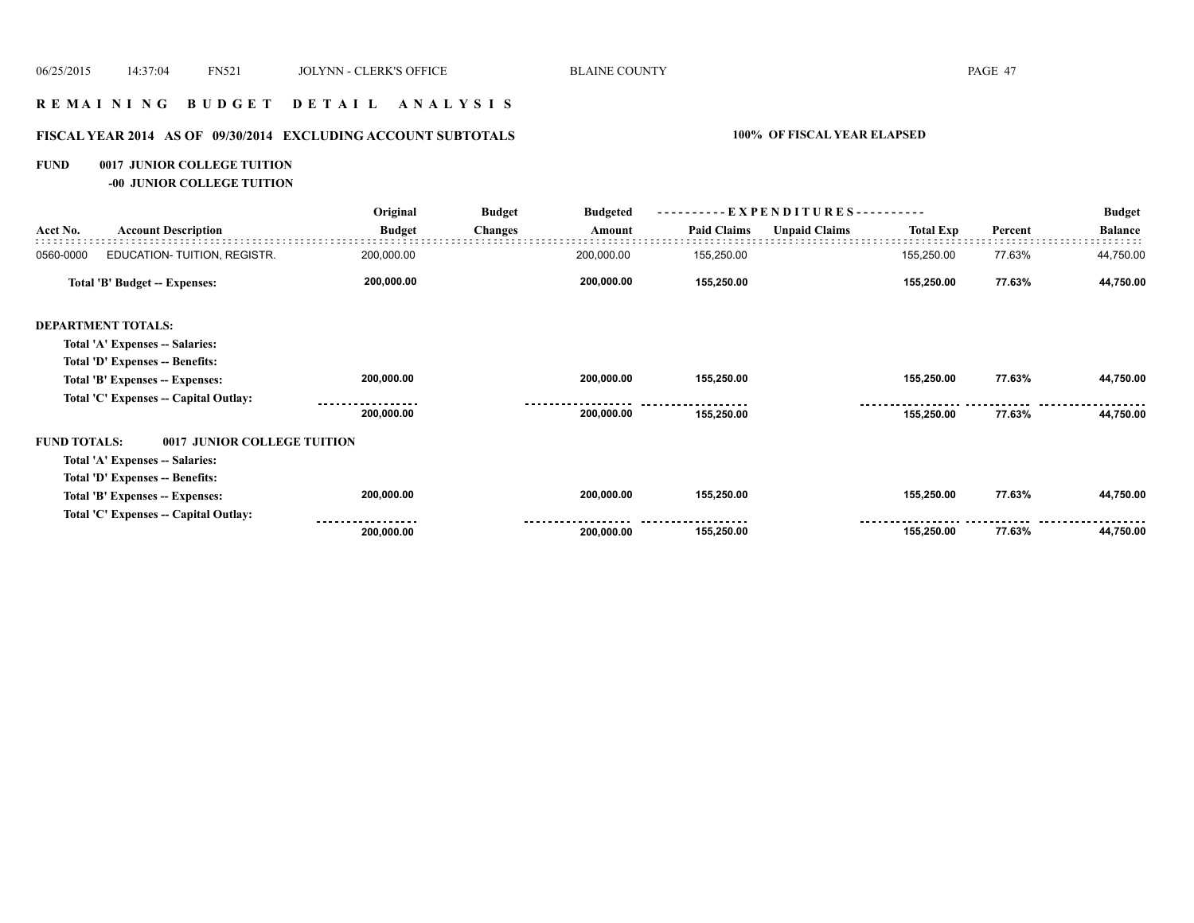#### **R E M A I N I N G B U D G E T D E T A I L A N A L Y S I S**

# **FISCAL YEAR 2014 AS OF 09/30/2014 EXCLUDING ACCOUNT SUBTOTALS 100% OF FISCAL YEAR ELAPSED**

#### **FUND 0017 JUNIOR COLLEGE TUITION**

**-00 JUNIOR COLLEGE TUITION**

|                     |                                       | Original      | <b>Budget</b>  | <b>Budgeted</b> | ----------EXPENDITURES---------- |                      |                  |         | <b>Budget</b>  |  |
|---------------------|---------------------------------------|---------------|----------------|-----------------|----------------------------------|----------------------|------------------|---------|----------------|--|
| Acct No.            | <b>Account Description</b>            | <b>Budget</b> | <b>Changes</b> | Amount          | <b>Paid Claims</b>               | <b>Unpaid Claims</b> | <b>Total Exp</b> | Percent | <b>Balance</b> |  |
| 0560-0000           | EDUCATION-TUITION, REGISTR.           | 200,000.00    |                | 200,000.00      | 155,250.00                       |                      | 155,250.00       | 77.63%  | 44,750.00      |  |
|                     | Total 'B' Budget -- Expenses:         | 200,000.00    |                | 200,000.00      | 155,250.00                       |                      | 155,250.00       | 77.63%  | 44,750.00      |  |
|                     | <b>DEPARTMENT TOTALS:</b>             |               |                |                 |                                  |                      |                  |         |                |  |
|                     | Total 'A' Expenses -- Salaries:       |               |                |                 |                                  |                      |                  |         |                |  |
|                     | Total 'D' Expenses -- Benefits:       |               |                |                 |                                  |                      |                  |         |                |  |
|                     | Total 'B' Expenses -- Expenses:       | 200,000.00    |                | 200,000.00      | 155,250.00                       |                      | 155,250.00       | 77.63%  | 44,750.00      |  |
|                     | Total 'C' Expenses -- Capital Outlay: |               |                |                 |                                  |                      |                  |         |                |  |
|                     |                                       | 200,000.00    |                | 200,000.00      | 155,250.00                       |                      | 155,250.00       | 77.63%  | 44,750.00      |  |
| <b>FUND TOTALS:</b> | 0017 JUNIOR COLLEGE TUITION           |               |                |                 |                                  |                      |                  |         |                |  |
|                     | Total 'A' Expenses -- Salaries:       |               |                |                 |                                  |                      |                  |         |                |  |
|                     | Total 'D' Expenses -- Benefits:       |               |                |                 |                                  |                      |                  |         |                |  |
|                     | Total 'B' Expenses -- Expenses:       | 200,000.00    |                | 200,000.00      | 155,250.00                       |                      | 155,250.00       | 77.63%  | 44,750.00      |  |
|                     | Total 'C' Expenses -- Capital Outlay: |               |                |                 |                                  |                      |                  |         |                |  |
|                     |                                       | 200,000.00    |                | 200,000.00      | 155,250.00                       |                      | 155,250.00       | 77.63%  | 44,750.00      |  |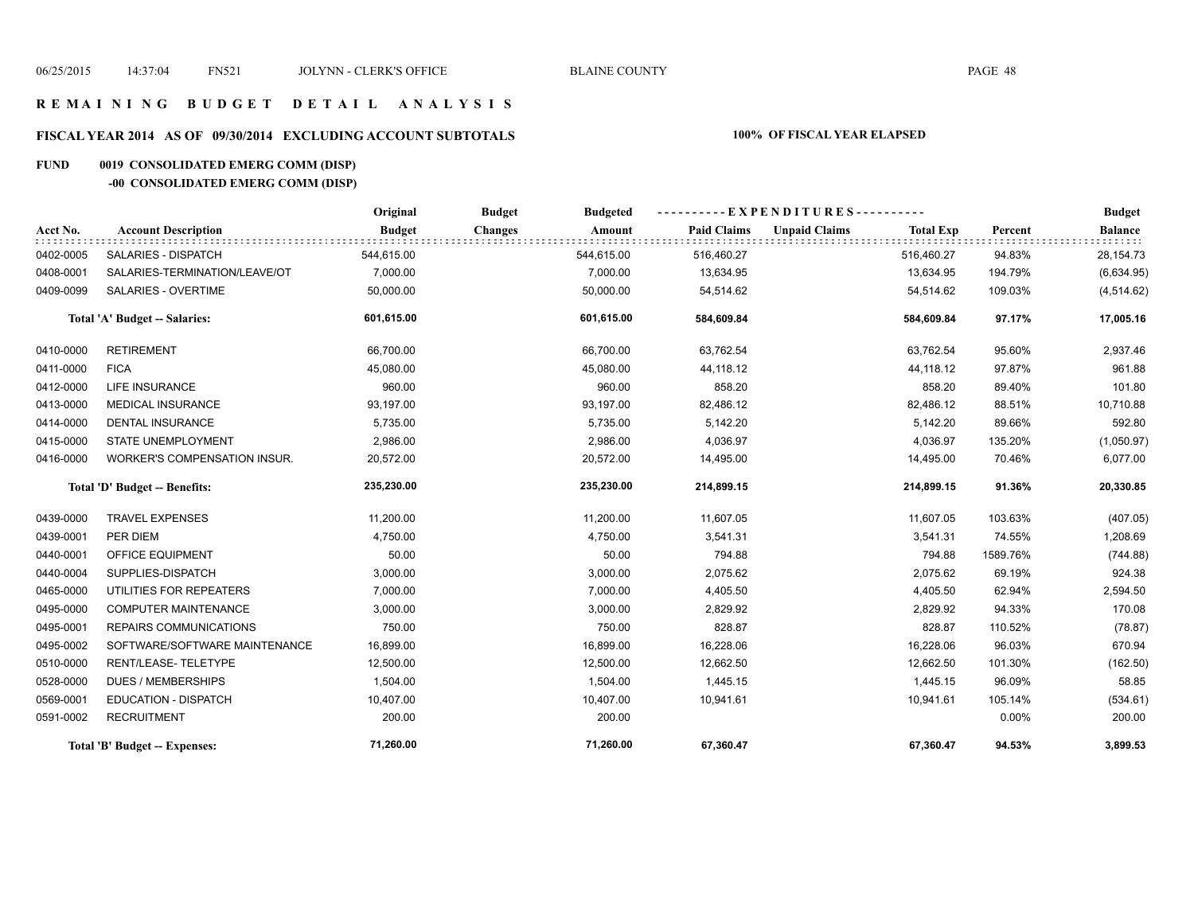#### **R E M A I N I N G B U D G E T D E T A I L A N A L Y S I S**

# **FISCAL YEAR 2014 AS OF 09/30/2014 EXCLUDING ACCOUNT SUBTOTALS 100% OF FISCAL YEAR ELAPSED**

# **FUND 0019 CONSOLIDATED EMERG COMM (DISP)**

# **-00 CONSOLIDATED EMERG COMM (DISP)**

|           |                                     | Original      | <b>Budget</b><br><b>Budgeted</b> |                    | ----------EXPENDITURES----------         |          | <b>Budget</b>  |
|-----------|-------------------------------------|---------------|----------------------------------|--------------------|------------------------------------------|----------|----------------|
| Acct No.  | <b>Account Description</b>          | <b>Budget</b> | <b>Changes</b><br>Amount         | <b>Paid Claims</b> | <b>Unpaid Claims</b><br><b>Total Exp</b> | Percent  | <b>Balance</b> |
| 0402-0005 | SALARIES - DISPATCH                 | 544,615.00    | 544,615.00                       | 516,460.27         | 516,460.27                               | 94.83%   | 28,154.73      |
| 0408-0001 | SALARIES-TERMINATION/LEAVE/OT       | 7,000.00      | 7,000.00                         | 13,634.95          | 13,634.95                                | 194.79%  | (6,634.95)     |
| 0409-0099 | SALARIES - OVERTIME                 | 50,000.00     | 50,000.00                        | 54,514.62          | 54,514.62                                | 109.03%  | (4, 514.62)    |
|           | Total 'A' Budget -- Salaries:       | 601,615.00    | 601,615.00                       | 584,609.84         | 584,609.84                               | 97.17%   | 17,005.16      |
| 0410-0000 | <b>RETIREMENT</b>                   | 66,700.00     | 66,700.00                        | 63,762.54          | 63,762.54                                | 95.60%   | 2,937.46       |
| 0411-0000 | <b>FICA</b>                         | 45,080.00     | 45,080.00                        | 44,118.12          | 44,118.12                                | 97.87%   | 961.88         |
| 0412-0000 | <b>LIFE INSURANCE</b>               | 960.00        | 960.00                           | 858.20             | 858.20                                   | 89.40%   | 101.80         |
| 0413-0000 | <b>MEDICAL INSURANCE</b>            | 93,197.00     | 93,197.00                        | 82,486.12          | 82,486.12                                | 88.51%   | 10,710.88      |
| 0414-0000 | <b>DENTAL INSURANCE</b>             | 5,735.00      | 5,735.00                         | 5,142.20           | 5,142.20                                 | 89.66%   | 592.80         |
| 0415-0000 | <b>STATE UNEMPLOYMENT</b>           | 2,986.00      | 2,986.00                         | 4,036.97           | 4,036.97                                 | 135.20%  | (1,050.97)     |
| 0416-0000 | <b>WORKER'S COMPENSATION INSUR.</b> | 20,572.00     | 20,572.00                        | 14,495.00          | 14,495.00                                | 70.46%   | 6,077.00       |
|           | Total 'D' Budget -- Benefits:       | 235,230.00    | 235,230.00                       | 214,899.15         | 214,899.15                               | 91.36%   | 20,330.85      |
| 0439-0000 | <b>TRAVEL EXPENSES</b>              | 11,200.00     | 11,200.00                        | 11,607.05          | 11,607.05                                | 103.63%  | (407.05)       |
| 0439-0001 | PER DIEM                            | 4,750.00      | 4,750.00                         | 3,541.31           | 3,541.31                                 | 74.55%   | 1,208.69       |
| 0440-0001 | OFFICE EQUIPMENT                    | 50.00         | 50.00                            | 794.88             | 794.88                                   | 1589.76% | (744.88)       |
| 0440-0004 | SUPPLIES-DISPATCH                   | 3,000.00      | 3,000.00                         | 2,075.62           | 2,075.62                                 | 69.19%   | 924.38         |
| 0465-0000 | UTILITIES FOR REPEATERS             | 7,000.00      | 7,000.00                         | 4,405.50           | 4,405.50                                 | 62.94%   | 2,594.50       |
| 0495-0000 | <b>COMPUTER MAINTENANCE</b>         | 3,000.00      | 3,000.00                         | 2,829.92           | 2,829.92                                 | 94.33%   | 170.08         |
| 0495-0001 | <b>REPAIRS COMMUNICATIONS</b>       | 750.00        | 750.00                           | 828.87             | 828.87                                   | 110.52%  | (78.87)        |
| 0495-0002 | SOFTWARE/SOFTWARE MAINTENANCE       | 16,899.00     | 16,899.00                        | 16,228.06          | 16,228.06                                | 96.03%   | 670.94         |
| 0510-0000 | RENT/LEASE-TELETYPE                 | 12,500.00     | 12,500.00                        | 12,662.50          | 12,662.50                                | 101.30%  | (162.50)       |
| 0528-0000 | <b>DUES / MEMBERSHIPS</b>           | 1,504.00      | 1,504.00                         | 1,445.15           | 1,445.15                                 | 96.09%   | 58.85          |
| 0569-0001 | <b>EDUCATION - DISPATCH</b>         | 10,407.00     | 10,407.00                        | 10,941.61          | 10,941.61                                | 105.14%  | (534.61)       |
| 0591-0002 | <b>RECRUITMENT</b>                  | 200.00        | 200.00                           |                    |                                          | 0.00%    | 200.00         |
|           | Total 'B' Budget -- Expenses:       | 71,260.00     | 71,260.00                        | 67,360.47          | 67,360.47                                | 94.53%   | 3,899.53       |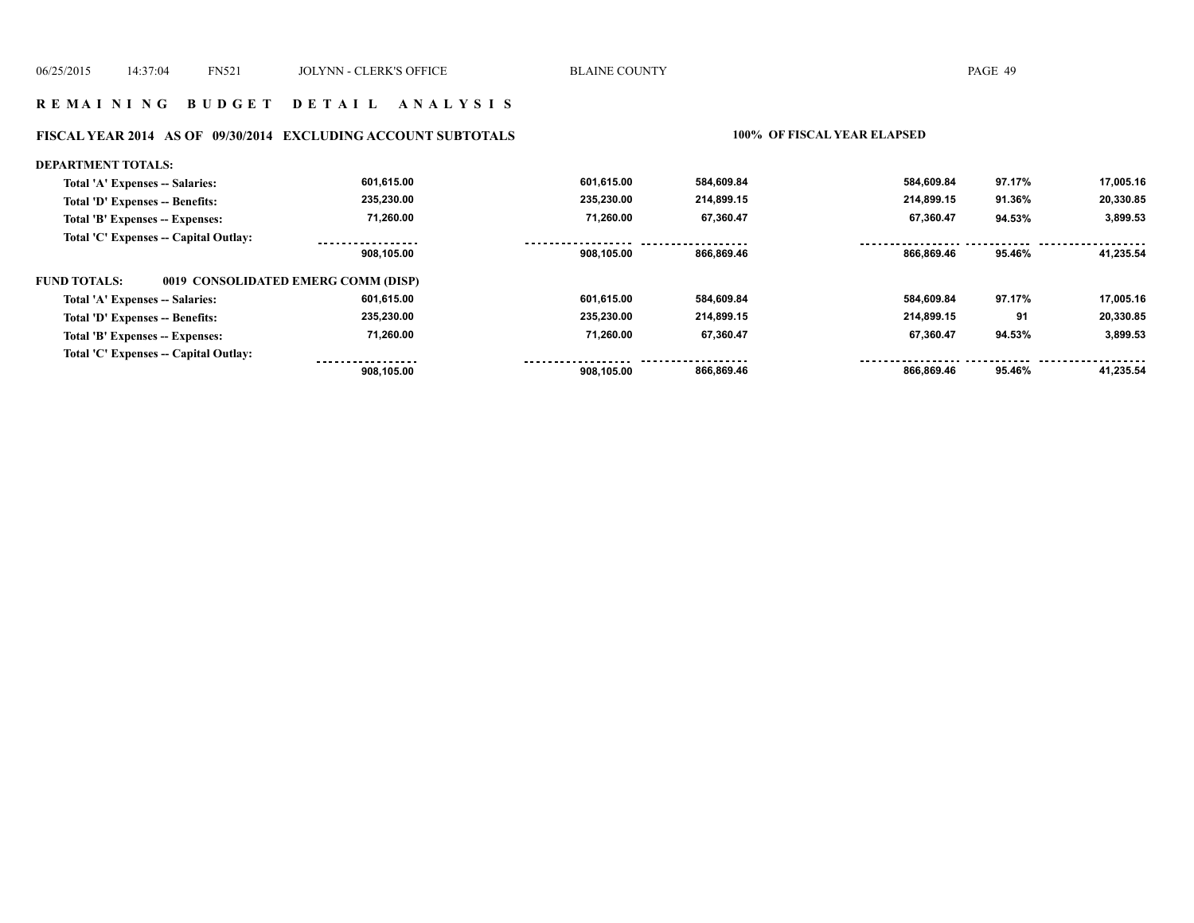#### **R E M A I N I N G B U D G E T D E T A I L A N A L Y S I S**

#### **FISCAL YEAR 2014 AS OF 09/30/2014 EXCLUDING ACCOUNT SUBTOTALS 100% OF FISCAL YEAR ELAPSED**

#### **DEPARTMENT TOTALS: 601,615.00 601,615.00 584,609.84 584,609.84 97.17% 17,005.16 Total 'A' Expenses -- Salaries: Total 'D' Expenses -- Benefits: 235,230.00 235,230.00 214,899.15 214,899.15 91.36% 20,330.85 71,260.00 71,260.00 67,360.47 67,360.47 3,899.53 Total 'B' Expenses -- Expenses: 94.53% Total 'C' Expenses -- Capital Outlay:** -----------------.................. ------------------................. . . . . . . . . . . . . . . . . . . . . . . . . .  **908,105.00 908,105.00 866,869.46 866,869.46 95.46% 41,235.54 FUND TOTALS: 0019 CONSOLIDATED EMERG COMM (DISP)Total 'A' Expenses -- Salaries: 601,615.00 601,615.00 584,609.84 584,609.84 97.17% 17,005.16 Total 'D' Expenses -- Benefits: 235,230.00 235,230.00 214,899.15 214,899.15 91 20,330.85 71,260.00 71,260.00 3,899.53 Total 'B' Expenses -- Expenses: 67,360.47 67,360.47 94.53% Total 'C' Expenses -- Capital Outlay:** ------------------<u>. . . . . . . . . . . . . . . . .</u> ------<u> - - - - - - -</u>  **908,105.00 908,105.00 866,869.46 866,869.46 95.46% 41,235.54**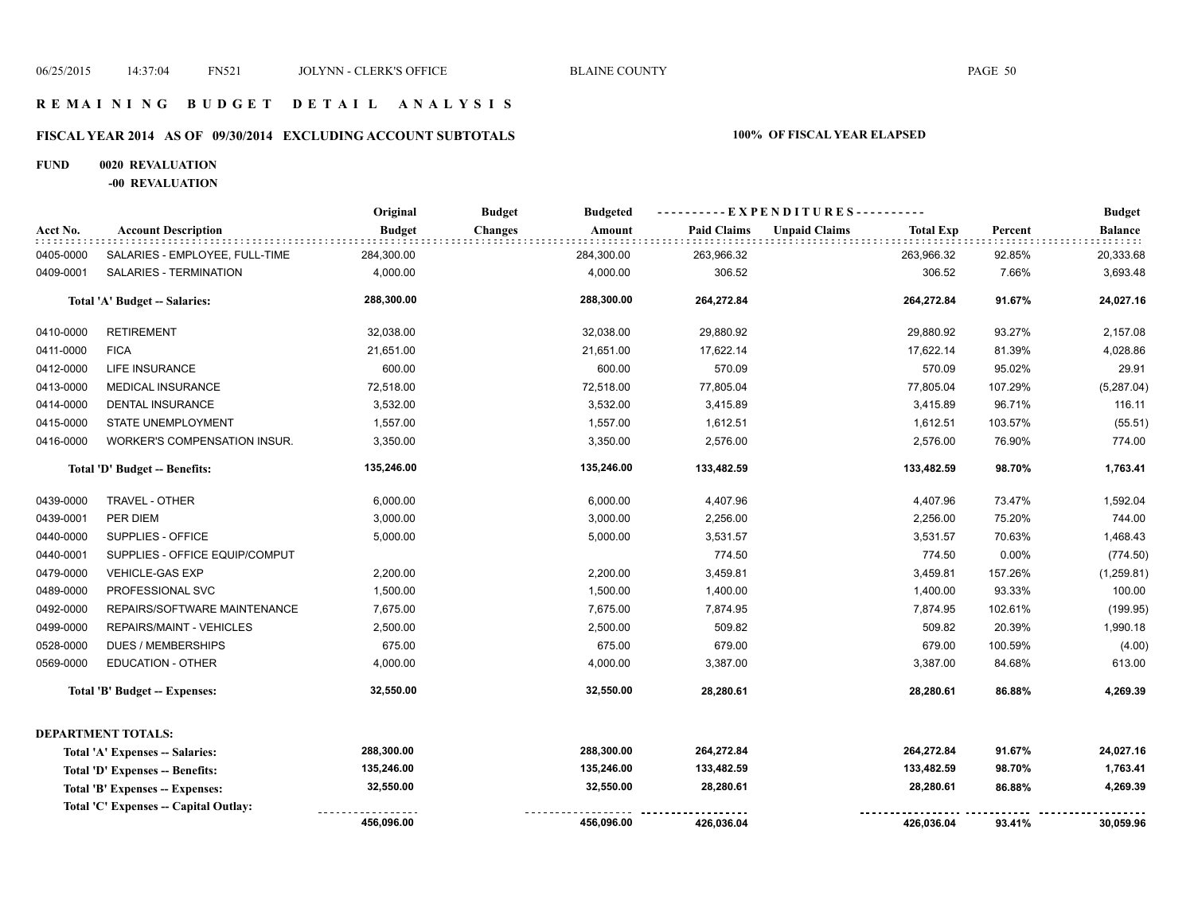#### **R E M A I N I N G B U D G E T D E T A I L A N A L Y S I S**

# **FISCAL YEAR 2014 AS OF 09/30/2014 EXCLUDING ACCOUNT SUBTOTALS 100% OF FISCAL YEAR ELAPSED**

#### **FUND 0020 REVALUATION**

**-00 REVALUATION**

|           |                                       | Original      | <b>Budget</b><br><b>Budgeted</b> |                    | ----- EXPENDITURES---------- |                  |         | <b>Budget</b>  |
|-----------|---------------------------------------|---------------|----------------------------------|--------------------|------------------------------|------------------|---------|----------------|
| Acct No.  | <b>Account Description</b>            | <b>Budget</b> | <b>Changes</b><br>Amount         | <b>Paid Claims</b> | <b>Unpaid Claims</b>         | <b>Total Exp</b> | Percent | <b>Balance</b> |
| 0405-0000 | SALARIES - EMPLOYEE, FULL-TIME        | 284,300.00    | 284,300.00                       | 263,966.32         |                              | 263,966.32       | 92.85%  | 20,333.68      |
| 0409-0001 | SALARIES - TERMINATION                | 4,000.00      | 4,000.00                         | 306.52             |                              | 306.52           | 7.66%   | 3,693.48       |
|           | Total 'A' Budget -- Salaries:         | 288,300.00    | 288,300.00                       | 264,272.84         |                              | 264,272.84       | 91.67%  | 24,027.16      |
| 0410-0000 | <b>RETIREMENT</b>                     | 32,038.00     | 32,038.00                        | 29,880.92          |                              | 29,880.92        | 93.27%  | 2,157.08       |
| 0411-0000 | <b>FICA</b>                           | 21,651.00     | 21,651.00                        | 17,622.14          |                              | 17,622.14        | 81.39%  | 4,028.86       |
| 0412-0000 | <b>LIFE INSURANCE</b>                 | 600.00        | 600.00                           | 570.09             |                              | 570.09           | 95.02%  | 29.91          |
| 0413-0000 | MEDICAL INSURANCE                     | 72,518.00     | 72,518.00                        | 77,805.04          |                              | 77,805.04        | 107.29% | (5,287.04)     |
| 0414-0000 | <b>DENTAL INSURANCE</b>               | 3,532.00      | 3,532.00                         | 3,415.89           |                              | 3,415.89         | 96.71%  | 116.11         |
| 0415-0000 | STATE UNEMPLOYMENT                    | 1,557.00      | 1,557.00                         | 1,612.51           |                              | 1,612.51         | 103.57% | (55.51)        |
| 0416-0000 | WORKER'S COMPENSATION INSUR.          | 3,350.00      | 3,350.00                         | 2,576.00           |                              | 2,576.00         | 76.90%  | 774.00         |
|           | Total 'D' Budget -- Benefits:         | 135,246.00    | 135,246.00                       | 133,482.59         |                              | 133,482.59       | 98.70%  | 1,763.41       |
| 0439-0000 | TRAVEL - OTHER                        | 6,000.00      | 6,000.00                         | 4,407.96           |                              | 4,407.96         | 73.47%  | 1,592.04       |
| 0439-0001 | PER DIEM                              | 3,000.00      | 3,000.00                         | 2,256.00           |                              | 2,256.00         | 75.20%  | 744.00         |
| 0440-0000 | SUPPLIES - OFFICE                     | 5,000.00      | 5,000.00                         | 3,531.57           |                              | 3,531.57         | 70.63%  | 1,468.43       |
| 0440-0001 | SUPPLIES - OFFICE EQUIP/COMPUT        |               |                                  | 774.50             |                              | 774.50           | 0.00%   | (774.50)       |
| 0479-0000 | <b>VEHICLE-GAS EXP</b>                | 2,200.00      | 2,200.00                         | 3,459.81           |                              | 3,459.81         | 157.26% | (1,259.81)     |
| 0489-0000 | PROFESSIONAL SVC                      | 1,500.00      | 1,500.00                         | 1,400.00           |                              | 1,400.00         | 93.33%  | 100.00         |
| 0492-0000 | REPAIRS/SOFTWARE MAINTENANCE          | 7,675.00      | 7,675.00                         | 7,874.95           |                              | 7,874.95         | 102.61% | (199.95)       |
| 0499-0000 | REPAIRS/MAINT - VEHICLES              | 2,500.00      | 2,500.00                         | 509.82             |                              | 509.82           | 20.39%  | 1,990.18       |
| 0528-0000 | <b>DUES / MEMBERSHIPS</b>             | 675.00        | 675.00                           | 679.00             |                              | 679.00           | 100.59% | (4.00)         |
| 0569-0000 | <b>EDUCATION - OTHER</b>              | 4,000.00      | 4,000.00                         | 3,387.00           |                              | 3,387.00         | 84.68%  | 613.00         |
|           | <b>Total 'B' Budget -- Expenses:</b>  | 32,550.00     | 32,550.00                        | 28,280.61          |                              | 28,280.61        | 86.88%  | 4,269.39       |
|           | <b>DEPARTMENT TOTALS:</b>             |               |                                  |                    |                              |                  |         |                |
|           | Total 'A' Expenses -- Salaries:       | 288,300.00    | 288,300.00                       | 264,272.84         |                              | 264,272.84       | 91.67%  | 24,027.16      |
|           | Total 'D' Expenses -- Benefits:       | 135,246.00    | 135,246.00                       | 133,482.59         |                              | 133,482.59       | 98.70%  | 1,763.41       |
|           | Total 'B' Expenses -- Expenses:       | 32,550.00     | 32,550.00                        | 28,280.61          |                              | 28,280.61        | 86.88%  | 4,269.39       |
|           | Total 'C' Expenses -- Capital Outlay: |               |                                  |                    |                              |                  |         |                |
|           |                                       | 456,096.00    | 456,096.00                       | 426,036.04         |                              | 426,036.04       | 93.41%  | 30,059.96      |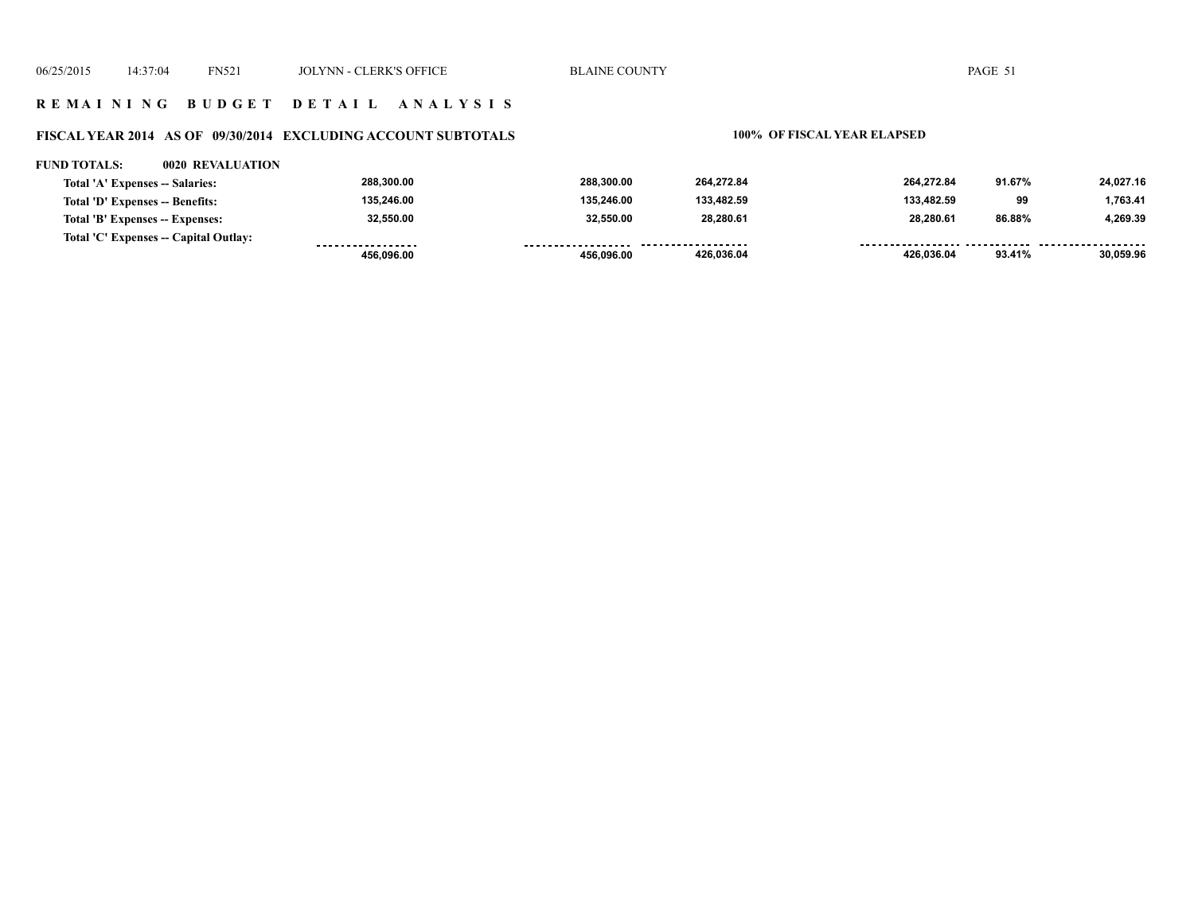#### **R E M A I N I N G B U D G E T D E T A I L A N A L Y S I S**

#### **FISCAL YEAR 2014 AS OF 09/30/2014 EXCLUDING ACCOUNT SUBTOTALS 100% OF FISCAL YEAR ELAPSED**

#### **FUND TOTALS: 0020 REVALUATION**

| Total 'A' Expenses -- Salaries:       | 288,300.00        | 288.300.00 | 264.272.84          | 264.272.84 | 91.67% | 24,027.16 |
|---------------------------------------|-------------------|------------|---------------------|------------|--------|-----------|
| Total 'D' Expenses -- Benefits:       | 135,246.00        | 135.246.00 | 133.482.59          | 133.482.59 | 99     | 1,763.41  |
| Total 'B' Expenses -- Expenses:       | 32,550.00         | 32.550.00  | 28.280.61           | 28.280.61  | 86.88% | 4.269.39  |
| Total 'C' Expenses -- Capital Outlay: | ----------------- | .          | ------------------- |            |        |           |
|                                       | 456.096.00        | 456.096.00 | 426.036.04          | 426,036.04 | 93.41% | 30,059.96 |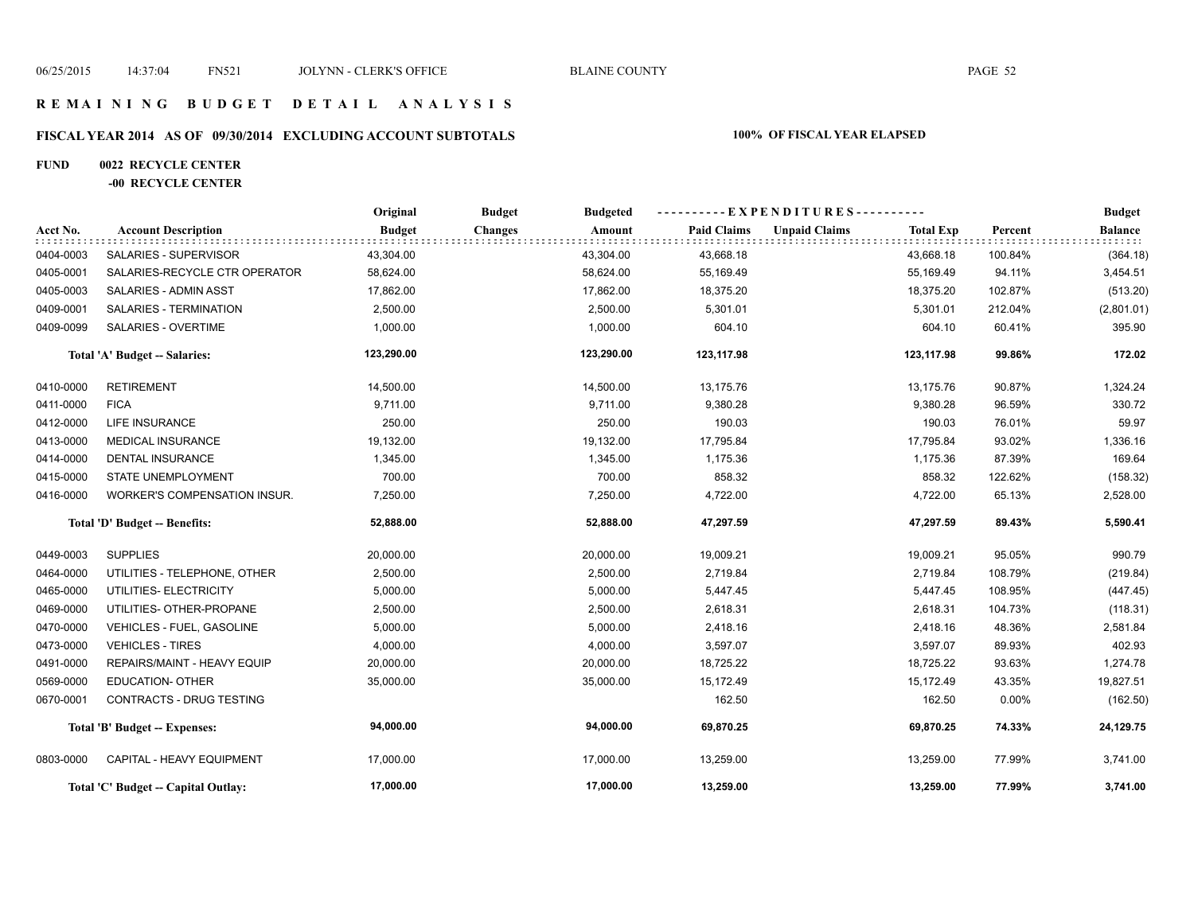#### **R E M A I N I N G B U D G E T D E T A I L A N A L Y S I S**

# **FISCAL YEAR 2014 AS OF 09/30/2014 EXCLUDING ACCOUNT SUBTOTALS 100% OF FISCAL YEAR ELAPSED**

#### **FUND 0022 RECYCLE CENTER**

#### **-00 RECYCLE CENTER**

|           |                                     | Original      | <b>Budget</b><br><b>Budgeted</b> |                    | ----------EXPENDITURES----------         |          | <b>Budget</b>  |
|-----------|-------------------------------------|---------------|----------------------------------|--------------------|------------------------------------------|----------|----------------|
| Acct No.  | <b>Account Description</b>          | <b>Budget</b> | <b>Changes</b><br>Amount         | <b>Paid Claims</b> | <b>Unpaid Claims</b><br><b>Total Exp</b> | Percent  | <b>Balance</b> |
| 0404-0003 | SALARIES - SUPERVISOR               | 43,304.00     | 43,304.00                        | 43,668.18          | 43,668.18                                | 100.84%  | (364.18)       |
| 0405-0001 | SALARIES-RECYCLE CTR OPERATOR       | 58,624.00     | 58,624.00                        | 55,169.49          | 55,169.49                                | 94.11%   | 3,454.51       |
| 0405-0003 | SALARIES - ADMIN ASST               | 17,862.00     | 17,862.00                        | 18,375.20          | 18,375.20                                | 102.87%  | (513.20)       |
| 0409-0001 | SALARIES - TERMINATION              | 2,500.00      | 2,500.00                         | 5,301.01           | 5,301.01                                 | 212.04%  | (2,801.01)     |
| 0409-0099 | SALARIES - OVERTIME                 | 1,000.00      | 1,000.00                         | 604.10             | 604.10                                   | 60.41%   | 395.90         |
|           | Total 'A' Budget -- Salaries:       | 123,290.00    | 123,290.00                       | 123,117.98         | 123,117.98                               | 99.86%   | 172.02         |
| 0410-0000 | <b>RETIREMENT</b>                   | 14,500.00     | 14,500.00                        | 13,175.76          | 13,175.76                                | 90.87%   | 1,324.24       |
| 0411-0000 | <b>FICA</b>                         | 9,711.00      | 9,711.00                         | 9,380.28           | 9,380.28                                 | 96.59%   | 330.72         |
| 0412-0000 | <b>LIFE INSURANCE</b>               | 250.00        | 250.00                           | 190.03             | 190.03                                   | 76.01%   | 59.97          |
| 0413-0000 | <b>MEDICAL INSURANCE</b>            | 19,132.00     | 19,132.00                        | 17,795.84          | 17,795.84                                | 93.02%   | 1,336.16       |
| 0414-0000 | DENTAL INSURANCE                    | 1,345.00      | 1,345.00                         | 1,175.36           | 1,175.36                                 | 87.39%   | 169.64         |
| 0415-0000 | STATE UNEMPLOYMENT                  | 700.00        | 700.00                           | 858.32             | 858.32                                   | 122.62%  | (158.32)       |
| 0416-0000 | WORKER'S COMPENSATION INSUR.        | 7,250.00      | 7,250.00                         | 4,722.00           | 4,722.00                                 | 65.13%   | 2,528.00       |
|           | Total 'D' Budget -- Benefits:       | 52,888.00     | 52,888.00                        | 47,297.59          | 47,297.59                                | 89.43%   | 5,590.41       |
| 0449-0003 | <b>SUPPLIES</b>                     | 20,000.00     | 20,000.00                        | 19,009.21          | 19,009.21                                | 95.05%   | 990.79         |
| 0464-0000 | UTILITIES - TELEPHONE, OTHER        | 2,500.00      | 2,500.00                         | 2,719.84           | 2,719.84                                 | 108.79%  | (219.84)       |
| 0465-0000 | UTILITIES- ELECTRICITY              | 5,000.00      | 5,000.00                         | 5,447.45           | 5,447.45                                 | 108.95%  | (447.45)       |
| 0469-0000 | UTILITIES- OTHER-PROPANE            | 2,500.00      | 2,500.00                         | 2,618.31           | 2,618.31                                 | 104.73%  | (118.31)       |
| 0470-0000 | VEHICLES - FUEL, GASOLINE           | 5,000.00      | 5,000.00                         | 2,418.16           | 2,418.16                                 | 48.36%   | 2,581.84       |
| 0473-0000 | <b>VEHICLES - TIRES</b>             | 4,000.00      | 4,000.00                         | 3,597.07           | 3,597.07                                 | 89.93%   | 402.93         |
| 0491-0000 | REPAIRS/MAINT - HEAVY EQUIP         | 20,000.00     | 20,000.00                        | 18,725.22          | 18,725.22                                | 93.63%   | 1,274.78       |
| 0569-0000 | <b>EDUCATION- OTHER</b>             | 35,000.00     | 35,000.00                        | 15,172.49          | 15,172.49                                | 43.35%   | 19,827.51      |
| 0670-0001 | <b>CONTRACTS - DRUG TESTING</b>     |               |                                  | 162.50             | 162.50                                   | $0.00\%$ | (162.50)       |
|           | Total 'B' Budget -- Expenses:       | 94,000.00     | 94,000.00                        | 69,870.25          | 69,870.25                                | 74.33%   | 24,129.75      |
| 0803-0000 | CAPITAL - HEAVY EQUIPMENT           | 17,000.00     | 17,000.00                        | 13,259.00          | 13,259.00                                | 77.99%   | 3,741.00       |
|           | Total 'C' Budget -- Capital Outlay: | 17,000.00     | 17,000.00                        | 13,259.00          | 13,259.00                                | 77.99%   | 3,741.00       |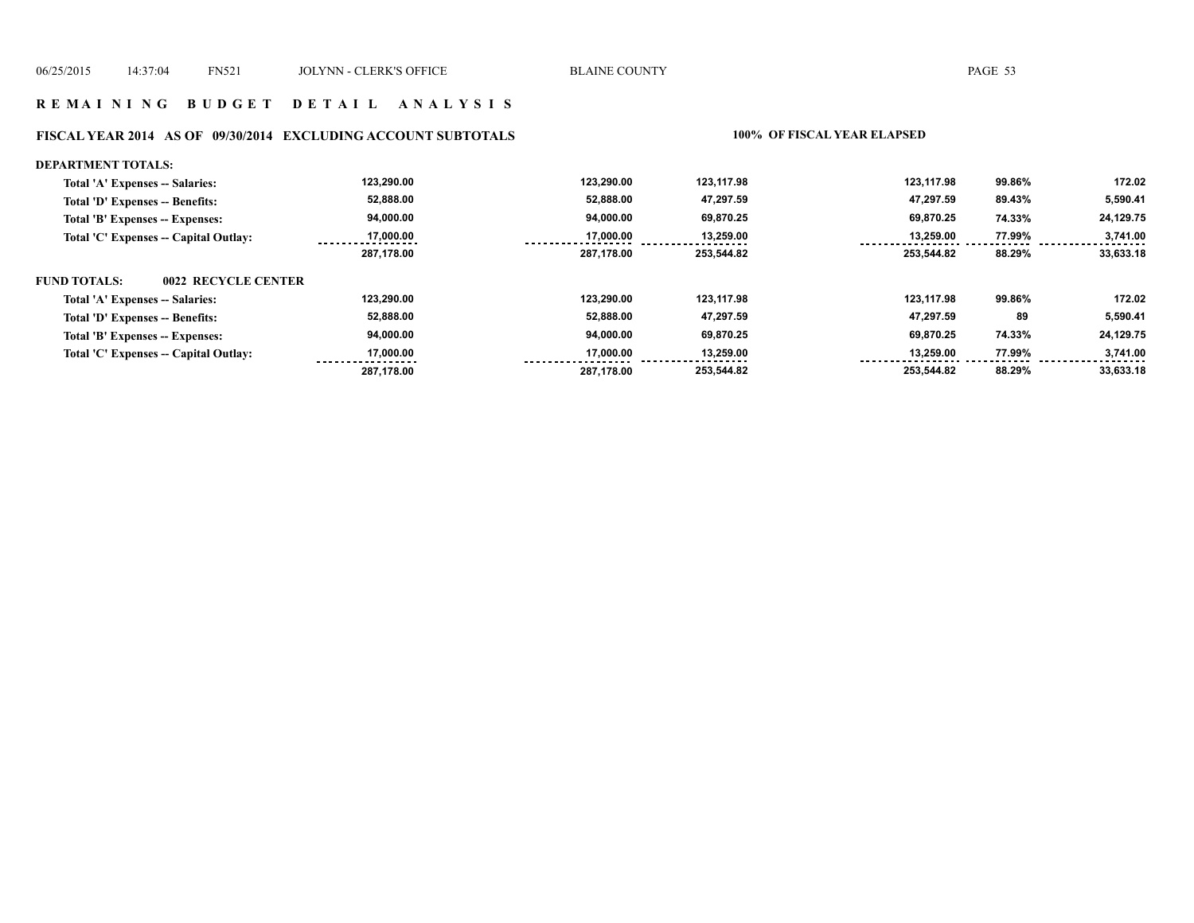#### **R E M A I N I N G B U D G E T D E T A I L A N A L Y S I S**

#### **FISCAL YEAR 2014 AS OF 09/30/2014 EXCLUDING ACCOUNT SUBTOTALS 100% OF FISCAL YEAR ELAPSED**

#### **DEPARTMENT TOTALS: 123,290.00 123,290.00 123,117.98 123,117.98 99.86% 172.02 Total 'A' Expenses -- Salaries: 52,888.00 5,590.41 Total 'D' Expenses -- Benefits: 52,888.00 47,297.59 47,297.59 89.43% 94,000.00 94,000.00 69,870.25 69,870.25 24,129.75 Total 'B' Expenses -- Expenses: 74.33% 17,000.00 17,000.00 77.99% 3,741.00 Total 'C' Expenses -- Capital Outlay: 13,259.00 13,259.00**   $1.1.1.1$  **287,178.00 287,178.00 253,544.82 253,544.82 88.29% 33,633.18 FUND TOTALS: 0022 RECYCLE CENTERTotal 'A' Expenses -- Salaries: 123,290.00 123,290.00 123,117.98 123,117.98 99.86% 172.02 52,888.00 52,888.00 47,297.59 47,297.59 89 5,590.41 Total 'D' Expenses -- Benefits: 94,000.00 94,000.00 69,870.25 69,870.25 74.33% 24,129.75 Total 'B' Expenses -- Expenses: 13,259.00 Total 'C' Expenses -- Capital Outlay: 17,000.00 17,000.00 13,259.00 77.99% 3,741.00**   $22222222$  **287,178.00 253,544.82 253,544.82 88.29% 33,633.18 287,178.00**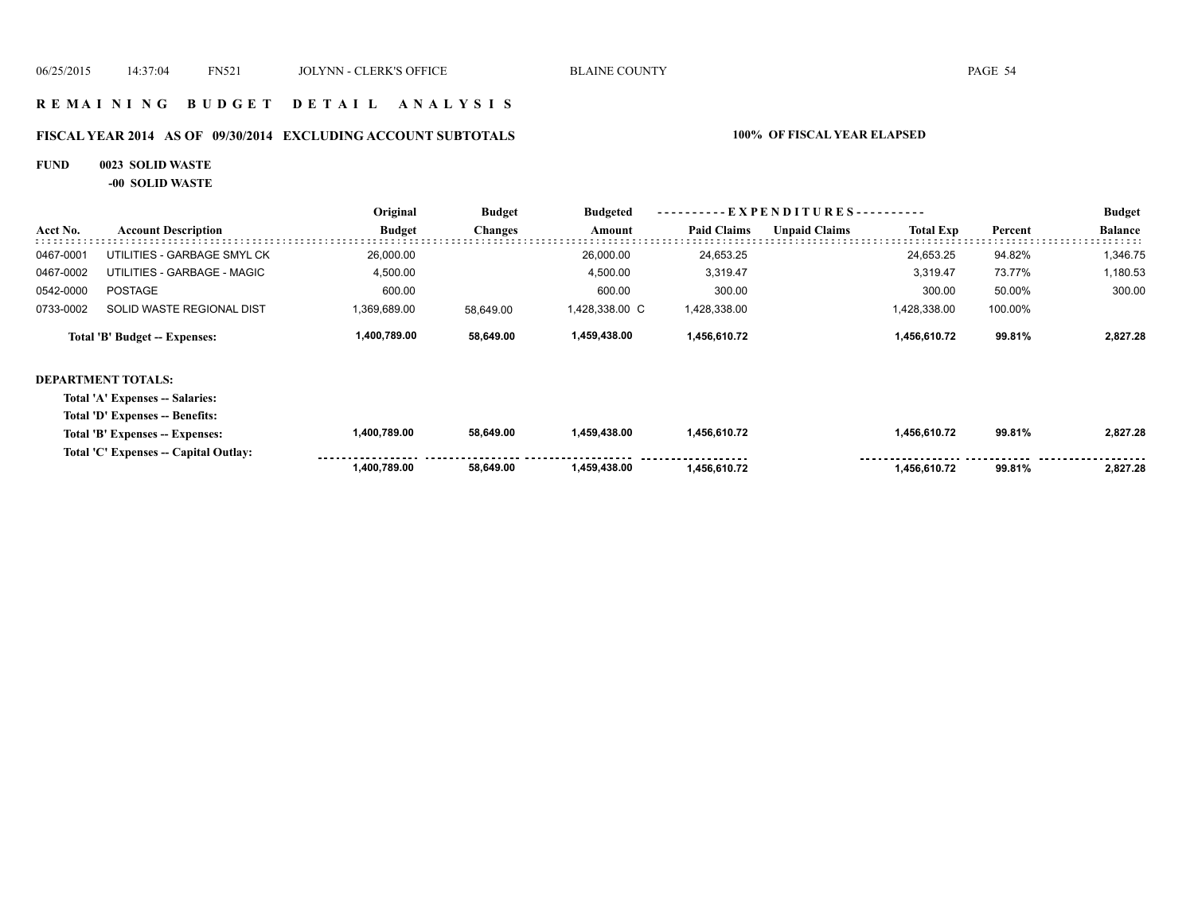#### **R E M A I N I N G B U D G E T D E T A I L A N A L Y S I S**

# **FISCAL YEAR 2014 AS OF 09/30/2014 EXCLUDING ACCOUNT SUBTOTALS 100% OF FISCAL YEAR ELAPSED**

#### **FUND 0023 SOLID WASTE**

**-00 SOLID WASTE**

|           |                                       | Original      | <b>Budget</b>  | <b>Budgeted</b><br>Amount | $-EXPENDITURES$ --------- |                      |                  |         | <b>Budget</b>  |
|-----------|---------------------------------------|---------------|----------------|---------------------------|---------------------------|----------------------|------------------|---------|----------------|
| Acct No.  | <b>Account Description</b>            | <b>Budget</b> | <b>Changes</b> |                           | <b>Paid Claims</b>        | <b>Unpaid Claims</b> | <b>Total Exp</b> | Percent | <b>Balance</b> |
| 0467-0001 | UTILITIES - GARBAGE SMYL CK           | 26,000.00     |                | 26,000.00                 | 24,653.25                 |                      | 24,653.25        | 94.82%  | 1,346.75       |
| 0467-0002 | UTILITIES - GARBAGE - MAGIC           | 4,500.00      |                | 4,500.00                  | 3,319.47                  |                      | 3,319.47         | 73.77%  | 1,180.53       |
| 0542-0000 | <b>POSTAGE</b>                        | 600.00        |                | 600.00                    | 300.00                    |                      | 300.00           | 50.00%  | 300.00         |
| 0733-0002 | SOLID WASTE REGIONAL DIST             | 1,369,689.00  | 58,649.00      | 1,428,338.00 C            | 1,428,338.00              |                      | 1,428,338.00     | 100.00% |                |
|           | Total 'B' Budget -- Expenses:         | 1,400,789.00  | 58,649.00      | 1,459,438.00              | 1,456,610.72              |                      | 1,456,610.72     | 99.81%  | 2,827.28       |
|           | <b>DEPARTMENT TOTALS:</b>             |               |                |                           |                           |                      |                  |         |                |
|           | Total 'A' Expenses -- Salaries:       |               |                |                           |                           |                      |                  |         |                |
|           | Total 'D' Expenses -- Benefits:       |               |                |                           |                           |                      |                  |         |                |
|           | Total 'B' Expenses -- Expenses:       | 1,400,789.00  | 58,649.00      | 1,459,438.00              | 1,456,610.72              |                      | 1,456,610.72     | 99.81%  | 2,827.28       |
|           | Total 'C' Expenses -- Capital Outlay: |               |                |                           |                           |                      |                  |         |                |
|           |                                       | 1,400,789.00  | 58,649.00      | 1,459,438.00              | 1,456,610.72              |                      | 1,456,610.72     | 99.81%  | 2,827.28       |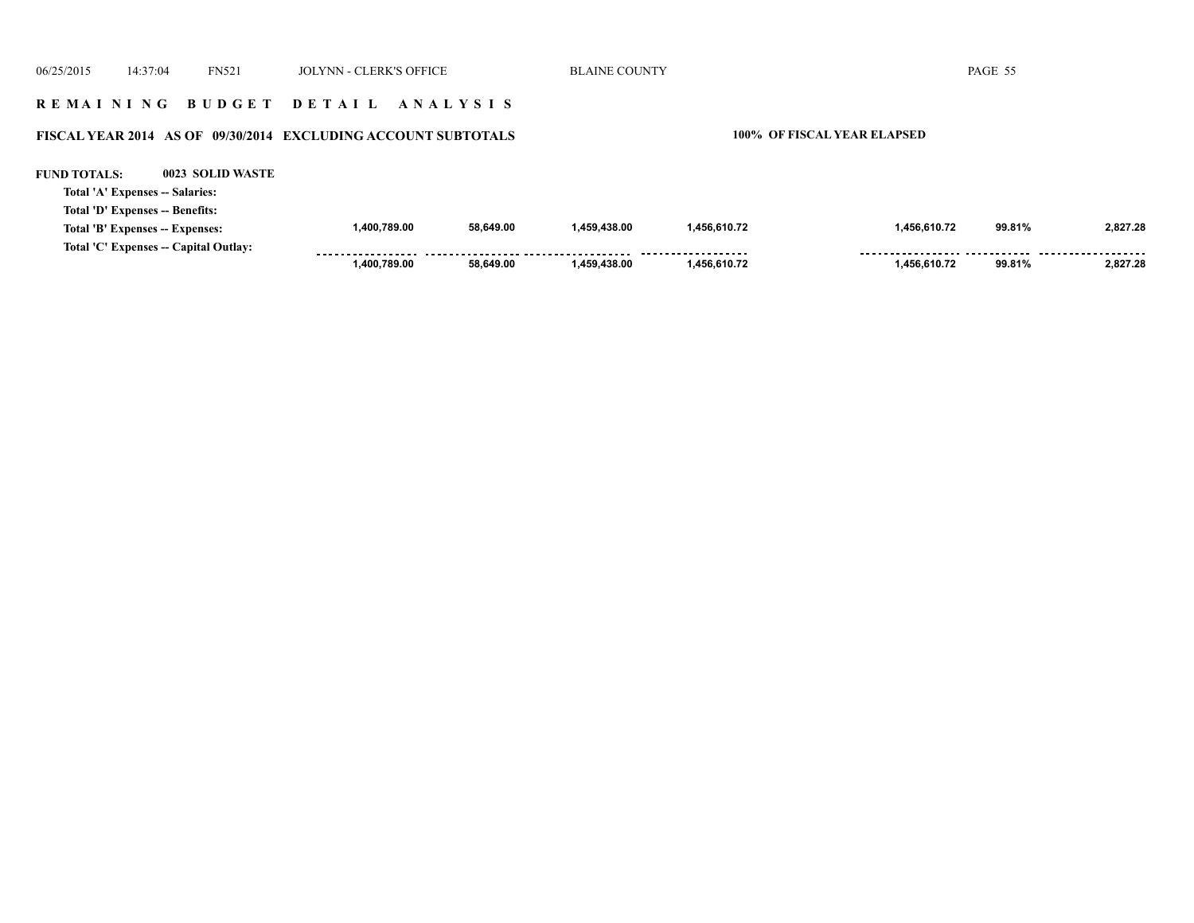| 06/25/2015                                                    | 14:37:04                                                           | <b>FN521</b>     | <b>JOLYNN - CLERK'S OFFICE</b> |           | <b>BLAINE COUNTY</b> |              |                                    | PAGE 55 |          |
|---------------------------------------------------------------|--------------------------------------------------------------------|------------------|--------------------------------|-----------|----------------------|--------------|------------------------------------|---------|----------|
|                                                               |                                                                    | REMAINING BUDGET | DETAIL ANALYSIS                |           |                      |              |                                    |         |          |
| FISCAL YEAR 2014 AS OF 09/30/2014 EXCLUDING ACCOUNT SUBTOTALS |                                                                    |                  |                                |           |                      |              | <b>100% OF FISCAL YEAR ELAPSED</b> |         |          |
| <b>FUND TOTALS:</b>                                           | Total 'A' Expenses -- Salaries:                                    | 0023 SOLID WASTE |                                |           |                      |              |                                    |         |          |
|                                                               | Total 'D' Expenses -- Benefits:<br>Total 'B' Expenses -- Expenses: |                  | 1.400.789.00                   | 58.649.00 | 1.459.438.00         | 1,456,610.72 | 1.456.610.72                       | 99.81%  | 2.827.28 |
|                                                               | Total 'C' Expenses -- Capital Outlay:                              |                  | 1.400.789.00                   | 58.649.00 | 1.459.438.00         | 1,456,610.72 | 1.456.610.72                       | 99.81%  | 2.827.28 |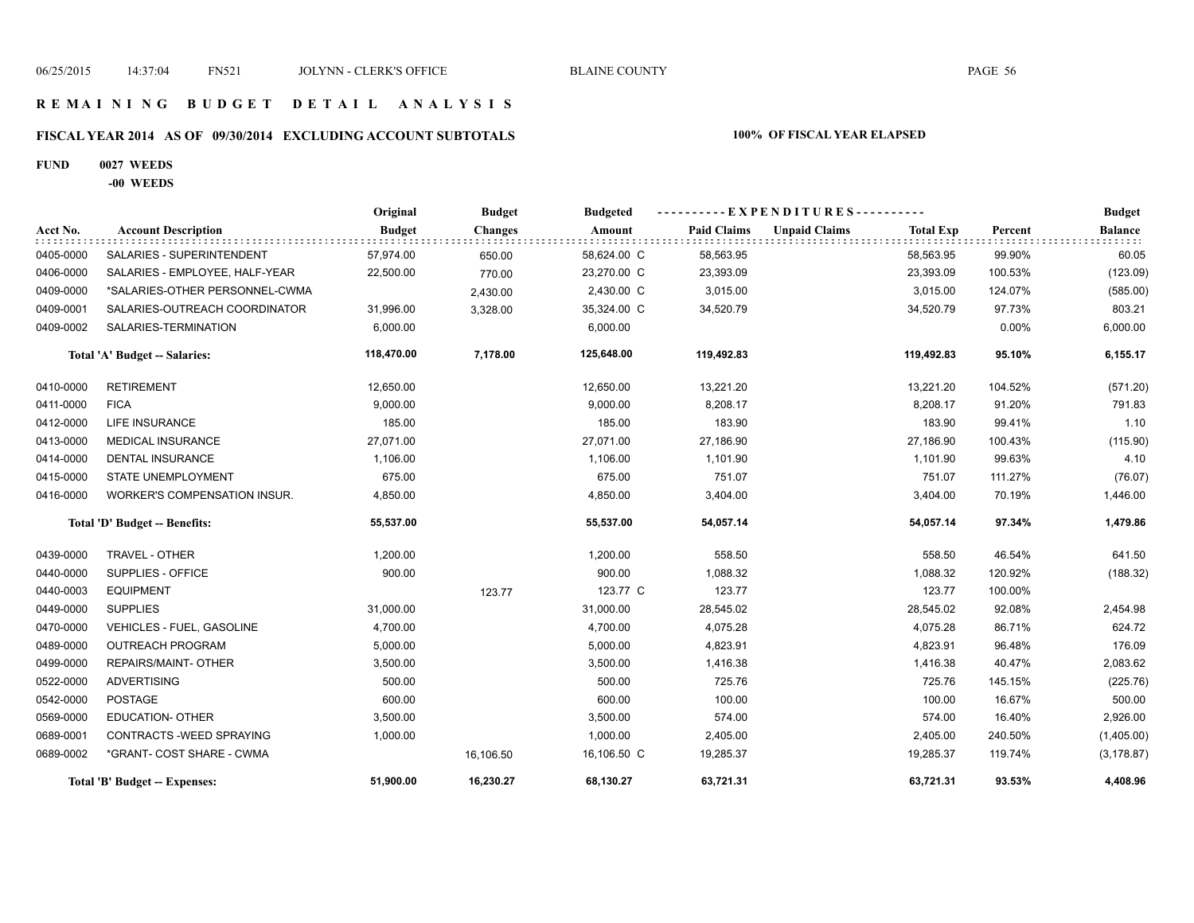#### **R E M A I N I N G B U D G E T D E T A I L A N A L Y S I S**

# **FISCAL YEAR 2014 AS OF 09/30/2014 EXCLUDING ACCOUNT SUBTOTALS 100% OF FISCAL YEAR ELAPSED**

#### **FUND 0027 WEEDS**

**-00 WEEDS**

|           |                                     | Original      | <b>Budget</b>  | <b>Budgeted</b> | ----------EXPENDITURES---------- |                      |                  |         | <b>Budget</b>  |
|-----------|-------------------------------------|---------------|----------------|-----------------|----------------------------------|----------------------|------------------|---------|----------------|
| Acct No.  | <b>Account Description</b>          | <b>Budget</b> | <b>Changes</b> | Amount          | <b>Paid Claims</b>               | <b>Unpaid Claims</b> | <b>Total Exp</b> | Percent | <b>Balance</b> |
| 0405-0000 | SALARIES - SUPERINTENDENT           | 57,974.00     | 650.00         | 58,624.00 C     | 58,563.95                        |                      | 58,563.95        | 99.90%  | 60.05          |
| 0406-0000 | SALARIES - EMPLOYEE, HALF-YEAR      | 22,500.00     | 770.00         | 23,270.00 C     | 23,393.09                        |                      | 23,393.09        | 100.53% | (123.09)       |
| 0409-0000 | *SALARIES-OTHER PERSONNEL-CWMA      |               | 2,430.00       | 2,430.00 C      | 3,015.00                         |                      | 3,015.00         | 124.07% | (585.00)       |
| 0409-0001 | SALARIES-OUTREACH COORDINATOR       | 31,996.00     | 3,328.00       | 35,324.00 C     | 34,520.79                        |                      | 34,520.79        | 97.73%  | 803.21         |
| 0409-0002 | SALARIES-TERMINATION                | 6,000.00      |                | 6,000.00        |                                  |                      |                  | 0.00%   | 6,000.00       |
|           | Total 'A' Budget -- Salaries:       | 118,470.00    | 7,178.00       | 125,648.00      | 119.492.83                       |                      | 119,492.83       | 95.10%  | 6,155.17       |
| 0410-0000 | <b>RETIREMENT</b>                   | 12,650.00     |                | 12,650.00       | 13,221.20                        |                      | 13,221.20        | 104.52% | (571.20)       |
| 0411-0000 | <b>FICA</b>                         | 9,000.00      |                | 9,000.00        | 8.208.17                         |                      | 8,208.17         | 91.20%  | 791.83         |
| 0412-0000 | <b>LIFE INSURANCE</b>               | 185.00        |                | 185.00          | 183.90                           |                      | 183.90           | 99.41%  | 1.10           |
| 0413-0000 | <b>MEDICAL INSURANCE</b>            | 27,071.00     |                | 27,071.00       | 27,186.90                        |                      | 27,186.90        | 100.43% | (115.90)       |
| 0414-0000 | <b>DENTAL INSURANCE</b>             | 1,106.00      |                | 1,106.00        | 1,101.90                         |                      | 1,101.90         | 99.63%  | 4.10           |
| 0415-0000 | STATE UNEMPLOYMENT                  | 675.00        |                | 675.00          | 751.07                           |                      | 751.07           | 111.27% | (76.07)        |
| 0416-0000 | <b>WORKER'S COMPENSATION INSUR.</b> | 4,850.00      |                | 4,850.00        | 3,404.00                         |                      | 3,404.00         | 70.19%  | 1,446.00       |
|           | Total 'D' Budget -- Benefits:       | 55,537.00     |                | 55,537.00       | 54,057.14                        |                      | 54,057.14        | 97.34%  | 1,479.86       |
| 0439-0000 | TRAVEL - OTHER                      | 1,200.00      |                | 1,200.00        | 558.50                           |                      | 558.50           | 46.54%  | 641.50         |
| 0440-0000 | SUPPLIES - OFFICE                   | 900.00        |                | 900.00          | 1,088.32                         |                      | 1,088.32         | 120.92% | (188.32)       |
| 0440-0003 | <b>EQUIPMENT</b>                    |               | 123.77         | 123.77 C        | 123.77                           |                      | 123.77           | 100.00% |                |
| 0449-0000 | <b>SUPPLIES</b>                     | 31,000.00     |                | 31,000.00       | 28,545.02                        |                      | 28,545.02        | 92.08%  | 2,454.98       |
| 0470-0000 | VEHICLES - FUEL, GASOLINE           | 4,700.00      |                | 4,700.00        | 4,075.28                         |                      | 4,075.28         | 86.71%  | 624.72         |
| 0489-0000 | <b>OUTREACH PROGRAM</b>             | 5,000.00      |                | 5,000.00        | 4,823.91                         |                      | 4,823.91         | 96.48%  | 176.09         |
| 0499-0000 | REPAIRS/MAINT- OTHER                | 3,500.00      |                | 3,500.00        | 1,416.38                         |                      | 1,416.38         | 40.47%  | 2,083.62       |
| 0522-0000 | <b>ADVERTISING</b>                  | 500.00        |                | 500.00          | 725.76                           |                      | 725.76           | 145.15% | (225.76)       |
| 0542-0000 | <b>POSTAGE</b>                      | 600.00        |                | 600.00          | 100.00                           |                      | 100.00           | 16.67%  | 500.00         |
| 0569-0000 | <b>EDUCATION- OTHER</b>             | 3,500.00      |                | 3,500.00        | 574.00                           |                      | 574.00           | 16.40%  | 2,926.00       |
| 0689-0001 | CONTRACTS - WEED SPRAYING           | 1,000.00      |                | 1,000.00        | 2,405.00                         |                      | 2,405.00         | 240.50% | (1,405.00)     |
| 0689-0002 | *GRANT- COST SHARE - CWMA           |               | 16,106.50      | 16,106.50 C     | 19,285.37                        |                      | 19,285.37        | 119.74% | (3, 178.87)    |
|           | Total 'B' Budget -- Expenses:       | 51,900.00     | 16,230.27      | 68,130.27       | 63,721.31                        |                      | 63,721.31        | 93.53%  | 4,408.96       |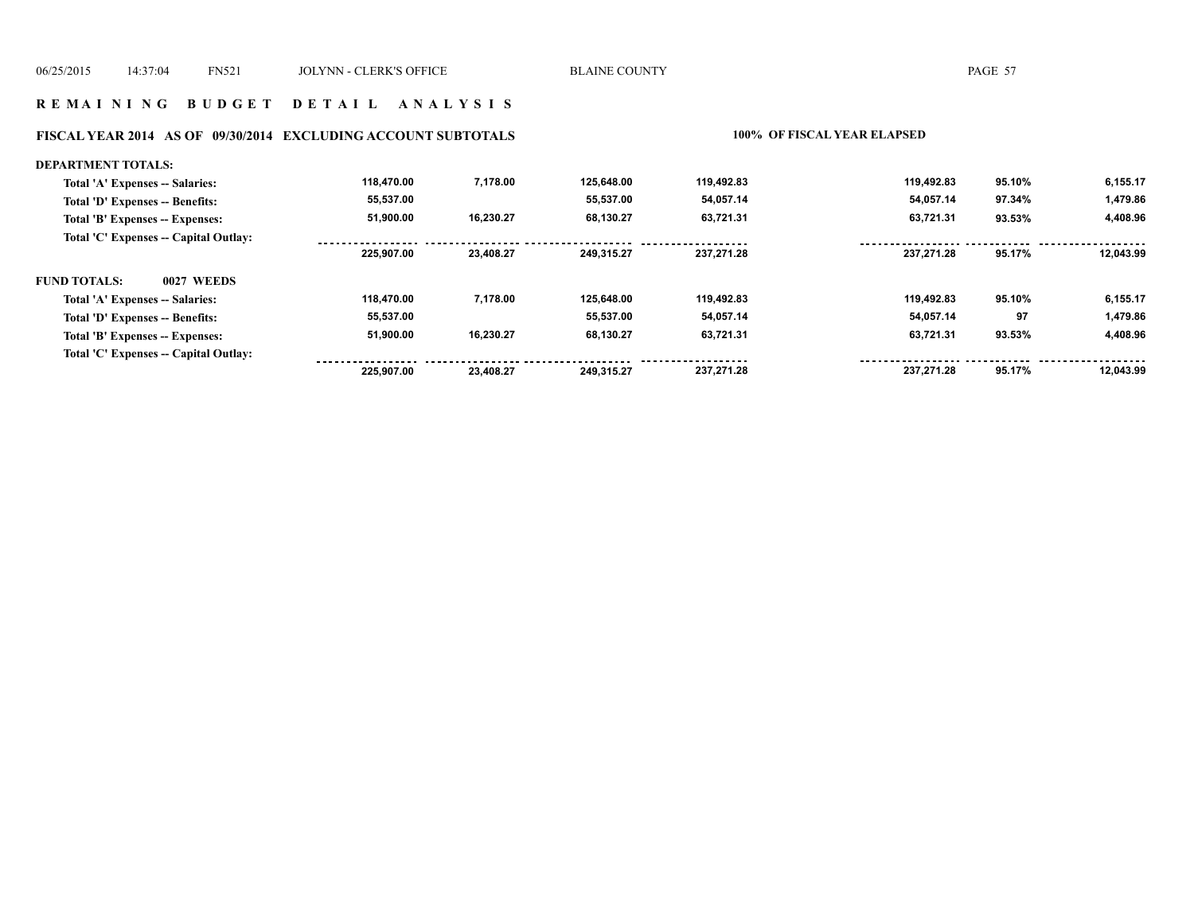#### **R E M A I N I N G B U D G E T D E T A I L A N A L Y S I S**

# **FISCAL YEAR 2014 AS OF 09/30/2014 EXCLUDING ACCOUNT SUBTOTALS 100% OF FISCAL YEAR ELAPSED**

| <b>DEPARTMENT TOTALS:</b>             |            |           |            |            |            |        |           |
|---------------------------------------|------------|-----------|------------|------------|------------|--------|-----------|
| Total 'A' Expenses -- Salaries:       | 118.470.00 | 7,178.00  | 125.648.00 | 119,492.83 | 119.492.83 | 95.10% | 6,155.17  |
| Total 'D' Expenses -- Benefits:       | 55,537.00  |           | 55.537.00  | 54,057.14  | 54,057.14  | 97.34% | 1,479.86  |
| Total 'B' Expenses -- Expenses:       | 51,900.00  | 16,230.27 | 68.130.27  | 63,721.31  | 63,721.31  | 93.53% | 4,408.96  |
| Total 'C' Expenses -- Capital Outlay: |            |           |            |            |            |        |           |
|                                       | 225.907.00 | 23.408.27 | 249.315.27 | 237.271.28 | 237.271.28 | 95.17% | 12.043.99 |
| <b>FUND TOTALS:</b><br>0027 WEEDS     |            |           |            |            |            |        |           |
| Total 'A' Expenses -- Salaries:       | 118.470.00 | 7.178.00  | 125.648.00 | 119,492.83 | 119.492.83 | 95.10% | 6,155.17  |
| Total 'D' Expenses -- Benefits:       | 55,537.00  |           | 55.537.00  | 54,057.14  | 54,057.14  | 97     | 1,479.86  |
| Total 'B' Expenses -- Expenses:       | 51.900.00  | 16,230.27 | 68.130.27  | 63,721.31  | 63,721.31  | 93.53% | 4,408.96  |
| Total 'C' Expenses -- Capital Outlay: |            |           |            |            |            |        |           |
|                                       | 225.907.00 | 23.408.27 | 249.315.27 | 237.271.28 | 237.271.28 | 95.17% | 12.043.99 |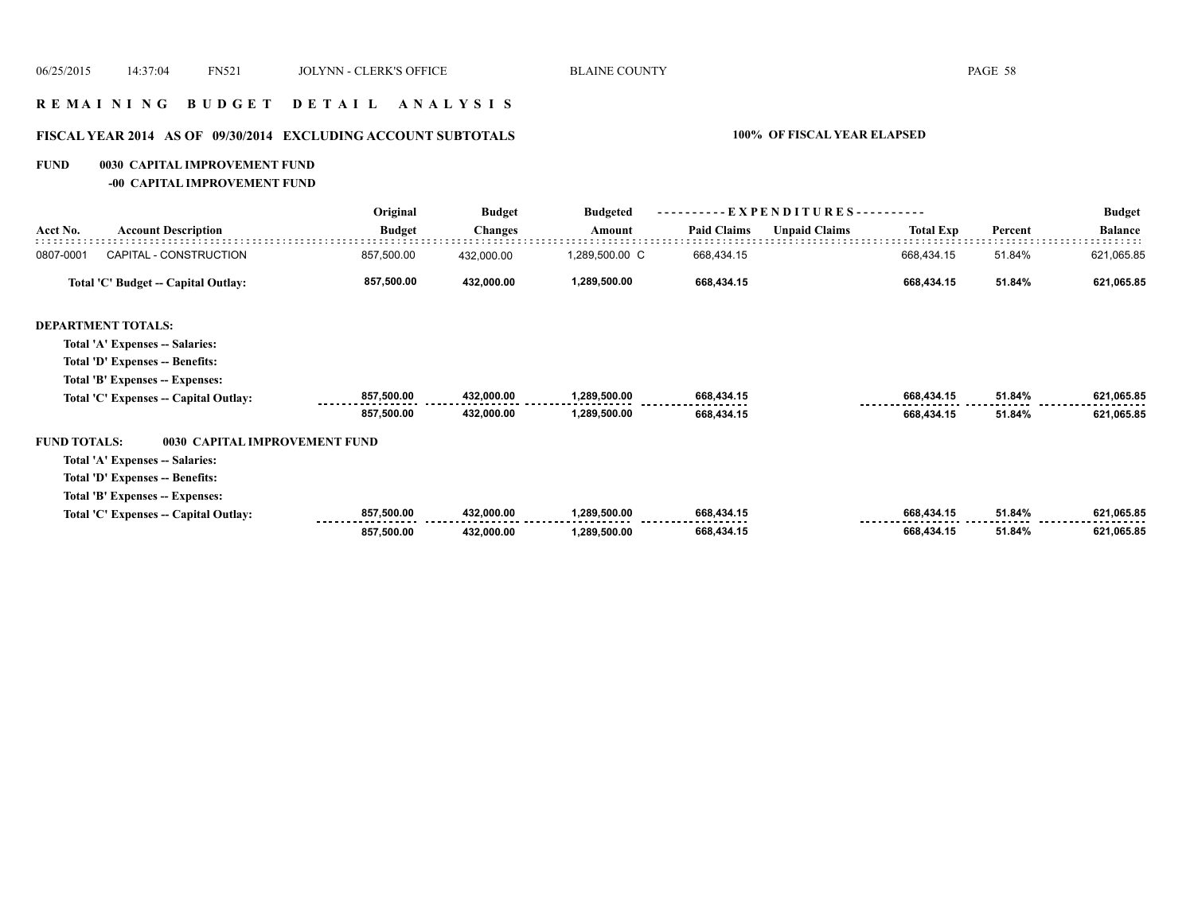#### **R E M A I N I N G B U D G E T D E T A I L A N A L Y S I S**

# **FISCAL YEAR 2014 AS OF 09/30/2014 EXCLUDING ACCOUNT SUBTOTALS 100% OF FISCAL YEAR ELAPSED**

#### **FUND 0030 CAPITAL IMPROVEMENT FUND**

**-00 CAPITAL IMPROVEMENT FUND**

|                     |                                       | Original      | <b>Budget</b>  | <b>Budgeted</b> | EXPENDITURES-<br>. <u>.</u> |                      |                  |         | <b>Budget</b>  |
|---------------------|---------------------------------------|---------------|----------------|-----------------|-----------------------------|----------------------|------------------|---------|----------------|
| Acct No.            | <b>Account Description</b>            | <b>Budget</b> | <b>Changes</b> | Amount          | <b>Paid Claims</b>          | <b>Unpaid Claims</b> | <b>Total Exp</b> | Percent | <b>Balance</b> |
| 0807-0001           | CAPITAL - CONSTRUCTION                | 857,500.00    | 432,000.00     | 1,289,500.00 C  | 668,434.15                  |                      | 668,434.15       | 51.84%  | 621,065.85     |
|                     | Total 'C' Budget -- Capital Outlay:   | 857,500.00    | 432,000.00     | 1,289,500.00    | 668,434.15                  |                      | 668,434.15       | 51.84%  | 621,065.85     |
|                     | <b>DEPARTMENT TOTALS:</b>             |               |                |                 |                             |                      |                  |         |                |
|                     | Total 'A' Expenses -- Salaries:       |               |                |                 |                             |                      |                  |         |                |
|                     | Total 'D' Expenses -- Benefits:       |               |                |                 |                             |                      |                  |         |                |
|                     | Total 'B' Expenses -- Expenses:       |               |                |                 |                             |                      |                  |         |                |
|                     | Total 'C' Expenses -- Capital Outlay: | 857,500.00    | 432,000.00     | 1,289,500.00    | 668,434.15                  |                      | 668,434.15       | 51.84%  | 621,065.85     |
|                     |                                       | 857,500.00    | 432,000.00     | 1,289,500.00    | 668,434.15                  |                      | 668,434.15       | 51.84%  | 621,065.85     |
| <b>FUND TOTALS:</b> | 0030 CAPITAL IMPROVEMENT FUND         |               |                |                 |                             |                      |                  |         |                |
|                     | Total 'A' Expenses -- Salaries:       |               |                |                 |                             |                      |                  |         |                |
|                     | Total 'D' Expenses -- Benefits:       |               |                |                 |                             |                      |                  |         |                |
|                     | Total 'B' Expenses -- Expenses:       |               |                |                 |                             |                      |                  |         |                |
|                     | Total 'C' Expenses -- Capital Outlay: | 857,500.00    | 432,000.00     | 1,289,500.00    | 668,434.15                  |                      | 668,434.15       | 51.84%  | 621,065.85     |
|                     |                                       | 857,500.00    | 432,000.00     | 1,289,500.00    | 668,434.15                  |                      | 668,434.15       | 51.84%  | 621,065.85     |
|                     |                                       |               |                |                 |                             |                      |                  |         |                |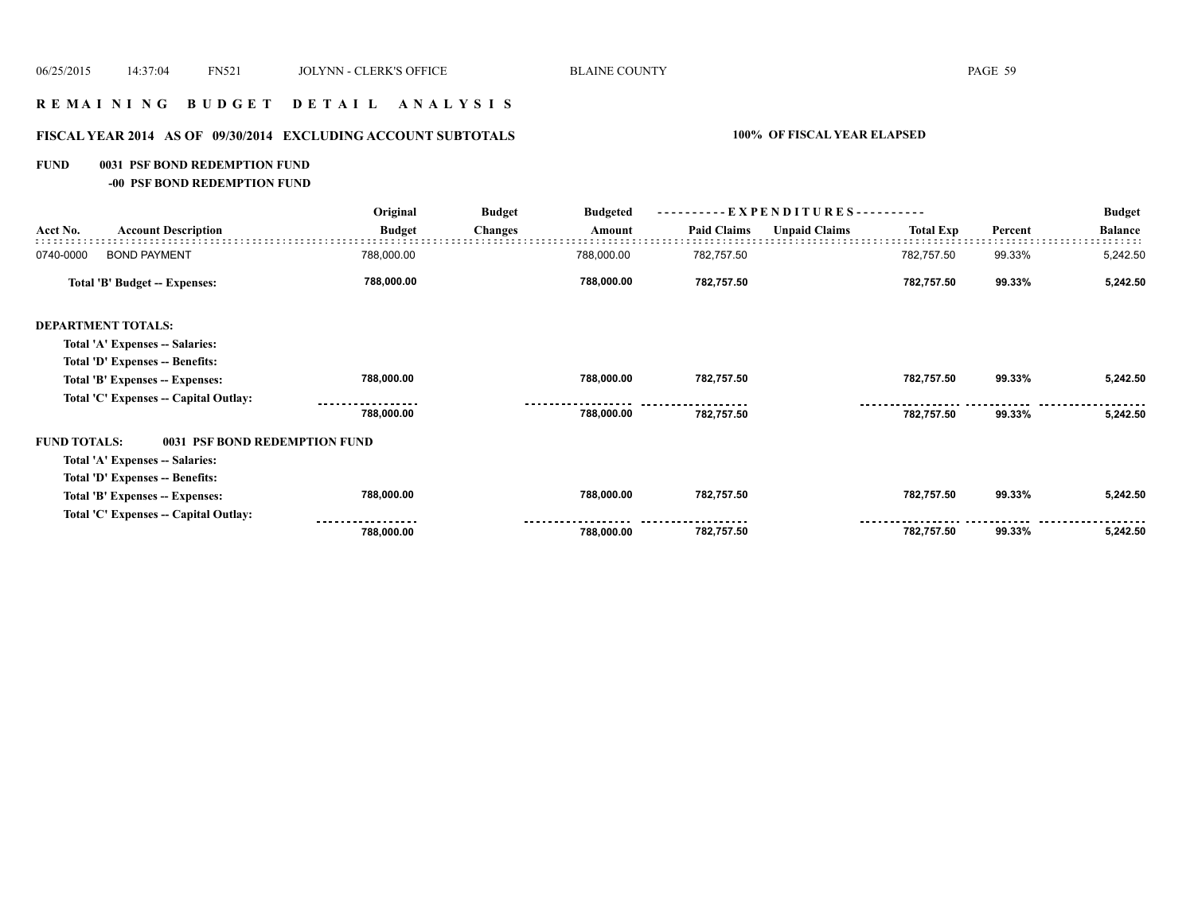# **R E M A I N I N G B U D G E T D E T A I L A N A L Y S I S**

# **FISCAL YEAR 2014 AS OF 09/30/2014 EXCLUDING ACCOUNT SUBTOTALS 100% OF FISCAL YEAR ELAPSED**

#### **FUND 0031 PSF BOND REDEMPTION FUND**

**-00 PSF BOND REDEMPTION FUND**

|                     |                                       | Original      | <b>Budget</b>  | <b>Budgeted</b> | - EXPENDITURES---------- |                      |                  |         | <b>Budget</b>  |
|---------------------|---------------------------------------|---------------|----------------|-----------------|--------------------------|----------------------|------------------|---------|----------------|
| Acct No.            | <b>Account Description</b>            | <b>Budget</b> | <b>Changes</b> | Amount          | <b>Paid Claims</b>       | <b>Unpaid Claims</b> | <b>Total Exp</b> | Percent | <b>Balance</b> |
| 0740-0000           | <b>BOND PAYMENT</b>                   | 788,000.00    |                | 788,000.00      | 782,757.50               |                      | 782,757.50       | 99.33%  | 5,242.50       |
|                     | Total 'B' Budget -- Expenses:         | 788,000.00    |                | 788,000.00      | 782,757.50               |                      | 782,757.50       | 99.33%  | 5,242.50       |
|                     | <b>DEPARTMENT TOTALS:</b>             |               |                |                 |                          |                      |                  |         |                |
|                     | Total 'A' Expenses -- Salaries:       |               |                |                 |                          |                      |                  |         |                |
|                     | Total 'D' Expenses -- Benefits:       |               |                |                 |                          |                      |                  |         |                |
|                     | Total 'B' Expenses -- Expenses:       | 788,000.00    |                | 788,000.00      | 782,757.50               |                      | 782,757.50       | 99.33%  | 5,242.50       |
|                     | Total 'C' Expenses -- Capital Outlay: |               |                |                 |                          |                      |                  |         |                |
|                     |                                       | 788,000.00    |                | 788,000.00      | 782,757.50               |                      | 782,757.50       | 99.33%  | 5,242.50       |
| <b>FUND TOTALS:</b> | 0031 PSF BOND REDEMPTION FUND         |               |                |                 |                          |                      |                  |         |                |
|                     | Total 'A' Expenses -- Salaries:       |               |                |                 |                          |                      |                  |         |                |
|                     | Total 'D' Expenses -- Benefits:       |               |                |                 |                          |                      |                  |         |                |
|                     | Total 'B' Expenses -- Expenses:       | 788,000.00    |                | 788,000.00      | 782,757.50               |                      | 782,757.50       | 99.33%  | 5,242.50       |
|                     | Total 'C' Expenses -- Capital Outlay: |               |                |                 |                          |                      |                  |         |                |
|                     |                                       | 788,000.00    |                | 788,000.00      | 782,757.50               |                      | 782,757.50       | 99.33%  | 5,242.50       |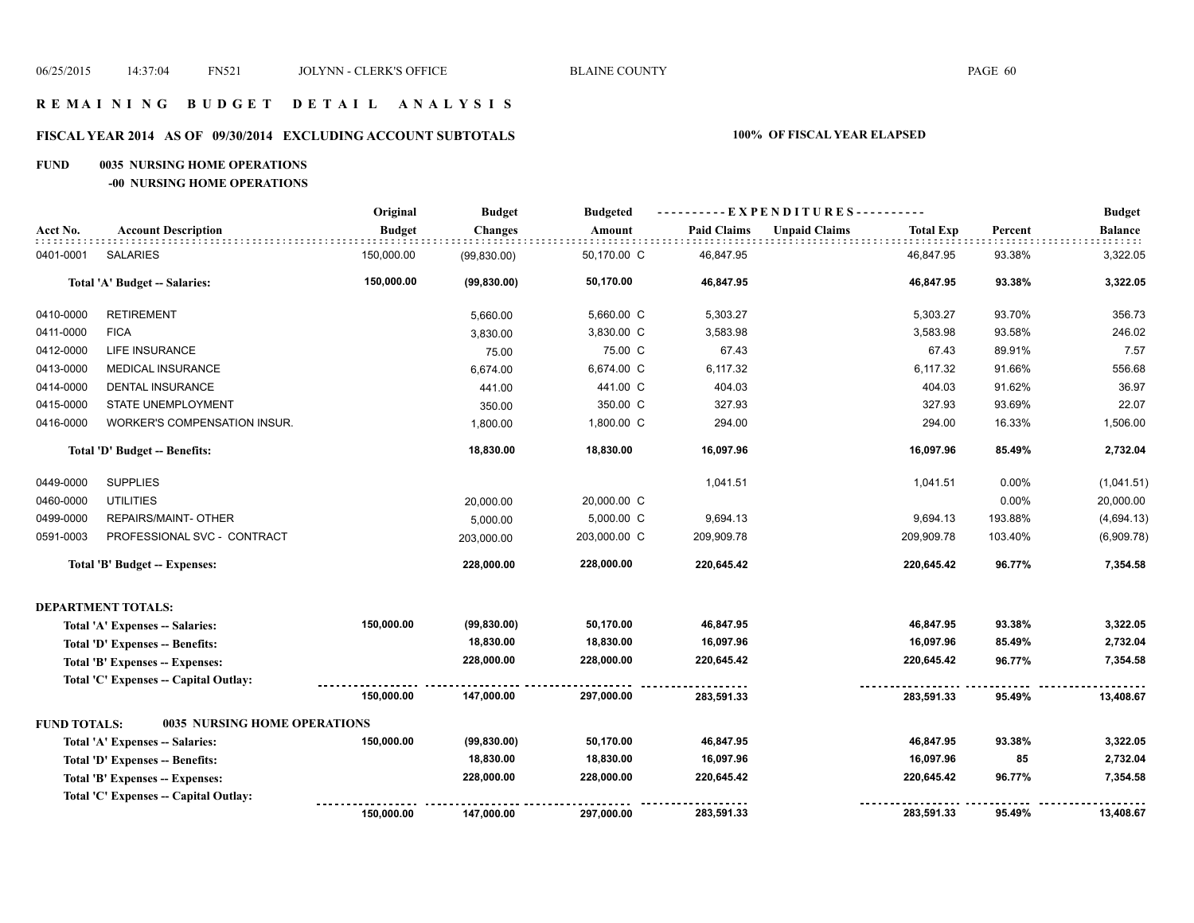#### **R E M A I N I N G B U D G E T D E T A I L A N A L Y S I S**

# **FISCAL YEAR 2014 AS OF 09/30/2014 EXCLUDING ACCOUNT SUBTOTALS 100% OF FISCAL YEAR ELAPSED**

#### **FUND 0035 NURSING HOME OPERATIONS**

**-00 NURSING HOME OPERATIONS**

|                     |                                       | Original      | <b>Budget</b>  | <b>Budgeted</b> | ----------EXPENDITURES---------- |                                          |         | <b>Budget</b>  |
|---------------------|---------------------------------------|---------------|----------------|-----------------|----------------------------------|------------------------------------------|---------|----------------|
| Acct No.            | <b>Account Description</b>            | <b>Budget</b> | <b>Changes</b> | Amount          | <b>Paid Claims</b>               | <b>Unpaid Claims</b><br><b>Total Exp</b> | Percent | <b>Balance</b> |
| 0401-0001           | <b>SALARIES</b>                       | 150,000.00    | (99, 830.00)   | 50,170.00 C     | 46,847.95                        | 46,847.95                                | 93.38%  | 3,322.05       |
|                     | Total 'A' Budget -- Salaries:         | 150,000.00    | (99, 830.00)   | 50,170.00       | 46,847.95                        | 46,847.95                                | 93.38%  | 3,322.05       |
| 0410-0000           | <b>RETIREMENT</b>                     |               | 5,660.00       | 5,660.00 C      | 5,303.27                         | 5,303.27                                 | 93.70%  | 356.73         |
| 0411-0000           | <b>FICA</b>                           |               | 3,830.00       | 3,830.00 C      | 3,583.98                         | 3,583.98                                 | 93.58%  | 246.02         |
| 0412-0000           | LIFE INSURANCE                        |               | 75.00          | 75.00 C         | 67.43                            | 67.43                                    | 89.91%  | 7.57           |
| 0413-0000           | MEDICAL INSURANCE                     |               | 6,674.00       | 6,674.00 C      | 6,117.32                         | 6,117.32                                 | 91.66%  | 556.68         |
| 0414-0000           | <b>DENTAL INSURANCE</b>               |               | 441.00         | 441.00 C        | 404.03                           | 404.03                                   | 91.62%  | 36.97          |
| 0415-0000           | STATE UNEMPLOYMENT                    |               | 350.00         | 350.00 C        | 327.93                           | 327.93                                   | 93.69%  | 22.07          |
| 0416-0000           | WORKER'S COMPENSATION INSUR.          |               | 1,800.00       | 1,800.00 C      | 294.00                           | 294.00                                   | 16.33%  | 1,506.00       |
|                     | Total 'D' Budget -- Benefits:         |               | 18,830.00      | 18,830.00       | 16,097.96                        | 16,097.96                                | 85.49%  | 2,732.04       |
| 0449-0000           | <b>SUPPLIES</b>                       |               |                |                 | 1,041.51                         | 1,041.51                                 | 0.00%   | (1,041.51)     |
| 0460-0000           | <b>UTILITIES</b>                      |               | 20,000.00      | 20,000.00 C     |                                  |                                          | 0.00%   | 20,000.00      |
| 0499-0000           | REPAIRS/MAINT- OTHER                  |               | 5,000.00       | 5,000.00 C      | 9,694.13                         | 9,694.13                                 | 193.88% | (4,694.13)     |
| 0591-0003           | PROFESSIONAL SVC - CONTRACT           |               | 203,000.00     | 203,000.00 C    | 209,909.78                       | 209,909.78                               | 103.40% | (6,909.78)     |
|                     | <b>Total 'B' Budget -- Expenses:</b>  |               | 228,000.00     | 228,000.00      | 220,645.42                       | 220,645.42                               | 96.77%  | 7,354.58       |
|                     | <b>DEPARTMENT TOTALS:</b>             |               |                |                 |                                  |                                          |         |                |
|                     | Total 'A' Expenses -- Salaries:       | 150,000.00    | (99, 830.00)   | 50,170.00       | 46,847.95                        | 46,847.95                                | 93.38%  | 3,322.05       |
|                     | Total 'D' Expenses -- Benefits:       |               | 18,830.00      | 18,830.00       | 16,097.96                        | 16,097.96                                | 85.49%  | 2,732.04       |
|                     | Total 'B' Expenses -- Expenses:       |               | 228,000.00     | 228,000.00      | 220,645.42                       | 220,645.42                               | 96.77%  | 7,354.58       |
|                     | Total 'C' Expenses - Capital Outlay:  |               |                |                 |                                  |                                          |         |                |
|                     |                                       | 150,000.00    | 147,000.00     | 297,000.00      | 283,591.33                       | 283,591.33                               | 95.49%  | 13,408.67      |
| <b>FUND TOTALS:</b> | <b>0035 NURSING HOME OPERATIONS</b>   |               |                |                 |                                  |                                          |         |                |
|                     | Total 'A' Expenses -- Salaries:       | 150,000.00    | (99, 830.00)   | 50,170.00       | 46,847.95                        | 46,847.95                                | 93.38%  | 3,322.05       |
|                     | Total 'D' Expenses -- Benefits:       |               | 18,830.00      | 18,830.00       | 16,097.96                        | 16,097.96                                | 85      | 2,732.04       |
|                     | Total 'B' Expenses -- Expenses:       |               | 228,000.00     | 228,000.00      | 220,645.42                       | 220,645.42                               | 96.77%  | 7,354.58       |
|                     | Total 'C' Expenses -- Capital Outlay: |               |                |                 |                                  |                                          |         |                |
|                     |                                       | 150,000.00    | 147,000.00     | 297,000.00      | 283,591.33                       | 283,591.33                               | 95.49%  | 13,408.67      |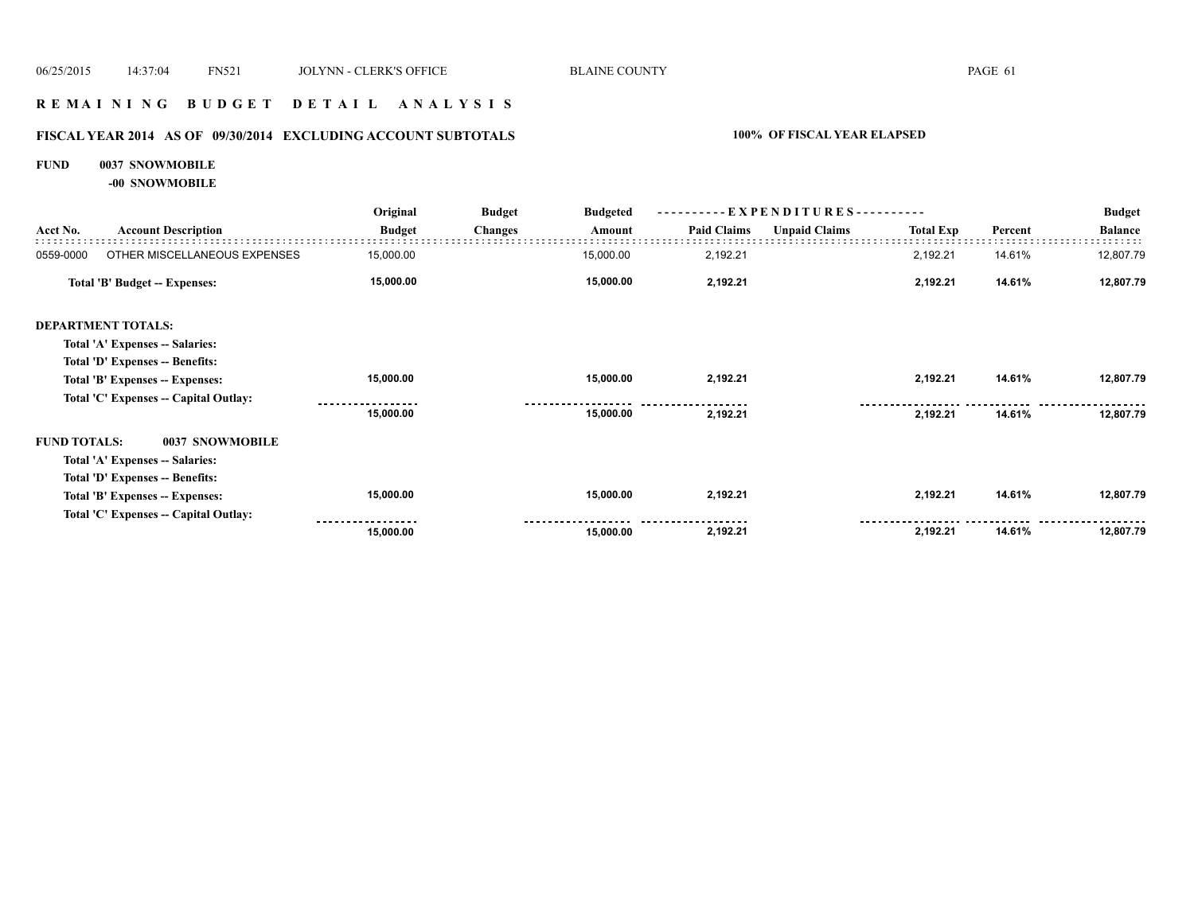#### **R E M A I N I N G B U D G E T D E T A I L A N A L Y S I S**

# **FISCAL YEAR 2014 AS OF 09/30/2014 EXCLUDING ACCOUNT SUBTOTALS 100% OF FISCAL YEAR ELAPSED**

#### **FUND 0037 SNOWMOBILE**

**-00 SNOWMOBILE**

|                     |                                       | Original      | <b>Budget</b>  | <b>Budgeted</b><br>Amount | EXPENDITURES---------- |                      |                  |         | <b>Budget</b>  |
|---------------------|---------------------------------------|---------------|----------------|---------------------------|------------------------|----------------------|------------------|---------|----------------|
| Acct No.            | <b>Account Description</b>            | <b>Budget</b> | <b>Changes</b> |                           | <b>Paid Claims</b>     | <b>Unpaid Claims</b> | <b>Total Exp</b> | Percent | <b>Balance</b> |
| 0559-0000           | OTHER MISCELLANEOUS EXPENSES          | 15,000.00     |                | 15,000.00                 | 2,192.21               |                      | 2,192.21         | 14.61%  | 12,807.79      |
|                     | <b>Total 'B' Budget -- Expenses:</b>  | 15,000.00     |                | 15,000.00                 | 2,192.21               |                      | 2,192.21         | 14.61%  | 12,807.79      |
|                     | <b>DEPARTMENT TOTALS:</b>             |               |                |                           |                        |                      |                  |         |                |
|                     | Total 'A' Expenses -- Salaries:       |               |                |                           |                        |                      |                  |         |                |
|                     | Total 'D' Expenses -- Benefits:       |               |                |                           |                        |                      |                  |         |                |
|                     | Total 'B' Expenses -- Expenses:       | 15,000.00     |                | 15,000.00                 | 2,192.21               |                      | 2,192.21         | 14.61%  | 12,807.79      |
|                     | Total 'C' Expenses -- Capital Outlay: |               |                |                           |                        |                      |                  |         |                |
|                     |                                       | 15,000.00     |                | 15,000.00                 | 2,192.21               |                      | 2,192.21         | 14.61%  | 12,807.79      |
| <b>FUND TOTALS:</b> | 0037 SNOWMOBILE                       |               |                |                           |                        |                      |                  |         |                |
|                     | Total 'A' Expenses -- Salaries:       |               |                |                           |                        |                      |                  |         |                |
|                     | Total 'D' Expenses -- Benefits:       |               |                |                           |                        |                      |                  |         |                |
|                     | Total 'B' Expenses -- Expenses:       | 15,000.00     |                | 15,000.00                 | 2,192.21               |                      | 2,192.21         | 14.61%  | 12,807.79      |
|                     | Total 'C' Expenses - Capital Outlay:  |               |                |                           |                        |                      |                  |         |                |
|                     |                                       | 15,000.00     |                | 15,000.00                 | 2,192.21               |                      | 2,192.21         | 14.61%  | 12,807.79      |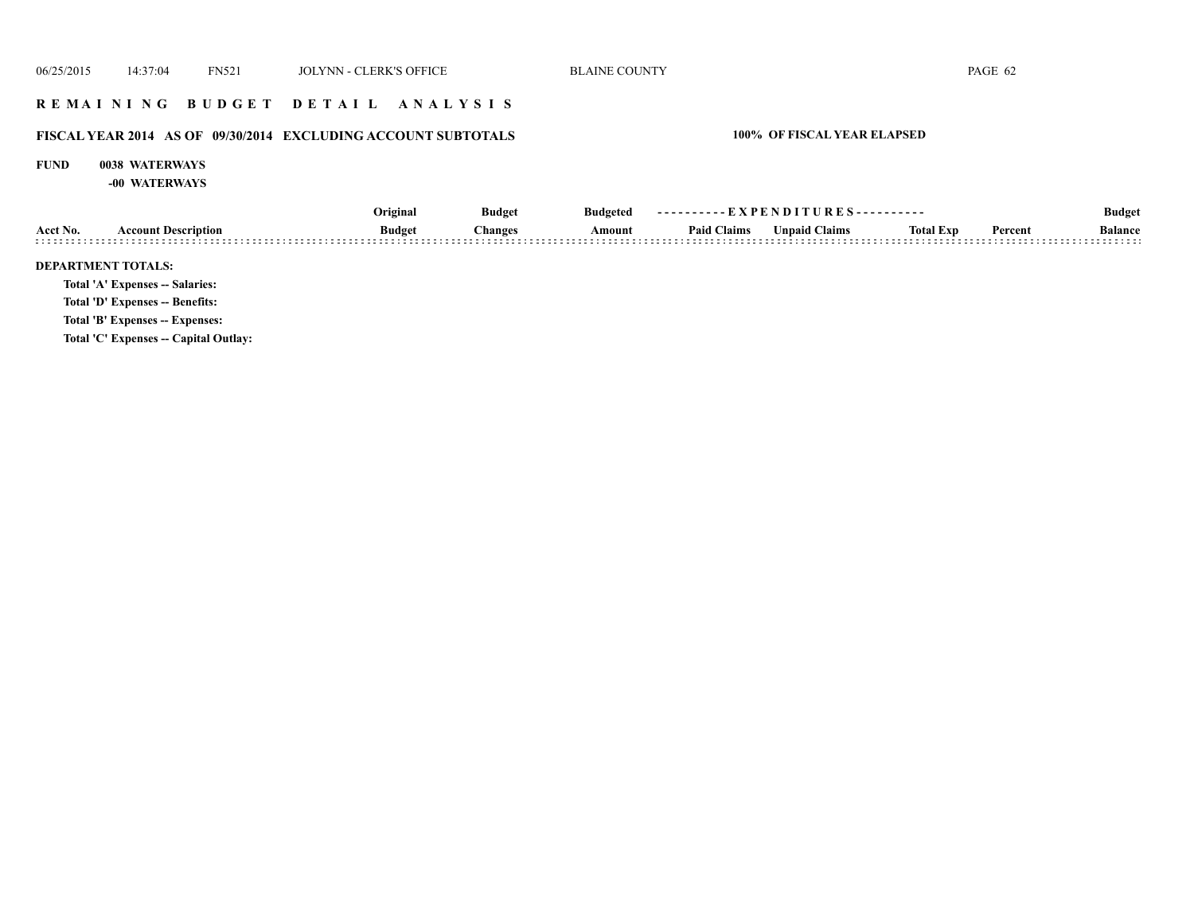#### **R E M A I N I N G B U D G E T D E T A I L A N A L Y S I S**

# **FISCAL YEAR 2014 AS OF 09/30/2014 EXCLUDING ACCOUNT SUBTOTALS 100% OF FISCAL YEAR ELAPSED**

#### **FUND 0038 WATERWAYS**

**-00 WATERWAYS**

|          |                                       | Original      | <b>Budget</b>  | <b>Budgeted</b> | ----------EXPENDITURES---------- |                      |                  |         | <b>Budget</b>  |
|----------|---------------------------------------|---------------|----------------|-----------------|----------------------------------|----------------------|------------------|---------|----------------|
| Acct No. | <b>Account Description</b>            | <b>Budget</b> | <b>Changes</b> | Amount          | <b>Paid Claims</b>               | <b>Unpaid Claims</b> | <b>Total Exp</b> | Percent | <b>Balance</b> |
|          | <b>DEPARTMENT TOTALS:</b>             |               |                |                 |                                  |                      |                  |         |                |
|          | Total 'A' Expenses -- Salaries:       |               |                |                 |                                  |                      |                  |         |                |
|          | Total 'D' Expenses -- Benefits:       |               |                |                 |                                  |                      |                  |         |                |
|          | Total 'B' Expenses -- Expenses:       |               |                |                 |                                  |                      |                  |         |                |
|          | Total 'C' Expenses -- Capital Outlay: |               |                |                 |                                  |                      |                  |         |                |
|          |                                       |               |                |                 |                                  |                      |                  |         |                |
|          |                                       |               |                |                 |                                  |                      |                  |         |                |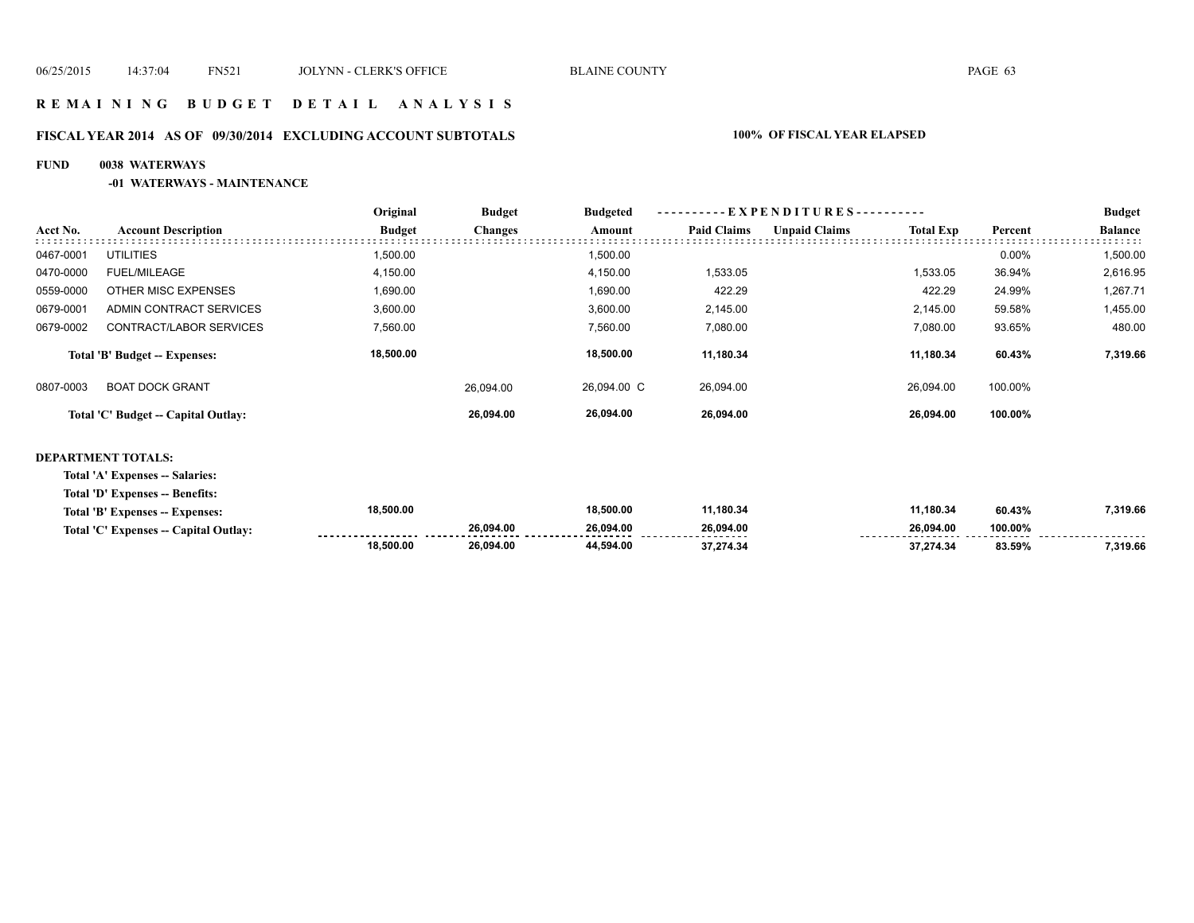#### **R E M A I N I N G B U D G E T D E T A I L A N A L Y S I S**

#### **FISCAL YEAR 2014 AS OF 09/30/2014 EXCLUDING ACCOUNT SUBTOTALS 100% OF FISCAL YEAR ELAPSED**

#### **FUND 0038 WATERWAYS**

#### **-01 WATERWAYS - MAINTENANCE**

|           |                                      | Original      | <b>Budget</b>  | <b>Budgeted</b> | --EXPENDITURES---------- |                      |                  |          | <b>Budget</b>  |
|-----------|--------------------------------------|---------------|----------------|-----------------|--------------------------|----------------------|------------------|----------|----------------|
| Acct No.  | <b>Account Description</b>           | <b>Budget</b> | <b>Changes</b> | Amount          | <b>Paid Claims</b>       | <b>Unpaid Claims</b> | <b>Total Exp</b> | Percent  | <b>Balance</b> |
| 0467-0001 | <b>UTILITIES</b>                     | 1,500.00      |                | 1,500.00        |                          |                      |                  | $0.00\%$ | 1,500.00       |
| 0470-0000 | <b>FUEL/MILEAGE</b>                  | 4,150.00      |                | 4,150.00        | 1,533.05                 |                      | 1,533.05         | 36.94%   | 2,616.95       |
| 0559-0000 | OTHER MISC EXPENSES                  | 1,690.00      |                | 1,690.00        | 422.29                   |                      | 422.29           | 24.99%   | 1,267.71       |
| 0679-0001 | ADMIN CONTRACT SERVICES              | 3,600.00      |                | 3,600.00        | 2.145.00                 |                      | 2.145.00         | 59.58%   | 1,455.00       |
| 0679-0002 | CONTRACT/LABOR SERVICES              | 7,560.00      |                | 7,560.00        | 7,080.00                 |                      | 7,080.00         | 93.65%   | 480.00         |
|           | <b>Total 'B' Budget -- Expenses:</b> | 18,500.00     |                | 18.500.00       | 11,180.34                |                      | 11,180.34        | 60.43%   | 7,319.66       |
| 0807-0003 | <b>BOAT DOCK GRANT</b>               |               | 26.094.00      | 26.094.00 C     | 26.094.00                |                      | 26.094.00        | 100.00%  |                |
|           | Total 'C' Budget -- Capital Outlay:  |               | 26.094.00      | 26,094.00       | 26.094.00                |                      | 26.094.00        | 100.00%  |                |

#### **DEPARTMENT TOTALS:**

**Total 'A' Expenses -- Salaries:**

**Total 'D' Expenses -- Benefits:**

| Total 'B' Expenses -- Expenses:       | 18,500.00 |           | 18,500.00 | 1,180.34                          | '1,180.34 | 60.43%  | 7,319.66 |
|---------------------------------------|-----------|-----------|-----------|-----------------------------------|-----------|---------|----------|
| Total 'C' Expenses -- Capital Outlay: |           | 26.094.00 | 26.094.00 | 26.094.00<br>-------------------- | 26.094.00 | 100.00% |          |
|                                       | 18,500.00 | 26.094.00 | 44.594.00 |                                   | 37.274.34 | 83.59%  | 319.66,  |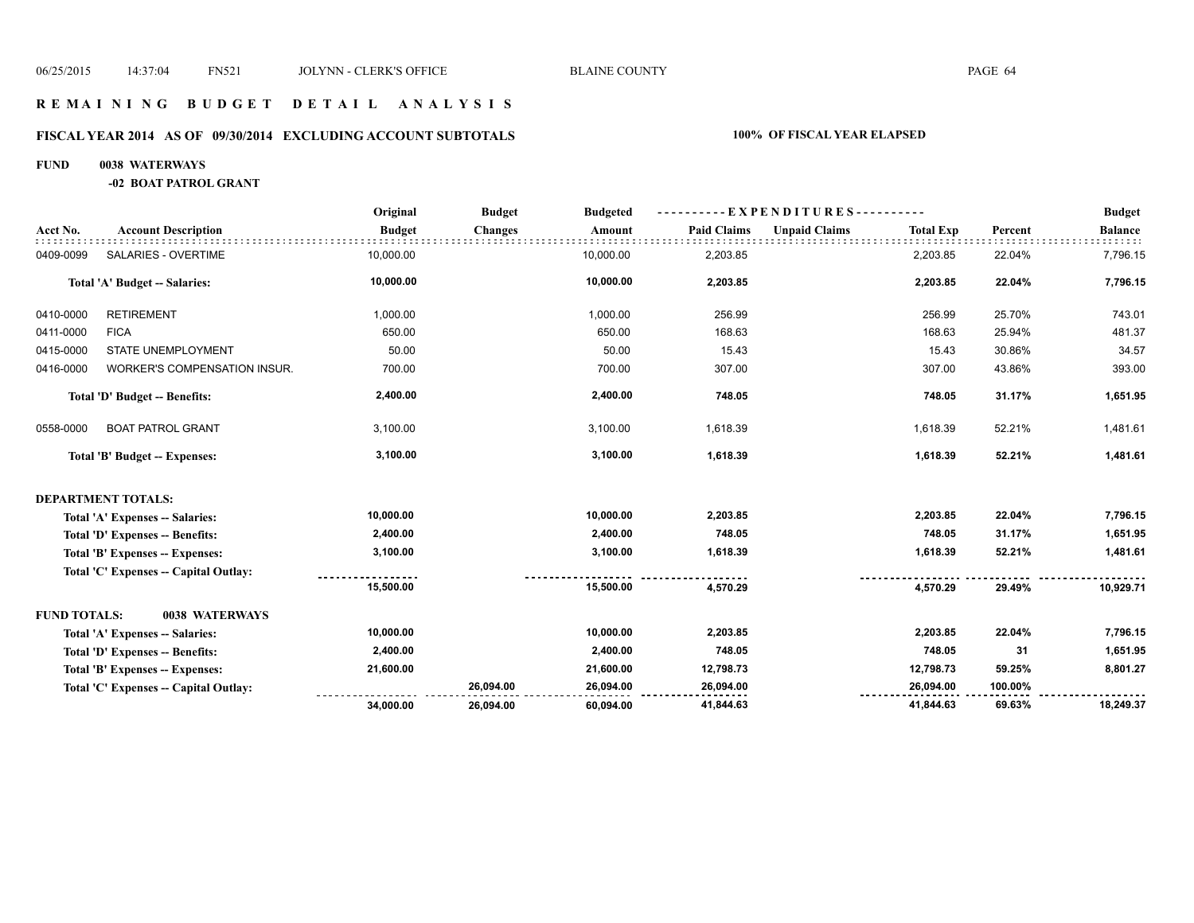#### **R E M A I N I N G B U D G E T D E T A I L A N A L Y S I S**

# **FISCAL YEAR 2014 AS OF 09/30/2014 EXCLUDING ACCOUNT SUBTOTALS 100% OF FISCAL YEAR ELAPSED**

#### **FUND 0038 WATERWAYS**

**-02 BOAT PATROL GRANT**

|                     |                                       | Original      | <b>Budget</b>  | <b>Budgeted</b> | -EXPENDITURES-     |                      |                  |         | <b>Budget</b>  |
|---------------------|---------------------------------------|---------------|----------------|-----------------|--------------------|----------------------|------------------|---------|----------------|
| Acct No.            | <b>Account Description</b>            | <b>Budget</b> | <b>Changes</b> | Amount          | <b>Paid Claims</b> | <b>Unpaid Claims</b> | <b>Total Exp</b> | Percent | <b>Balance</b> |
| 0409-0099           | SALARIES - OVERTIME                   | 10,000.00     |                | 10,000.00       | 2,203.85           |                      | 2,203.85         | 22.04%  | 7,796.15       |
|                     | Total 'A' Budget -- Salaries:         | 10,000.00     |                | 10,000.00       | 2,203.85           |                      | 2,203.85         | 22.04%  | 7,796.15       |
| 0410-0000           | <b>RETIREMENT</b>                     | 1,000.00      |                | 1,000.00        | 256.99             |                      | 256.99           | 25.70%  | 743.01         |
| 0411-0000           | <b>FICA</b>                           | 650.00        |                | 650.00          | 168.63             |                      | 168.63           | 25.94%  | 481.37         |
| 0415-0000           | STATE UNEMPLOYMENT                    | 50.00         |                | 50.00           | 15.43              |                      | 15.43            | 30.86%  | 34.57          |
| 0416-0000           | WORKER'S COMPENSATION INSUR.          | 700.00        |                | 700.00          | 307.00             |                      | 307.00           | 43.86%  | 393.00         |
|                     | Total 'D' Budget -- Benefits:         | 2,400.00      |                | 2,400.00        | 748.05             |                      | 748.05           | 31.17%  | 1,651.95       |
| 0558-0000           | <b>BOAT PATROL GRANT</b>              | 3,100.00      |                | 3,100.00        | 1,618.39           |                      | 1,618.39         | 52.21%  | 1,481.61       |
|                     | Total 'B' Budget -- Expenses:         | 3,100.00      |                | 3,100.00        | 1,618.39           |                      | 1,618.39         | 52.21%  | 1,481.61       |
|                     | <b>DEPARTMENT TOTALS:</b>             |               |                |                 |                    |                      |                  |         |                |
|                     | Total 'A' Expenses -- Salaries:       | 10,000.00     |                | 10,000.00       | 2,203.85           |                      | 2,203.85         | 22.04%  | 7,796.15       |
|                     | Total 'D' Expenses -- Benefits:       | 2,400.00      |                | 2,400.00        | 748.05             |                      | 748.05           | 31.17%  | 1,651.95       |
|                     | Total 'B' Expenses -- Expenses:       | 3,100.00      |                | 3,100.00        | 1,618.39           |                      | 1,618.39         | 52.21%  | 1,481.61       |
|                     | Total 'C' Expenses -- Capital Outlay: |               |                |                 |                    |                      |                  |         |                |
|                     |                                       | 15,500.00     |                | 15,500.00       | 4,570.29           |                      | 4,570.29         | 29.49%  | 10,929.71      |
| <b>FUND TOTALS:</b> | 0038 WATERWAYS                        |               |                |                 |                    |                      |                  |         |                |
|                     | Total 'A' Expenses -- Salaries:       | 10,000.00     |                | 10,000.00       | 2,203.85           |                      | 2,203.85         | 22.04%  | 7,796.15       |
|                     | Total 'D' Expenses -- Benefits:       | 2,400.00      |                | 2,400.00        | 748.05             |                      | 748.05           | 31      | 1,651.95       |
|                     | Total 'B' Expenses -- Expenses:       | 21,600.00     |                | 21,600.00       | 12,798.73          |                      | 12,798.73        | 59.25%  | 8,801.27       |
|                     | Total 'C' Expenses - Capital Outlay:  |               | 26,094.00      | 26,094.00       | 26,094.00          |                      | 26,094.00        | 100.00% |                |
|                     |                                       | 34,000.00     | 26,094.00      | 60,094.00       | 41,844.63          |                      | 41,844.63        | 69.63%  | 18,249.37      |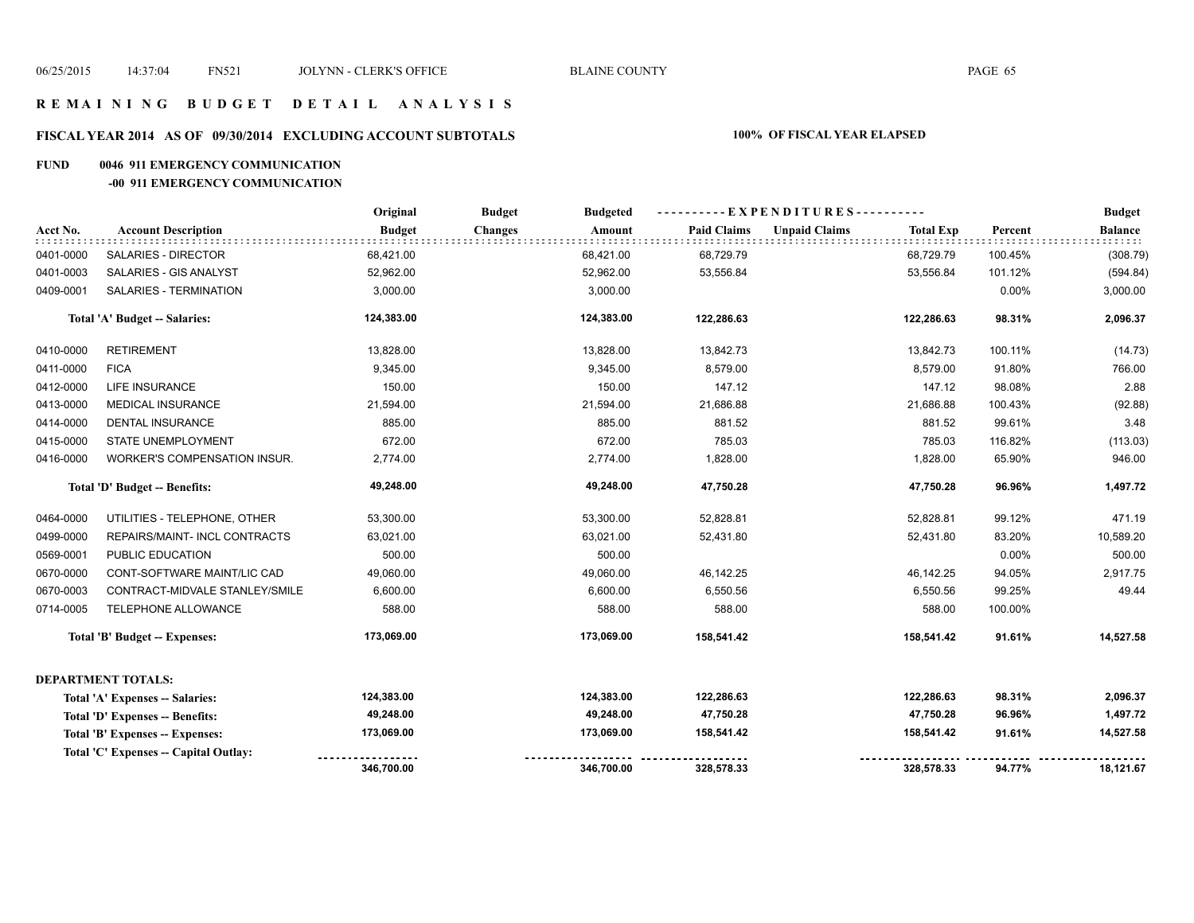# **R E M A I N I N G B U D G E T D E T A I L A N A L Y S I S**

#### **FISCAL YEAR 2014 AS OF 09/30/2014 EXCLUDING ACCOUNT SUBTOTALS 100% OF FISCAL YEAR ELAPSED**

#### **FUND 0046 911 EMERGENCY COMMUNICATION**

#### **-00 911 EMERGENCY COMMUNICATION**

|           |                                      | Original      | <b>Budget</b><br><b>Budgeted</b> |                    | ----------EXPENDITURES----------         |          | <b>Budget</b>  |
|-----------|--------------------------------------|---------------|----------------------------------|--------------------|------------------------------------------|----------|----------------|
| Acct No.  | <b>Account Description</b>           | <b>Budget</b> | <b>Changes</b><br>Amount         | <b>Paid Claims</b> | <b>Unpaid Claims</b><br><b>Total Exp</b> | Percent  | <b>Balance</b> |
| 0401-0000 | <b>SALARIES - DIRECTOR</b>           | 68,421.00     | 68,421.00                        | 68,729.79          | 68,729.79                                | 100.45%  | (308.79)       |
| 0401-0003 | SALARIES - GIS ANALYST               | 52,962.00     | 52,962.00                        | 53,556.84          | 53,556.84                                | 101.12%  | (594.84)       |
| 0409-0001 | SALARIES - TERMINATION               | 3,000.00      | 3,000.00                         |                    |                                          | $0.00\%$ | 3,000.00       |
|           | Total 'A' Budget -- Salaries:        | 124,383.00    | 124,383.00                       | 122,286.63         | 122,286.63                               | 98.31%   | 2,096.37       |
| 0410-0000 | <b>RETIREMENT</b>                    | 13,828.00     | 13,828.00                        | 13,842.73          | 13,842.73                                | 100.11%  | (14.73)        |
| 0411-0000 | <b>FICA</b>                          | 9,345.00      | 9,345.00                         | 8,579.00           | 8,579.00                                 | 91.80%   | 766.00         |
| 0412-0000 | <b>LIFE INSURANCE</b>                | 150.00        | 150.00                           | 147.12             | 147.12                                   | 98.08%   | 2.88           |
| 0413-0000 | <b>MEDICAL INSURANCE</b>             | 21,594.00     | 21,594.00                        | 21,686.88          | 21,686.88                                | 100.43%  | (92.88)        |
| 0414-0000 | <b>DENTAL INSURANCE</b>              | 885.00        | 885.00                           | 881.52             | 881.52                                   | 99.61%   | 3.48           |
| 0415-0000 | STATE UNEMPLOYMENT                   | 672.00        | 672.00                           | 785.03             | 785.03                                   | 116.82%  | (113.03)       |
| 0416-0000 | WORKER'S COMPENSATION INSUR.         | 2,774.00      | 2,774.00                         | 1,828.00           | 1,828.00                                 | 65.90%   | 946.00         |
|           | Total 'D' Budget -- Benefits:        | 49,248.00     | 49,248.00                        | 47,750.28          | 47,750.28                                | 96.96%   | 1,497.72       |
| 0464-0000 | UTILITIES - TELEPHONE, OTHER         | 53,300.00     | 53,300.00                        | 52,828.81          | 52,828.81                                | 99.12%   | 471.19         |
| 0499-0000 | REPAIRS/MAINT- INCL CONTRACTS        | 63,021.00     | 63,021.00                        | 52,431.80          | 52,431.80                                | 83.20%   | 10,589.20      |
| 0569-0001 | PUBLIC EDUCATION                     | 500.00        | 500.00                           |                    |                                          | 0.00%    | 500.00         |
| 0670-0000 | CONT-SOFTWARE MAINT/LIC CAD          | 49,060.00     | 49,060.00                        | 46,142.25          | 46,142.25                                | 94.05%   | 2,917.75       |
| 0670-0003 | CONTRACT-MIDVALE STANLEY/SMILE       | 6,600.00      | 6,600.00                         | 6,550.56           | 6,550.56                                 | 99.25%   | 49.44          |
| 0714-0005 | TELEPHONE ALLOWANCE                  | 588.00        | 588.00                           | 588.00             | 588.00                                   | 100.00%  |                |
|           | Total 'B' Budget -- Expenses:        | 173,069.00    | 173,069.00                       | 158,541.42         | 158,541.42                               | 91.61%   | 14,527.58      |
|           | DEPARTMENT TOTALS:                   |               |                                  |                    |                                          |          |                |
|           | Total 'A' Expenses -- Salaries:      | 124,383.00    | 124,383.00                       | 122,286.63         | 122,286.63                               | 98.31%   | 2,096.37       |
|           | Total 'D' Expenses -- Benefits:      | 49,248.00     | 49,248.00                        | 47,750.28          | 47,750.28                                | 96.96%   | 1,497.72       |
|           | Total 'B' Expenses -- Expenses:      | 173,069.00    | 173,069.00                       | 158,541.42         | 158,541.42                               | 91.61%   | 14,527.58      |
|           | Total 'C' Expenses - Capital Outlay: |               |                                  |                    |                                          |          |                |
|           |                                      | 346,700.00    | 346,700.00                       | 328,578.33         | 328,578.33                               | 94.77%   | 18,121.67      |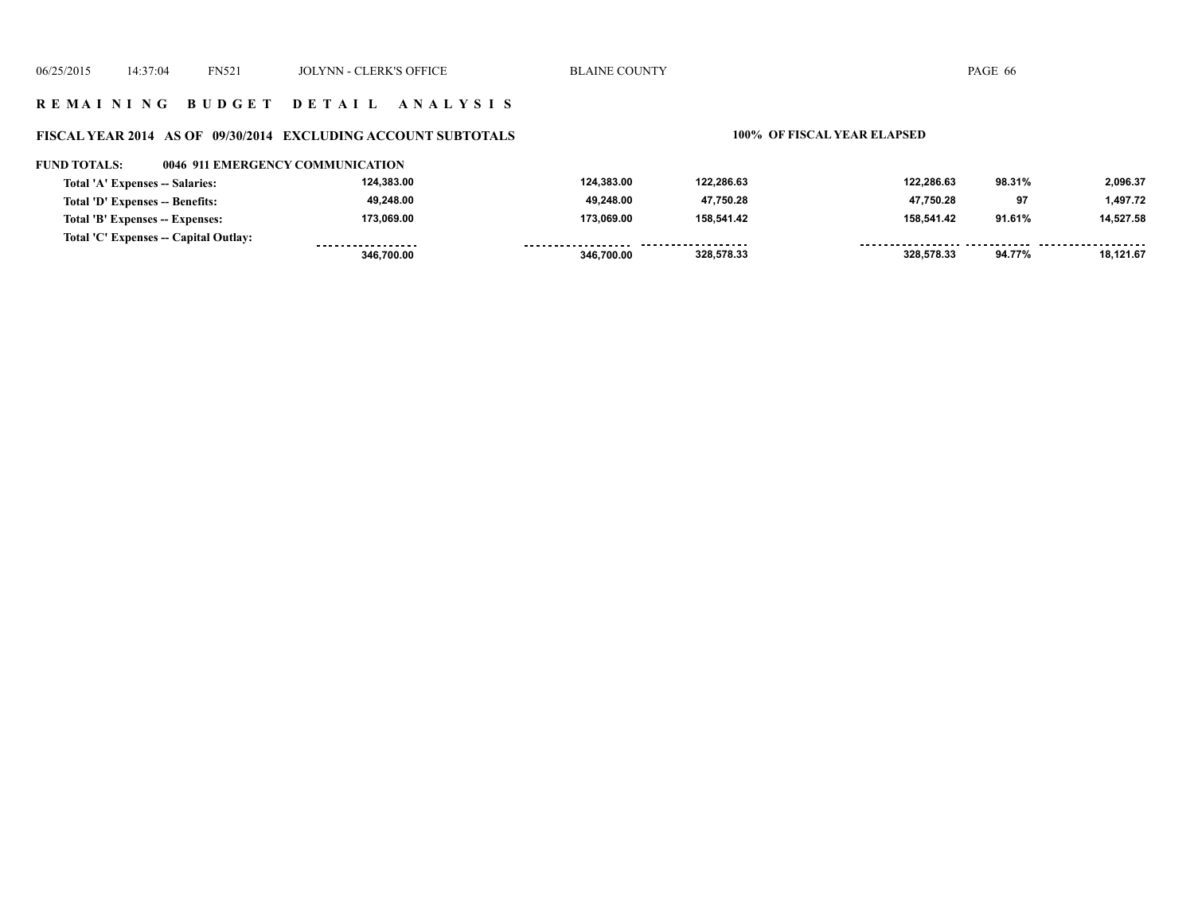#### **R E M A I N I N G B U D G E T D E T A I L A N A L Y S I S**

# **FISCAL YEAR 2014 AS OF 09/30/2014 EXCLUDING ACCOUNT SUBTOTALS 100% OF FISCAL YEAR ELAPSED**

#### **FUND TOTALS: 0046 911 EMERGENCY COMMUNICATION**

|                                       | 346.700.00        | 346.700.00         | 328,578.33 | 328.578.33 | 94.77% | 18.121.67 |
|---------------------------------------|-------------------|--------------------|------------|------------|--------|-----------|
| Total 'C' Expenses -- Capital Outlay: | ----------------- | ------------------ | .          |            |        |           |
| Total 'B' Expenses -- Expenses:       | 173.069.00        | 173.069.00         | 158.541.42 | 158.541.42 | 91.61% | 14.527.58 |
| Total 'D' Expenses -- Benefits:       | 49,248.00         | 49.248.00          | 47,750.28  | 47.750.28  | 97     | 1,497.72  |
| Total 'A' Expenses -- Salaries:       | 124.383.00        | 124.383.00         | 122.286.63 | 122.286.63 | 98.31% | 2,096.37  |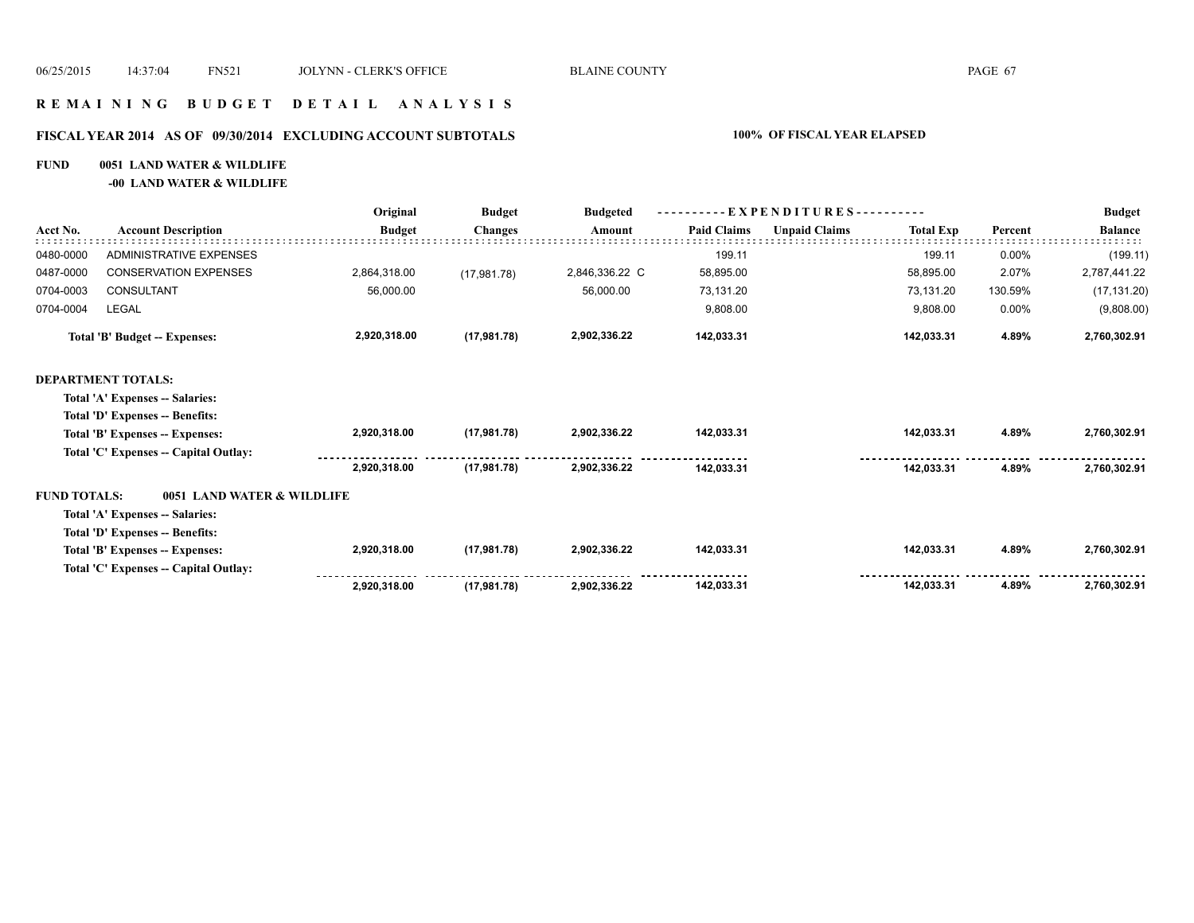#### **R E M A I N I N G B U D G E T D E T A I L A N A L Y S I S**

# **FISCAL YEAR 2014 AS OF 09/30/2014 EXCLUDING ACCOUNT SUBTOTALS 100% OF FISCAL YEAR ELAPSED**

#### **FUND 0051 LAND WATER & WILDLIFE**

**-00 LAND WATER & WILDLIFE**

|                     | <b>Account Description</b>            | Original      | <b>Budget</b><br><b>Changes</b> | <b>Budgeted</b><br>Amount | - EXPENDITURES---------- |                      |                  |         | <b>Budget</b>  |
|---------------------|---------------------------------------|---------------|---------------------------------|---------------------------|--------------------------|----------------------|------------------|---------|----------------|
| Acct No.            |                                       | <b>Budget</b> |                                 |                           | <b>Paid Claims</b>       | <b>Unpaid Claims</b> | <b>Total Exp</b> | Percent | <b>Balance</b> |
| 0480-0000           | <b>ADMINISTRATIVE EXPENSES</b>        |               |                                 |                           | 199.11                   |                      | 199.11           | 0.00%   | (199.11)       |
| 0487-0000           | <b>CONSERVATION EXPENSES</b>          | 2,864,318.00  | (17, 981.78)                    | 2,846,336.22 C            | 58,895.00                |                      | 58,895.00        | 2.07%   | 2,787,441.22   |
| 0704-0003           | CONSULTANT                            | 56,000.00     |                                 | 56,000.00                 | 73,131.20                |                      | 73,131.20        | 130.59% | (17, 131.20)   |
| 0704-0004           | LEGAL                                 |               |                                 |                           | 9,808.00                 |                      | 9,808.00         | 0.00%   | (9,808.00)     |
|                     | Total 'B' Budget -- Expenses:         | 2,920,318.00  | (17, 981.78)                    | 2,902,336.22              | 142,033.31               |                      | 142,033.31       | 4.89%   | 2,760,302.91   |
|                     | <b>DEPARTMENT TOTALS:</b>             |               |                                 |                           |                          |                      |                  |         |                |
|                     | Total 'A' Expenses -- Salaries:       |               |                                 |                           |                          |                      |                  |         |                |
|                     | Total 'D' Expenses -- Benefits:       |               |                                 |                           |                          |                      |                  |         |                |
|                     | Total 'B' Expenses -- Expenses:       | 2,920,318.00  | (17, 981.78)                    | 2,902,336.22              | 142,033.31               |                      | 142,033.31       | 4.89%   | 2,760,302.91   |
|                     | Total 'C' Expenses -- Capital Outlay: |               |                                 |                           |                          |                      |                  |         |                |
|                     |                                       | 2,920,318.00  | (17, 981.78)                    | 2,902,336.22              | 142,033.31               |                      | 142,033.31       | 4.89%   | 2,760,302.91   |
| <b>FUND TOTALS:</b> | 0051 LAND WATER & WILDLIFE            |               |                                 |                           |                          |                      |                  |         |                |
|                     | Total 'A' Expenses -- Salaries:       |               |                                 |                           |                          |                      |                  |         |                |
|                     | Total 'D' Expenses -- Benefits:       |               |                                 |                           |                          |                      |                  |         |                |
|                     | Total 'B' Expenses -- Expenses:       | 2,920,318.00  | (17, 981.78)                    | 2,902,336.22              | 142,033.31               |                      | 142,033.31       | 4.89%   | 2,760,302.91   |
|                     | Total 'C' Expenses -- Capital Outlay: |               |                                 |                           |                          |                      |                  |         |                |
|                     |                                       | 2,920,318.00  | (17, 981.78)                    | 2.902.336.22              | 142,033.31               |                      | 142,033.31       | 4.89%   | 2,760,302.91   |